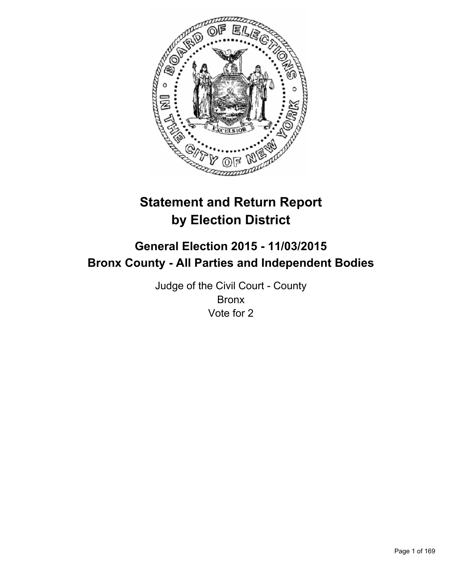

# **Statement and Return Report by Election District**

# **General Election 2015 - 11/03/2015 Bronx County - All Parties and Independent Bodies**

Judge of the Civil Court - County Bronx Vote for 2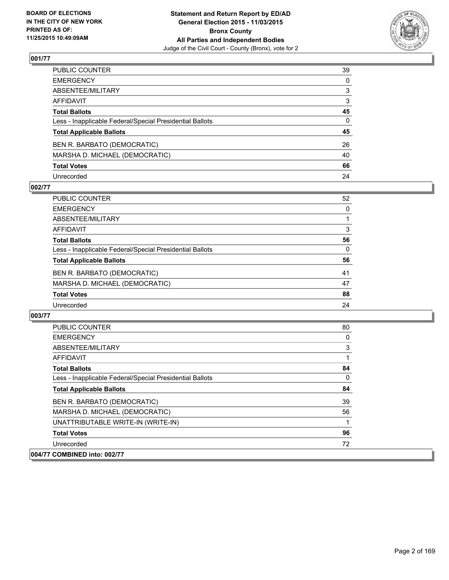

| PUBLIC COUNTER                                           | 39           |
|----------------------------------------------------------|--------------|
| EMERGENCY                                                | $\mathbf{0}$ |
| ABSENTEE/MILITARY                                        | 3            |
| AFFIDAVIT                                                | 3            |
| <b>Total Ballots</b>                                     | 45           |
| Less - Inapplicable Federal/Special Presidential Ballots | $\Omega$     |
| <b>Total Applicable Ballots</b>                          | 45           |
| BEN R. BARBATO (DEMOCRATIC)                              | 26           |
| MARSHA D. MICHAEL (DEMOCRATIC)                           | 40           |
| <b>Total Votes</b>                                       | 66           |
| Unrecorded                                               | 24           |

#### **002/77**

| <b>PUBLIC COUNTER</b>                                    | 52       |
|----------------------------------------------------------|----------|
| <b>EMERGENCY</b>                                         | 0        |
| ABSENTEE/MILITARY                                        |          |
| <b>AFFIDAVIT</b>                                         | 3        |
| <b>Total Ballots</b>                                     | 56       |
| Less - Inapplicable Federal/Special Presidential Ballots | $\Omega$ |
| <b>Total Applicable Ballots</b>                          | 56       |
| BEN R. BARBATO (DEMOCRATIC)                              | 41       |
| MARSHA D. MICHAEL (DEMOCRATIC)                           | 47       |
| <b>Total Votes</b>                                       | 88       |
| Unrecorded                                               | 24       |

| <b>PUBLIC COUNTER</b>                                    | 80 |
|----------------------------------------------------------|----|
| <b>EMERGENCY</b>                                         | 0  |
| ABSENTEE/MILITARY                                        | 3  |
| <b>AFFIDAVIT</b>                                         |    |
| <b>Total Ballots</b>                                     | 84 |
| Less - Inapplicable Federal/Special Presidential Ballots | 0  |
| <b>Total Applicable Ballots</b>                          | 84 |
| BEN R. BARBATO (DEMOCRATIC)                              | 39 |
| MARSHA D. MICHAEL (DEMOCRATIC)                           | 56 |
| UNATTRIBUTABLE WRITE-IN (WRITE-IN)                       | 1  |
| <b>Total Votes</b>                                       | 96 |
| Unrecorded                                               | 72 |
| 004/77 COMBINED into: 002/77                             |    |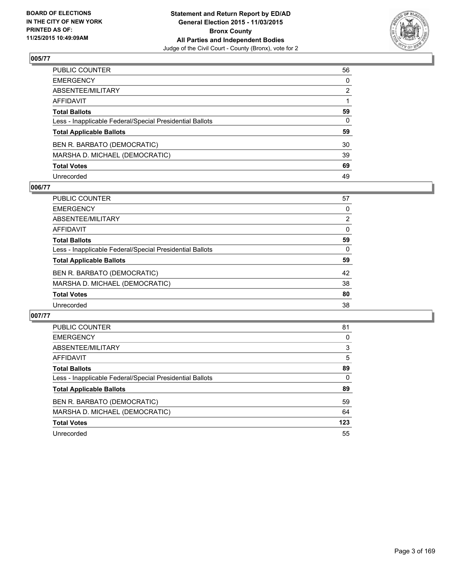

| PUBLIC COUNTER                                           | 56 |
|----------------------------------------------------------|----|
| EMERGENCY                                                | 0  |
| ABSENTEE/MILITARY                                        | 2  |
| AFFIDAVIT                                                |    |
| <b>Total Ballots</b>                                     | 59 |
| Less - Inapplicable Federal/Special Presidential Ballots | 0  |
| <b>Total Applicable Ballots</b>                          | 59 |
| BEN R. BARBATO (DEMOCRATIC)                              | 30 |
| MARSHA D. MICHAEL (DEMOCRATIC)                           | 39 |
| <b>Total Votes</b>                                       | 69 |
| Unrecorded                                               | 49 |

## **006/77**

| <b>PUBLIC COUNTER</b>                                    | 57             |
|----------------------------------------------------------|----------------|
| <b>EMERGENCY</b>                                         | 0              |
| ABSENTEE/MILITARY                                        | $\overline{2}$ |
| <b>AFFIDAVIT</b>                                         | $\Omega$       |
| <b>Total Ballots</b>                                     | 59             |
| Less - Inapplicable Federal/Special Presidential Ballots | $\Omega$       |
| <b>Total Applicable Ballots</b>                          | 59             |
| BEN R. BARBATO (DEMOCRATIC)                              | 42             |
| MARSHA D. MICHAEL (DEMOCRATIC)                           | 38             |
| <b>Total Votes</b>                                       | 80             |
| Unrecorded                                               | 38             |

| <b>PUBLIC COUNTER</b>                                    | 81  |
|----------------------------------------------------------|-----|
| <b>EMERGENCY</b>                                         | 0   |
| ABSENTEE/MILITARY                                        | 3   |
| AFFIDAVIT                                                | 5   |
| <b>Total Ballots</b>                                     | 89  |
| Less - Inapplicable Federal/Special Presidential Ballots | 0   |
| <b>Total Applicable Ballots</b>                          | 89  |
| BEN R. BARBATO (DEMOCRATIC)                              | 59  |
| MARSHA D. MICHAEL (DEMOCRATIC)                           | 64  |
| <b>Total Votes</b>                                       | 123 |
| Unrecorded                                               | 55  |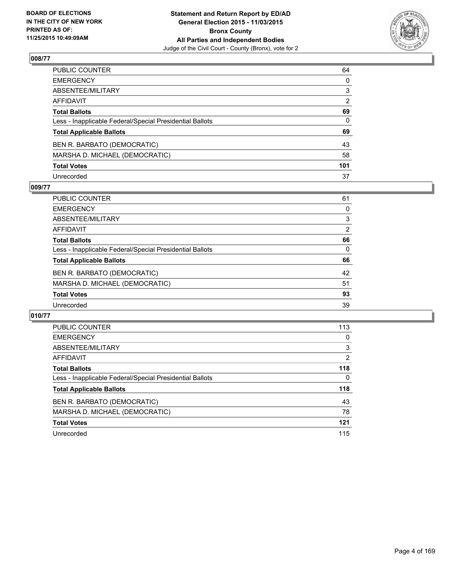

| PUBLIC COUNTER                                           | 64  |
|----------------------------------------------------------|-----|
| EMERGENCY                                                | 0   |
| ABSENTEE/MILITARY                                        | 3   |
| AFFIDAVIT                                                | 2   |
| <b>Total Ballots</b>                                     | 69  |
| Less - Inapplicable Federal/Special Presidential Ballots | 0   |
| <b>Total Applicable Ballots</b>                          | 69  |
| BEN R. BARBATO (DEMOCRATIC)                              | 43  |
| MARSHA D. MICHAEL (DEMOCRATIC)                           | 58  |
| <b>Total Votes</b>                                       | 101 |
| Unrecorded                                               | 37  |

#### **009/77**

| 61             |
|----------------|
| 0              |
| 3              |
| $\overline{2}$ |
| 66             |
| 0              |
| 66             |
| 42             |
| 51             |
| 93             |
| 39             |
|                |

| <b>PUBLIC COUNTER</b>                                    | 113            |
|----------------------------------------------------------|----------------|
| <b>EMERGENCY</b>                                         | 0              |
| ABSENTEE/MILITARY                                        | 3              |
| AFFIDAVIT                                                | $\overline{2}$ |
| <b>Total Ballots</b>                                     | 118            |
| Less - Inapplicable Federal/Special Presidential Ballots | 0              |
| <b>Total Applicable Ballots</b>                          | 118            |
| BEN R. BARBATO (DEMOCRATIC)                              | 43             |
| MARSHA D. MICHAEL (DEMOCRATIC)                           | 78             |
| <b>Total Votes</b>                                       | 121            |
| Unrecorded                                               | 115            |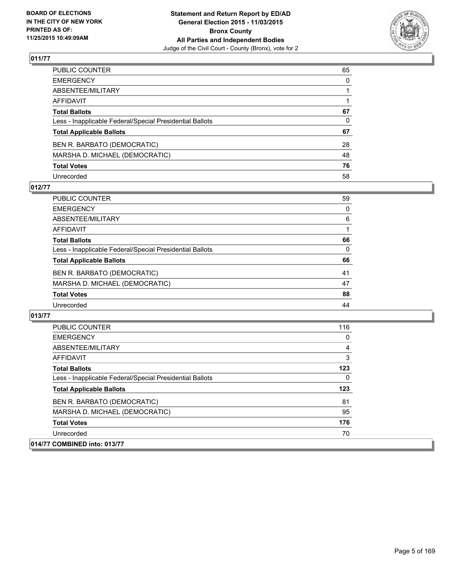

| PUBLIC COUNTER                                           | 65           |
|----------------------------------------------------------|--------------|
| EMERGENCY                                                | $\mathbf{0}$ |
| ABSENTEE/MILITARY                                        |              |
| AFFIDAVIT                                                |              |
| <b>Total Ballots</b>                                     | 67           |
| Less - Inapplicable Federal/Special Presidential Ballots | $\mathbf{0}$ |
| <b>Total Applicable Ballots</b>                          | 67           |
| BEN R. BARBATO (DEMOCRATIC)                              | 28           |
| MARSHA D. MICHAEL (DEMOCRATIC)                           | 48           |
| <b>Total Votes</b>                                       | 76           |
| Unrecorded                                               | 58           |

## **012/77**

| PUBLIC COUNTER                                           | 59       |
|----------------------------------------------------------|----------|
| <b>EMERGENCY</b>                                         | 0        |
| ABSENTEE/MILITARY                                        | 6        |
| <b>AFFIDAVIT</b>                                         |          |
| <b>Total Ballots</b>                                     | 66       |
| Less - Inapplicable Federal/Special Presidential Ballots | $\Omega$ |
| <b>Total Applicable Ballots</b>                          | 66       |
| BEN R. BARBATO (DEMOCRATIC)                              | 41       |
| MARSHA D. MICHAEL (DEMOCRATIC)                           | 47       |
| <b>Total Votes</b>                                       | 88       |
| Unrecorded                                               | 44       |

| <b>PUBLIC COUNTER</b>                                    | 116 |
|----------------------------------------------------------|-----|
| <b>EMERGENCY</b>                                         | 0   |
| ABSENTEE/MILITARY                                        | 4   |
| AFFIDAVIT                                                | 3   |
| <b>Total Ballots</b>                                     | 123 |
| Less - Inapplicable Federal/Special Presidential Ballots | 0   |
| <b>Total Applicable Ballots</b>                          | 123 |
| BEN R. BARBATO (DEMOCRATIC)                              | 81  |
| MARSHA D. MICHAEL (DEMOCRATIC)                           | 95  |
| <b>Total Votes</b>                                       | 176 |
| Unrecorded                                               | 70  |
| 014/77 COMBINED into: 013/77                             |     |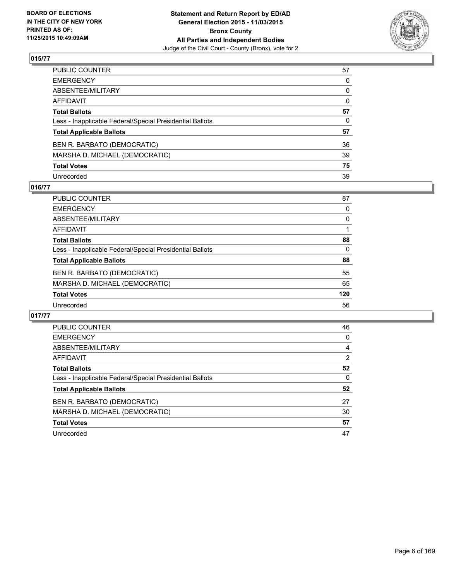

| PUBLIC COUNTER                                           | 57 |
|----------------------------------------------------------|----|
| EMERGENCY                                                | 0  |
| ABSENTEE/MILITARY                                        | 0  |
| AFFIDAVIT                                                | 0  |
| <b>Total Ballots</b>                                     | 57 |
| Less - Inapplicable Federal/Special Presidential Ballots | 0  |
| <b>Total Applicable Ballots</b>                          | 57 |
| BEN R. BARBATO (DEMOCRATIC)                              | 36 |
| MARSHA D. MICHAEL (DEMOCRATIC)                           | 39 |
| <b>Total Votes</b>                                       | 75 |
| Unrecorded                                               | 39 |

## **016/77**

| <b>PUBLIC COUNTER</b>                                    | 87       |
|----------------------------------------------------------|----------|
| <b>EMERGENCY</b>                                         | 0        |
| ABSENTEE/MILITARY                                        | 0        |
| <b>AFFIDAVIT</b>                                         |          |
| <b>Total Ballots</b>                                     | 88       |
| Less - Inapplicable Federal/Special Presidential Ballots | $\Omega$ |
| <b>Total Applicable Ballots</b>                          | 88       |
| BEN R. BARBATO (DEMOCRATIC)                              | 55       |
| MARSHA D. MICHAEL (DEMOCRATIC)                           | 65       |
| <b>Total Votes</b>                                       | 120      |
| Unrecorded                                               | 56       |

| <b>PUBLIC COUNTER</b>                                    | 46 |
|----------------------------------------------------------|----|
| <b>EMERGENCY</b>                                         | 0  |
| ABSENTEE/MILITARY                                        | 4  |
| AFFIDAVIT                                                | 2  |
| <b>Total Ballots</b>                                     | 52 |
| Less - Inapplicable Federal/Special Presidential Ballots | 0  |
| <b>Total Applicable Ballots</b>                          | 52 |
| BEN R. BARBATO (DEMOCRATIC)                              | 27 |
| MARSHA D. MICHAEL (DEMOCRATIC)                           | 30 |
| <b>Total Votes</b>                                       | 57 |
| Unrecorded                                               | 47 |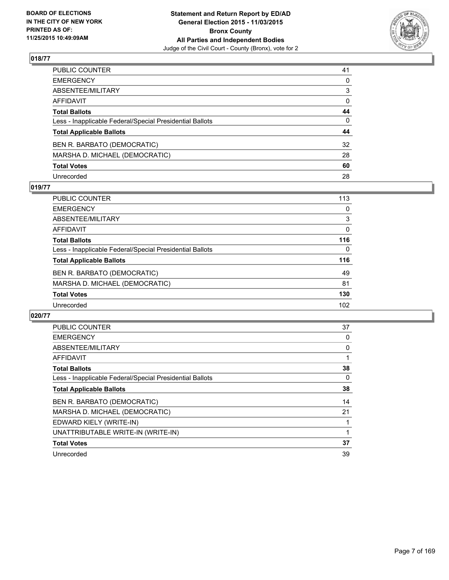

| PUBLIC COUNTER                                           | 41 |
|----------------------------------------------------------|----|
| EMERGENCY                                                | 0  |
| ABSENTEE/MILITARY                                        | 3  |
| AFFIDAVIT                                                | 0  |
| <b>Total Ballots</b>                                     | 44 |
| Less - Inapplicable Federal/Special Presidential Ballots | 0  |
| <b>Total Applicable Ballots</b>                          | 44 |
| BEN R. BARBATO (DEMOCRATIC)                              | 32 |
| MARSHA D. MICHAEL (DEMOCRATIC)                           | 28 |
| <b>Total Votes</b>                                       | 60 |
| Unrecorded                                               | 28 |

#### **019/77**

| <b>PUBLIC COUNTER</b>                                    | 113      |
|----------------------------------------------------------|----------|
| <b>EMERGENCY</b>                                         | $\Omega$ |
| ABSENTEE/MILITARY                                        | 3        |
| <b>AFFIDAVIT</b>                                         | 0        |
| <b>Total Ballots</b>                                     | 116      |
| Less - Inapplicable Federal/Special Presidential Ballots | $\Omega$ |
| <b>Total Applicable Ballots</b>                          | 116      |
| BEN R. BARBATO (DEMOCRATIC)                              | 49       |
| MARSHA D. MICHAEL (DEMOCRATIC)                           | 81       |
| <b>Total Votes</b>                                       | 130      |
| Unrecorded                                               | 102      |

| <b>PUBLIC COUNTER</b>                                    | 37 |
|----------------------------------------------------------|----|
| <b>EMERGENCY</b>                                         | 0  |
| ABSENTEE/MILITARY                                        | 0  |
| AFFIDAVIT                                                | 1  |
| <b>Total Ballots</b>                                     | 38 |
| Less - Inapplicable Federal/Special Presidential Ballots | 0  |
| <b>Total Applicable Ballots</b>                          | 38 |
| BEN R. BARBATO (DEMOCRATIC)                              | 14 |
| MARSHA D. MICHAEL (DEMOCRATIC)                           | 21 |
| EDWARD KIELY (WRITE-IN)                                  |    |
| UNATTRIBUTABLE WRITE-IN (WRITE-IN)                       | 1  |
| <b>Total Votes</b>                                       | 37 |
| Unrecorded                                               | 39 |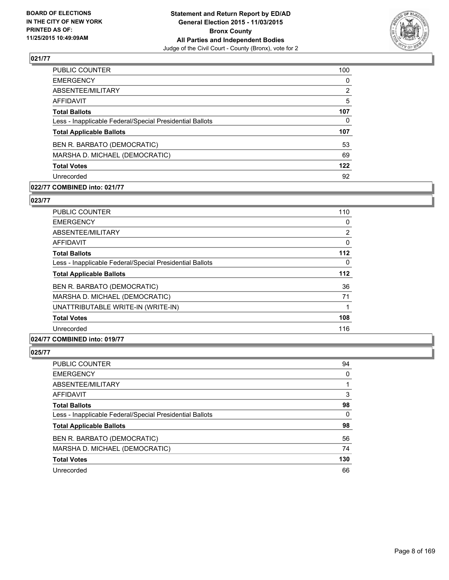

| 100            |
|----------------|
| 0              |
| $\overline{2}$ |
| 5              |
| 107            |
| $\Omega$       |
| 107            |
| 53             |
| 69             |
| 122            |
| 92             |
|                |

#### **022/77 COMBINED into: 021/77**

**023/77** 

| PUBLIC COUNTER                                           | 110 |
|----------------------------------------------------------|-----|
| <b>EMERGENCY</b>                                         | 0   |
| ABSENTEE/MILITARY                                        | 2   |
| <b>AFFIDAVIT</b>                                         | 0   |
| <b>Total Ballots</b>                                     | 112 |
| Less - Inapplicable Federal/Special Presidential Ballots | 0   |
| <b>Total Applicable Ballots</b>                          | 112 |
| BEN R. BARBATO (DEMOCRATIC)                              | 36  |
| MARSHA D. MICHAEL (DEMOCRATIC)                           | 71  |
| UNATTRIBUTABLE WRITE-IN (WRITE-IN)                       | 1   |
| <b>Total Votes</b>                                       | 108 |
| Unrecorded                                               | 116 |
|                                                          |     |

# **024/77 COMBINED into: 019/77**

| <b>PUBLIC COUNTER</b>                                    | 94  |
|----------------------------------------------------------|-----|
| <b>EMERGENCY</b>                                         | 0   |
| ABSENTEE/MILITARY                                        |     |
| AFFIDAVIT                                                | 3   |
| <b>Total Ballots</b>                                     | 98  |
| Less - Inapplicable Federal/Special Presidential Ballots | 0   |
| <b>Total Applicable Ballots</b>                          | 98  |
| BEN R. BARBATO (DEMOCRATIC)                              | 56  |
| MARSHA D. MICHAEL (DEMOCRATIC)                           | 74  |
| <b>Total Votes</b>                                       | 130 |
| Unrecorded                                               | 66  |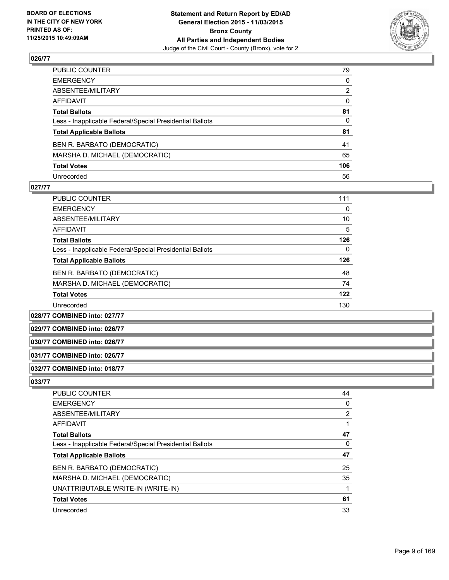

| PUBLIC COUNTER                                           | 79  |
|----------------------------------------------------------|-----|
| EMERGENCY                                                | 0   |
| ABSENTEE/MILITARY                                        | 2   |
| AFFIDAVIT                                                | 0   |
| <b>Total Ballots</b>                                     | 81  |
| Less - Inapplicable Federal/Special Presidential Ballots | 0   |
| <b>Total Applicable Ballots</b>                          | 81  |
| BEN R. BARBATO (DEMOCRATIC)                              | 41  |
| MARSHA D. MICHAEL (DEMOCRATIC)                           | 65  |
| <b>Total Votes</b>                                       | 106 |
| Unrecorded                                               | 56  |

#### **027/77**

| <b>PUBLIC COUNTER</b>                                    | 111 |
|----------------------------------------------------------|-----|
| <b>EMERGENCY</b>                                         | 0   |
| ABSENTEE/MILITARY                                        | 10  |
| AFFIDAVIT                                                | 5   |
| <b>Total Ballots</b>                                     | 126 |
| Less - Inapplicable Federal/Special Presidential Ballots | 0   |
| <b>Total Applicable Ballots</b>                          | 126 |
| BEN R. BARBATO (DEMOCRATIC)                              | 48  |
| MARSHA D. MICHAEL (DEMOCRATIC)                           | 74  |
| <b>Total Votes</b>                                       | 122 |
| Unrecorded                                               | 130 |

**028/77 COMBINED into: 027/77**

**029/77 COMBINED into: 026/77**

#### **030/77 COMBINED into: 026/77**

#### **031/77 COMBINED into: 026/77**

#### **032/77 COMBINED into: 018/77**

| <b>PUBLIC COUNTER</b>                                    | 44             |
|----------------------------------------------------------|----------------|
| <b>EMERGENCY</b>                                         | 0              |
| ABSENTEE/MILITARY                                        | $\overline{2}$ |
| AFFIDAVIT                                                |                |
| <b>Total Ballots</b>                                     | 47             |
| Less - Inapplicable Federal/Special Presidential Ballots | 0              |
| <b>Total Applicable Ballots</b>                          | 47             |
| BEN R. BARBATO (DEMOCRATIC)                              | 25             |
| MARSHA D. MICHAEL (DEMOCRATIC)                           | 35             |
| UNATTRIBUTABLE WRITE-IN (WRITE-IN)                       |                |
| <b>Total Votes</b>                                       | 61             |
| Unrecorded                                               | 33             |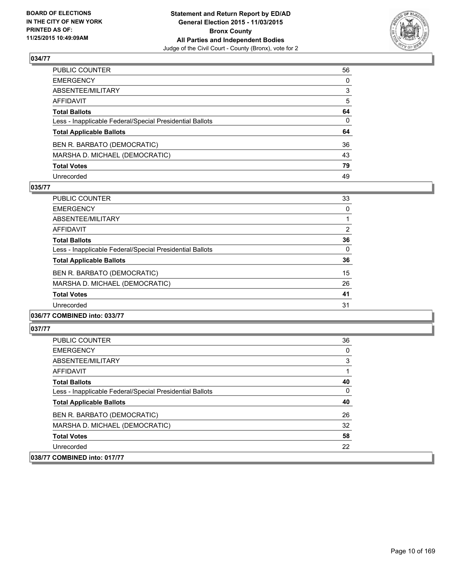

| PUBLIC COUNTER                                           | 56 |
|----------------------------------------------------------|----|
| EMERGENCY                                                | 0  |
| ABSENTEE/MILITARY                                        | 3  |
| AFFIDAVIT                                                | 5  |
| <b>Total Ballots</b>                                     | 64 |
| Less - Inapplicable Federal/Special Presidential Ballots | 0  |
| <b>Total Applicable Ballots</b>                          | 64 |
| BEN R. BARBATO (DEMOCRATIC)                              | 36 |
| MARSHA D. MICHAEL (DEMOCRATIC)                           | 43 |
| <b>Total Votes</b>                                       | 79 |
| Unrecorded                                               | 49 |

## **035/77**

| <b>PUBLIC COUNTER</b>                                    | 33             |
|----------------------------------------------------------|----------------|
| <b>EMERGENCY</b>                                         | 0              |
| ABSENTEE/MILITARY                                        |                |
| AFFIDAVIT                                                | $\overline{2}$ |
| <b>Total Ballots</b>                                     | 36             |
| Less - Inapplicable Federal/Special Presidential Ballots | 0              |
| <b>Total Applicable Ballots</b>                          | 36             |
| BEN R. BARBATO (DEMOCRATIC)                              | 15             |
| MARSHA D. MICHAEL (DEMOCRATIC)                           | 26             |
| <b>Total Votes</b>                                       | 41             |
| Unrecorded                                               | 31             |
|                                                          |                |

#### **036/77 COMBINED into: 033/77**

| <b>PUBLIC COUNTER</b>                                    | 36 |
|----------------------------------------------------------|----|
| <b>EMERGENCY</b>                                         | 0  |
| ABSENTEE/MILITARY                                        | 3  |
| AFFIDAVIT                                                |    |
| <b>Total Ballots</b>                                     | 40 |
| Less - Inapplicable Federal/Special Presidential Ballots | 0  |
| <b>Total Applicable Ballots</b>                          | 40 |
| BEN R. BARBATO (DEMOCRATIC)                              | 26 |
| MARSHA D. MICHAEL (DEMOCRATIC)                           | 32 |
| <b>Total Votes</b>                                       | 58 |
| Unrecorded                                               | 22 |
| 038/77 COMBINED into: 017/77                             |    |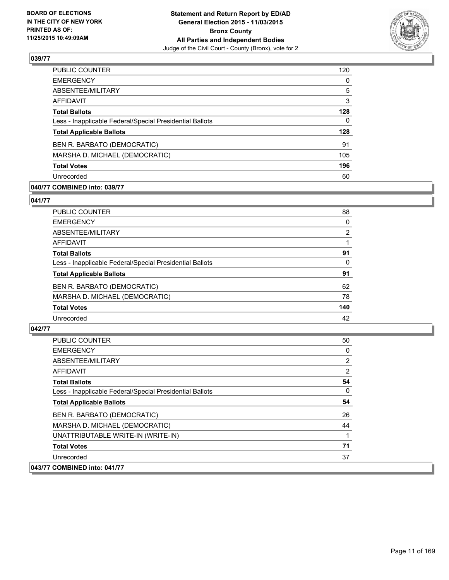

| <b>PUBLIC COUNTER</b>                                    | 120 |
|----------------------------------------------------------|-----|
| <b>EMERGENCY</b>                                         | 0   |
| ABSENTEE/MILITARY                                        | 5   |
| AFFIDAVIT                                                | 3   |
| <b>Total Ballots</b>                                     | 128 |
| Less - Inapplicable Federal/Special Presidential Ballots | 0   |
| <b>Total Applicable Ballots</b>                          | 128 |
| BEN R. BARBATO (DEMOCRATIC)                              | 91  |
| MARSHA D. MICHAEL (DEMOCRATIC)                           | 105 |
| <b>Total Votes</b>                                       | 196 |
| Unrecorded                                               | 60  |

## **040/77 COMBINED into: 039/77**

**041/77** 

| <b>PUBLIC COUNTER</b>                                    | 88             |
|----------------------------------------------------------|----------------|
| <b>EMERGENCY</b>                                         | 0              |
| ABSENTEE/MILITARY                                        | $\overline{2}$ |
| AFFIDAVIT                                                |                |
| <b>Total Ballots</b>                                     | 91             |
| Less - Inapplicable Federal/Special Presidential Ballots | 0              |
| <b>Total Applicable Ballots</b>                          | 91             |
| BEN R. BARBATO (DEMOCRATIC)                              | 62             |
| MARSHA D. MICHAEL (DEMOCRATIC)                           | 78             |
| <b>Total Votes</b>                                       | 140            |
| Unrecorded                                               | 42             |
|                                                          |                |

| <b>PUBLIC COUNTER</b>                                    | 50 |
|----------------------------------------------------------|----|
| <b>EMERGENCY</b>                                         | 0  |
| ABSENTEE/MILITARY                                        | 2  |
| AFFIDAVIT                                                | 2  |
| <b>Total Ballots</b>                                     | 54 |
| Less - Inapplicable Federal/Special Presidential Ballots | 0  |
| <b>Total Applicable Ballots</b>                          | 54 |
| BEN R. BARBATO (DEMOCRATIC)                              | 26 |
| MARSHA D. MICHAEL (DEMOCRATIC)                           | 44 |
| UNATTRIBUTABLE WRITE-IN (WRITE-IN)                       | 1  |
| <b>Total Votes</b>                                       | 71 |
| Unrecorded                                               | 37 |
| 043/77 COMBINED into: 041/77                             |    |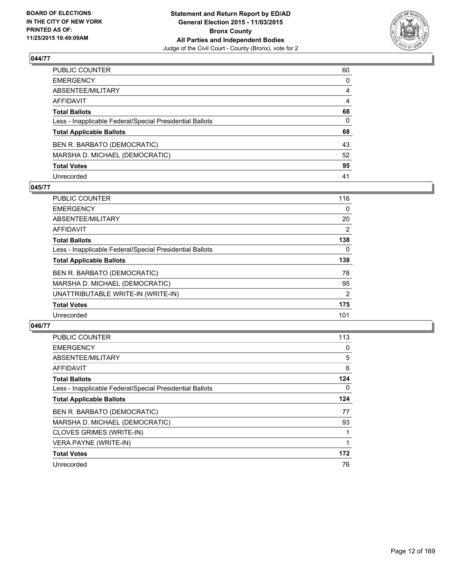

| PUBLIC COUNTER                                           | 60 |
|----------------------------------------------------------|----|
| EMERGENCY                                                | 0  |
| ABSENTEE/MILITARY                                        | 4  |
| AFFIDAVIT                                                | 4  |
| <b>Total Ballots</b>                                     | 68 |
| Less - Inapplicable Federal/Special Presidential Ballots | 0  |
| <b>Total Applicable Ballots</b>                          | 68 |
| BEN R. BARBATO (DEMOCRATIC)                              | 43 |
| MARSHA D. MICHAEL (DEMOCRATIC)                           | 52 |
| <b>Total Votes</b>                                       | 95 |
| Unrecorded                                               | 41 |

## **045/77**

| <b>PUBLIC COUNTER</b>                                    | 116 |
|----------------------------------------------------------|-----|
| <b>EMERGENCY</b>                                         | 0   |
| ABSENTEE/MILITARY                                        | 20  |
| AFFIDAVIT                                                | 2   |
| <b>Total Ballots</b>                                     | 138 |
| Less - Inapplicable Federal/Special Presidential Ballots | 0   |
| <b>Total Applicable Ballots</b>                          | 138 |
| BEN R. BARBATO (DEMOCRATIC)                              | 78  |
| MARSHA D. MICHAEL (DEMOCRATIC)                           | 95  |
| UNATTRIBUTABLE WRITE-IN (WRITE-IN)                       | 2   |
| <b>Total Votes</b>                                       | 175 |
| Unrecorded                                               | 101 |
|                                                          |     |

| PUBLIC COUNTER                                           | 113 |
|----------------------------------------------------------|-----|
| <b>EMERGENCY</b>                                         | 0   |
| ABSENTEE/MILITARY                                        | 5   |
| AFFIDAVIT                                                | 6   |
| <b>Total Ballots</b>                                     | 124 |
| Less - Inapplicable Federal/Special Presidential Ballots | 0   |
| <b>Total Applicable Ballots</b>                          | 124 |
| BEN R. BARBATO (DEMOCRATIC)                              | 77  |
| MARSHA D. MICHAEL (DEMOCRATIC)                           | 93  |
| CLOVES GRIMES (WRITE-IN)                                 |     |
| <b>VERA PAYNE (WRITE-IN)</b>                             |     |
| <b>Total Votes</b>                                       | 172 |
| Unrecorded                                               | 76  |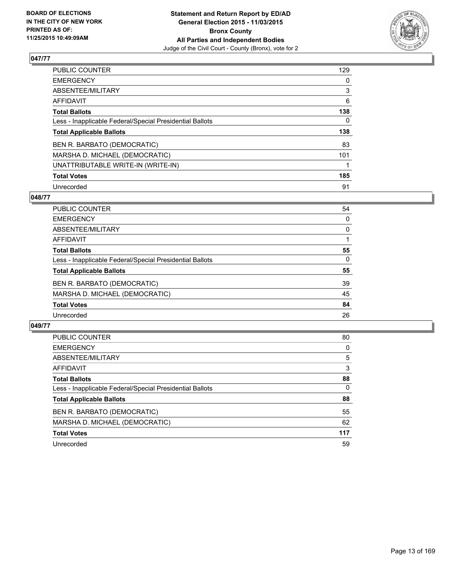

| PUBLIC COUNTER                                           | 129 |
|----------------------------------------------------------|-----|
| <b>EMERGENCY</b>                                         | 0   |
| ABSENTEE/MILITARY                                        | 3   |
| <b>AFFIDAVIT</b>                                         | 6   |
| <b>Total Ballots</b>                                     | 138 |
| Less - Inapplicable Federal/Special Presidential Ballots | 0   |
| <b>Total Applicable Ballots</b>                          | 138 |
| <b>BEN R. BARBATO (DEMOCRATIC)</b>                       | 83  |
| MARSHA D. MICHAEL (DEMOCRATIC)                           | 101 |
| UNATTRIBUTABLE WRITE-IN (WRITE-IN)                       |     |
| <b>Total Votes</b>                                       | 185 |
| Unrecorded                                               | 91  |

#### **048/77**

| <b>PUBLIC COUNTER</b>                                    | 54       |
|----------------------------------------------------------|----------|
| <b>EMERGENCY</b>                                         | 0        |
| ABSENTEE/MILITARY                                        | 0        |
| <b>AFFIDAVIT</b>                                         |          |
| <b>Total Ballots</b>                                     | 55       |
| Less - Inapplicable Federal/Special Presidential Ballots | $\Omega$ |
| <b>Total Applicable Ballots</b>                          | 55       |
| BEN R. BARBATO (DEMOCRATIC)                              | 39       |
| MARSHA D. MICHAEL (DEMOCRATIC)                           | 45       |
| <b>Total Votes</b>                                       | 84       |
| Unrecorded                                               | 26       |
|                                                          |          |

| <b>PUBLIC COUNTER</b>                                    | 80  |
|----------------------------------------------------------|-----|
| <b>EMERGENCY</b>                                         | 0   |
| ABSENTEE/MILITARY                                        | 5   |
| <b>AFFIDAVIT</b>                                         | 3   |
| <b>Total Ballots</b>                                     | 88  |
| Less - Inapplicable Federal/Special Presidential Ballots | 0   |
| <b>Total Applicable Ballots</b>                          | 88  |
| BEN R. BARBATO (DEMOCRATIC)                              | 55  |
| MARSHA D. MICHAEL (DEMOCRATIC)                           | 62  |
| <b>Total Votes</b>                                       | 117 |
| Unrecorded                                               | 59  |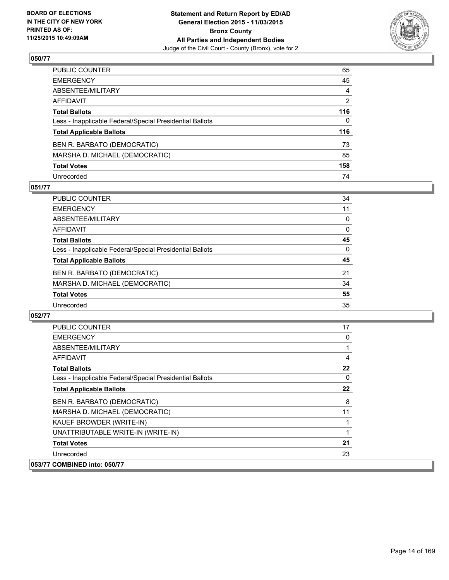

| PUBLIC COUNTER                                           | 65  |
|----------------------------------------------------------|-----|
| EMERGENCY                                                | 45  |
| ABSENTEE/MILITARY                                        | 4   |
| AFFIDAVIT                                                | 2   |
| <b>Total Ballots</b>                                     | 116 |
| Less - Inapplicable Federal/Special Presidential Ballots | 0   |
| <b>Total Applicable Ballots</b>                          | 116 |
| BEN R. BARBATO (DEMOCRATIC)                              | 73  |
| MARSHA D. MICHAEL (DEMOCRATIC)                           | 85  |
| <b>Total Votes</b>                                       | 158 |
| Unrecorded                                               | 74  |

## **051/77**

| <b>PUBLIC COUNTER</b>                                    | 34       |
|----------------------------------------------------------|----------|
| <b>EMERGENCY</b>                                         | 11       |
| ABSENTEE/MILITARY                                        | 0        |
| <b>AFFIDAVIT</b>                                         | $\Omega$ |
| <b>Total Ballots</b>                                     | 45       |
| Less - Inapplicable Federal/Special Presidential Ballots | $\Omega$ |
| <b>Total Applicable Ballots</b>                          | 45       |
| BEN R. BARBATO (DEMOCRATIC)                              | 21       |
| MARSHA D. MICHAEL (DEMOCRATIC)                           | 34       |
| <b>Total Votes</b>                                       | 55       |
| Unrecorded                                               | 35       |

| PUBLIC COUNTER                                           | 17 |
|----------------------------------------------------------|----|
| <b>EMERGENCY</b>                                         | 0  |
| ABSENTEE/MILITARY                                        |    |
| AFFIDAVIT                                                | 4  |
| <b>Total Ballots</b>                                     | 22 |
| Less - Inapplicable Federal/Special Presidential Ballots | 0  |
| <b>Total Applicable Ballots</b>                          | 22 |
| BEN R. BARBATO (DEMOCRATIC)                              | 8  |
| MARSHA D. MICHAEL (DEMOCRATIC)                           | 11 |
| KAUEF BROWDER (WRITE-IN)                                 |    |
| UNATTRIBUTABLE WRITE-IN (WRITE-IN)                       |    |
| <b>Total Votes</b>                                       | 21 |
| Unrecorded                                               | 23 |
| 053/77 COMBINED into: 050/77                             |    |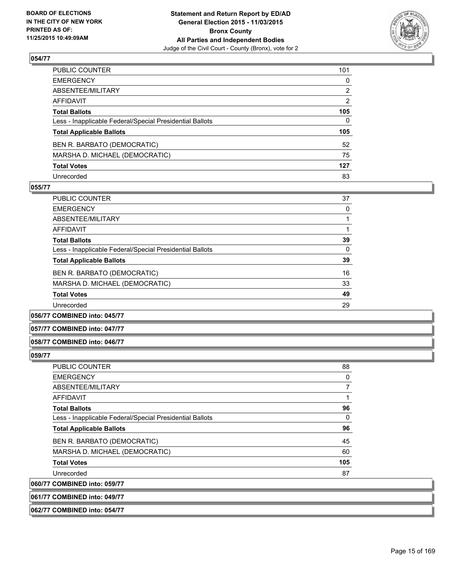

| PUBLIC COUNTER                                           | 101 |
|----------------------------------------------------------|-----|
| EMERGENCY                                                | 0   |
| ABSENTEE/MILITARY                                        | 2   |
| AFFIDAVIT                                                | 2   |
| <b>Total Ballots</b>                                     | 105 |
| Less - Inapplicable Federal/Special Presidential Ballots | 0   |
| <b>Total Applicable Ballots</b>                          | 105 |
| BEN R. BARBATO (DEMOCRATIC)                              | 52  |
| MARSHA D. MICHAEL (DEMOCRATIC)                           | 75  |
| <b>Total Votes</b>                                       | 127 |
| Unrecorded                                               | 83  |

## **055/77**

| <b>PUBLIC COUNTER</b>                                    | 37 |
|----------------------------------------------------------|----|
| <b>EMERGENCY</b>                                         | 0  |
| ABSENTEE/MILITARY                                        |    |
| <b>AFFIDAVIT</b>                                         |    |
| <b>Total Ballots</b>                                     | 39 |
| Less - Inapplicable Federal/Special Presidential Ballots | 0  |
| <b>Total Applicable Ballots</b>                          | 39 |
| BEN R. BARBATO (DEMOCRATIC)                              | 16 |
| MARSHA D. MICHAEL (DEMOCRATIC)                           | 33 |
| <b>Total Votes</b>                                       | 49 |
| Unrecorded                                               | 29 |
|                                                          |    |

**056/77 COMBINED into: 045/77**

#### **057/77 COMBINED into: 047/77**

#### **058/77 COMBINED into: 046/77**

#### **059/77**

| <b>PUBLIC COUNTER</b>                                    | 88  |
|----------------------------------------------------------|-----|
| <b>EMERGENCY</b>                                         | 0   |
| ABSENTEE/MILITARY                                        |     |
| <b>AFFIDAVIT</b>                                         |     |
| <b>Total Ballots</b>                                     | 96  |
| Less - Inapplicable Federal/Special Presidential Ballots | 0   |
| <b>Total Applicable Ballots</b>                          | 96  |
| BEN R. BARBATO (DEMOCRATIC)                              | 45  |
| MARSHA D. MICHAEL (DEMOCRATIC)                           | 60  |
| <b>Total Votes</b>                                       | 105 |
| Unrecorded                                               | 87  |
| 060/77 COMBINED into: 059/77                             |     |

**061/77 COMBINED into: 049/77**

**062/77 COMBINED into: 054/77**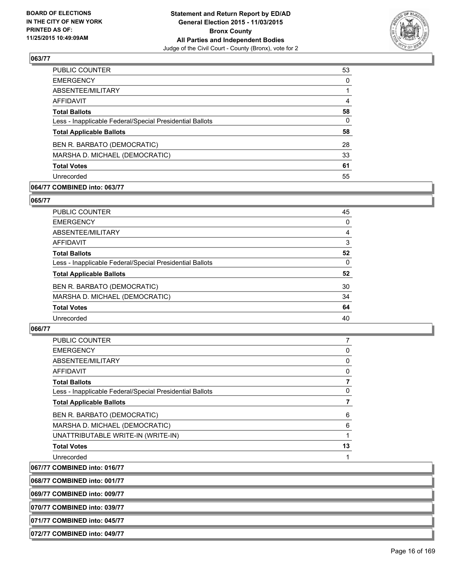

| 53       |
|----------|
| $\Omega$ |
|          |
| 4        |
| 58       |
| 0        |
| 58       |
| 28       |
| 33       |
| 61       |
| 55       |
|          |

## **064/77 COMBINED into: 063/77**

#### **065/77**

| PUBLIC COUNTER                                           | 45 |
|----------------------------------------------------------|----|
| <b>EMERGENCY</b>                                         | 0  |
| ABSENTEE/MILITARY                                        | 4  |
| <b>AFFIDAVIT</b>                                         | 3  |
| <b>Total Ballots</b>                                     | 52 |
| Less - Inapplicable Federal/Special Presidential Ballots | 0  |
| <b>Total Applicable Ballots</b>                          | 52 |
| BEN R. BARBATO (DEMOCRATIC)                              | 30 |
| MARSHA D. MICHAEL (DEMOCRATIC)                           | 34 |
| <b>Total Votes</b>                                       | 64 |
| Unrecorded                                               | 40 |
|                                                          |    |

## **066/77**

| <b>EMERGENCY</b>                                         | 0  |
|----------------------------------------------------------|----|
| ABSENTEE/MILITARY                                        | 0  |
| <b>AFFIDAVIT</b>                                         | 0  |
| <b>Total Ballots</b>                                     |    |
| Less - Inapplicable Federal/Special Presidential Ballots | 0  |
| <b>Total Applicable Ballots</b>                          |    |
| BEN R. BARBATO (DEMOCRATIC)                              | 6  |
| MARSHA D. MICHAEL (DEMOCRATIC)                           | 6  |
| UNATTRIBUTABLE WRITE-IN (WRITE-IN)                       | 1  |
| <b>Total Votes</b>                                       | 13 |
| Unrecorded                                               |    |

**067/77 COMBINED into: 016/77**

**068/77 COMBINED into: 001/77**

**069/77 COMBINED into: 009/77**

**070/77 COMBINED into: 039/77**

**071/77 COMBINED into: 045/77**

**072/77 COMBINED into: 049/77**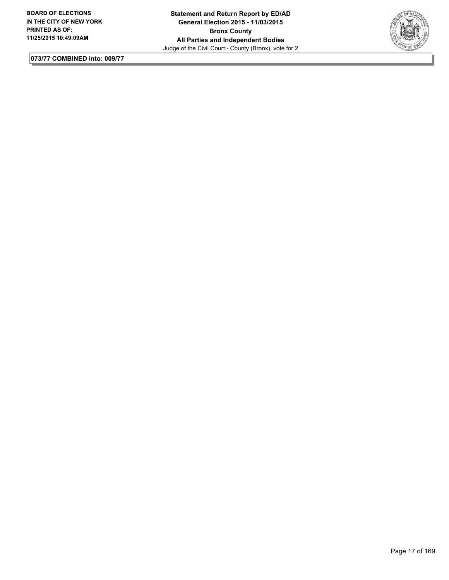

**073/77 COMBINED into: 009/77**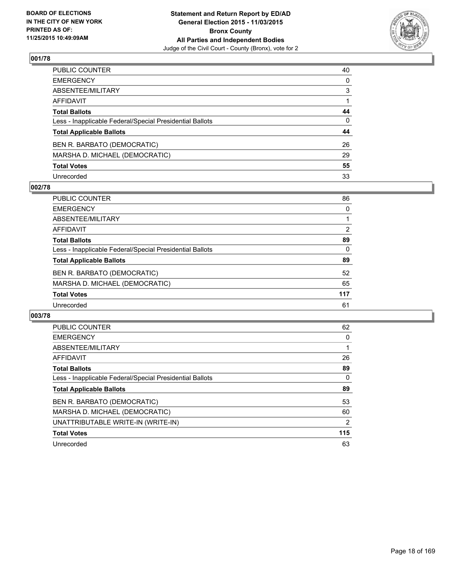

| PUBLIC COUNTER                                           | 40           |
|----------------------------------------------------------|--------------|
| EMERGENCY                                                | $\mathbf{0}$ |
| ABSENTEE/MILITARY                                        | 3            |
| AFFIDAVIT                                                |              |
| <b>Total Ballots</b>                                     | 44           |
| Less - Inapplicable Federal/Special Presidential Ballots | $\Omega$     |
| <b>Total Applicable Ballots</b>                          | 44           |
| BEN R. BARBATO (DEMOCRATIC)                              | 26           |
| MARSHA D. MICHAEL (DEMOCRATIC)                           | 29           |
| <b>Total Votes</b>                                       | 55           |
| Unrecorded                                               | 33           |

#### **002/78**

| <b>PUBLIC COUNTER</b>                                    | 86  |
|----------------------------------------------------------|-----|
| <b>EMERGENCY</b>                                         | 0   |
| ABSENTEE/MILITARY                                        |     |
| <b>AFFIDAVIT</b>                                         | 2   |
| <b>Total Ballots</b>                                     | 89  |
| Less - Inapplicable Federal/Special Presidential Ballots | 0   |
| <b>Total Applicable Ballots</b>                          | 89  |
| BEN R. BARBATO (DEMOCRATIC)                              | 52  |
| MARSHA D. MICHAEL (DEMOCRATIC)                           | 65  |
| <b>Total Votes</b>                                       | 117 |
| Unrecorded                                               | 61  |

| <b>PUBLIC COUNTER</b>                                    | 62  |
|----------------------------------------------------------|-----|
| <b>EMERGENCY</b>                                         | 0   |
| ABSENTEE/MILITARY                                        |     |
| AFFIDAVIT                                                | 26  |
| <b>Total Ballots</b>                                     | 89  |
| Less - Inapplicable Federal/Special Presidential Ballots | 0   |
| <b>Total Applicable Ballots</b>                          | 89  |
| BEN R. BARBATO (DEMOCRATIC)                              | 53  |
| MARSHA D. MICHAEL (DEMOCRATIC)                           | 60  |
| UNATTRIBUTABLE WRITE-IN (WRITE-IN)                       | 2   |
| <b>Total Votes</b>                                       | 115 |
| Unrecorded                                               | 63  |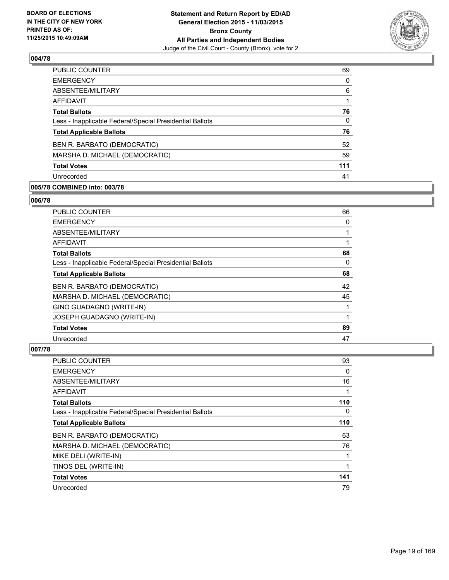

| <b>PUBLIC COUNTER</b>                                    | 69           |
|----------------------------------------------------------|--------------|
| <b>EMERGENCY</b>                                         | 0            |
| ABSENTEE/MILITARY                                        | 6            |
| AFFIDAVIT                                                |              |
| <b>Total Ballots</b>                                     | 76           |
| Less - Inapplicable Federal/Special Presidential Ballots | $\mathbf{0}$ |
| <b>Total Applicable Ballots</b>                          | 76           |
| BEN R. BARBATO (DEMOCRATIC)                              | 52           |
| MARSHA D. MICHAEL (DEMOCRATIC)                           | 59           |
| <b>Total Votes</b>                                       | 111          |
| Unrecorded                                               | 41           |
|                                                          |              |

## **005/78 COMBINED into: 003/78**

#### **006/78**

| <b>PUBLIC COUNTER</b>                                    | 66 |
|----------------------------------------------------------|----|
| <b>EMERGENCY</b>                                         | 0  |
| ABSENTEE/MILITARY                                        |    |
| AFFIDAVIT                                                |    |
| <b>Total Ballots</b>                                     | 68 |
| Less - Inapplicable Federal/Special Presidential Ballots | 0  |
| <b>Total Applicable Ballots</b>                          | 68 |
| BEN R. BARBATO (DEMOCRATIC)                              | 42 |
| MARSHA D. MICHAEL (DEMOCRATIC)                           | 45 |
| GINO GUADAGNO (WRITE-IN)                                 | 1  |
| JOSEPH GUADAGNO (WRITE-IN)                               | 1  |
| <b>Total Votes</b>                                       | 89 |
| Unrecorded                                               | 47 |

| <b>PUBLIC COUNTER</b>                                    | 93       |
|----------------------------------------------------------|----------|
| <b>EMERGENCY</b>                                         | 0        |
| ABSENTEE/MILITARY                                        | 16       |
| AFFIDAVIT                                                |          |
| <b>Total Ballots</b>                                     | 110      |
| Less - Inapplicable Federal/Special Presidential Ballots | $\Omega$ |
| <b>Total Applicable Ballots</b>                          | 110      |
| BEN R. BARBATO (DEMOCRATIC)                              | 63       |
| MARSHA D. MICHAEL (DEMOCRATIC)                           | 76       |
| MIKE DELI (WRITE-IN)                                     |          |
| TINOS DEL (WRITE-IN)                                     |          |
| <b>Total Votes</b>                                       | 141      |
| Unrecorded                                               | 79       |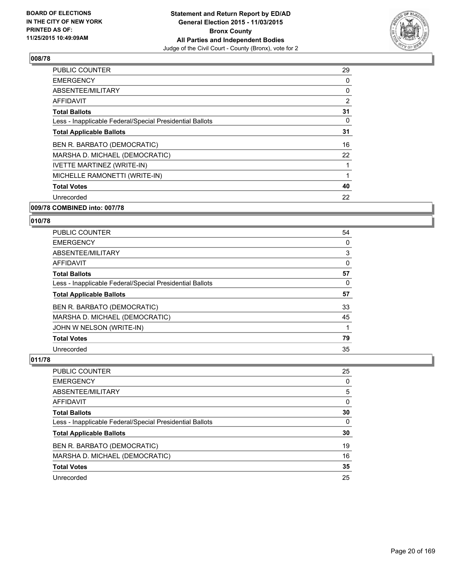

| PUBLIC COUNTER                                           | 29 |
|----------------------------------------------------------|----|
| <b>EMERGENCY</b>                                         | 0  |
| ABSENTEE/MILITARY                                        | 0  |
| AFFIDAVIT                                                | 2  |
| <b>Total Ballots</b>                                     | 31 |
| Less - Inapplicable Federal/Special Presidential Ballots | 0  |
| <b>Total Applicable Ballots</b>                          | 31 |
| BEN R. BARBATO (DEMOCRATIC)                              | 16 |
| MARSHA D. MICHAEL (DEMOCRATIC)                           | 22 |
| <b>IVETTE MARTINEZ (WRITE-IN)</b>                        |    |
| MICHELLE RAMONETTI (WRITE-IN)                            |    |
| <b>Total Votes</b>                                       | 40 |
| Unrecorded                                               | 22 |
| A                                                        |    |

# **009/78 COMBINED into: 007/78**

## **010/78**

| <b>PUBLIC COUNTER</b>                                    | 54 |
|----------------------------------------------------------|----|
| <b>EMERGENCY</b>                                         | 0  |
| ABSENTEE/MILITARY                                        | 3  |
| AFFIDAVIT                                                | 0  |
| <b>Total Ballots</b>                                     | 57 |
| Less - Inapplicable Federal/Special Presidential Ballots | 0  |
| <b>Total Applicable Ballots</b>                          | 57 |
| BEN R. BARBATO (DEMOCRATIC)                              | 33 |
| MARSHA D. MICHAEL (DEMOCRATIC)                           | 45 |
| JOHN W NELSON (WRITE-IN)                                 |    |
| <b>Total Votes</b>                                       | 79 |
| Unrecorded                                               | 35 |

| PUBLIC COUNTER                                           | 25 |
|----------------------------------------------------------|----|
| <b>EMERGENCY</b>                                         | 0  |
| ABSENTEE/MILITARY                                        | 5  |
| AFFIDAVIT                                                | 0  |
| <b>Total Ballots</b>                                     | 30 |
| Less - Inapplicable Federal/Special Presidential Ballots | 0  |
| <b>Total Applicable Ballots</b>                          | 30 |
| BEN R. BARBATO (DEMOCRATIC)                              | 19 |
| MARSHA D. MICHAEL (DEMOCRATIC)                           | 16 |
| <b>Total Votes</b>                                       | 35 |
| Unrecorded                                               | 25 |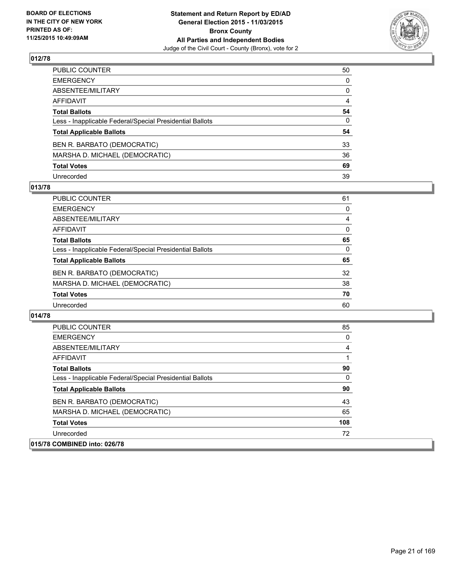

| PUBLIC COUNTER                                           | 50           |
|----------------------------------------------------------|--------------|
| EMERGENCY                                                | $\mathbf{0}$ |
| ABSENTEE/MILITARY                                        | 0            |
| AFFIDAVIT                                                | 4            |
| <b>Total Ballots</b>                                     | 54           |
| Less - Inapplicable Federal/Special Presidential Ballots | $\Omega$     |
| <b>Total Applicable Ballots</b>                          | 54           |
| BEN R. BARBATO (DEMOCRATIC)                              | 33           |
| MARSHA D. MICHAEL (DEMOCRATIC)                           | 36           |
| <b>Total Votes</b>                                       | 69           |
| Unrecorded                                               | 39           |

## **013/78**

| PUBLIC COUNTER                                           | 61       |
|----------------------------------------------------------|----------|
| <b>EMERGENCY</b>                                         | 0        |
| ABSENTEE/MILITARY                                        | 4        |
| <b>AFFIDAVIT</b>                                         | 0        |
| <b>Total Ballots</b>                                     | 65       |
| Less - Inapplicable Federal/Special Presidential Ballots | $\Omega$ |
| <b>Total Applicable Ballots</b>                          | 65       |
| BEN R. BARBATO (DEMOCRATIC)                              | 32       |
| MARSHA D. MICHAEL (DEMOCRATIC)                           | 38       |
| <b>Total Votes</b>                                       | 70       |
| Unrecorded                                               | 60       |

| <b>PUBLIC COUNTER</b>                                    | 85  |
|----------------------------------------------------------|-----|
| <b>EMERGENCY</b>                                         | 0   |
| ABSENTEE/MILITARY                                        | 4   |
| AFFIDAVIT                                                |     |
| <b>Total Ballots</b>                                     | 90  |
| Less - Inapplicable Federal/Special Presidential Ballots | 0   |
| <b>Total Applicable Ballots</b>                          | 90  |
| BEN R. BARBATO (DEMOCRATIC)                              | 43  |
| MARSHA D. MICHAEL (DEMOCRATIC)                           | 65  |
| <b>Total Votes</b>                                       | 108 |
| Unrecorded                                               | 72  |
| 015/78 COMBINED into: 026/78                             |     |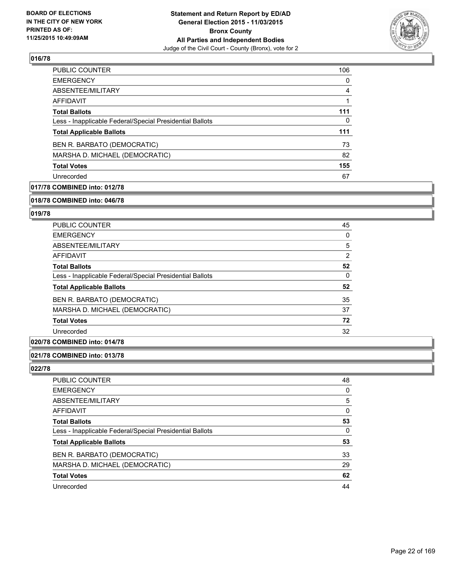

| PUBLIC COUNTER                                           | 106 |
|----------------------------------------------------------|-----|
| <b>EMERGENCY</b>                                         | 0   |
| ABSENTEE/MILITARY                                        | 4   |
| <b>AFFIDAVIT</b>                                         | 1   |
| <b>Total Ballots</b>                                     | 111 |
| Less - Inapplicable Federal/Special Presidential Ballots | 0   |
| <b>Total Applicable Ballots</b>                          | 111 |
| BEN R. BARBATO (DEMOCRATIC)                              | 73  |
| MARSHA D. MICHAEL (DEMOCRATIC)                           | 82  |
| <b>Total Votes</b>                                       | 155 |
| Unrecorded                                               | 67  |

## **017/78 COMBINED into: 012/78**

#### **018/78 COMBINED into: 046/78**

## **019/78**

| <b>PUBLIC COUNTER</b>                                    | 45 |
|----------------------------------------------------------|----|
| <b>EMERGENCY</b>                                         | 0  |
| ABSENTEE/MILITARY                                        | 5  |
| <b>AFFIDAVIT</b>                                         | 2  |
| <b>Total Ballots</b>                                     | 52 |
| Less - Inapplicable Federal/Special Presidential Ballots | 0  |
| <b>Total Applicable Ballots</b>                          | 52 |
| BEN R. BARBATO (DEMOCRATIC)                              | 35 |
| MARSHA D. MICHAEL (DEMOCRATIC)                           | 37 |
| <b>Total Votes</b>                                       | 72 |
| Unrecorded                                               | 32 |

#### **020/78 COMBINED into: 014/78**

#### **021/78 COMBINED into: 013/78**

| PUBLIC COUNTER                                           | 48 |
|----------------------------------------------------------|----|
| <b>EMERGENCY</b>                                         | 0  |
| ABSENTEE/MILITARY                                        | 5  |
| <b>AFFIDAVIT</b>                                         | 0  |
| <b>Total Ballots</b>                                     | 53 |
| Less - Inapplicable Federal/Special Presidential Ballots | 0  |
| <b>Total Applicable Ballots</b>                          | 53 |
| BEN R. BARBATO (DEMOCRATIC)                              | 33 |
| MARSHA D. MICHAEL (DEMOCRATIC)                           | 29 |
| <b>Total Votes</b>                                       | 62 |
| Unrecorded                                               | 44 |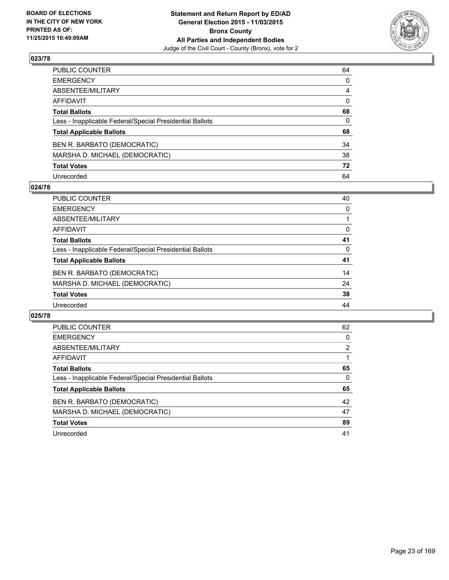

| PUBLIC COUNTER                                           | 64 |
|----------------------------------------------------------|----|
| EMERGENCY                                                | 0  |
| ABSENTEE/MILITARY                                        | 4  |
| AFFIDAVIT                                                | 0  |
| <b>Total Ballots</b>                                     | 68 |
| Less - Inapplicable Federal/Special Presidential Ballots | 0  |
| <b>Total Applicable Ballots</b>                          | 68 |
| BEN R. BARBATO (DEMOCRATIC)                              | 34 |
| MARSHA D. MICHAEL (DEMOCRATIC)                           | 38 |
| <b>Total Votes</b>                                       | 72 |
| Unrecorded                                               | 64 |

#### **024/78**

| <b>PUBLIC COUNTER</b>                                    | 40 |
|----------------------------------------------------------|----|
| <b>EMERGENCY</b>                                         | 0  |
| ABSENTEE/MILITARY                                        |    |
| AFFIDAVIT                                                | 0  |
| <b>Total Ballots</b>                                     | 41 |
| Less - Inapplicable Federal/Special Presidential Ballots | 0  |
| <b>Total Applicable Ballots</b>                          | 41 |
| BEN R. BARBATO (DEMOCRATIC)                              | 14 |
| MARSHA D. MICHAEL (DEMOCRATIC)                           | 24 |
| <b>Total Votes</b>                                       | 38 |
| Unrecorded                                               | 44 |

| <b>PUBLIC COUNTER</b>                                    | 62 |
|----------------------------------------------------------|----|
| <b>EMERGENCY</b>                                         | 0  |
| ABSENTEE/MILITARY                                        | 2  |
| <b>AFFIDAVIT</b>                                         |    |
| <b>Total Ballots</b>                                     | 65 |
| Less - Inapplicable Federal/Special Presidential Ballots | 0  |
| <b>Total Applicable Ballots</b>                          | 65 |
| BEN R. BARBATO (DEMOCRATIC)                              | 42 |
| MARSHA D. MICHAEL (DEMOCRATIC)                           | 47 |
| <b>Total Votes</b>                                       | 89 |
| Unrecorded                                               | 41 |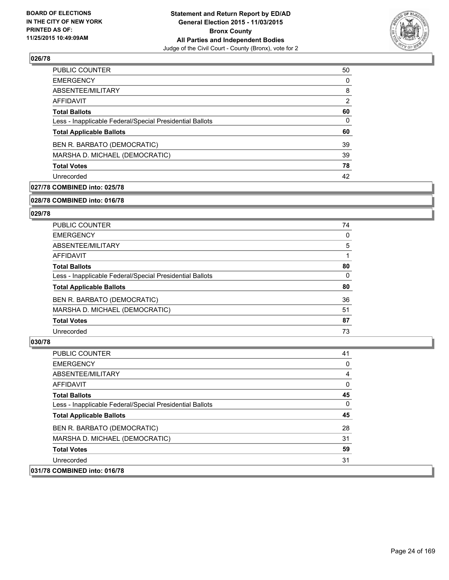

| <b>PUBLIC COUNTER</b>                                    | 50 |
|----------------------------------------------------------|----|
| <b>EMERGENCY</b>                                         | 0  |
| ABSENTEE/MILITARY                                        | 8  |
| AFFIDAVIT                                                | 2  |
| <b>Total Ballots</b>                                     | 60 |
| Less - Inapplicable Federal/Special Presidential Ballots | 0  |
| <b>Total Applicable Ballots</b>                          | 60 |
| BEN R. BARBATO (DEMOCRATIC)                              | 39 |
| MARSHA D. MICHAEL (DEMOCRATIC)                           | 39 |
| <b>Total Votes</b>                                       | 78 |
| Unrecorded                                               | 42 |
|                                                          |    |

## **027/78 COMBINED into: 025/78**

#### **028/78 COMBINED into: 016/78**

## **029/78**

| <b>PUBLIC COUNTER</b>                                    | 74 |
|----------------------------------------------------------|----|
| <b>EMERGENCY</b>                                         | 0  |
| ABSENTEE/MILITARY                                        | 5  |
| AFFIDAVIT                                                |    |
| <b>Total Ballots</b>                                     | 80 |
| Less - Inapplicable Federal/Special Presidential Ballots | 0  |
| <b>Total Applicable Ballots</b>                          | 80 |
| BEN R. BARBATO (DEMOCRATIC)                              | 36 |
| MARSHA D. MICHAEL (DEMOCRATIC)                           | 51 |
| <b>Total Votes</b>                                       | 87 |
| Unrecorded                                               | 73 |

| <b>PUBLIC COUNTER</b>                                    | 41 |
|----------------------------------------------------------|----|
| <b>EMERGENCY</b>                                         | 0  |
| ABSENTEE/MILITARY                                        | 4  |
| AFFIDAVIT                                                | 0  |
| <b>Total Ballots</b>                                     | 45 |
| Less - Inapplicable Federal/Special Presidential Ballots | 0  |
| <b>Total Applicable Ballots</b>                          | 45 |
| BEN R. BARBATO (DEMOCRATIC)                              | 28 |
| MARSHA D. MICHAEL (DEMOCRATIC)                           | 31 |
| <b>Total Votes</b>                                       | 59 |
| Unrecorded                                               | 31 |
| 031/78 COMBINED into: 016/78                             |    |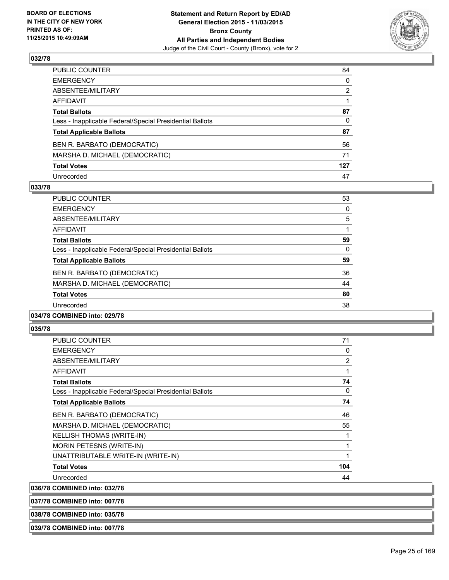

| PUBLIC COUNTER                                           | 84           |
|----------------------------------------------------------|--------------|
| EMERGENCY                                                | $\mathbf{0}$ |
| ABSENTEE/MILITARY                                        | 2            |
| AFFIDAVIT                                                |              |
| <b>Total Ballots</b>                                     | 87           |
| Less - Inapplicable Federal/Special Presidential Ballots | 0            |
| <b>Total Applicable Ballots</b>                          | 87           |
| BEN R. BARBATO (DEMOCRATIC)                              | 56           |
| MARSHA D. MICHAEL (DEMOCRATIC)                           | 71           |
| <b>Total Votes</b>                                       | 127          |
| Unrecorded                                               | 47           |

#### **033/78**

| <b>PUBLIC COUNTER</b>                                    | 53 |
|----------------------------------------------------------|----|
| <b>EMERGENCY</b>                                         | 0  |
| ABSENTEE/MILITARY                                        | 5  |
| <b>AFFIDAVIT</b>                                         |    |
| <b>Total Ballots</b>                                     | 59 |
| Less - Inapplicable Federal/Special Presidential Ballots | 0  |
| <b>Total Applicable Ballots</b>                          | 59 |
| BEN R. BARBATO (DEMOCRATIC)                              | 36 |
| MARSHA D. MICHAEL (DEMOCRATIC)                           | 44 |
| <b>Total Votes</b>                                       | 80 |
| Unrecorded                                               | 38 |
|                                                          |    |

#### **034/78 COMBINED into: 029/78**

#### **035/78**

| <b>PUBLIC COUNTER</b>                                    | 71             |
|----------------------------------------------------------|----------------|
| <b>EMERGENCY</b>                                         | 0              |
| ABSENTEE/MILITARY                                        | $\overline{2}$ |
| <b>AFFIDAVIT</b>                                         | 1              |
| <b>Total Ballots</b>                                     | 74             |
| Less - Inapplicable Federal/Special Presidential Ballots | 0              |
| <b>Total Applicable Ballots</b>                          | 74             |
| BEN R. BARBATO (DEMOCRATIC)                              | 46             |
| MARSHA D. MICHAEL (DEMOCRATIC)                           | 55             |
| <b>KELLISH THOMAS (WRITE-IN)</b>                         | 1              |
| <b>MORIN PETESNS (WRITE-IN)</b>                          | 1              |
| UNATTRIBUTABLE WRITE-IN (WRITE-IN)                       | 1              |
| <b>Total Votes</b>                                       | 104            |
| Unrecorded                                               | 44             |
| 036/78 COMBINED into: 032/78                             |                |
| 037/78 COMBINED into: 007/78                             |                |

**038/78 COMBINED into: 035/78**

#### **039/78 COMBINED into: 007/78**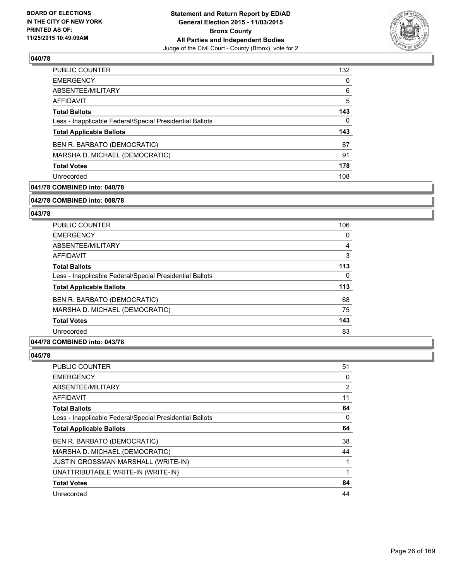

| <b>PUBLIC COUNTER</b>                                    | 132 |
|----------------------------------------------------------|-----|
| <b>EMERGENCY</b>                                         | 0   |
| ABSENTEE/MILITARY                                        | 6   |
| AFFIDAVIT                                                | 5   |
| <b>Total Ballots</b>                                     | 143 |
| Less - Inapplicable Federal/Special Presidential Ballots | 0   |
| <b>Total Applicable Ballots</b>                          | 143 |
| BEN R. BARBATO (DEMOCRATIC)                              | 87  |
| MARSHA D. MICHAEL (DEMOCRATIC)                           | 91  |
|                                                          |     |
| <b>Total Votes</b>                                       | 178 |

## **041/78 COMBINED into: 040/78**

#### **042/78 COMBINED into: 008/78**

## **043/78**

| <b>PUBLIC COUNTER</b>                                    | 106 |
|----------------------------------------------------------|-----|
| <b>EMERGENCY</b>                                         | 0   |
| ABSENTEE/MILITARY                                        | 4   |
| <b>AFFIDAVIT</b>                                         | 3   |
| <b>Total Ballots</b>                                     | 113 |
| Less - Inapplicable Federal/Special Presidential Ballots | 0   |
| <b>Total Applicable Ballots</b>                          | 113 |
| BEN R. BARBATO (DEMOCRATIC)                              | 68  |
| MARSHA D. MICHAEL (DEMOCRATIC)                           | 75  |
| <b>Total Votes</b>                                       | 143 |
| Unrecorded                                               | 83  |

#### **044/78 COMBINED into: 043/78**

| <b>PUBLIC COUNTER</b>                                    | 51 |
|----------------------------------------------------------|----|
| <b>EMERGENCY</b>                                         | 0  |
| ABSENTEE/MILITARY                                        | 2  |
| AFFIDAVIT                                                | 11 |
| <b>Total Ballots</b>                                     | 64 |
| Less - Inapplicable Federal/Special Presidential Ballots | 0  |
| <b>Total Applicable Ballots</b>                          | 64 |
| BEN R. BARBATO (DEMOCRATIC)                              | 38 |
| MARSHA D. MICHAEL (DEMOCRATIC)                           | 44 |
| <b>JUSTIN GROSSMAN MARSHALL (WRITE-IN)</b>               | 1  |
| UNATTRIBUTABLE WRITE-IN (WRITE-IN)                       | 1  |
| <b>Total Votes</b>                                       | 84 |
| Unrecorded                                               | 44 |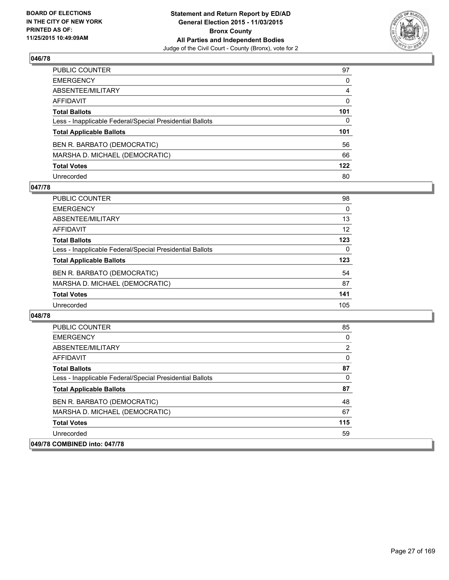

| PUBLIC COUNTER                                           | 97  |
|----------------------------------------------------------|-----|
| EMERGENCY                                                | 0   |
| ABSENTEE/MILITARY                                        | 4   |
| AFFIDAVIT                                                | 0   |
| <b>Total Ballots</b>                                     | 101 |
| Less - Inapplicable Federal/Special Presidential Ballots | 0   |
| <b>Total Applicable Ballots</b>                          | 101 |
| BEN R. BARBATO (DEMOCRATIC)                              | 56  |
| MARSHA D. MICHAEL (DEMOCRATIC)                           | 66  |
| <b>Total Votes</b>                                       | 122 |
| Unrecorded                                               | 80  |

#### **047/78**

| <b>PUBLIC COUNTER</b>                                    | 98       |
|----------------------------------------------------------|----------|
| <b>EMERGENCY</b>                                         | $\Omega$ |
| ABSENTEE/MILITARY                                        | 13       |
| AFFIDAVIT                                                | 12       |
| <b>Total Ballots</b>                                     | 123      |
| Less - Inapplicable Federal/Special Presidential Ballots | 0        |
| <b>Total Applicable Ballots</b>                          | 123      |
| BEN R. BARBATO (DEMOCRATIC)                              | 54       |
| MARSHA D. MICHAEL (DEMOCRATIC)                           | 87       |
| <b>Total Votes</b>                                       | 141      |
| Unrecorded                                               | 105      |

| <b>PUBLIC COUNTER</b>                                    | 85  |
|----------------------------------------------------------|-----|
| <b>EMERGENCY</b>                                         | 0   |
| ABSENTEE/MILITARY                                        | 2   |
| <b>AFFIDAVIT</b>                                         | 0   |
| <b>Total Ballots</b>                                     | 87  |
| Less - Inapplicable Federal/Special Presidential Ballots | 0   |
| <b>Total Applicable Ballots</b>                          | 87  |
| BEN R. BARBATO (DEMOCRATIC)                              | 48  |
| MARSHA D. MICHAEL (DEMOCRATIC)                           | 67  |
| <b>Total Votes</b>                                       | 115 |
| Unrecorded                                               | 59  |
| 049/78 COMBINED into: 047/78                             |     |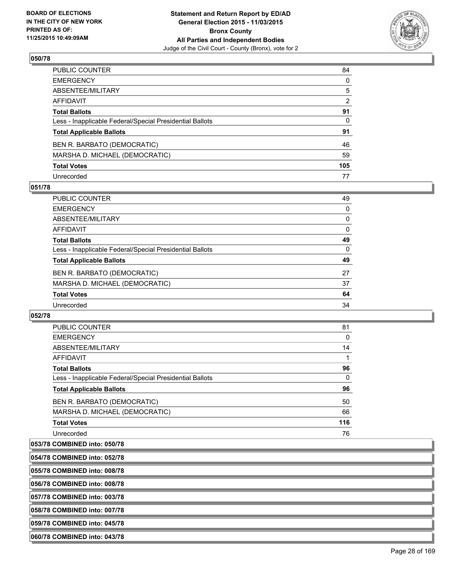

| PUBLIC COUNTER                                           | 84           |
|----------------------------------------------------------|--------------|
| EMERGENCY                                                | $\mathbf{0}$ |
| ABSENTEE/MILITARY                                        | 5            |
| AFFIDAVIT                                                | 2            |
| <b>Total Ballots</b>                                     | 91           |
| Less - Inapplicable Federal/Special Presidential Ballots | $\mathbf{0}$ |
| <b>Total Applicable Ballots</b>                          | 91           |
| BEN R. BARBATO (DEMOCRATIC)                              | 46           |
| MARSHA D. MICHAEL (DEMOCRATIC)                           | 59           |
| <b>Total Votes</b>                                       | 105          |
| Unrecorded                                               | 77           |

#### **051/78**

| <b>PUBLIC COUNTER</b>                                    | 49       |
|----------------------------------------------------------|----------|
| <b>EMERGENCY</b>                                         | $\Omega$ |
| ABSENTEE/MILITARY                                        | 0        |
| <b>AFFIDAVIT</b>                                         | 0        |
| <b>Total Ballots</b>                                     | 49       |
| Less - Inapplicable Federal/Special Presidential Ballots | 0        |
| <b>Total Applicable Ballots</b>                          | 49       |
| BEN R. BARBATO (DEMOCRATIC)                              | 27       |
| MARSHA D. MICHAEL (DEMOCRATIC)                           | 37       |
| <b>Total Votes</b>                                       | 64       |
| Unrecorded                                               | 34       |
|                                                          |          |

#### **052/78**

| <b>PUBLIC COUNTER</b>                                    | 81  |
|----------------------------------------------------------|-----|
| <b>EMERGENCY</b>                                         | 0   |
| ABSENTEE/MILITARY                                        | 14  |
| <b>AFFIDAVIT</b>                                         |     |
| <b>Total Ballots</b>                                     | 96  |
| Less - Inapplicable Federal/Special Presidential Ballots | 0   |
| <b>Total Applicable Ballots</b>                          | 96  |
| BEN R. BARBATO (DEMOCRATIC)                              | 50  |
| MARSHA D. MICHAEL (DEMOCRATIC)                           | 66  |
| <b>Total Votes</b>                                       | 116 |
| Unrecorded                                               | 76  |

# **053/78 COMBINED into: 050/78**

| 054/78 COMBINED into: 052/78 |  |
|------------------------------|--|
| 055/78 COMBINED into: 008/78 |  |

**056/78 COMBINED into: 008/78**

**057/78 COMBINED into: 003/78**

**058/78 COMBINED into: 007/78**

**059/78 COMBINED into: 045/78**

**060/78 COMBINED into: 043/78**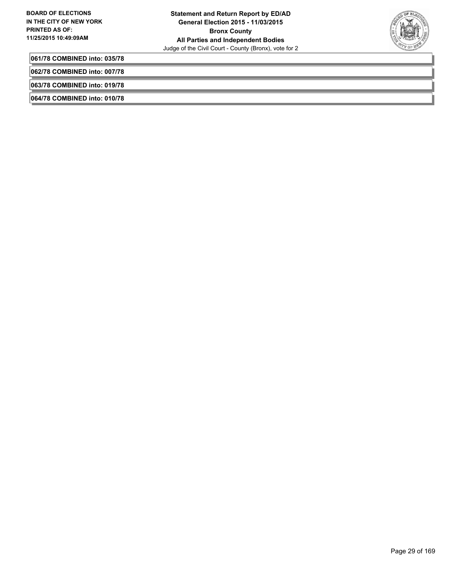

**061/78 COMBINED into: 035/78**

**062/78 COMBINED into: 007/78**

**063/78 COMBINED into: 019/78**

**064/78 COMBINED into: 010/78**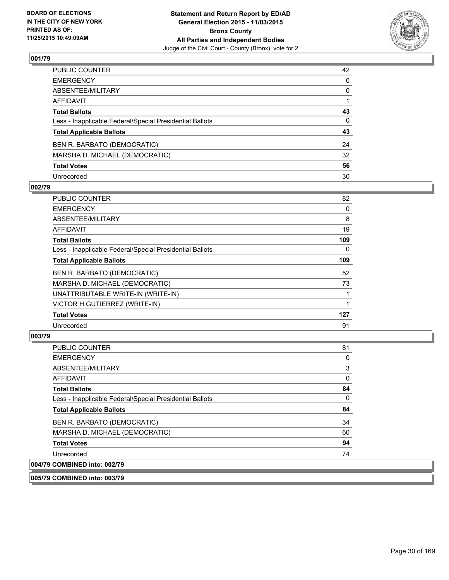

| PUBLIC COUNTER                                           | 42           |
|----------------------------------------------------------|--------------|
| EMERGENCY                                                | $\mathbf{0}$ |
| ABSENTEE/MILITARY                                        | 0            |
| AFFIDAVIT                                                |              |
| <b>Total Ballots</b>                                     | 43           |
| Less - Inapplicable Federal/Special Presidential Ballots | $\mathbf{0}$ |
| <b>Total Applicable Ballots</b>                          | 43           |
| BEN R. BARBATO (DEMOCRATIC)                              | 24           |
| MARSHA D. MICHAEL (DEMOCRATIC)                           | 32           |
| <b>Total Votes</b>                                       | 56           |
| Unrecorded                                               | 30           |

#### **002/79**

| <b>PUBLIC COUNTER</b>                                    | 82  |
|----------------------------------------------------------|-----|
| <b>EMERGENCY</b>                                         | 0   |
| ABSENTEE/MILITARY                                        | 8   |
| AFFIDAVIT                                                | 19  |
| <b>Total Ballots</b>                                     | 109 |
| Less - Inapplicable Federal/Special Presidential Ballots | 0   |
| <b>Total Applicable Ballots</b>                          | 109 |
| BEN R. BARBATO (DEMOCRATIC)                              | 52  |
| MARSHA D. MICHAEL (DEMOCRATIC)                           | 73  |
| UNATTRIBUTABLE WRITE-IN (WRITE-IN)                       |     |
| VICTOR H GUTIERREZ (WRITE-IN)                            |     |
| <b>Total Votes</b>                                       | 127 |
| Unrecorded                                               | 91  |

# **003/79**

| <b>PUBLIC COUNTER</b>                                    | 81       |
|----------------------------------------------------------|----------|
| <b>EMERGENCY</b>                                         | 0        |
| ABSENTEE/MILITARY                                        | 3        |
| <b>AFFIDAVIT</b>                                         | 0        |
| <b>Total Ballots</b>                                     | 84       |
| Less - Inapplicable Federal/Special Presidential Ballots | $\Omega$ |
| <b>Total Applicable Ballots</b>                          | 84       |
| BEN R. BARBATO (DEMOCRATIC)                              | 34       |
| MARSHA D. MICHAEL (DEMOCRATIC)                           | 60       |
| <b>Total Votes</b>                                       | 94       |
| Unrecorded                                               | 74       |
| 004/79 COMBINED into: 002/79                             |          |

**005/79 COMBINED into: 003/79**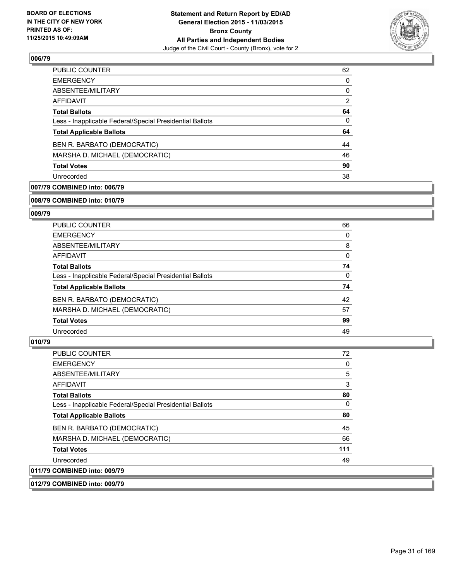

| <b>PUBLIC COUNTER</b>                                    | 62 |
|----------------------------------------------------------|----|
| <b>EMERGENCY</b>                                         | 0  |
| ABSENTEE/MILITARY                                        | 0  |
| AFFIDAVIT                                                | 2  |
| <b>Total Ballots</b>                                     | 64 |
| Less - Inapplicable Federal/Special Presidential Ballots | 0  |
| <b>Total Applicable Ballots</b>                          | 64 |
| BEN R. BARBATO (DEMOCRATIC)                              | 44 |
| MARSHA D. MICHAEL (DEMOCRATIC)                           | 46 |
| <b>Total Votes</b>                                       | 90 |
| Unrecorded                                               | 38 |

## **007/79 COMBINED into: 006/79**

#### **008/79 COMBINED into: 010/79**

## **009/79**

| <b>PUBLIC COUNTER</b>                                    | 66 |
|----------------------------------------------------------|----|
| <b>EMERGENCY</b>                                         | 0  |
| ABSENTEE/MILITARY                                        | 8  |
| AFFIDAVIT                                                | 0  |
| <b>Total Ballots</b>                                     | 74 |
| Less - Inapplicable Federal/Special Presidential Ballots | 0  |
| <b>Total Applicable Ballots</b>                          | 74 |
| BEN R. BARBATO (DEMOCRATIC)                              | 42 |
| MARSHA D. MICHAEL (DEMOCRATIC)                           | 57 |
| <b>Total Votes</b>                                       | 99 |
| Unrecorded                                               | 49 |

#### **010/79**

| <b>PUBLIC COUNTER</b>                                    | 72       |
|----------------------------------------------------------|----------|
| <b>EMERGENCY</b>                                         | 0        |
| ABSENTEE/MILITARY                                        | 5        |
| <b>AFFIDAVIT</b>                                         | 3        |
| <b>Total Ballots</b>                                     | 80       |
| Less - Inapplicable Federal/Special Presidential Ballots | $\Omega$ |
| <b>Total Applicable Ballots</b>                          | 80       |
| BEN R. BARBATO (DEMOCRATIC)                              | 45       |
| MARSHA D. MICHAEL (DEMOCRATIC)                           | 66       |
| <b>Total Votes</b>                                       | 111      |
| Unrecorded                                               | 49       |
| 011/79 COMBINED into: 009/79                             |          |

#### **012/79 COMBINED into: 009/79**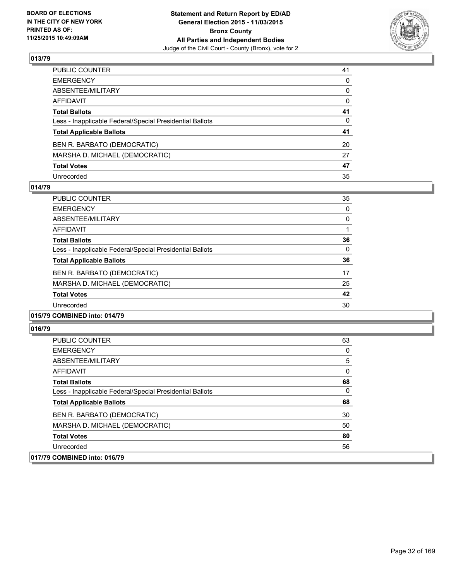

| PUBLIC COUNTER                                           | 41           |
|----------------------------------------------------------|--------------|
| EMERGENCY                                                | $\mathbf{0}$ |
| ABSENTEE/MILITARY                                        | 0            |
| AFFIDAVIT                                                | 0            |
| <b>Total Ballots</b>                                     | 41           |
| Less - Inapplicable Federal/Special Presidential Ballots | $\mathbf{0}$ |
| <b>Total Applicable Ballots</b>                          | 41           |
| BEN R. BARBATO (DEMOCRATIC)                              | 20           |
| MARSHA D. MICHAEL (DEMOCRATIC)                           | 27           |
| <b>Total Votes</b>                                       | 47           |
| Unrecorded                                               | 35           |

#### **014/79**

| <b>PUBLIC COUNTER</b>                                    | 35 |
|----------------------------------------------------------|----|
| <b>EMERGENCY</b>                                         | 0  |
| ABSENTEE/MILITARY                                        | 0  |
| AFFIDAVIT                                                |    |
| <b>Total Ballots</b>                                     | 36 |
| Less - Inapplicable Federal/Special Presidential Ballots | 0  |
| <b>Total Applicable Ballots</b>                          | 36 |
| BEN R. BARBATO (DEMOCRATIC)                              | 17 |
| MARSHA D. MICHAEL (DEMOCRATIC)                           | 25 |
| <b>Total Votes</b>                                       | 42 |
| Unrecorded                                               | 30 |
|                                                          |    |

#### **015/79 COMBINED into: 014/79**

| <b>PUBLIC COUNTER</b>                                    | 63 |
|----------------------------------------------------------|----|
| <b>EMERGENCY</b>                                         | 0  |
| ABSENTEE/MILITARY                                        | 5  |
| AFFIDAVIT                                                | 0  |
| <b>Total Ballots</b>                                     | 68 |
| Less - Inapplicable Federal/Special Presidential Ballots | 0  |
| <b>Total Applicable Ballots</b>                          | 68 |
| BEN R. BARBATO (DEMOCRATIC)                              | 30 |
| MARSHA D. MICHAEL (DEMOCRATIC)                           | 50 |
| <b>Total Votes</b>                                       | 80 |
| Unrecorded                                               | 56 |
| 017/79 COMBINED into: 016/79                             |    |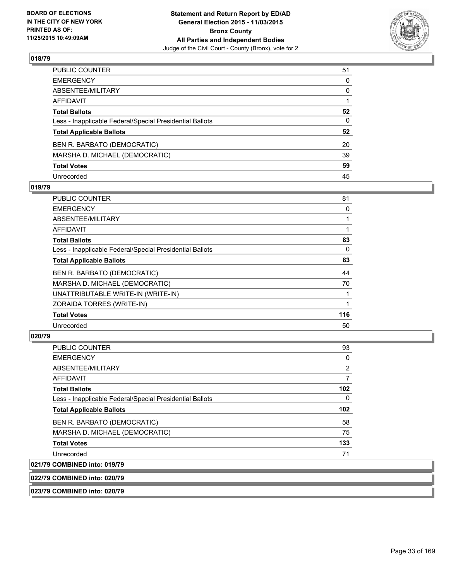

| PUBLIC COUNTER                                           | 51           |
|----------------------------------------------------------|--------------|
| EMERGENCY                                                | $\mathbf{0}$ |
| ABSENTEE/MILITARY                                        | 0            |
| AFFIDAVIT                                                |              |
| <b>Total Ballots</b>                                     | 52           |
| Less - Inapplicable Federal/Special Presidential Ballots | $\mathbf{0}$ |
| <b>Total Applicable Ballots</b>                          | 52           |
| BEN R. BARBATO (DEMOCRATIC)                              | 20           |
| MARSHA D. MICHAEL (DEMOCRATIC)                           | 39           |
| <b>Total Votes</b>                                       | 59           |
| Unrecorded                                               | 45           |

#### **019/79**

| <b>PUBLIC COUNTER</b>                                    | 81  |
|----------------------------------------------------------|-----|
| <b>EMERGENCY</b>                                         | 0   |
| ABSENTEE/MILITARY                                        |     |
| <b>AFFIDAVIT</b>                                         |     |
| <b>Total Ballots</b>                                     | 83  |
| Less - Inapplicable Federal/Special Presidential Ballots | 0   |
| <b>Total Applicable Ballots</b>                          | 83  |
| BEN R. BARBATO (DEMOCRATIC)                              | 44  |
| MARSHA D. MICHAEL (DEMOCRATIC)                           | 70  |
| UNATTRIBUTABLE WRITE-IN (WRITE-IN)                       |     |
| ZORAIDA TORRES (WRITE-IN)                                |     |
| <b>Total Votes</b>                                       | 116 |
| Unrecorded                                               | 50  |
|                                                          |     |

# **020/79**

021/79

| PUBLIC COUNTER                                           | 93               |
|----------------------------------------------------------|------------------|
| <b>EMERGENCY</b>                                         | 0                |
| ABSENTEE/MILITARY                                        | $\overline{2}$   |
| <b>AFFIDAVIT</b>                                         | 7                |
| <b>Total Ballots</b>                                     | 102 <sub>2</sub> |
| Less - Inapplicable Federal/Special Presidential Ballots | 0                |
| <b>Total Applicable Ballots</b>                          | 102 <sub>2</sub> |
| BEN R. BARBATO (DEMOCRATIC)                              | 58               |
| MARSHA D. MICHAEL (DEMOCRATIC)                           | 75               |
| <b>Total Votes</b>                                       | 133              |
| Unrecorded                                               | 71               |
| <b>COMBINED into: 019/79</b>                             |                  |

## **022/79 COMBINED into: 020/79**

**023/79 COMBINED into: 020/79**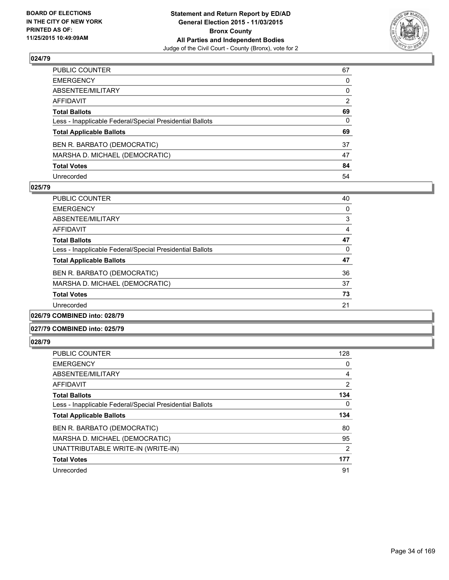

| PUBLIC COUNTER                                           | 67 |
|----------------------------------------------------------|----|
| EMERGENCY                                                | 0  |
| ABSENTEE/MILITARY                                        | 0  |
| AFFIDAVIT                                                | 2  |
| <b>Total Ballots</b>                                     | 69 |
| Less - Inapplicable Federal/Special Presidential Ballots | 0  |
| <b>Total Applicable Ballots</b>                          | 69 |
| BEN R. BARBATO (DEMOCRATIC)                              | 37 |
| MARSHA D. MICHAEL (DEMOCRATIC)                           | 47 |
| <b>Total Votes</b>                                       | 84 |
| Unrecorded                                               | 54 |

#### **025/79**

| <b>PUBLIC COUNTER</b>                                    | 40 |
|----------------------------------------------------------|----|
| <b>EMERGENCY</b>                                         | 0  |
| ABSENTEE/MILITARY                                        | 3  |
| AFFIDAVIT                                                | 4  |
| <b>Total Ballots</b>                                     | 47 |
| Less - Inapplicable Federal/Special Presidential Ballots | 0  |
| <b>Total Applicable Ballots</b>                          | 47 |
| BEN R. BARBATO (DEMOCRATIC)                              | 36 |
| MARSHA D. MICHAEL (DEMOCRATIC)                           | 37 |
| <b>Total Votes</b>                                       | 73 |
| Unrecorded                                               | 21 |
|                                                          |    |

# **026/79 COMBINED into: 028/79**

#### **027/79 COMBINED into: 025/79**

| <b>PUBLIC COUNTER</b>                                    | 128            |
|----------------------------------------------------------|----------------|
| <b>EMERGENCY</b>                                         | 0              |
| ABSENTEE/MILITARY                                        | 4              |
| AFFIDAVIT                                                | $\overline{2}$ |
| <b>Total Ballots</b>                                     | 134            |
| Less - Inapplicable Federal/Special Presidential Ballots | 0              |
|                                                          |                |
| <b>Total Applicable Ballots</b>                          | 134            |
| BEN R. BARBATO (DEMOCRATIC)                              | 80             |
| MARSHA D. MICHAEL (DEMOCRATIC)                           | 95             |
| UNATTRIBUTABLE WRITE-IN (WRITE-IN)                       | 2              |
| <b>Total Votes</b>                                       | 177            |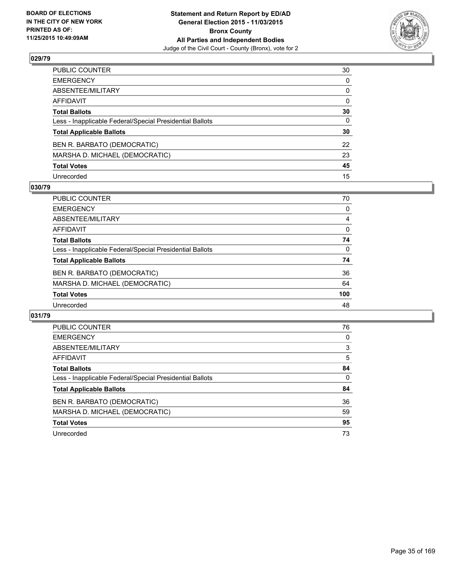

| PUBLIC COUNTER                                           | 30           |
|----------------------------------------------------------|--------------|
| EMERGENCY                                                | $\mathbf{0}$ |
| ABSENTEE/MILITARY                                        | 0            |
| AFFIDAVIT                                                | $\mathbf{0}$ |
| <b>Total Ballots</b>                                     | 30           |
| Less - Inapplicable Federal/Special Presidential Ballots | $\mathbf{0}$ |
| <b>Total Applicable Ballots</b>                          | 30           |
| BEN R. BARBATO (DEMOCRATIC)                              | 22           |
| MARSHA D. MICHAEL (DEMOCRATIC)                           | 23           |
| <b>Total Votes</b>                                       | 45           |
| Unrecorded                                               | 15           |

#### **030/79**

| <b>PUBLIC COUNTER</b>                                    | 70       |
|----------------------------------------------------------|----------|
| <b>EMERGENCY</b>                                         | $\Omega$ |
| ABSENTEE/MILITARY                                        | 4        |
| AFFIDAVIT                                                | $\Omega$ |
| <b>Total Ballots</b>                                     | 74       |
| Less - Inapplicable Federal/Special Presidential Ballots | $\Omega$ |
| <b>Total Applicable Ballots</b>                          | 74       |
| BEN R. BARBATO (DEMOCRATIC)                              | 36       |
| MARSHA D. MICHAEL (DEMOCRATIC)                           | 64       |
| <b>Total Votes</b>                                       | 100      |
| Unrecorded                                               | 48       |

| 76 |
|----|
| 0  |
| 3  |
| 5  |
| 84 |
| 0  |
| 84 |
| 36 |
| 59 |
| 95 |
| 73 |
|    |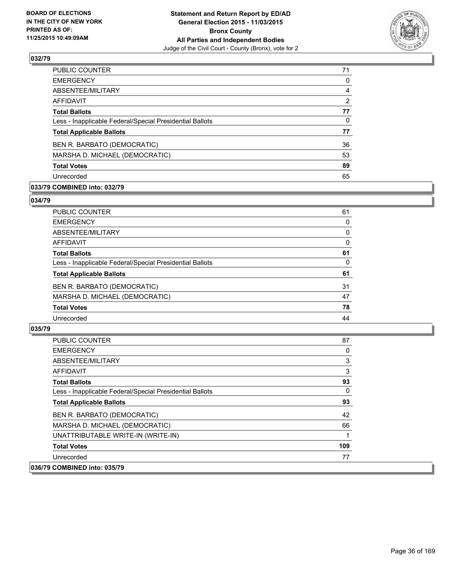

| PUBLIC COUNTER                                           | 71 |
|----------------------------------------------------------|----|
| <b>EMERGENCY</b>                                         | 0  |
| ABSENTEE/MILITARY                                        | 4  |
| <b>AFFIDAVIT</b>                                         | 2  |
| <b>Total Ballots</b>                                     | 77 |
| Less - Inapplicable Federal/Special Presidential Ballots | 0  |
| <b>Total Applicable Ballots</b>                          | 77 |
| BEN R. BARBATO (DEMOCRATIC)                              | 36 |
| MARSHA D. MICHAEL (DEMOCRATIC)                           | 53 |
| <b>Total Votes</b>                                       | 89 |
| Unrecorded                                               | 65 |

## **033/79 COMBINED into: 032/79**

#### **034/79**

| PUBLIC COUNTER                                           | 61 |
|----------------------------------------------------------|----|
| <b>EMERGENCY</b>                                         | 0  |
| ABSENTEE/MILITARY                                        | 0  |
| <b>AFFIDAVIT</b>                                         | 0  |
| <b>Total Ballots</b>                                     | 61 |
| Less - Inapplicable Federal/Special Presidential Ballots | 0  |
| <b>Total Applicable Ballots</b>                          | 61 |
| BEN R. BARBATO (DEMOCRATIC)                              | 31 |
| MARSHA D. MICHAEL (DEMOCRATIC)                           | 47 |
| <b>Total Votes</b>                                       | 78 |
| Unrecorded                                               | 44 |
|                                                          |    |

| <b>PUBLIC COUNTER</b>                                    | 87  |
|----------------------------------------------------------|-----|
| <b>EMERGENCY</b>                                         | 0   |
| ABSENTEE/MILITARY                                        | 3   |
| AFFIDAVIT                                                | 3   |
| <b>Total Ballots</b>                                     | 93  |
| Less - Inapplicable Federal/Special Presidential Ballots | 0   |
| <b>Total Applicable Ballots</b>                          | 93  |
| BEN R. BARBATO (DEMOCRATIC)                              | 42  |
| MARSHA D. MICHAEL (DEMOCRATIC)                           | 66  |
| UNATTRIBUTABLE WRITE-IN (WRITE-IN)                       | 1   |
| <b>Total Votes</b>                                       | 109 |
| Unrecorded                                               | 77  |
| 036/79 COMBINED into: 035/79                             |     |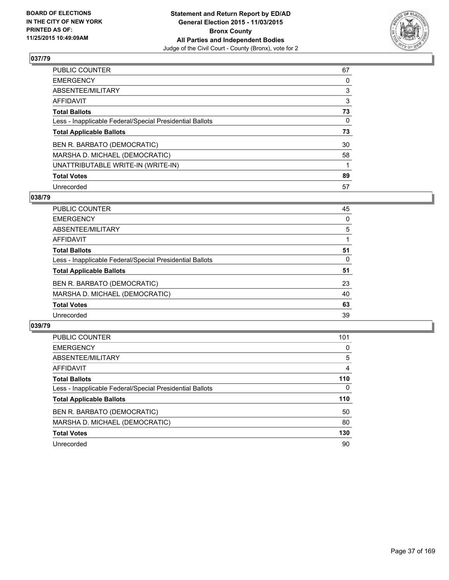

| PUBLIC COUNTER                                           | 67 |
|----------------------------------------------------------|----|
| <b>EMERGENCY</b>                                         | 0  |
| ABSENTEE/MILITARY                                        | 3  |
| <b>AFFIDAVIT</b>                                         | 3  |
| <b>Total Ballots</b>                                     | 73 |
| Less - Inapplicable Federal/Special Presidential Ballots | 0  |
| <b>Total Applicable Ballots</b>                          | 73 |
| BEN R. BARBATO (DEMOCRATIC)                              | 30 |
| MARSHA D. MICHAEL (DEMOCRATIC)                           | 58 |
| UNATTRIBUTABLE WRITE-IN (WRITE-IN)                       |    |
| <b>Total Votes</b>                                       | 89 |
| Unrecorded                                               | 57 |

#### **038/79**

| PUBLIC COUNTER                                           | 45 |
|----------------------------------------------------------|----|
| <b>EMERGENCY</b>                                         | 0  |
| ABSENTEE/MILITARY                                        | 5  |
| <b>AFFIDAVIT</b>                                         |    |
| <b>Total Ballots</b>                                     | 51 |
| Less - Inapplicable Federal/Special Presidential Ballots | 0  |
| <b>Total Applicable Ballots</b>                          | 51 |
| BEN R. BARBATO (DEMOCRATIC)                              | 23 |
| MARSHA D. MICHAEL (DEMOCRATIC)                           | 40 |
| <b>Total Votes</b>                                       | 63 |
| Unrecorded                                               | 39 |
|                                                          |    |

| <b>PUBLIC COUNTER</b>                                    | 101      |
|----------------------------------------------------------|----------|
| <b>EMERGENCY</b>                                         | 0        |
| ABSENTEE/MILITARY                                        | 5        |
| AFFIDAVIT                                                | 4        |
| <b>Total Ballots</b>                                     | 110      |
| Less - Inapplicable Federal/Special Presidential Ballots | $\Omega$ |
| <b>Total Applicable Ballots</b>                          | 110      |
| BEN R. BARBATO (DEMOCRATIC)                              | 50       |
| MARSHA D. MICHAEL (DEMOCRATIC)                           | 80       |
| <b>Total Votes</b>                                       | 130      |
| Unrecorded                                               | 90       |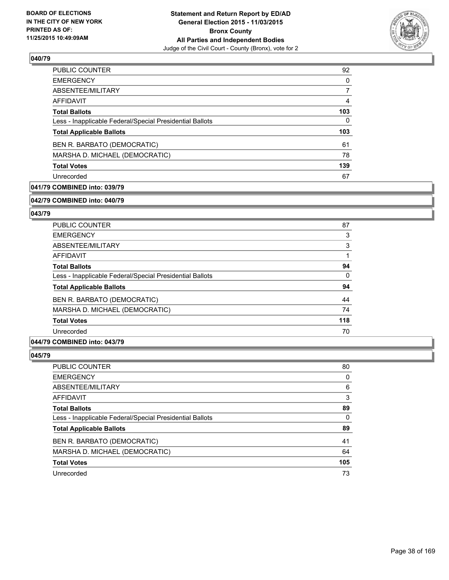

| 92  |
|-----|
| 0   |
| 7   |
| 4   |
| 103 |
| 0   |
| 103 |
| 61  |
| 78  |
| 139 |
| 67  |
|     |

# **041/79 COMBINED into: 039/79**

#### **042/79 COMBINED into: 040/79**

# **043/79**

| <b>PUBLIC COUNTER</b>                                    | 87  |
|----------------------------------------------------------|-----|
| <b>EMERGENCY</b>                                         | 3   |
| ABSENTEE/MILITARY                                        | 3   |
| <b>AFFIDAVIT</b>                                         |     |
| <b>Total Ballots</b>                                     | 94  |
| Less - Inapplicable Federal/Special Presidential Ballots | 0   |
| <b>Total Applicable Ballots</b>                          | 94  |
| BEN R. BARBATO (DEMOCRATIC)                              | 44  |
| MARSHA D. MICHAEL (DEMOCRATIC)                           | 74  |
| <b>Total Votes</b>                                       | 118 |
| Unrecorded                                               | 70  |

## **044/79 COMBINED into: 043/79**

| PUBLIC COUNTER                                           | 80  |
|----------------------------------------------------------|-----|
| <b>EMERGENCY</b>                                         | 0   |
| ABSENTEE/MILITARY                                        | 6   |
| AFFIDAVIT                                                | 3   |
| <b>Total Ballots</b>                                     | 89  |
| Less - Inapplicable Federal/Special Presidential Ballots | 0   |
| <b>Total Applicable Ballots</b>                          | 89  |
| BEN R. BARBATO (DEMOCRATIC)                              | 41  |
| MARSHA D. MICHAEL (DEMOCRATIC)                           | 64  |
| <b>Total Votes</b>                                       | 105 |
| Unrecorded                                               | 73  |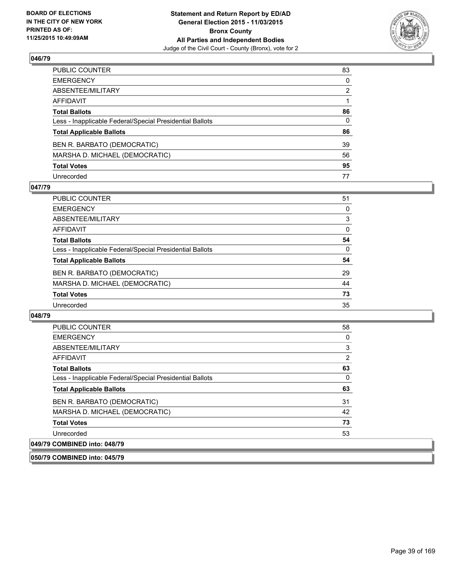

| PUBLIC COUNTER                                           | 83           |
|----------------------------------------------------------|--------------|
| EMERGENCY                                                | $\mathbf{0}$ |
| ABSENTEE/MILITARY                                        | 2            |
| AFFIDAVIT                                                |              |
| <b>Total Ballots</b>                                     | 86           |
| Less - Inapplicable Federal/Special Presidential Ballots | $\mathbf{0}$ |
| <b>Total Applicable Ballots</b>                          | 86           |
| BEN R. BARBATO (DEMOCRATIC)                              | 39           |
| MARSHA D. MICHAEL (DEMOCRATIC)                           | 56           |
| <b>Total Votes</b>                                       | 95           |
| Unrecorded                                               | 77           |

#### **047/79**

| PUBLIC COUNTER                                           | 51       |
|----------------------------------------------------------|----------|
| <b>EMERGENCY</b>                                         | 0        |
| ABSENTEE/MILITARY                                        | 3        |
| AFFIDAVIT                                                | $\Omega$ |
| <b>Total Ballots</b>                                     | 54       |
| Less - Inapplicable Federal/Special Presidential Ballots | $\Omega$ |
| <b>Total Applicable Ballots</b>                          | 54       |
| BEN R. BARBATO (DEMOCRATIC)                              | 29       |
| MARSHA D. MICHAEL (DEMOCRATIC)                           | 44       |
| <b>Total Votes</b>                                       | 73       |
| Unrecorded                                               | 35       |

#### **048/79**

| <b>PUBLIC COUNTER</b>                                    | 58 |
|----------------------------------------------------------|----|
| <b>EMERGENCY</b>                                         | 0  |
| ABSENTEE/MILITARY                                        | 3  |
| <b>AFFIDAVIT</b>                                         | 2  |
| <b>Total Ballots</b>                                     | 63 |
| Less - Inapplicable Federal/Special Presidential Ballots | 0  |
| <b>Total Applicable Ballots</b>                          | 63 |
| BEN R. BARBATO (DEMOCRATIC)                              | 31 |
| MARSHA D. MICHAEL (DEMOCRATIC)                           | 42 |
| <b>Total Votes</b>                                       | 73 |
| Unrecorded                                               | 53 |
| 049/79 COMBINED into: 048/79                             |    |

**050/79 COMBINED into: 045/79**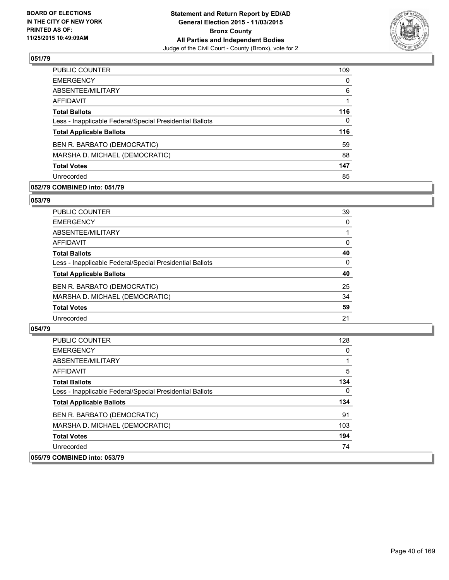

| <b>PUBLIC COUNTER</b>                                    | 109      |
|----------------------------------------------------------|----------|
| <b>EMERGENCY</b>                                         | 0        |
| ABSENTEE/MILITARY                                        | 6        |
| AFFIDAVIT                                                |          |
| <b>Total Ballots</b>                                     | 116      |
| Less - Inapplicable Federal/Special Presidential Ballots | $\Omega$ |
| <b>Total Applicable Ballots</b>                          | 116      |
| BEN R. BARBATO (DEMOCRATIC)                              | 59       |
| MARSHA D. MICHAEL (DEMOCRATIC)                           | 88       |
| <b>Total Votes</b>                                       | 147      |
| Unrecorded                                               | 85       |

# **052/79 COMBINED into: 051/79**

#### **053/79**

| PUBLIC COUNTER                                           | 39 |
|----------------------------------------------------------|----|
| <b>EMERGENCY</b>                                         | 0  |
| ABSENTEE/MILITARY                                        |    |
| AFFIDAVIT                                                | 0  |
| <b>Total Ballots</b>                                     | 40 |
| Less - Inapplicable Federal/Special Presidential Ballots | 0  |
| <b>Total Applicable Ballots</b>                          | 40 |
| BEN R. BARBATO (DEMOCRATIC)                              | 25 |
| MARSHA D. MICHAEL (DEMOCRATIC)                           | 34 |
| <b>Total Votes</b>                                       | 59 |
| Unrecorded                                               | 21 |
|                                                          |    |

| <b>PUBLIC COUNTER</b>                                    | 128 |
|----------------------------------------------------------|-----|
| <b>EMERGENCY</b>                                         | 0   |
| ABSENTEE/MILITARY                                        |     |
| AFFIDAVIT                                                | 5   |
| <b>Total Ballots</b>                                     | 134 |
| Less - Inapplicable Federal/Special Presidential Ballots | 0   |
| <b>Total Applicable Ballots</b>                          | 134 |
| BEN R. BARBATO (DEMOCRATIC)                              | 91  |
| MARSHA D. MICHAEL (DEMOCRATIC)                           | 103 |
| <b>Total Votes</b>                                       | 194 |
| Unrecorded                                               | 74  |
| 055/79 COMBINED into: 053/79                             |     |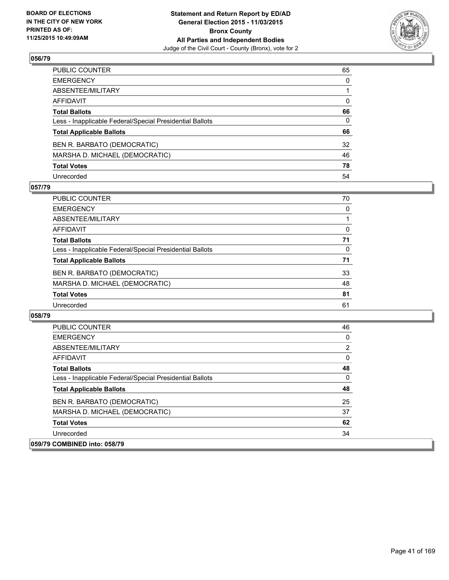

| PUBLIC COUNTER                                           | 65           |
|----------------------------------------------------------|--------------|
| EMERGENCY                                                | $\mathbf{0}$ |
| ABSENTEE/MILITARY                                        |              |
| AFFIDAVIT                                                | $\mathbf{0}$ |
| <b>Total Ballots</b>                                     | 66           |
| Less - Inapplicable Federal/Special Presidential Ballots | $\mathbf{0}$ |
| <b>Total Applicable Ballots</b>                          | 66           |
| BEN R. BARBATO (DEMOCRATIC)                              | 32           |
| MARSHA D. MICHAEL (DEMOCRATIC)                           | 46           |
| <b>Total Votes</b>                                       | 78           |
| Unrecorded                                               | 54           |

#### **057/79**

| <b>PUBLIC COUNTER</b>                                    | 70 |
|----------------------------------------------------------|----|
| <b>EMERGENCY</b>                                         | 0  |
| ABSENTEE/MILITARY                                        |    |
| AFFIDAVIT                                                | 0  |
| <b>Total Ballots</b>                                     | 71 |
| Less - Inapplicable Federal/Special Presidential Ballots | 0  |
| <b>Total Applicable Ballots</b>                          | 71 |
| BEN R. BARBATO (DEMOCRATIC)                              | 33 |
| MARSHA D. MICHAEL (DEMOCRATIC)                           | 48 |
| <b>Total Votes</b>                                       | 81 |
| Unrecorded                                               | 61 |

| <b>PUBLIC COUNTER</b>                                    | 46 |
|----------------------------------------------------------|----|
| <b>EMERGENCY</b>                                         | 0  |
| ABSENTEE/MILITARY                                        | 2  |
| AFFIDAVIT                                                | 0  |
| <b>Total Ballots</b>                                     | 48 |
| Less - Inapplicable Federal/Special Presidential Ballots | 0  |
| <b>Total Applicable Ballots</b>                          | 48 |
| BEN R. BARBATO (DEMOCRATIC)                              | 25 |
| MARSHA D. MICHAEL (DEMOCRATIC)                           | 37 |
| <b>Total Votes</b>                                       | 62 |
| Unrecorded                                               | 34 |
| 059/79 COMBINED into: 058/79                             |    |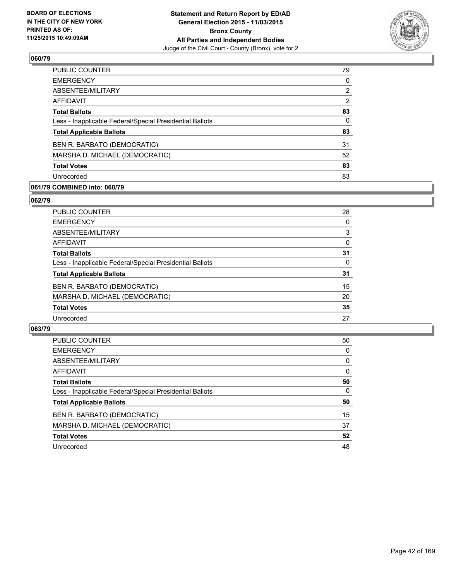

| <b>PUBLIC COUNTER</b>                                    | 79       |
|----------------------------------------------------------|----------|
| <b>EMERGENCY</b>                                         | 0        |
| ABSENTEE/MILITARY                                        | 2        |
| <b>AFFIDAVIT</b>                                         | 2        |
| <b>Total Ballots</b>                                     | 83       |
| Less - Inapplicable Federal/Special Presidential Ballots | $\Omega$ |
| <b>Total Applicable Ballots</b>                          | 83       |
| BEN R. BARBATO (DEMOCRATIC)                              | 31       |
| MARSHA D. MICHAEL (DEMOCRATIC)                           | 52       |
| <b>Total Votes</b>                                       | 83       |
| Unrecorded                                               | 83       |
|                                                          |          |

## **061/79 COMBINED into: 060/79**

#### **062/79**

| PUBLIC COUNTER                                           | 28 |
|----------------------------------------------------------|----|
| <b>EMERGENCY</b>                                         | 0  |
| ABSENTEE/MILITARY                                        | 3  |
| <b>AFFIDAVIT</b>                                         | 0  |
| <b>Total Ballots</b>                                     | 31 |
| Less - Inapplicable Federal/Special Presidential Ballots | 0  |
| <b>Total Applicable Ballots</b>                          | 31 |
| BEN R. BARBATO (DEMOCRATIC)                              | 15 |
| MARSHA D. MICHAEL (DEMOCRATIC)                           | 20 |
| <b>Total Votes</b>                                       | 35 |
| Unrecorded                                               | 27 |
|                                                          |    |

| <b>PUBLIC COUNTER</b>                                    | 50 |
|----------------------------------------------------------|----|
| <b>EMERGENCY</b>                                         | 0  |
| ABSENTEE/MILITARY                                        | 0  |
| AFFIDAVIT                                                | 0  |
| <b>Total Ballots</b>                                     | 50 |
| Less - Inapplicable Federal/Special Presidential Ballots | 0  |
| <b>Total Applicable Ballots</b>                          | 50 |
| BEN R. BARBATO (DEMOCRATIC)                              | 15 |
| MARSHA D. MICHAEL (DEMOCRATIC)                           | 37 |
| <b>Total Votes</b>                                       | 52 |
| Unrecorded                                               | 48 |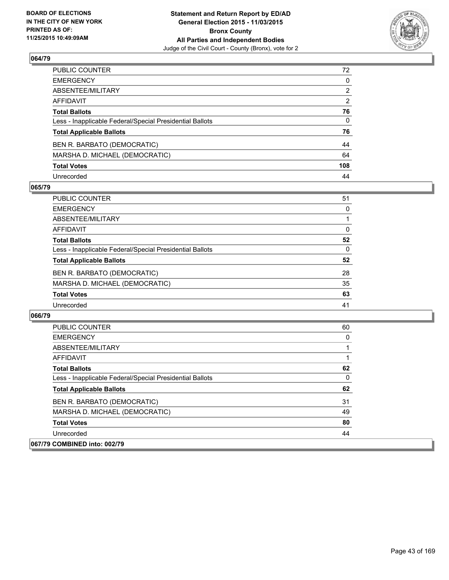

| PUBLIC COUNTER                                           | 72           |
|----------------------------------------------------------|--------------|
| EMERGENCY                                                | 0            |
| ABSENTEE/MILITARY                                        | 2            |
| AFFIDAVIT                                                | 2            |
| Total Ballots                                            | 76           |
| Less - Inapplicable Federal/Special Presidential Ballots | $\mathbf{0}$ |
| <b>Total Applicable Ballots</b>                          | 76           |
| BEN R. BARBATO (DEMOCRATIC)                              | 44           |
| MARSHA D. MICHAEL (DEMOCRATIC)                           | 64           |
| <b>Total Votes</b>                                       | 108          |
| Unrecorded                                               | 44           |

#### **065/79**

| PUBLIC COUNTER                                           | 51 |
|----------------------------------------------------------|----|
| <b>EMERGENCY</b>                                         | 0  |
| ABSENTEE/MILITARY                                        |    |
| AFFIDAVIT                                                | 0  |
| <b>Total Ballots</b>                                     | 52 |
| Less - Inapplicable Federal/Special Presidential Ballots | 0  |
| <b>Total Applicable Ballots</b>                          | 52 |
| BEN R. BARBATO (DEMOCRATIC)                              | 28 |
| MARSHA D. MICHAEL (DEMOCRATIC)                           | 35 |
| <b>Total Votes</b>                                       | 63 |
| Unrecorded                                               | 41 |

| <b>PUBLIC COUNTER</b>                                    | 60 |
|----------------------------------------------------------|----|
| <b>EMERGENCY</b>                                         | 0  |
| ABSENTEE/MILITARY                                        |    |
| AFFIDAVIT                                                |    |
| <b>Total Ballots</b>                                     | 62 |
| Less - Inapplicable Federal/Special Presidential Ballots | 0  |
| <b>Total Applicable Ballots</b>                          | 62 |
| BEN R. BARBATO (DEMOCRATIC)                              | 31 |
| MARSHA D. MICHAEL (DEMOCRATIC)                           | 49 |
| <b>Total Votes</b>                                       | 80 |
| Unrecorded                                               | 44 |
| 067/79 COMBINED into: 002/79                             |    |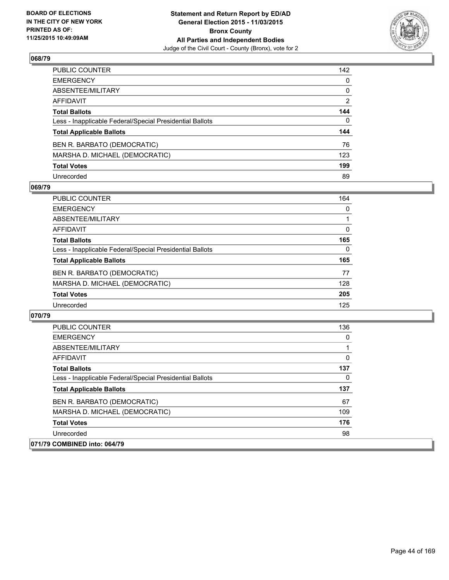

| PUBLIC COUNTER                                           | 142          |
|----------------------------------------------------------|--------------|
| EMERGENCY                                                | $\mathbf{0}$ |
| ABSENTEE/MILITARY                                        | 0            |
| AFFIDAVIT                                                | 2            |
| Total Ballots                                            | 144          |
| Less - Inapplicable Federal/Special Presidential Ballots | $\Omega$     |
| <b>Total Applicable Ballots</b>                          | 144          |
| BEN R. BARBATO (DEMOCRATIC)                              | 76           |
| MARSHA D. MICHAEL (DEMOCRATIC)                           | 123          |
| <b>Total Votes</b>                                       | 199          |
| Unrecorded                                               | 89           |

#### **069/79**

| <b>PUBLIC COUNTER</b>                                    | 164      |
|----------------------------------------------------------|----------|
| <b>EMERGENCY</b>                                         | $\Omega$ |
| ABSENTEE/MILITARY                                        |          |
| AFFIDAVIT                                                | $\Omega$ |
| <b>Total Ballots</b>                                     | 165      |
| Less - Inapplicable Federal/Special Presidential Ballots | 0        |
| <b>Total Applicable Ballots</b>                          | 165      |
| BEN R. BARBATO (DEMOCRATIC)                              | 77       |
| MARSHA D. MICHAEL (DEMOCRATIC)                           | 128      |
| <b>Total Votes</b>                                       | 205      |
| Unrecorded                                               | 125      |

| <b>PUBLIC COUNTER</b>                                    | 136 |
|----------------------------------------------------------|-----|
| <b>EMERGENCY</b>                                         | 0   |
| ABSENTEE/MILITARY                                        |     |
| AFFIDAVIT                                                | 0   |
| <b>Total Ballots</b>                                     | 137 |
| Less - Inapplicable Federal/Special Presidential Ballots | 0   |
| <b>Total Applicable Ballots</b>                          | 137 |
| BEN R. BARBATO (DEMOCRATIC)                              | 67  |
| MARSHA D. MICHAEL (DEMOCRATIC)                           | 109 |
| <b>Total Votes</b>                                       | 176 |
| Unrecorded                                               | 98  |
| 071/79 COMBINED into: 064/79                             |     |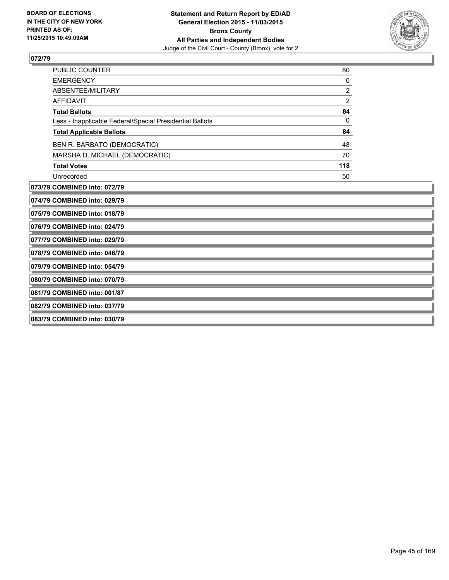

| PUBLIC COUNTER                                           | 80             |
|----------------------------------------------------------|----------------|
| <b>EMERGENCY</b>                                         | 0              |
| ABSENTEE/MILITARY                                        | $\overline{2}$ |
| <b>AFFIDAVIT</b>                                         | $\overline{2}$ |
| <b>Total Ballots</b>                                     | 84             |
| Less - Inapplicable Federal/Special Presidential Ballots | 0              |
| <b>Total Applicable Ballots</b>                          | 84             |
| BEN R. BARBATO (DEMOCRATIC)                              | 48             |
| MARSHA D. MICHAEL (DEMOCRATIC)                           | 70             |
| <b>Total Votes</b>                                       | 118            |
| Unrecorded                                               | 50             |
| 073/79 COMBINED into: 072/79                             |                |
| 074/79 COMBINED into: 029/79                             |                |
| 075/79 COMBINED into: 018/79                             |                |
| 076/79 COMBINED into: 024/79                             |                |
| 077/79 COMBINED into: 029/79                             |                |
| 078/79 COMBINED into: 046/79                             |                |
| 079/79 COMBINED into: 054/79                             |                |
| 080/79 COMBINED into: 070/79                             |                |

**081/79 COMBINED into: 001/87**

**082/79 COMBINED into: 037/79**

**083/79 COMBINED into: 030/79**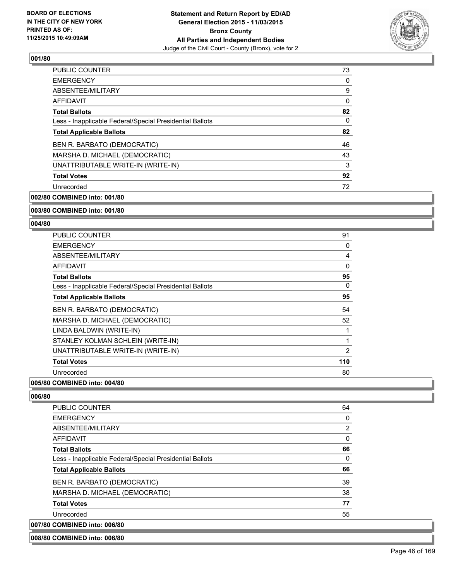

| PUBLIC COUNTER                                           | 73 |
|----------------------------------------------------------|----|
| <b>EMERGENCY</b>                                         | 0  |
| ABSENTEE/MILITARY                                        | 9  |
| <b>AFFIDAVIT</b>                                         | 0  |
| <b>Total Ballots</b>                                     | 82 |
| Less - Inapplicable Federal/Special Presidential Ballots | 0  |
| <b>Total Applicable Ballots</b>                          | 82 |
| BEN R. BARBATO (DEMOCRATIC)                              | 46 |
| MARSHA D. MICHAEL (DEMOCRATIC)                           | 43 |
| UNATTRIBUTABLE WRITE-IN (WRITE-IN)                       | 3  |
| <b>Total Votes</b>                                       | 92 |
| Unrecorded                                               | 72 |
|                                                          |    |

**002/80 COMBINED into: 001/80**

#### **003/80 COMBINED into: 001/80**

#### **004/80**

| <b>PUBLIC COUNTER</b>                                    | 91  |
|----------------------------------------------------------|-----|
| <b>EMERGENCY</b>                                         | 0   |
| ABSENTEE/MILITARY                                        | 4   |
| AFFIDAVIT                                                | 0   |
| <b>Total Ballots</b>                                     | 95  |
| Less - Inapplicable Federal/Special Presidential Ballots | 0   |
| <b>Total Applicable Ballots</b>                          | 95  |
| BEN R. BARBATO (DEMOCRATIC)                              | 54  |
| MARSHA D. MICHAEL (DEMOCRATIC)                           | 52  |
| LINDA BALDWIN (WRITE-IN)                                 | 1   |
| STANLEY KOLMAN SCHLEIN (WRITE-IN)                        | 1   |
| UNATTRIBUTABLE WRITE-IN (WRITE-IN)                       | 2   |
| <b>Total Votes</b>                                       | 110 |
| Unrecorded                                               | 80  |

# **005/80 COMBINED into: 004/80**

**006/80** 

| <b>PUBLIC COUNTER</b>                                    | 64       |
|----------------------------------------------------------|----------|
| <b>EMERGENCY</b>                                         | 0        |
| ABSENTEE/MILITARY                                        | 2        |
| AFFIDAVIT                                                | $\Omega$ |
| <b>Total Ballots</b>                                     | 66       |
| Less - Inapplicable Federal/Special Presidential Ballots | $\Omega$ |
| <b>Total Applicable Ballots</b>                          | 66       |
| BEN R. BARBATO (DEMOCRATIC)                              | 39       |
| MARSHA D. MICHAEL (DEMOCRATIC)                           | 38       |
| <b>Total Votes</b>                                       | 77       |
| Unrecorded                                               | 55       |
| 007/80 COMBINED into: 006/80                             |          |

#### **008/80 COMBINED into: 006/80**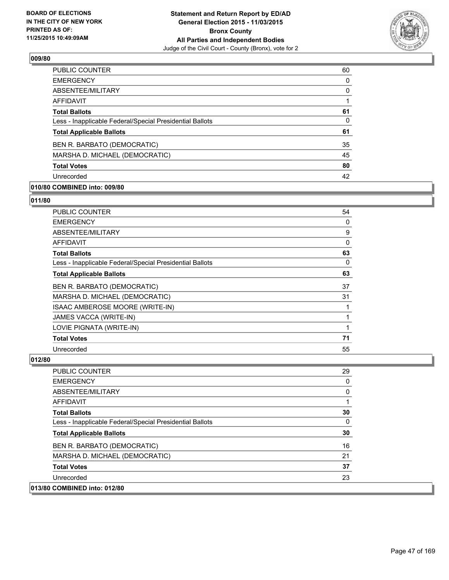

| <b>PUBLIC COUNTER</b>                                    | 60 |
|----------------------------------------------------------|----|
| <b>EMERGENCY</b>                                         | 0  |
| ABSENTEE/MILITARY                                        | 0  |
| AFFIDAVIT                                                |    |
| <b>Total Ballots</b>                                     | 61 |
| Less - Inapplicable Federal/Special Presidential Ballots | 0  |
| <b>Total Applicable Ballots</b>                          | 61 |
| BEN R. BARBATO (DEMOCRATIC)                              | 35 |
| MARSHA D. MICHAEL (DEMOCRATIC)                           | 45 |
| <b>Total Votes</b>                                       | 80 |
| Unrecorded                                               | 42 |

# **010/80 COMBINED into: 009/80**

**011/80** 

| <b>PUBLIC COUNTER</b>                                    | 54 |
|----------------------------------------------------------|----|
| <b>EMERGENCY</b>                                         | 0  |
| ABSENTEE/MILITARY                                        | 9  |
| <b>AFFIDAVIT</b>                                         | 0  |
| <b>Total Ballots</b>                                     | 63 |
| Less - Inapplicable Federal/Special Presidential Ballots | 0  |
| <b>Total Applicable Ballots</b>                          | 63 |
| BEN R. BARBATO (DEMOCRATIC)                              | 37 |
| MARSHA D. MICHAEL (DEMOCRATIC)                           | 31 |
| ISAAC AMBEROSE MOORE (WRITE-IN)                          |    |
| JAMES VACCA (WRITE-IN)                                   |    |
| LOVIE PIGNATA (WRITE-IN)                                 |    |
| <b>Total Votes</b>                                       | 71 |
| Unrecorded                                               | 55 |

| <b>PUBLIC COUNTER</b>                                    | 29 |
|----------------------------------------------------------|----|
| <b>EMERGENCY</b>                                         | 0  |
| ABSENTEE/MILITARY                                        | 0  |
| <b>AFFIDAVIT</b>                                         |    |
| <b>Total Ballots</b>                                     | 30 |
| Less - Inapplicable Federal/Special Presidential Ballots | 0  |
| <b>Total Applicable Ballots</b>                          | 30 |
| BEN R. BARBATO (DEMOCRATIC)                              | 16 |
| MARSHA D. MICHAEL (DEMOCRATIC)                           | 21 |
| <b>Total Votes</b>                                       | 37 |
| Unrecorded                                               | 23 |
| 013/80 COMBINED into: 012/80                             |    |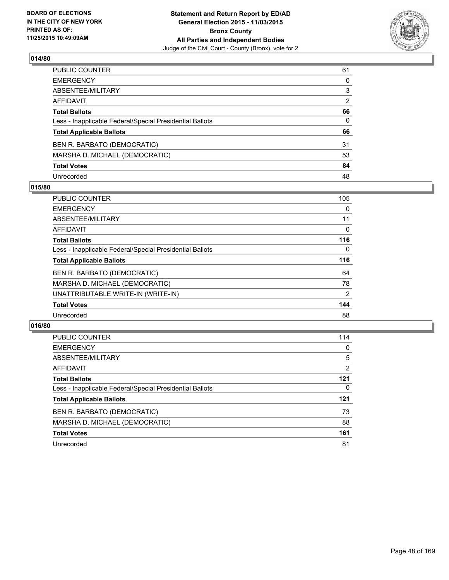

| PUBLIC COUNTER                                           | 61           |
|----------------------------------------------------------|--------------|
| EMERGENCY                                                | $\mathbf{0}$ |
| ABSENTEE/MILITARY                                        | 3            |
| AFFIDAVIT                                                | 2            |
| <b>Total Ballots</b>                                     | 66           |
| Less - Inapplicable Federal/Special Presidential Ballots | $\mathbf{0}$ |
| <b>Total Applicable Ballots</b>                          | 66           |
| BEN R. BARBATO (DEMOCRATIC)                              | 31           |
| MARSHA D. MICHAEL (DEMOCRATIC)                           | 53           |
| <b>Total Votes</b>                                       | 84           |
| Unrecorded                                               | 48           |

#### **015/80**

| <b>PUBLIC COUNTER</b>                                    | 105 |
|----------------------------------------------------------|-----|
| <b>EMERGENCY</b>                                         | 0   |
| ABSENTEE/MILITARY                                        | 11  |
| AFFIDAVIT                                                | 0   |
| <b>Total Ballots</b>                                     | 116 |
| Less - Inapplicable Federal/Special Presidential Ballots | 0   |
| <b>Total Applicable Ballots</b>                          | 116 |
| BEN R. BARBATO (DEMOCRATIC)                              | 64  |
| MARSHA D. MICHAEL (DEMOCRATIC)                           | 78  |
| UNATTRIBUTABLE WRITE-IN (WRITE-IN)                       | 2   |
| <b>Total Votes</b>                                       | 144 |
| Unrecorded                                               | 88  |
|                                                          |     |

| <b>PUBLIC COUNTER</b>                                    | 114 |
|----------------------------------------------------------|-----|
| <b>EMERGENCY</b>                                         | 0   |
| ABSENTEE/MILITARY                                        | 5   |
| AFFIDAVIT                                                | 2   |
| <b>Total Ballots</b>                                     | 121 |
| Less - Inapplicable Federal/Special Presidential Ballots | 0   |
| <b>Total Applicable Ballots</b>                          | 121 |
| BEN R. BARBATO (DEMOCRATIC)                              | 73  |
| MARSHA D. MICHAEL (DEMOCRATIC)                           | 88  |
| <b>Total Votes</b>                                       | 161 |
| Unrecorded                                               | 81  |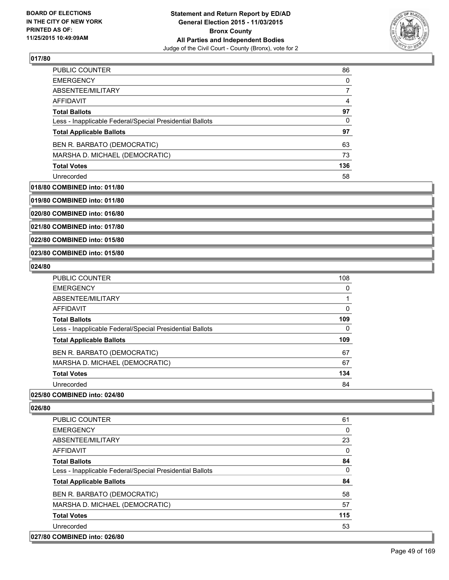

| <b>PUBLIC COUNTER</b>                                    | 86  |
|----------------------------------------------------------|-----|
| <b>EMERGENCY</b>                                         | 0   |
| ABSENTEE/MILITARY                                        |     |
| AFFIDAVIT                                                | 4   |
| <b>Total Ballots</b>                                     | 97  |
| Less - Inapplicable Federal/Special Presidential Ballots | 0   |
| <b>Total Applicable Ballots</b>                          | 97  |
| BEN R. BARBATO (DEMOCRATIC)                              | 63  |
| MARSHA D. MICHAEL (DEMOCRATIC)                           | 73  |
| <b>Total Votes</b>                                       | 136 |
| Unrecorded                                               | 58  |

#### **018/80 COMBINED into: 011/80**

**019/80 COMBINED into: 011/80**

**020/80 COMBINED into: 016/80**

**021/80 COMBINED into: 017/80**

**022/80 COMBINED into: 015/80**

**023/80 COMBINED into: 015/80**

#### **024/80**

| <b>PUBLIC COUNTER</b>                                    | 108      |
|----------------------------------------------------------|----------|
| <b>EMERGENCY</b>                                         | $\Omega$ |
| ABSENTEE/MILITARY                                        |          |
| <b>AFFIDAVIT</b>                                         | 0        |
| <b>Total Ballots</b>                                     | 109      |
| Less - Inapplicable Federal/Special Presidential Ballots | 0        |
| <b>Total Applicable Ballots</b>                          | 109      |
| BEN R. BARBATO (DEMOCRATIC)                              | 67       |
| MARSHA D. MICHAEL (DEMOCRATIC)                           | 67       |
| <b>Total Votes</b>                                       | 134      |
| Unrecorded                                               | 84       |

#### **025/80 COMBINED into: 024/80**

| <b>PUBLIC COUNTER</b>                                    | 61  |
|----------------------------------------------------------|-----|
| <b>EMERGENCY</b>                                         | 0   |
| ABSENTEE/MILITARY                                        | 23  |
| AFFIDAVIT                                                | 0   |
| <b>Total Ballots</b>                                     | 84  |
| Less - Inapplicable Federal/Special Presidential Ballots | 0   |
| <b>Total Applicable Ballots</b>                          | 84  |
| BEN R. BARBATO (DEMOCRATIC)                              | 58  |
| MARSHA D. MICHAEL (DEMOCRATIC)                           | 57  |
| <b>Total Votes</b>                                       | 115 |
| Unrecorded                                               | 53  |
| 027/80 COMBINED into: 026/80                             |     |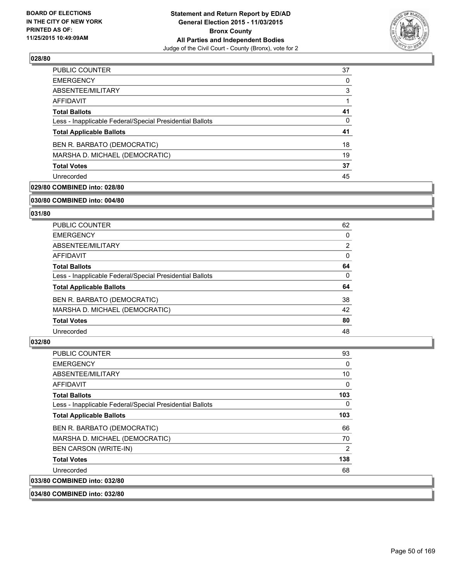

| <b>PUBLIC COUNTER</b>                                    | 37 |
|----------------------------------------------------------|----|
| <b>EMERGENCY</b>                                         | 0  |
| ABSENTEE/MILITARY                                        | 3  |
| AFFIDAVIT                                                |    |
| <b>Total Ballots</b>                                     | 41 |
| Less - Inapplicable Federal/Special Presidential Ballots | 0  |
| <b>Total Applicable Ballots</b>                          | 41 |
| BEN R. BARBATO (DEMOCRATIC)                              | 18 |
| MARSHA D. MICHAEL (DEMOCRATIC)                           | 19 |
| <b>Total Votes</b>                                       | 37 |
| Unrecorded                                               | 45 |

# **029/80 COMBINED into: 028/80**

#### **030/80 COMBINED into: 004/80**

# **031/80**

| <b>PUBLIC COUNTER</b>                                    | 62 |
|----------------------------------------------------------|----|
| <b>EMERGENCY</b>                                         | 0  |
| ABSENTEE/MILITARY                                        | 2  |
| AFFIDAVIT                                                | 0  |
| <b>Total Ballots</b>                                     | 64 |
| Less - Inapplicable Federal/Special Presidential Ballots | 0  |
| <b>Total Applicable Ballots</b>                          | 64 |
| BEN R. BARBATO (DEMOCRATIC)                              | 38 |
| MARSHA D. MICHAEL (DEMOCRATIC)                           | 42 |
| <b>Total Votes</b>                                       | 80 |
| Unrecorded                                               | 48 |

#### **032/80**

**033/80** 

| PUBLIC COUNTER                                           | 93  |
|----------------------------------------------------------|-----|
| <b>EMERGENCY</b>                                         | 0   |
| ABSENTEE/MILITARY                                        | 10  |
| AFFIDAVIT                                                | 0   |
| <b>Total Ballots</b>                                     | 103 |
| Less - Inapplicable Federal/Special Presidential Ballots | 0   |
| <b>Total Applicable Ballots</b>                          | 103 |
| BEN R. BARBATO (DEMOCRATIC)                              | 66  |
| MARSHA D. MICHAEL (DEMOCRATIC)                           | 70  |
| <b>BEN CARSON (WRITE-IN)</b>                             | 2   |
| <b>Total Votes</b>                                       | 138 |
| Unrecorded                                               | 68  |
| <b>COMBINED into: 032/80</b>                             |     |

**034/80 COMBINED into: 032/80**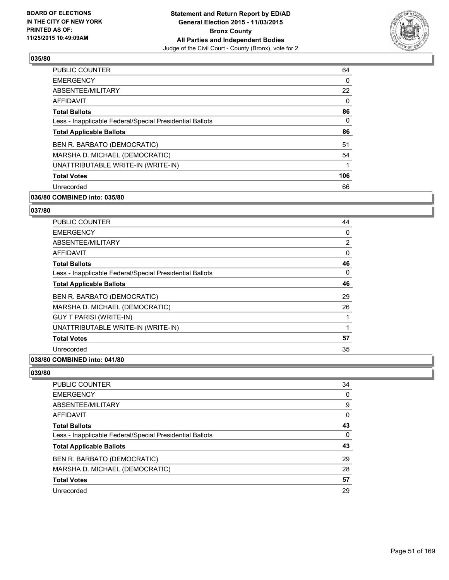

| 64  |
|-----|
| 0   |
| 22  |
| 0   |
| 86  |
| 0   |
| 86  |
| 51  |
| 54  |
| 1   |
| 106 |
| 66  |
|     |

# **036/80 COMBINED into: 035/80**

# **037/80**

| PUBLIC COUNTER                                           | 44 |
|----------------------------------------------------------|----|
| <b>EMERGENCY</b>                                         | 0  |
| ABSENTEE/MILITARY                                        | 2  |
| AFFIDAVIT                                                | 0  |
| <b>Total Ballots</b>                                     | 46 |
| Less - Inapplicable Federal/Special Presidential Ballots | 0  |
| <b>Total Applicable Ballots</b>                          | 46 |
| BEN R. BARBATO (DEMOCRATIC)                              | 29 |
| MARSHA D. MICHAEL (DEMOCRATIC)                           | 26 |
| <b>GUY T PARISI (WRITE-IN)</b>                           |    |
| UNATTRIBUTABLE WRITE-IN (WRITE-IN)                       | 1  |
| <b>Total Votes</b>                                       | 57 |
| Unrecorded                                               | 35 |
|                                                          |    |

### **038/80 COMBINED into: 041/80**

| 34 |
|----|
| 0  |
| 9  |
| 0  |
| 43 |
| 0  |
| 43 |
| 29 |
| 28 |
| 57 |
| 29 |
|    |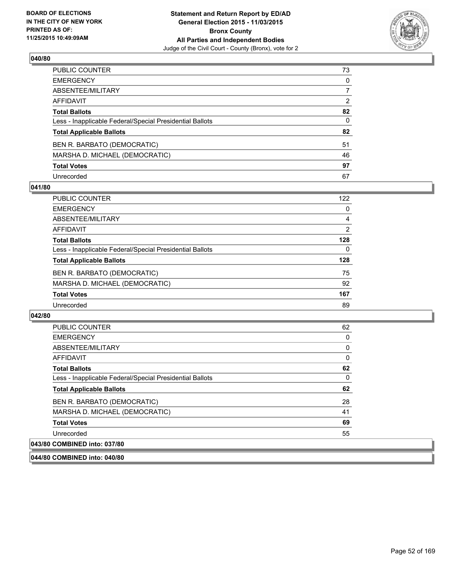

| PUBLIC COUNTER                                           | 73           |
|----------------------------------------------------------|--------------|
| EMERGENCY                                                | $\mathbf{0}$ |
| ABSENTEE/MILITARY                                        | 7            |
| AFFIDAVIT                                                | 2            |
| <b>Total Ballots</b>                                     | 82           |
| Less - Inapplicable Federal/Special Presidential Ballots | $\mathbf{0}$ |
| <b>Total Applicable Ballots</b>                          | 82           |
| BEN R. BARBATO (DEMOCRATIC)                              | 51           |
| MARSHA D. MICHAEL (DEMOCRATIC)                           | 46           |
| <b>Total Votes</b>                                       | 97           |
| Unrecorded                                               | 67           |

#### **041/80**

| <b>PUBLIC COUNTER</b>                                    | 122 |
|----------------------------------------------------------|-----|
| <b>EMERGENCY</b>                                         | 0   |
| ABSENTEE/MILITARY                                        | 4   |
| AFFIDAVIT                                                | 2   |
| <b>Total Ballots</b>                                     | 128 |
| Less - Inapplicable Federal/Special Presidential Ballots | 0   |
| <b>Total Applicable Ballots</b>                          | 128 |
| BEN R. BARBATO (DEMOCRATIC)                              | 75  |
| MARSHA D. MICHAEL (DEMOCRATIC)                           | 92  |
| <b>Total Votes</b>                                       | 167 |
| Unrecorded                                               | 89  |

#### **042/80**

| <b>PUBLIC COUNTER</b>                                    | 62 |
|----------------------------------------------------------|----|
| <b>EMERGENCY</b>                                         | 0  |
|                                                          |    |
| ABSENTEE/MILITARY                                        | 0  |
| <b>AFFIDAVIT</b>                                         | 0  |
| <b>Total Ballots</b>                                     | 62 |
| Less - Inapplicable Federal/Special Presidential Ballots | 0  |
| <b>Total Applicable Ballots</b>                          | 62 |
| BEN R. BARBATO (DEMOCRATIC)                              | 28 |
| MARSHA D. MICHAEL (DEMOCRATIC)                           | 41 |
| <b>Total Votes</b>                                       | 69 |
| Unrecorded                                               | 55 |
| 043/80 COMBINED into: 037/80                             |    |

**044/80 COMBINED into: 040/80**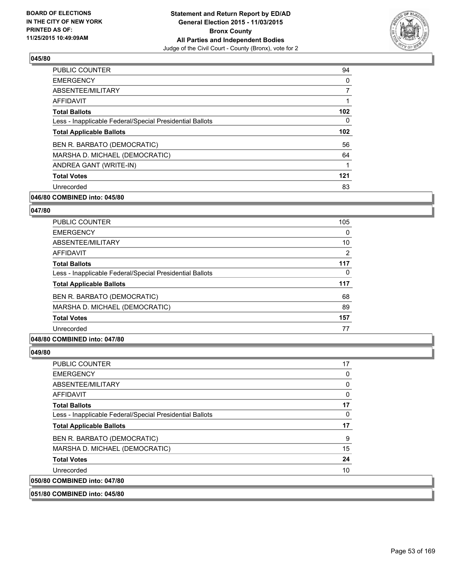

| <b>PUBLIC COUNTER</b>                                    | 94               |
|----------------------------------------------------------|------------------|
| <b>EMERGENCY</b>                                         | 0                |
| ABSENTEE/MILITARY                                        | 7                |
| <b>AFFIDAVIT</b>                                         |                  |
| <b>Total Ballots</b>                                     | 102 <sub>2</sub> |
| Less - Inapplicable Federal/Special Presidential Ballots | 0                |
| <b>Total Applicable Ballots</b>                          | 102 <sub>2</sub> |
| BEN R. BARBATO (DEMOCRATIC)                              | 56               |
| MARSHA D. MICHAEL (DEMOCRATIC)                           | 64               |
| ANDREA GANT (WRITE-IN)                                   |                  |
| <b>Total Votes</b>                                       | 121              |
| Unrecorded                                               | 83               |

## **046/80 COMBINED into: 045/80**

#### **047/80**

| <b>PUBLIC COUNTER</b>                                    | 105            |
|----------------------------------------------------------|----------------|
| <b>EMERGENCY</b>                                         | 0              |
| ABSENTEE/MILITARY                                        | 10             |
| <b>AFFIDAVIT</b>                                         | $\overline{2}$ |
| <b>Total Ballots</b>                                     | 117            |
| Less - Inapplicable Federal/Special Presidential Ballots | 0              |
| <b>Total Applicable Ballots</b>                          | 117            |
| BEN R. BARBATO (DEMOCRATIC)                              | 68             |
| MARSHA D. MICHAEL (DEMOCRATIC)                           | 89             |
| <b>Total Votes</b>                                       | 157            |
| Unrecorded                                               | 77             |

#### **048/80 COMBINED into: 047/80**

#### **049/80**

| <b>PUBLIC COUNTER</b>                                    | 17 |
|----------------------------------------------------------|----|
| <b>EMERGENCY</b>                                         | 0  |
| ABSENTEE/MILITARY                                        | 0  |
| <b>AFFIDAVIT</b>                                         | 0  |
| <b>Total Ballots</b>                                     | 17 |
| Less - Inapplicable Federal/Special Presidential Ballots | 0  |
| <b>Total Applicable Ballots</b>                          | 17 |
| BEN R. BARBATO (DEMOCRATIC)                              | 9  |
| MARSHA D. MICHAEL (DEMOCRATIC)                           | 15 |
| <b>Total Votes</b>                                       | 24 |
| Unrecorded                                               | 10 |
| 050/80 COMBINED into: 047/80                             |    |

**051/80 COMBINED into: 045/80**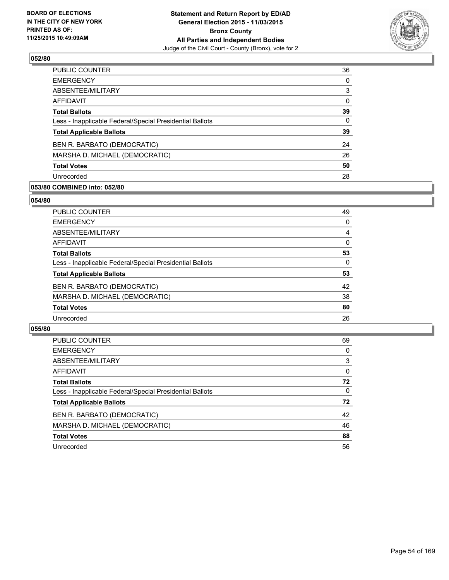

| 36 |
|----|
| 0  |
| 3  |
| 0  |
| 39 |
| 0  |
| 39 |
| 24 |
| 26 |
| 50 |
| 28 |
|    |

## **053/80 COMBINED into: 052/80**

#### **054/80**

| PUBLIC COUNTER                                           | 49       |
|----------------------------------------------------------|----------|
| <b>EMERGENCY</b>                                         | 0        |
| ABSENTEE/MILITARY                                        | 4        |
| <b>AFFIDAVIT</b>                                         | $\Omega$ |
| <b>Total Ballots</b>                                     | 53       |
| Less - Inapplicable Federal/Special Presidential Ballots | 0        |
| <b>Total Applicable Ballots</b>                          | 53       |
| BEN R. BARBATO (DEMOCRATIC)                              | 42       |
| MARSHA D. MICHAEL (DEMOCRATIC)                           | 38       |
| <b>Total Votes</b>                                       | 80       |
| Unrecorded                                               | 26       |
|                                                          |          |

| <b>PUBLIC COUNTER</b>                                    | 69 |
|----------------------------------------------------------|----|
| <b>EMERGENCY</b>                                         | 0  |
| ABSENTEE/MILITARY                                        | 3  |
| AFFIDAVIT                                                | 0  |
| <b>Total Ballots</b>                                     | 72 |
| Less - Inapplicable Federal/Special Presidential Ballots | 0  |
| <b>Total Applicable Ballots</b>                          | 72 |
| BEN R. BARBATO (DEMOCRATIC)                              | 42 |
| MARSHA D. MICHAEL (DEMOCRATIC)                           | 46 |
| <b>Total Votes</b>                                       | 88 |
| Unrecorded                                               | 56 |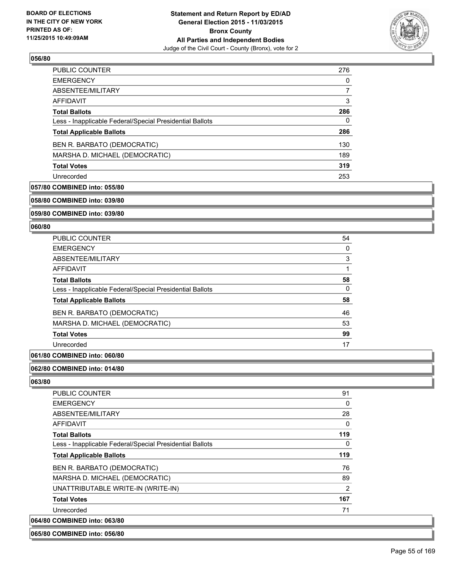

| <b>PUBLIC COUNTER</b>                                    | 276 |
|----------------------------------------------------------|-----|
| <b>EMERGENCY</b>                                         | 0   |
| ABSENTEE/MILITARY                                        | 7   |
| AFFIDAVIT                                                | 3   |
| <b>Total Ballots</b>                                     | 286 |
| Less - Inapplicable Federal/Special Presidential Ballots | 0   |
| <b>Total Applicable Ballots</b>                          | 286 |
| BEN R. BARBATO (DEMOCRATIC)                              | 130 |
| MARSHA D. MICHAEL (DEMOCRATIC)                           | 189 |
| <b>Total Votes</b>                                       | 319 |
| Unrecorded                                               | 253 |

# **057/80 COMBINED into: 055/80**

**058/80 COMBINED into: 039/80**

**059/80 COMBINED into: 039/80**

#### **060/80**

| <b>PUBLIC COUNTER</b>                                    | 54 |
|----------------------------------------------------------|----|
| <b>EMERGENCY</b>                                         | 0  |
| ABSENTEE/MILITARY                                        | 3  |
| AFFIDAVIT                                                |    |
| <b>Total Ballots</b>                                     | 58 |
| Less - Inapplicable Federal/Special Presidential Ballots | 0  |
| <b>Total Applicable Ballots</b>                          | 58 |
| BEN R. BARBATO (DEMOCRATIC)                              | 46 |
| MARSHA D. MICHAEL (DEMOCRATIC)                           | 53 |
| <b>Total Votes</b>                                       | 99 |
| Unrecorded                                               | 17 |

# **061/80 COMBINED into: 060/80**

#### **062/80 COMBINED into: 014/80**

**063/80** 

| <b>PUBLIC COUNTER</b>                                    | 91             |
|----------------------------------------------------------|----------------|
| <b>EMERGENCY</b>                                         | 0              |
| ABSENTEE/MILITARY                                        | 28             |
| <b>AFFIDAVIT</b>                                         | 0              |
| <b>Total Ballots</b>                                     | 119            |
| Less - Inapplicable Federal/Special Presidential Ballots | 0              |
| <b>Total Applicable Ballots</b>                          | 119            |
| BEN R. BARBATO (DEMOCRATIC)                              | 76             |
| MARSHA D. MICHAEL (DEMOCRATIC)                           | 89             |
| UNATTRIBUTABLE WRITE-IN (WRITE-IN)                       | $\overline{2}$ |
| <b>Total Votes</b>                                       | 167            |
| Unrecorded                                               | 71             |
| 064/80 COMBINED into: 063/80                             |                |

#### **065/80 COMBINED into: 056/80**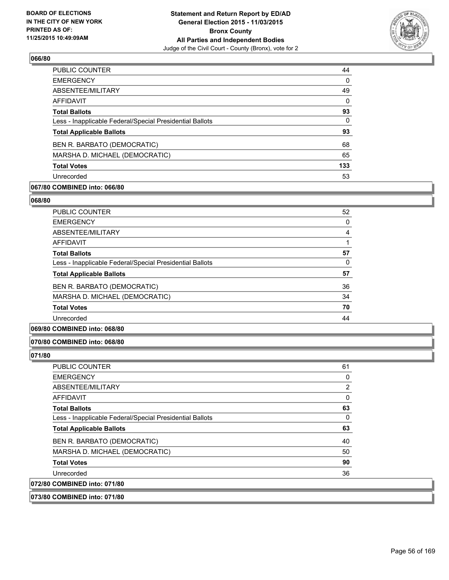

| <b>PUBLIC COUNTER</b>                                    | 44  |
|----------------------------------------------------------|-----|
| <b>EMERGENCY</b>                                         | 0   |
| ABSENTEE/MILITARY                                        | 49  |
| AFFIDAVIT                                                | 0   |
| <b>Total Ballots</b>                                     | 93  |
| Less - Inapplicable Federal/Special Presidential Ballots | 0   |
| <b>Total Applicable Ballots</b>                          | 93  |
| BEN R. BARBATO (DEMOCRATIC)                              | 68  |
| MARSHA D. MICHAEL (DEMOCRATIC)                           | 65  |
| <b>Total Votes</b>                                       | 133 |
| Unrecorded                                               | 53  |

# **067/80 COMBINED into: 066/80**

#### **068/80**

| <b>PUBLIC COUNTER</b>                                    | 52 |
|----------------------------------------------------------|----|
| <b>EMERGENCY</b>                                         | 0  |
| ABSENTEE/MILITARY                                        | 4  |
| <b>AFFIDAVIT</b>                                         |    |
| <b>Total Ballots</b>                                     | 57 |
| Less - Inapplicable Federal/Special Presidential Ballots | 0  |
| <b>Total Applicable Ballots</b>                          | 57 |
| BEN R. BARBATO (DEMOCRATIC)                              | 36 |
| MARSHA D. MICHAEL (DEMOCRATIC)                           | 34 |
| <b>Total Votes</b>                                       | 70 |
| Unrecorded                                               | 44 |
|                                                          |    |

# **069/80 COMBINED into: 068/80**

#### **070/80 COMBINED into: 068/80**

#### **071/80**

| <b>PUBLIC COUNTER</b>                                    | 61             |
|----------------------------------------------------------|----------------|
| <b>EMERGENCY</b>                                         | 0              |
| ABSENTEE/MILITARY                                        | $\overline{2}$ |
| <b>AFFIDAVIT</b>                                         | 0              |
| <b>Total Ballots</b>                                     | 63             |
| Less - Inapplicable Federal/Special Presidential Ballots | 0              |
| <b>Total Applicable Ballots</b>                          | 63             |
| BEN R. BARBATO (DEMOCRATIC)                              | 40             |
| MARSHA D. MICHAEL (DEMOCRATIC)                           | 50             |
| <b>Total Votes</b>                                       | 90             |
| Unrecorded                                               | 36             |
| 072/80 COMBINED into: 071/80                             |                |

#### **073/80 COMBINED into: 071/80**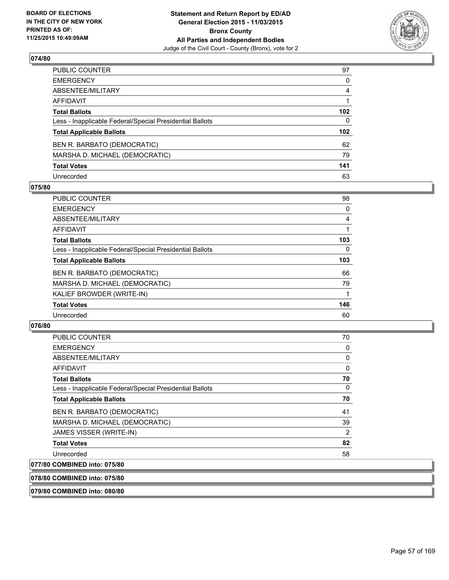

| PUBLIC COUNTER                                           | 97               |
|----------------------------------------------------------|------------------|
| EMERGENCY                                                | 0                |
| ABSENTEE/MILITARY                                        | 4                |
| AFFIDAVIT                                                |                  |
| Total Ballots                                            | 102 <sub>2</sub> |
| Less - Inapplicable Federal/Special Presidential Ballots | $\mathbf{0}$     |
| <b>Total Applicable Ballots</b>                          | 102 <sub>2</sub> |
| BEN R. BARBATO (DEMOCRATIC)                              | 62               |
| MARSHA D. MICHAEL (DEMOCRATIC)                           | 79               |
| <b>Total Votes</b>                                       | 141              |
| Unrecorded                                               | 63               |

#### **075/80**

| PUBLIC COUNTER                                           | 98  |
|----------------------------------------------------------|-----|
| <b>EMERGENCY</b>                                         | 0   |
| ABSENTEE/MILITARY                                        | 4   |
| AFFIDAVIT                                                |     |
| <b>Total Ballots</b>                                     | 103 |
| Less - Inapplicable Federal/Special Presidential Ballots | 0   |
| <b>Total Applicable Ballots</b>                          | 103 |
| BEN R. BARBATO (DEMOCRATIC)                              | 66  |
| MARSHA D. MICHAEL (DEMOCRATIC)                           | 79  |
| KALIEF BROWDER (WRITE-IN)                                |     |
| <b>Total Votes</b>                                       | 146 |
| Unrecorded                                               | 60  |
|                                                          |     |

# **076/80**

| <b>PUBLIC COUNTER</b>                                    | 70             |
|----------------------------------------------------------|----------------|
| <b>EMERGENCY</b>                                         | 0              |
| ABSENTEE/MILITARY                                        | 0              |
| <b>AFFIDAVIT</b>                                         | 0              |
| <b>Total Ballots</b>                                     | 70             |
| Less - Inapplicable Federal/Special Presidential Ballots | $\Omega$       |
| <b>Total Applicable Ballots</b>                          | 70             |
| BEN R. BARBATO (DEMOCRATIC)                              | 41             |
| MARSHA D. MICHAEL (DEMOCRATIC)                           | 39             |
| <b>JAMES VISSER (WRITE-IN)</b>                           | $\overline{2}$ |
| <b>Total Votes</b>                                       | 82             |
| Unrecorded                                               | 58             |
| 077/80 COMBINED into: 075/80                             |                |

# **078/80 COMBINED into: 075/80**

**079/80 COMBINED into: 080/80**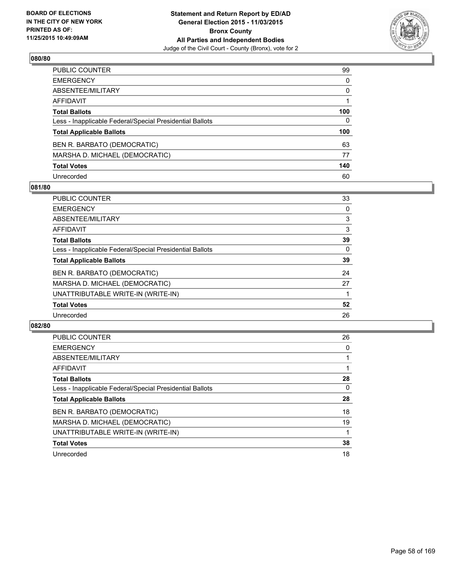

| PUBLIC COUNTER                                           | 99  |
|----------------------------------------------------------|-----|
| EMERGENCY                                                | 0   |
| ABSENTEE/MILITARY                                        | 0   |
| AFFIDAVIT                                                |     |
| <b>Total Ballots</b>                                     | 100 |
| Less - Inapplicable Federal/Special Presidential Ballots | 0   |
| <b>Total Applicable Ballots</b>                          | 100 |
| BEN R. BARBATO (DEMOCRATIC)                              | 63  |
| MARSHA D. MICHAEL (DEMOCRATIC)                           | 77  |
| <b>Total Votes</b>                                       | 140 |
| Unrecorded                                               | 60  |

#### **081/80**

| PUBLIC COUNTER                                           | 33 |
|----------------------------------------------------------|----|
| <b>EMERGENCY</b>                                         | 0  |
| ABSENTEE/MILITARY                                        | 3  |
| AFFIDAVIT                                                | 3  |
| <b>Total Ballots</b>                                     | 39 |
| Less - Inapplicable Federal/Special Presidential Ballots | 0  |
| <b>Total Applicable Ballots</b>                          | 39 |
| BEN R. BARBATO (DEMOCRATIC)                              | 24 |
| MARSHA D. MICHAEL (DEMOCRATIC)                           | 27 |
| UNATTRIBUTABLE WRITE-IN (WRITE-IN)                       |    |
| <b>Total Votes</b>                                       | 52 |
| Unrecorded                                               | 26 |
|                                                          |    |

| <b>PUBLIC COUNTER</b>                                    | 26 |
|----------------------------------------------------------|----|
| <b>EMERGENCY</b>                                         | 0  |
| ABSENTEE/MILITARY                                        |    |
| <b>AFFIDAVIT</b>                                         |    |
| <b>Total Ballots</b>                                     | 28 |
| Less - Inapplicable Federal/Special Presidential Ballots | 0  |
| <b>Total Applicable Ballots</b>                          | 28 |
| BEN R. BARBATO (DEMOCRATIC)                              | 18 |
| MARSHA D. MICHAEL (DEMOCRATIC)                           | 19 |
| UNATTRIBUTABLE WRITE-IN (WRITE-IN)                       |    |
| <b>Total Votes</b>                                       | 38 |
| Unrecorded                                               | 18 |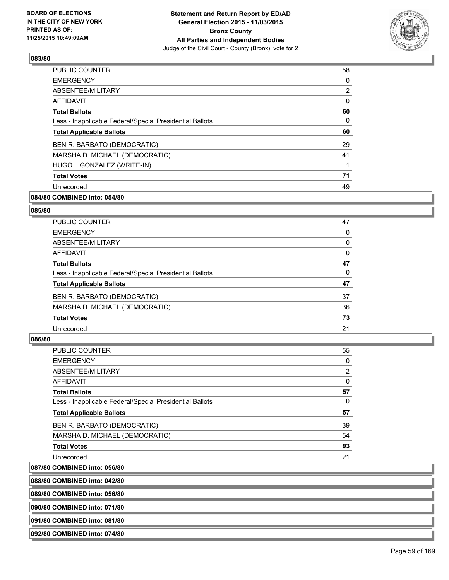

| <b>PUBLIC COUNTER</b>                                    | 58             |
|----------------------------------------------------------|----------------|
| <b>EMERGENCY</b>                                         | 0              |
| ABSENTEE/MILITARY                                        | $\overline{2}$ |
| <b>AFFIDAVIT</b>                                         | 0              |
| <b>Total Ballots</b>                                     | 60             |
| Less - Inapplicable Federal/Special Presidential Ballots | 0              |
| <b>Total Applicable Ballots</b>                          | 60             |
| BEN R. BARBATO (DEMOCRATIC)                              | 29             |
| MARSHA D. MICHAEL (DEMOCRATIC)                           | 41             |
| HUGO L GONZALEZ (WRITE-IN)                               |                |
| <b>Total Votes</b>                                       | 71             |
| Unrecorded                                               | 49             |

# **084/80 COMBINED into: 054/80**

#### **085/80**

| <b>PUBLIC COUNTER</b>                                    | 47 |
|----------------------------------------------------------|----|
| <b>EMERGENCY</b>                                         | 0  |
| ABSENTEE/MILITARY                                        | 0  |
| AFFIDAVIT                                                | 0  |
| <b>Total Ballots</b>                                     | 47 |
| Less - Inapplicable Federal/Special Presidential Ballots | 0  |
| <b>Total Applicable Ballots</b>                          | 47 |
| BEN R. BARBATO (DEMOCRATIC)                              | 37 |
| MARSHA D. MICHAEL (DEMOCRATIC)                           | 36 |
| <b>Total Votes</b>                                       | 73 |
| Unrecorded                                               | 21 |

# **086/80**

| PUBLIC COUNTER                                           | 55 |
|----------------------------------------------------------|----|
| <b>EMERGENCY</b>                                         | 0  |
| ABSENTEE/MILITARY                                        | 2  |
| AFFIDAVIT                                                | 0  |
| <b>Total Ballots</b>                                     | 57 |
| Less - Inapplicable Federal/Special Presidential Ballots | 0  |
| <b>Total Applicable Ballots</b>                          | 57 |
| BEN R. BARBATO (DEMOCRATIC)                              | 39 |
| MARSHA D. MICHAEL (DEMOCRATIC)                           | 54 |
| <b>Total Votes</b>                                       | 93 |
| Unrecorded                                               | 21 |

# **087/80 COMBINED into: 056/80**

| 088/80 COMBINED into: 042/80 |
|------------------------------|
|                              |
| 089/80 COMBINED into: 056/80 |
|                              |
| 090/80 COMBINED into: 071/80 |
|                              |
| 091/80 COMBINED into: 081/80 |
|                              |
|                              |

**092/80 COMBINED into: 074/80**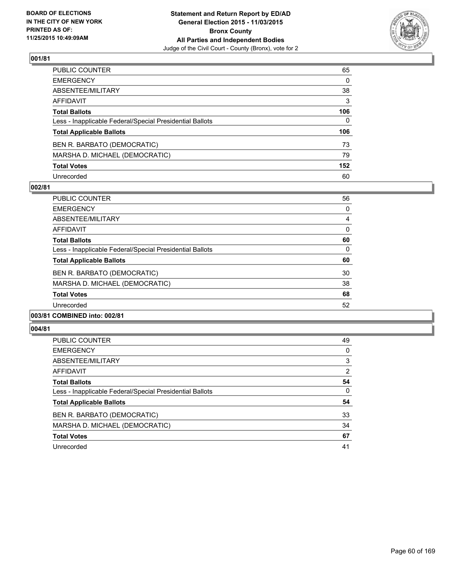

| PUBLIC COUNTER                                           | 65       |
|----------------------------------------------------------|----------|
| EMERGENCY                                                | 0        |
| ABSENTEE/MILITARY                                        | 38       |
| AFFIDAVIT                                                | 3        |
| Total Ballots                                            | 106      |
| Less - Inapplicable Federal/Special Presidential Ballots | $\Omega$ |
| <b>Total Applicable Ballots</b>                          | 106      |
| BEN R. BARBATO (DEMOCRATIC)                              | 73       |
| MARSHA D. MICHAEL (DEMOCRATIC)                           | 79       |
| <b>Total Votes</b>                                       | 152      |
| Unrecorded                                               | 60       |

#### **002/81**

| <b>PUBLIC COUNTER</b>                                    | 56 |
|----------------------------------------------------------|----|
| <b>EMERGENCY</b>                                         | 0  |
| ABSENTEE/MILITARY                                        | 4  |
| AFFIDAVIT                                                | 0  |
| <b>Total Ballots</b>                                     | 60 |
| Less - Inapplicable Federal/Special Presidential Ballots | 0  |
| <b>Total Applicable Ballots</b>                          | 60 |
| BEN R. BARBATO (DEMOCRATIC)                              | 30 |
| MARSHA D. MICHAEL (DEMOCRATIC)                           | 38 |
| <b>Total Votes</b>                                       | 68 |
| Unrecorded                                               | 52 |
|                                                          |    |

# **003/81 COMBINED into: 002/81**

| <b>PUBLIC COUNTER</b>                                    | 49             |
|----------------------------------------------------------|----------------|
| <b>EMERGENCY</b>                                         | 0              |
| ABSENTEE/MILITARY                                        | 3              |
| AFFIDAVIT                                                | $\overline{2}$ |
| <b>Total Ballots</b>                                     | 54             |
| Less - Inapplicable Federal/Special Presidential Ballots | 0              |
| <b>Total Applicable Ballots</b>                          | 54             |
| BEN R. BARBATO (DEMOCRATIC)                              | 33             |
| MARSHA D. MICHAEL (DEMOCRATIC)                           | 34             |
| <b>Total Votes</b>                                       | 67             |
| Unrecorded                                               | 41             |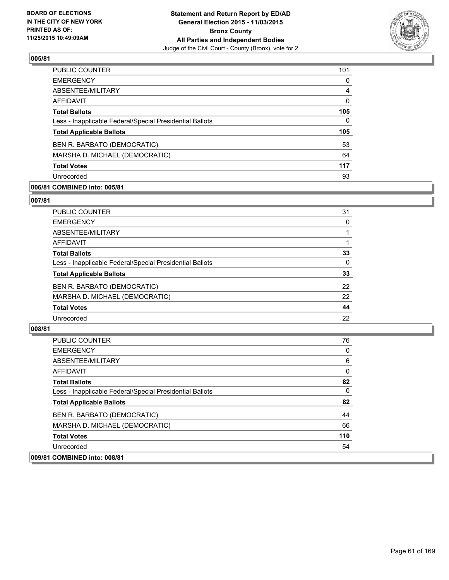

| PUBLIC COUNTER                                           | 101          |
|----------------------------------------------------------|--------------|
| <b>EMERGENCY</b>                                         | $\Omega$     |
| ABSENTEE/MILITARY                                        | 4            |
| AFFIDAVIT                                                | $\mathbf{0}$ |
| <b>Total Ballots</b>                                     | 105          |
| Less - Inapplicable Federal/Special Presidential Ballots | 0            |
| <b>Total Applicable Ballots</b>                          | 105          |
| BEN R. BARBATO (DEMOCRATIC)                              | 53           |
| MARSHA D. MICHAEL (DEMOCRATIC)                           | 64           |
| <b>Total Votes</b>                                       | 117          |
| Unrecorded                                               | 93           |

# **006/81 COMBINED into: 005/81**

#### **007/81**

| PUBLIC COUNTER                                           | 31       |
|----------------------------------------------------------|----------|
| <b>EMERGENCY</b>                                         | 0        |
| ABSENTEE/MILITARY                                        |          |
| <b>AFFIDAVIT</b>                                         |          |
| <b>Total Ballots</b>                                     | 33       |
| Less - Inapplicable Federal/Special Presidential Ballots | $\Omega$ |
| <b>Total Applicable Ballots</b>                          | 33       |
| BEN R. BARBATO (DEMOCRATIC)                              | 22       |
| MARSHA D. MICHAEL (DEMOCRATIC)                           | 22       |
| <b>Total Votes</b>                                       | 44       |
| Unrecorded                                               | 22       |
|                                                          |          |

| <b>PUBLIC COUNTER</b>                                    | 76  |
|----------------------------------------------------------|-----|
| <b>EMERGENCY</b>                                         | 0   |
| ABSENTEE/MILITARY                                        | 6   |
| <b>AFFIDAVIT</b>                                         | 0   |
| <b>Total Ballots</b>                                     | 82  |
| Less - Inapplicable Federal/Special Presidential Ballots | 0   |
| <b>Total Applicable Ballots</b>                          | 82  |
| BEN R. BARBATO (DEMOCRATIC)                              | 44  |
| MARSHA D. MICHAEL (DEMOCRATIC)                           | 66  |
| <b>Total Votes</b>                                       | 110 |
| Unrecorded                                               | 54  |
| 009/81 COMBINED into: 008/81                             |     |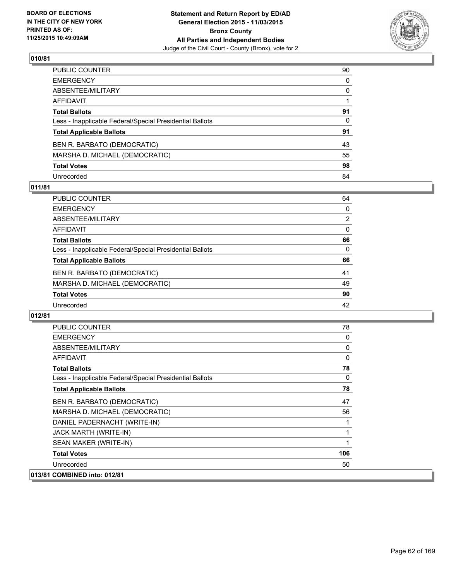

| PUBLIC COUNTER                                           | 90           |
|----------------------------------------------------------|--------------|
| EMERGENCY                                                | 0            |
| ABSENTEE/MILITARY                                        | 0            |
| AFFIDAVIT                                                |              |
| Total Ballots                                            | 91           |
| Less - Inapplicable Federal/Special Presidential Ballots | $\mathbf{0}$ |
| <b>Total Applicable Ballots</b>                          | 91           |
| BEN R. BARBATO (DEMOCRATIC)                              | 43           |
| MARSHA D. MICHAEL (DEMOCRATIC)                           | 55           |
| <b>Total Votes</b>                                       | 98           |
| Unrecorded                                               | 84           |

#### **011/81**

| <b>PUBLIC COUNTER</b>                                    | 64             |
|----------------------------------------------------------|----------------|
| <b>EMERGENCY</b>                                         | $\Omega$       |
| ABSENTEE/MILITARY                                        | $\overline{2}$ |
| <b>AFFIDAVIT</b>                                         | $\Omega$       |
| <b>Total Ballots</b>                                     | 66             |
| Less - Inapplicable Federal/Special Presidential Ballots | $\Omega$       |
| <b>Total Applicable Ballots</b>                          | 66             |
| BEN R. BARBATO (DEMOCRATIC)                              | 41             |
| MARSHA D. MICHAEL (DEMOCRATIC)                           | 49             |
| <b>Total Votes</b>                                       | 90             |
| Unrecorded                                               | 42             |

| <b>PUBLIC COUNTER</b>                                    | 78  |
|----------------------------------------------------------|-----|
| <b>EMERGENCY</b>                                         | 0   |
| ABSENTEE/MILITARY                                        | 0   |
| AFFIDAVIT                                                | 0   |
| <b>Total Ballots</b>                                     | 78  |
| Less - Inapplicable Federal/Special Presidential Ballots | 0   |
| <b>Total Applicable Ballots</b>                          | 78  |
| BEN R. BARBATO (DEMOCRATIC)                              | 47  |
| MARSHA D. MICHAEL (DEMOCRATIC)                           | 56  |
| DANIEL PADERNACHT (WRITE-IN)                             |     |
| JACK MARTH (WRITE-IN)                                    |     |
| SEAN MAKER (WRITE-IN)                                    |     |
| <b>Total Votes</b>                                       | 106 |
| Unrecorded                                               | 50  |
| 013/81 COMBINED into: 012/81                             |     |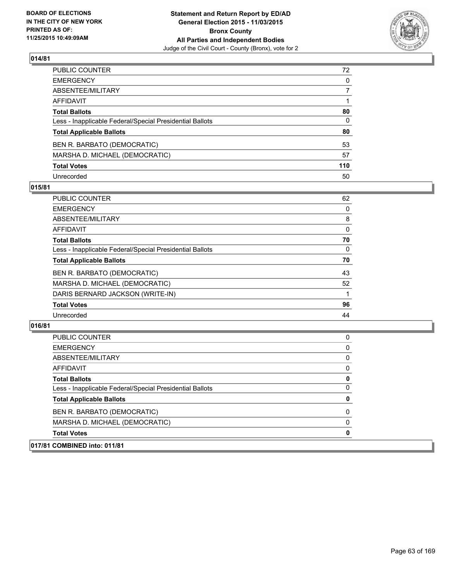

| PUBLIC COUNTER                                           | 72           |
|----------------------------------------------------------|--------------|
| EMERGENCY                                                | $\mathbf{0}$ |
| ABSENTEE/MILITARY                                        | 7            |
| AFFIDAVIT                                                |              |
| <b>Total Ballots</b>                                     | 80           |
| Less - Inapplicable Federal/Special Presidential Ballots | $\mathbf{0}$ |
| <b>Total Applicable Ballots</b>                          | 80           |
| BEN R. BARBATO (DEMOCRATIC)                              | 53           |
| MARSHA D. MICHAEL (DEMOCRATIC)                           | 57           |
| <b>Total Votes</b>                                       | 110          |
| Unrecorded                                               | 50           |

#### **015/81**

| <b>PUBLIC COUNTER</b>                                    | 62 |
|----------------------------------------------------------|----|
| <b>EMERGENCY</b>                                         | 0  |
| ABSENTEE/MILITARY                                        | 8  |
| <b>AFFIDAVIT</b>                                         | 0  |
| <b>Total Ballots</b>                                     | 70 |
| Less - Inapplicable Federal/Special Presidential Ballots | 0  |
| <b>Total Applicable Ballots</b>                          | 70 |
| BEN R. BARBATO (DEMOCRATIC)                              | 43 |
| MARSHA D. MICHAEL (DEMOCRATIC)                           | 52 |
| DARIS BERNARD JACKSON (WRITE-IN)                         |    |
| <b>Total Votes</b>                                       | 96 |
| Unrecorded                                               | 44 |
|                                                          |    |

| 017/81 COMBINED into: 011/81                             |   |
|----------------------------------------------------------|---|
| <b>Total Votes</b>                                       | 0 |
| MARSHA D. MICHAEL (DEMOCRATIC)                           | 0 |
| BEN R. BARBATO (DEMOCRATIC)                              | 0 |
| <b>Total Applicable Ballots</b>                          | 0 |
| Less - Inapplicable Federal/Special Presidential Ballots | 0 |
| <b>Total Ballots</b>                                     | 0 |
| AFFIDAVIT                                                | 0 |
| ABSENTEE/MILITARY                                        | 0 |
| <b>EMERGENCY</b>                                         | 0 |
| <b>PUBLIC COUNTER</b>                                    | 0 |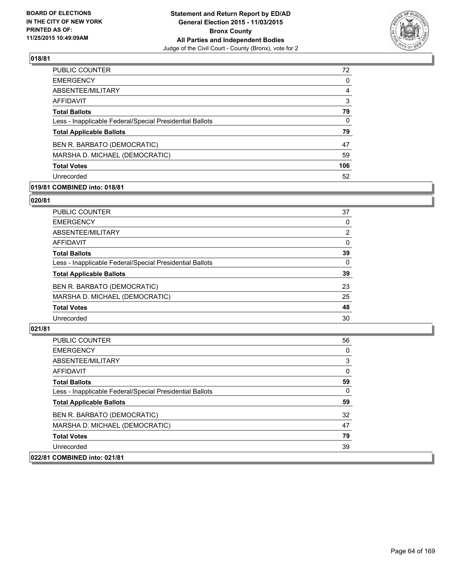

| PUBLIC COUNTER                                           | 72       |
|----------------------------------------------------------|----------|
| <b>EMERGENCY</b>                                         | $\Omega$ |
| ABSENTEE/MILITARY                                        | 4        |
| AFFIDAVIT                                                | 3        |
| <b>Total Ballots</b>                                     | 79       |
| Less - Inapplicable Federal/Special Presidential Ballots | 0        |
| <b>Total Applicable Ballots</b>                          | 79       |
| BEN R. BARBATO (DEMOCRATIC)                              | 47       |
| MARSHA D. MICHAEL (DEMOCRATIC)                           | 59       |
| <b>Total Votes</b>                                       | 106      |
| Unrecorded                                               | 52       |

# **019/81 COMBINED into: 018/81**

#### **020/81**

| PUBLIC COUNTER                                           | 37             |
|----------------------------------------------------------|----------------|
| <b>EMERGENCY</b>                                         | 0              |
| ABSENTEE/MILITARY                                        | $\overline{2}$ |
| <b>AFFIDAVIT</b>                                         | 0              |
| <b>Total Ballots</b>                                     | 39             |
| Less - Inapplicable Federal/Special Presidential Ballots | $\Omega$       |
| <b>Total Applicable Ballots</b>                          | 39             |
| BEN R. BARBATO (DEMOCRATIC)                              | 23             |
| MARSHA D. MICHAEL (DEMOCRATIC)                           | 25             |
| <b>Total Votes</b>                                       | 48             |
| Unrecorded                                               | 30             |
|                                                          |                |

| <b>PUBLIC COUNTER</b>                                    | 56       |
|----------------------------------------------------------|----------|
| <b>EMERGENCY</b>                                         | 0        |
| ABSENTEE/MILITARY                                        | 3        |
| AFFIDAVIT                                                | $\Omega$ |
| <b>Total Ballots</b>                                     | 59       |
| Less - Inapplicable Federal/Special Presidential Ballots | 0        |
| <b>Total Applicable Ballots</b>                          | 59       |
| BEN R. BARBATO (DEMOCRATIC)                              | 32       |
| MARSHA D. MICHAEL (DEMOCRATIC)                           | 47       |
| <b>Total Votes</b>                                       | 79       |
| Unrecorded                                               | 39       |
| 022/81 COMBINED into: 021/81                             |          |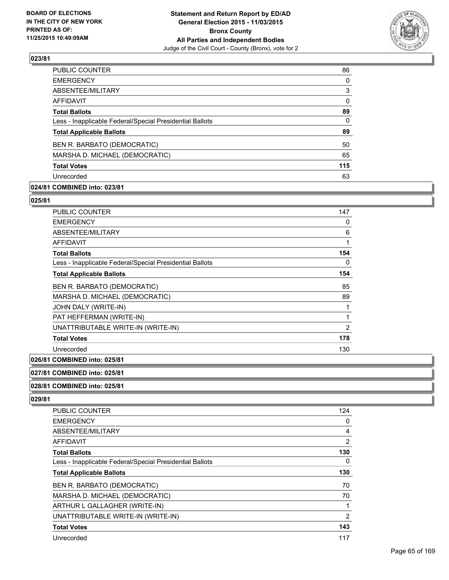

| 86       |
|----------|
| $\Omega$ |
| 3        |
| 0        |
| 89       |
| 0        |
| 89       |
| 50       |
| 65       |
| 115      |
| 63       |
|          |

# **024/81 COMBINED into: 023/81**

**025/81** 

| <b>PUBLIC COUNTER</b>                                    | 147            |
|----------------------------------------------------------|----------------|
| <b>EMERGENCY</b>                                         | 0              |
| ABSENTEE/MILITARY                                        | 6              |
| <b>AFFIDAVIT</b>                                         | 1              |
| <b>Total Ballots</b>                                     | 154            |
| Less - Inapplicable Federal/Special Presidential Ballots | 0              |
| <b>Total Applicable Ballots</b>                          | 154            |
| BEN R. BARBATO (DEMOCRATIC)                              | 85             |
| MARSHA D. MICHAEL (DEMOCRATIC)                           | 89             |
| JOHN DALY (WRITE-IN)                                     | 1              |
| PAT HEFFERMAN (WRITE-IN)                                 | 1              |
| UNATTRIBUTABLE WRITE-IN (WRITE-IN)                       | $\overline{2}$ |
| <b>Total Votes</b>                                       | 178            |
| Unrecorded                                               | 130            |

# **026/81 COMBINED into: 025/81**

#### **027/81 COMBINED into: 025/81**

#### **028/81 COMBINED into: 025/81**

| <b>PUBLIC COUNTER</b>                                    | 124 |
|----------------------------------------------------------|-----|
| <b>EMERGENCY</b>                                         | 0   |
| ABSENTEE/MILITARY                                        | 4   |
| AFFIDAVIT                                                | 2   |
| <b>Total Ballots</b>                                     | 130 |
| Less - Inapplicable Federal/Special Presidential Ballots | 0   |
| <b>Total Applicable Ballots</b>                          | 130 |
| BEN R. BARBATO (DEMOCRATIC)                              | 70  |
| MARSHA D. MICHAEL (DEMOCRATIC)                           | 70  |
| ARTHUR L GALLAGHER (WRITE-IN)                            | 1   |
| UNATTRIBUTABLE WRITE-IN (WRITE-IN)                       | 2   |
| <b>Total Votes</b>                                       | 143 |
| Unrecorded                                               | 117 |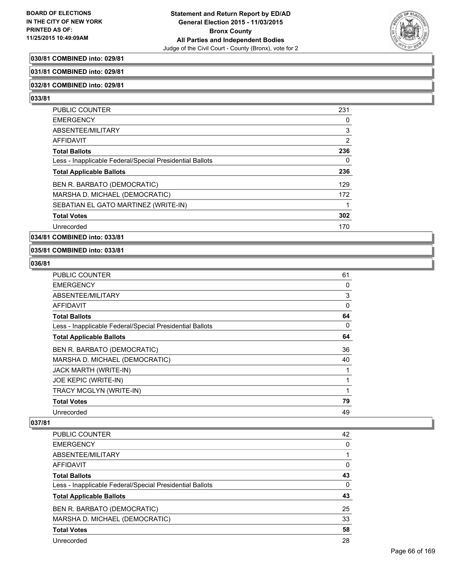

# **030/81 COMBINED into: 029/81**

#### **031/81 COMBINED into: 029/81**

#### **032/81 COMBINED into: 029/81**

**033/81** 

| <b>PUBLIC COUNTER</b>                                    | 231 |
|----------------------------------------------------------|-----|
| <b>EMERGENCY</b>                                         | 0   |
| ABSENTEE/MILITARY                                        | 3   |
| AFFIDAVIT                                                | 2   |
| <b>Total Ballots</b>                                     | 236 |
| Less - Inapplicable Federal/Special Presidential Ballots | 0   |
| <b>Total Applicable Ballots</b>                          | 236 |
| BEN R. BARBATO (DEMOCRATIC)                              | 129 |
| MARSHA D. MICHAEL (DEMOCRATIC)                           | 172 |
| SEBATIAN EL GATO MARTINEZ (WRITE-IN)                     |     |
| <b>Total Votes</b>                                       | 302 |
| Unrecorded                                               | 170 |

### **034/81 COMBINED into: 033/81**

# **035/81 COMBINED into: 033/81**

#### **036/81**

| PUBLIC COUNTER                                           | 61       |
|----------------------------------------------------------|----------|
| <b>EMERGENCY</b>                                         | 0        |
| ABSENTEE/MILITARY                                        | 3        |
| AFFIDAVIT                                                | $\Omega$ |
| <b>Total Ballots</b>                                     | 64       |
| Less - Inapplicable Federal/Special Presidential Ballots | 0        |
| <b>Total Applicable Ballots</b>                          | 64       |
| BEN R. BARBATO (DEMOCRATIC)                              | 36       |
| MARSHA D. MICHAEL (DEMOCRATIC)                           | 40       |
| JACK MARTH (WRITE-IN)                                    |          |
| JOE KEPIC (WRITE-IN)                                     |          |
| TRACY MCGLYN (WRITE-IN)                                  |          |
| <b>Total Votes</b>                                       | 79       |
| Unrecorded                                               | 49       |

| <b>PUBLIC COUNTER</b>                                    | 42 |
|----------------------------------------------------------|----|
| <b>EMERGENCY</b>                                         | 0  |
| ABSENTEE/MILITARY                                        |    |
| AFFIDAVIT                                                | 0  |
| <b>Total Ballots</b>                                     | 43 |
| Less - Inapplicable Federal/Special Presidential Ballots | 0  |
| <b>Total Applicable Ballots</b>                          | 43 |
| BEN R. BARBATO (DEMOCRATIC)                              | 25 |
| MARSHA D. MICHAEL (DEMOCRATIC)                           | 33 |
| <b>Total Votes</b>                                       | 58 |
| Unrecorded                                               | 28 |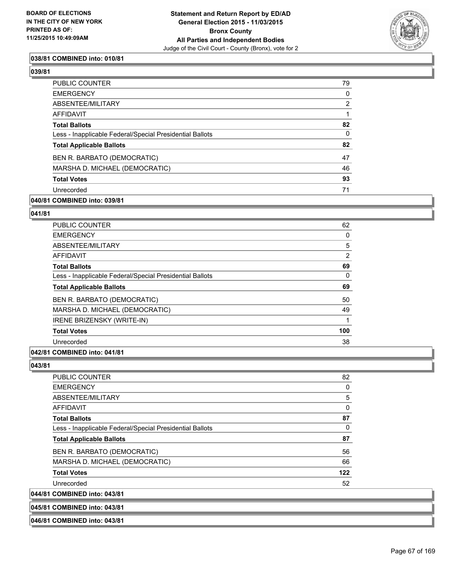

## **038/81 COMBINED into: 010/81**

**039/81** 

| <b>PUBLIC COUNTER</b>                                    | 79             |
|----------------------------------------------------------|----------------|
| <b>EMERGENCY</b>                                         | 0              |
| <b>ABSENTEE/MILITARY</b>                                 | $\overline{2}$ |
| <b>AFFIDAVIT</b>                                         |                |
| <b>Total Ballots</b>                                     | 82             |
| Less - Inapplicable Federal/Special Presidential Ballots | 0              |
| <b>Total Applicable Ballots</b>                          | 82             |
| BEN R. BARBATO (DEMOCRATIC)                              | 47             |
| MARSHA D. MICHAEL (DEMOCRATIC)                           | 46             |
| <b>Total Votes</b>                                       | 93             |
| Unrecorded                                               | 71             |
|                                                          |                |

#### **040/81 COMBINED into: 039/81**

# **041/81**

| <b>PUBLIC COUNTER</b>                                    | 62             |
|----------------------------------------------------------|----------------|
| <b>EMERGENCY</b>                                         | 0              |
| ABSENTEE/MILITARY                                        | 5              |
| <b>AFFIDAVIT</b>                                         | $\overline{2}$ |
| <b>Total Ballots</b>                                     | 69             |
| Less - Inapplicable Federal/Special Presidential Ballots | 0              |
| <b>Total Applicable Ballots</b>                          | 69             |
| BEN R. BARBATO (DEMOCRATIC)                              | 50             |
| MARSHA D. MICHAEL (DEMOCRATIC)                           | 49             |
| <b>IRENE BRIZENSKY (WRITE-IN)</b>                        | 1              |
| <b>Total Votes</b>                                       | 100            |
| Unrecorded                                               | 38             |

## **042/81 COMBINED into: 041/81**

**043/81** 

| <b>PUBLIC COUNTER</b>                                    | 82  |
|----------------------------------------------------------|-----|
| <b>EMERGENCY</b>                                         | 0   |
| ABSENTEE/MILITARY                                        | 5   |
| AFFIDAVIT                                                | 0   |
| <b>Total Ballots</b>                                     | 87  |
| Less - Inapplicable Federal/Special Presidential Ballots | 0   |
| <b>Total Applicable Ballots</b>                          | 87  |
| BEN R. BARBATO (DEMOCRATIC)                              | 56  |
| MARSHA D. MICHAEL (DEMOCRATIC)                           | 66  |
| <b>Total Votes</b>                                       | 122 |
| Unrecorded                                               | 52  |
| 044/81 COMBINED into: 043/81                             |     |

**045/81 COMBINED into: 043/81**

**046/81 COMBINED into: 043/81**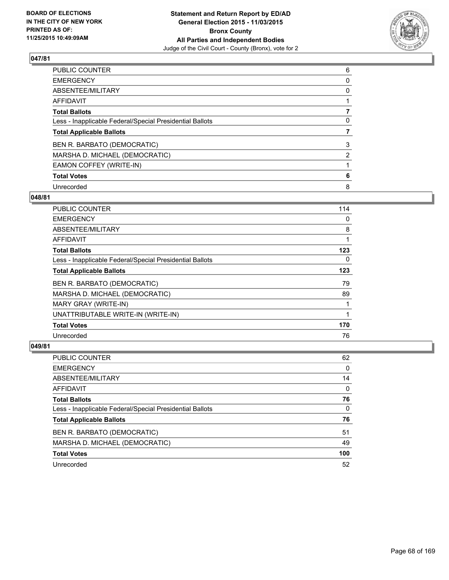

| PUBLIC COUNTER                                           | 6 |
|----------------------------------------------------------|---|
| <b>EMERGENCY</b>                                         | 0 |
| ABSENTEE/MILITARY                                        | 0 |
| AFFIDAVIT                                                |   |
| <b>Total Ballots</b>                                     |   |
| Less - Inapplicable Federal/Special Presidential Ballots | 0 |
| <b>Total Applicable Ballots</b>                          |   |
| BEN R. BARBATO (DEMOCRATIC)                              | 3 |
| MARSHA D. MICHAEL (DEMOCRATIC)                           | 2 |
| EAMON COFFEY (WRITE-IN)                                  |   |
| <b>Total Votes</b>                                       | 6 |
| Unrecorded                                               | 8 |

#### **048/81**

| 114 |
|-----|
| 0   |
| 8   |
| 1   |
| 123 |
| 0   |
| 123 |
| 79  |
| 89  |
|     |
| 1   |
| 170 |
| 76  |
|     |

| <b>PUBLIC COUNTER</b>                                    | 62  |
|----------------------------------------------------------|-----|
| <b>EMERGENCY</b>                                         | 0   |
| ABSENTEE/MILITARY                                        | 14  |
| AFFIDAVIT                                                | 0   |
| <b>Total Ballots</b>                                     | 76  |
| Less - Inapplicable Federal/Special Presidential Ballots | 0   |
| <b>Total Applicable Ballots</b>                          | 76  |
| BEN R. BARBATO (DEMOCRATIC)                              | 51  |
| MARSHA D. MICHAEL (DEMOCRATIC)                           | 49  |
| <b>Total Votes</b>                                       | 100 |
| Unrecorded                                               | 52  |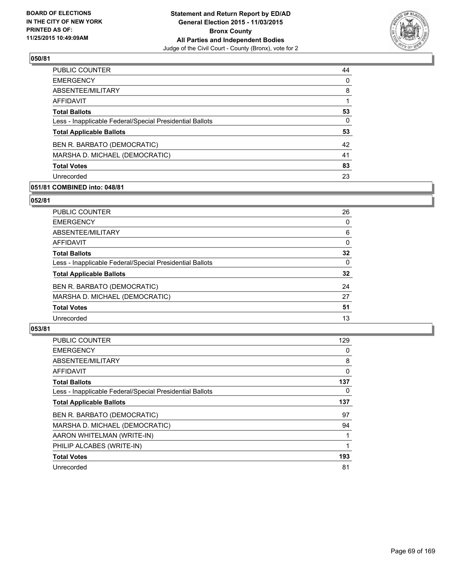

| 44       |
|----------|
| $\Omega$ |
| 8        |
|          |
| 53       |
| 0        |
| 53       |
| 42       |
| 41       |
| 83       |
| 23       |
|          |

# **051/81 COMBINED into: 048/81**

#### **052/81**

| <b>PUBLIC COUNTER</b>                                    | 26 |
|----------------------------------------------------------|----|
| <b>EMERGENCY</b>                                         | 0  |
| ABSENTEE/MILITARY                                        | 6  |
| AFFIDAVIT                                                | 0  |
| <b>Total Ballots</b>                                     | 32 |
| Less - Inapplicable Federal/Special Presidential Ballots | 0  |
| <b>Total Applicable Ballots</b>                          | 32 |
| BEN R. BARBATO (DEMOCRATIC)                              | 24 |
| MARSHA D. MICHAEL (DEMOCRATIC)                           | 27 |
| <b>Total Votes</b>                                       | 51 |
| Unrecorded                                               | 13 |
|                                                          |    |

| PUBLIC COUNTER                                           | 129 |
|----------------------------------------------------------|-----|
| <b>EMERGENCY</b>                                         | 0   |
| ABSENTEE/MILITARY                                        | 8   |
| AFFIDAVIT                                                | 0   |
| <b>Total Ballots</b>                                     | 137 |
| Less - Inapplicable Federal/Special Presidential Ballots | 0   |
| <b>Total Applicable Ballots</b>                          | 137 |
| BEN R. BARBATO (DEMOCRATIC)                              | 97  |
| MARSHA D. MICHAEL (DEMOCRATIC)                           | 94  |
| AARON WHITELMAN (WRITE-IN)                               |     |
| PHILIP ALCABES (WRITE-IN)                                |     |
| <b>Total Votes</b>                                       | 193 |
| Unrecorded                                               | 81  |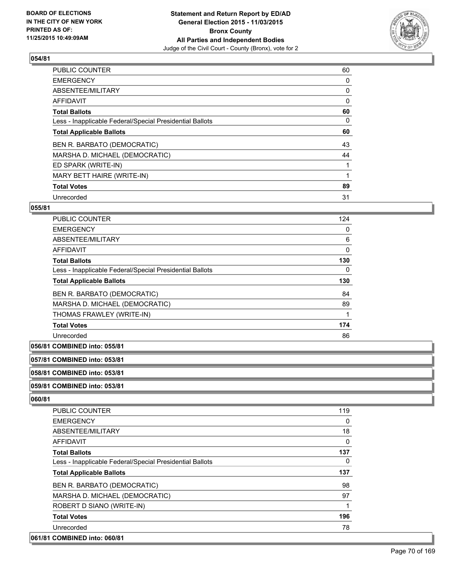

| PUBLIC COUNTER                                           | 60 |
|----------------------------------------------------------|----|
| <b>EMERGENCY</b>                                         | 0  |
| ABSENTEE/MILITARY                                        | 0  |
| <b>AFFIDAVIT</b>                                         | 0  |
| <b>Total Ballots</b>                                     | 60 |
| Less - Inapplicable Federal/Special Presidential Ballots | 0  |
| <b>Total Applicable Ballots</b>                          | 60 |
| BEN R. BARBATO (DEMOCRATIC)                              | 43 |
| MARSHA D. MICHAEL (DEMOCRATIC)                           | 44 |
| ED SPARK (WRITE-IN)                                      |    |
| MARY BETT HAIRE (WRITE-IN)                               |    |
| <b>Total Votes</b>                                       | 89 |
| Unrecorded                                               | 31 |

# **055/81**

| PUBLIC COUNTER                                           | 124 |
|----------------------------------------------------------|-----|
| <b>EMERGENCY</b>                                         | 0   |
| ABSENTEE/MILITARY                                        | 6   |
| <b>AFFIDAVIT</b>                                         | 0   |
| <b>Total Ballots</b>                                     | 130 |
| Less - Inapplicable Federal/Special Presidential Ballots | 0   |
|                                                          |     |
| <b>Total Applicable Ballots</b>                          | 130 |
| BEN R. BARBATO (DEMOCRATIC)                              | 84  |
| MARSHA D. MICHAEL (DEMOCRATIC)                           | 89  |
| THOMAS FRAWLEY (WRITE-IN)                                |     |
| <b>Total Votes</b>                                       | 174 |

# **056/81 COMBINED into: 055/81**

# **057/81 COMBINED into: 053/81**

**058/81 COMBINED into: 053/81**

#### **059/81 COMBINED into: 053/81**

| <b>PUBLIC COUNTER</b>                                    | 119      |
|----------------------------------------------------------|----------|
| <b>EMERGENCY</b>                                         | 0        |
| ABSENTEE/MILITARY                                        | 18       |
| <b>AFFIDAVIT</b>                                         | 0        |
| <b>Total Ballots</b>                                     | 137      |
| Less - Inapplicable Federal/Special Presidential Ballots | $\Omega$ |
| <b>Total Applicable Ballots</b>                          | 137      |
| BEN R. BARBATO (DEMOCRATIC)                              | 98       |
| MARSHA D. MICHAEL (DEMOCRATIC)                           | 97       |
| ROBERT D SIANO (WRITE-IN)                                |          |
| <b>Total Votes</b>                                       | 196      |
| Unrecorded                                               | 78       |
| 061/81 COMBINED into: 060/81                             |          |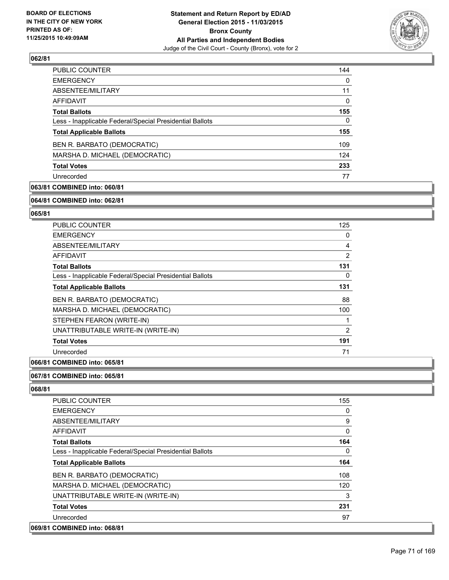

| 144 |
|-----|
| 0   |
| 11  |
| 0   |
| 155 |
| 0   |
| 155 |
| 109 |
| 124 |
| 233 |
| 77  |
|     |

# **063/81 COMBINED into: 060/81**

#### **064/81 COMBINED into: 062/81**

# **065/81**

| 0              |
|----------------|
| 4              |
| 2              |
| 131            |
| 0              |
| 131            |
| 88             |
| 100            |
| 1              |
| $\overline{2}$ |
| 191            |
| 71             |
|                |

# **066/81 COMBINED into: 065/81**

# **067/81 COMBINED into: 065/81**

| <b>PUBLIC COUNTER</b>                                    | 155 |
|----------------------------------------------------------|-----|
| <b>EMERGENCY</b>                                         | 0   |
| ABSENTEE/MILITARY                                        | 9   |
| <b>AFFIDAVIT</b>                                         | 0   |
| <b>Total Ballots</b>                                     | 164 |
| Less - Inapplicable Federal/Special Presidential Ballots | 0   |
| <b>Total Applicable Ballots</b>                          | 164 |
| BEN R. BARBATO (DEMOCRATIC)                              | 108 |
| MARSHA D. MICHAEL (DEMOCRATIC)                           | 120 |
| UNATTRIBUTABLE WRITE-IN (WRITE-IN)                       | 3   |
| <b>Total Votes</b>                                       | 231 |
| Unrecorded                                               | 97  |
| 069/81 COMBINED into: 068/81                             |     |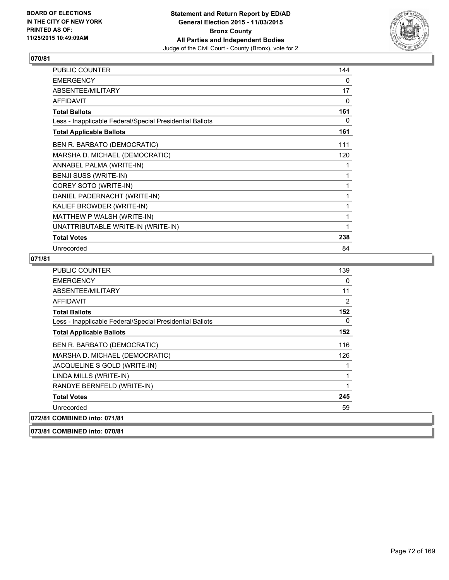

| PUBLIC COUNTER                                           | 144 |
|----------------------------------------------------------|-----|
| <b>EMERGENCY</b>                                         | 0   |
| ABSENTEE/MILITARY                                        | 17  |
| <b>AFFIDAVIT</b>                                         | 0   |
| <b>Total Ballots</b>                                     | 161 |
| Less - Inapplicable Federal/Special Presidential Ballots | 0   |
| <b>Total Applicable Ballots</b>                          | 161 |
| BEN R. BARBATO (DEMOCRATIC)                              | 111 |
| MARSHA D. MICHAEL (DEMOCRATIC)                           | 120 |
| ANNABEL PALMA (WRITE-IN)                                 | 1   |
| BENJI SUSS (WRITE-IN)                                    | 1   |
| COREY SOTO (WRITE-IN)                                    | 1   |
| DANIEL PADERNACHT (WRITE-IN)                             | 1   |
| KALIEF BROWDER (WRITE-IN)                                | 1   |
| MATTHEW P WALSH (WRITE-IN)                               | 1   |
| UNATTRIBUTABLE WRITE-IN (WRITE-IN)                       | 1   |
| <b>Total Votes</b>                                       | 238 |
| Unrecorded                                               | 84  |

# **071/81**

| <b>PUBLIC COUNTER</b>                                    | 139 |
|----------------------------------------------------------|-----|
| <b>EMERGENCY</b>                                         | 0   |
| ABSENTEE/MILITARY                                        | 11  |
| <b>AFFIDAVIT</b>                                         | 2   |
| <b>Total Ballots</b>                                     | 152 |
| Less - Inapplicable Federal/Special Presidential Ballots | 0   |
| <b>Total Applicable Ballots</b>                          | 152 |
| BEN R. BARBATO (DEMOCRATIC)                              | 116 |
| MARSHA D. MICHAEL (DEMOCRATIC)                           | 126 |
| JACQUELINE S GOLD (WRITE-IN)                             | 1   |
| LINDA MILLS (WRITE-IN)                                   | 1   |
| RANDYE BERNFELD (WRITE-IN)                               | 1   |
| <b>Total Votes</b>                                       | 245 |
| Unrecorded                                               | 59  |
| 072/81 COMBINED into: 071/81                             |     |

**073/81 COMBINED into: 070/81**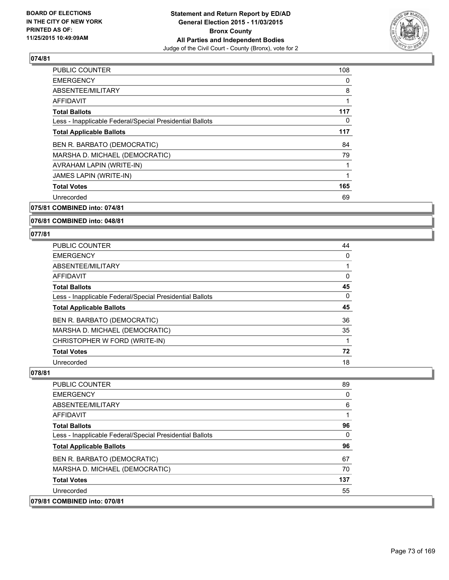

| <b>PUBLIC COUNTER</b>                                    | 108 |
|----------------------------------------------------------|-----|
| <b>EMERGENCY</b>                                         | 0   |
| ABSENTEE/MILITARY                                        | 8   |
| AFFIDAVIT                                                | 1   |
| <b>Total Ballots</b>                                     | 117 |
| Less - Inapplicable Federal/Special Presidential Ballots | 0   |
| <b>Total Applicable Ballots</b>                          | 117 |
| BEN R. BARBATO (DEMOCRATIC)                              | 84  |
| MARSHA D. MICHAEL (DEMOCRATIC)                           | 79  |
| AVRAHAM LAPIN (WRITE-IN)                                 |     |
| <b>JAMES LAPIN (WRITE-IN)</b>                            |     |
| <b>Total Votes</b>                                       | 165 |
| Unrecorded                                               | 69  |
|                                                          |     |

**075/81 COMBINED into: 074/81**

#### **076/81 COMBINED into: 048/81**

#### **077/81**

| <b>PUBLIC COUNTER</b>                                    | 44 |
|----------------------------------------------------------|----|
| <b>EMERGENCY</b>                                         | 0  |
| ABSENTEE/MILITARY                                        |    |
| AFFIDAVIT                                                | 0  |
| <b>Total Ballots</b>                                     | 45 |
| Less - Inapplicable Federal/Special Presidential Ballots | 0  |
| <b>Total Applicable Ballots</b>                          | 45 |
| BEN R. BARBATO (DEMOCRATIC)                              | 36 |
| MARSHA D. MICHAEL (DEMOCRATIC)                           | 35 |
| CHRISTOPHER W FORD (WRITE-IN)                            |    |
| <b>Total Votes</b>                                       | 72 |
| Unrecorded                                               | 18 |

**078/81** 

| <b>PUBLIC COUNTER</b>                                    | 89  |
|----------------------------------------------------------|-----|
| EMERGENCY                                                | 0   |
| ABSENTEE/MILITARY                                        | 6   |
| AFFIDAVIT                                                | 1   |
| <b>Total Ballots</b>                                     | 96  |
| Less - Inapplicable Federal/Special Presidential Ballots | 0   |
| <b>Total Applicable Ballots</b>                          | 96  |
|                                                          |     |
| BEN R. BARBATO (DEMOCRATIC)                              | 67  |
| MARSHA D. MICHAEL (DEMOCRATIC)                           | 70  |
| <b>Total Votes</b>                                       | 137 |
| Unrecorded                                               | 55  |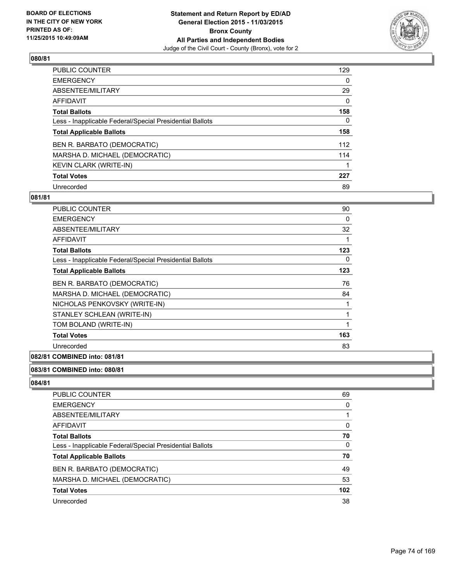

| PUBLIC COUNTER                                           | 129      |
|----------------------------------------------------------|----------|
| <b>EMERGENCY</b>                                         | 0        |
| ABSENTEE/MILITARY                                        | 29       |
| AFFIDAVIT                                                | $\Omega$ |
| <b>Total Ballots</b>                                     | 158      |
| Less - Inapplicable Federal/Special Presidential Ballots | 0        |
| <b>Total Applicable Ballots</b>                          | 158      |
| BEN R. BARBATO (DEMOCRATIC)                              | 112      |
| MARSHA D. MICHAEL (DEMOCRATIC)                           | 114      |
| <b>KEVIN CLARK (WRITE-IN)</b>                            |          |
| <b>Total Votes</b>                                       | 227      |
| Unrecorded                                               | 89       |

### **081/81**

| PUBLIC COUNTER                                           | 90  |
|----------------------------------------------------------|-----|
| <b>EMERGENCY</b>                                         | 0   |
| ABSENTEE/MILITARY                                        | 32  |
| AFFIDAVIT                                                | 1   |
| <b>Total Ballots</b>                                     | 123 |
| Less - Inapplicable Federal/Special Presidential Ballots | 0   |
| <b>Total Applicable Ballots</b>                          | 123 |
| BEN R. BARBATO (DEMOCRATIC)                              | 76  |
| MARSHA D. MICHAEL (DEMOCRATIC)                           | 84  |
| NICHOLAS PENKOVSKY (WRITE-IN)                            | 1   |
| STANLEY SCHLEAN (WRITE-IN)                               | 1   |
| TOM BOLAND (WRITE-IN)                                    | 1   |
| <b>Total Votes</b>                                       | 163 |
| Unrecorded                                               | 83  |

## **082/81 COMBINED into: 081/81**

## **083/81 COMBINED into: 080/81**

| <b>PUBLIC COUNTER</b>                                    | 69               |
|----------------------------------------------------------|------------------|
| <b>EMERGENCY</b>                                         | $\Omega$         |
| <b>ABSENTEE/MILITARY</b>                                 |                  |
| <b>AFFIDAVIT</b>                                         | $\Omega$         |
| <b>Total Ballots</b>                                     | 70               |
| Less - Inapplicable Federal/Special Presidential Ballots | $\Omega$         |
| <b>Total Applicable Ballots</b>                          | 70               |
| BEN R. BARBATO (DEMOCRATIC)                              | 49               |
| MARSHA D. MICHAEL (DEMOCRATIC)                           | 53               |
| <b>Total Votes</b>                                       | 102 <sub>2</sub> |
| Unrecorded                                               | 38               |
|                                                          |                  |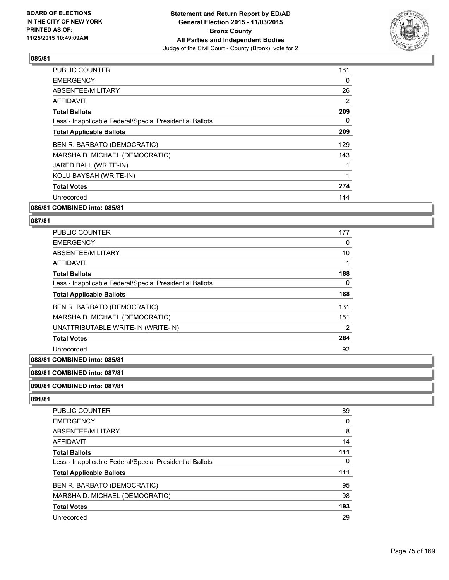

| PUBLIC COUNTER                                           | 181 |
|----------------------------------------------------------|-----|
| <b>EMERGENCY</b>                                         | 0   |
| ABSENTEE/MILITARY                                        | 26  |
| AFFIDAVIT                                                | 2   |
| <b>Total Ballots</b>                                     | 209 |
| Less - Inapplicable Federal/Special Presidential Ballots | 0   |
| <b>Total Applicable Ballots</b>                          | 209 |
| BEN R. BARBATO (DEMOCRATIC)                              | 129 |
| MARSHA D. MICHAEL (DEMOCRATIC)                           | 143 |
| JARED BALL (WRITE-IN)                                    |     |
| KOLU BAYSAH (WRITE-IN)                                   |     |
| <b>Total Votes</b>                                       | 274 |
| Unrecorded                                               | 144 |
|                                                          |     |

## **086/81 COMBINED into: 085/81**

#### **087/81**

| <b>PUBLIC COUNTER</b>                                    | 177 |
|----------------------------------------------------------|-----|
| <b>EMERGENCY</b>                                         | 0   |
| ABSENTEE/MILITARY                                        | 10  |
| <b>AFFIDAVIT</b>                                         |     |
| <b>Total Ballots</b>                                     | 188 |
| Less - Inapplicable Federal/Special Presidential Ballots | 0   |
| <b>Total Applicable Ballots</b>                          | 188 |
| BEN R. BARBATO (DEMOCRATIC)                              | 131 |
| MARSHA D. MICHAEL (DEMOCRATIC)                           | 151 |
| UNATTRIBUTABLE WRITE-IN (WRITE-IN)                       | 2   |
| <b>Total Votes</b>                                       | 284 |
| Unrecorded                                               | 92  |

## **088/81 COMBINED into: 085/81**

#### **089/81 COMBINED into: 087/81**

#### **090/81 COMBINED into: 087/81**

| <b>PUBLIC COUNTER</b>                                    | 89  |
|----------------------------------------------------------|-----|
| <b>EMERGENCY</b>                                         | 0   |
| ABSENTEE/MILITARY                                        | 8   |
| AFFIDAVIT                                                | 14  |
| <b>Total Ballots</b>                                     | 111 |
| Less - Inapplicable Federal/Special Presidential Ballots | 0   |
| <b>Total Applicable Ballots</b>                          | 111 |
| BEN R. BARBATO (DEMOCRATIC)                              | 95  |
| MARSHA D. MICHAEL (DEMOCRATIC)                           | 98  |
| <b>Total Votes</b>                                       | 193 |
| Unrecorded                                               | 29  |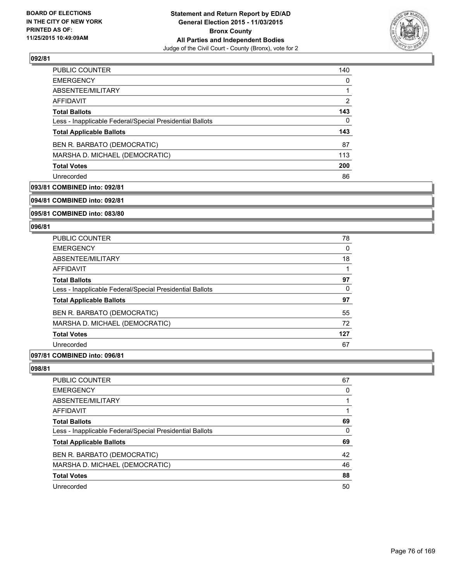

| <b>PUBLIC COUNTER</b>                                    | 140 |
|----------------------------------------------------------|-----|
| <b>EMERGENCY</b>                                         | 0   |
| ABSENTEE/MILITARY                                        | 1   |
| AFFIDAVIT                                                | 2   |
| <b>Total Ballots</b>                                     | 143 |
| Less - Inapplicable Federal/Special Presidential Ballots | 0   |
| <b>Total Applicable Ballots</b>                          | 143 |
| BEN R. BARBATO (DEMOCRATIC)                              | 87  |
| MARSHA D. MICHAEL (DEMOCRATIC)                           | 113 |
| <b>Total Votes</b>                                       | 200 |
| Unrecorded                                               | 86  |

## **093/81 COMBINED into: 092/81**

**094/81 COMBINED into: 092/81**

**095/81 COMBINED into: 083/80**

#### **096/81**

| <b>PUBLIC COUNTER</b>                                    | 78  |
|----------------------------------------------------------|-----|
| <b>EMERGENCY</b>                                         | 0   |
| ABSENTEE/MILITARY                                        | 18  |
| AFFIDAVIT                                                |     |
| <b>Total Ballots</b>                                     | 97  |
| Less - Inapplicable Federal/Special Presidential Ballots | 0   |
| <b>Total Applicable Ballots</b>                          | 97  |
| BEN R. BARBATO (DEMOCRATIC)                              | 55  |
| MARSHA D. MICHAEL (DEMOCRATIC)                           | 72  |
| <b>Total Votes</b>                                       | 127 |
| Unrecorded                                               | 67  |
|                                                          |     |

## **097/81 COMBINED into: 096/81**

| PUBLIC COUNTER                                           | 67 |
|----------------------------------------------------------|----|
| <b>EMERGENCY</b>                                         | 0  |
| ABSENTEE/MILITARY                                        |    |
| <b>AFFIDAVIT</b>                                         |    |
| <b>Total Ballots</b>                                     | 69 |
| Less - Inapplicable Federal/Special Presidential Ballots | 0  |
| <b>Total Applicable Ballots</b>                          | 69 |
| BEN R. BARBATO (DEMOCRATIC)                              | 42 |
| MARSHA D. MICHAEL (DEMOCRATIC)                           | 46 |
| <b>Total Votes</b>                                       | 88 |
| Unrecorded                                               | 50 |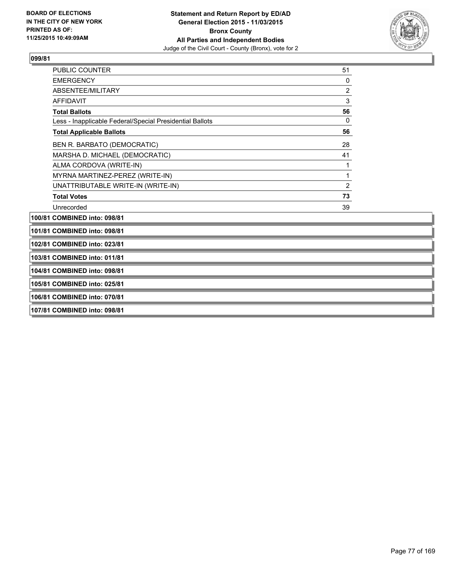

| <b>PUBLIC COUNTER</b>                                    | 51 |
|----------------------------------------------------------|----|
| <b>EMERGENCY</b>                                         | 0  |
| ABSENTEE/MILITARY                                        | 2  |
| AFFIDAVIT                                                | 3  |
| <b>Total Ballots</b>                                     | 56 |
| Less - Inapplicable Federal/Special Presidential Ballots | 0  |
| <b>Total Applicable Ballots</b>                          | 56 |
| BEN R. BARBATO (DEMOCRATIC)                              | 28 |
| MARSHA D. MICHAEL (DEMOCRATIC)                           | 41 |
| ALMA CORDOVA (WRITE-IN)                                  | 1  |
| MYRNA MARTINEZ-PEREZ (WRITE-IN)                          | 1  |
| UNATTRIBUTABLE WRITE-IN (WRITE-IN)                       | 2  |
| <b>Total Votes</b>                                       | 73 |
| Unrecorded                                               | 39 |
| 100/81 COMBINED into: 098/81                             |    |

**101/81 COMBINED into: 098/81**

**102/81 COMBINED into: 023/81**

**103/81 COMBINED into: 011/81**

**104/81 COMBINED into: 098/81**

**105/81 COMBINED into: 025/81**

**106/81 COMBINED into: 070/81**

**107/81 COMBINED into: 098/81**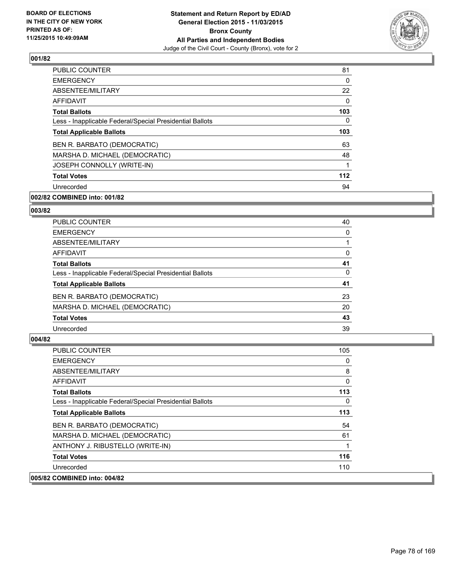

| <b>PUBLIC COUNTER</b>                                    | 81  |
|----------------------------------------------------------|-----|
| <b>EMERGENCY</b>                                         | 0   |
| ABSENTEE/MILITARY                                        | 22  |
| <b>AFFIDAVIT</b>                                         | 0   |
| <b>Total Ballots</b>                                     | 103 |
| Less - Inapplicable Federal/Special Presidential Ballots | 0   |
| <b>Total Applicable Ballots</b>                          | 103 |
| BEN R. BARBATO (DEMOCRATIC)                              | 63  |
| MARSHA D. MICHAEL (DEMOCRATIC)                           | 48  |
| JOSEPH CONNOLLY (WRITE-IN)                               | 1   |
| <b>Total Votes</b>                                       | 112 |
| Unrecorded                                               | 94  |

## **002/82 COMBINED into: 001/82**

#### **003/82**

| <b>PUBLIC COUNTER</b>                                    | 40 |
|----------------------------------------------------------|----|
| <b>EMERGENCY</b>                                         | 0  |
| ABSENTEE/MILITARY                                        |    |
| <b>AFFIDAVIT</b>                                         | 0  |
| <b>Total Ballots</b>                                     | 41 |
| Less - Inapplicable Federal/Special Presidential Ballots | 0  |
| <b>Total Applicable Ballots</b>                          | 41 |
| BEN R. BARBATO (DEMOCRATIC)                              | 23 |
| MARSHA D. MICHAEL (DEMOCRATIC)                           | 20 |
| <b>Total Votes</b>                                       | 43 |
| Unrecorded                                               | 39 |

| <b>PUBLIC COUNTER</b>                                    | 105 |
|----------------------------------------------------------|-----|
| <b>EMERGENCY</b>                                         | 0   |
| ABSENTEE/MILITARY                                        | 8   |
| AFFIDAVIT                                                | 0   |
| <b>Total Ballots</b>                                     | 113 |
| Less - Inapplicable Federal/Special Presidential Ballots | 0   |
| <b>Total Applicable Ballots</b>                          | 113 |
| BEN R. BARBATO (DEMOCRATIC)                              | 54  |
| MARSHA D. MICHAEL (DEMOCRATIC)                           | 61  |
| ANTHONY J. RIBUSTELLO (WRITE-IN)                         |     |
| <b>Total Votes</b>                                       | 116 |
| Unrecorded                                               | 110 |
| 005/82 COMBINED into: 004/82                             |     |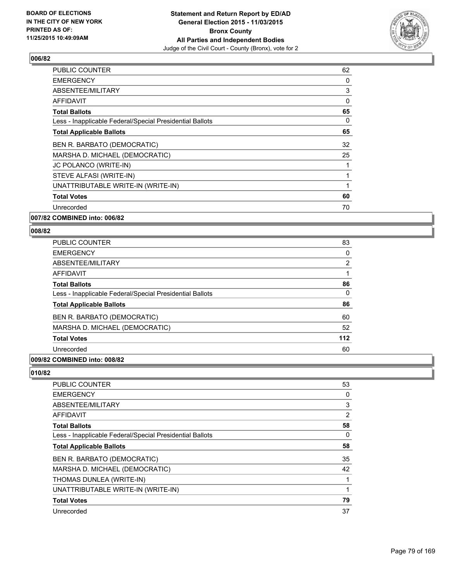

| <b>PUBLIC COUNTER</b>                                    | 62 |
|----------------------------------------------------------|----|
| EMERGENCY                                                | 0  |
| <b>ABSENTEE/MILITARY</b>                                 | 3  |
| AFFIDAVIT                                                | 0  |
| <b>Total Ballots</b>                                     | 65 |
| Less - Inapplicable Federal/Special Presidential Ballots | 0  |
| <b>Total Applicable Ballots</b>                          | 65 |
| BEN R. BARBATO (DEMOCRATIC)                              | 32 |
| MARSHA D. MICHAEL (DEMOCRATIC)                           | 25 |
| JC POLANCO (WRITE-IN)                                    |    |
| STEVE ALFASI (WRITE-IN)                                  |    |
| UNATTRIBUTABLE WRITE-IN (WRITE-IN)                       | 1  |
| <b>Total Votes</b>                                       | 60 |
| Unrecorded                                               | 70 |
|                                                          |    |

**007/82 COMBINED into: 006/82**

### **008/82**

| <b>PUBLIC COUNTER</b>                                    | 83  |
|----------------------------------------------------------|-----|
| <b>EMERGENCY</b>                                         | 0   |
| ABSENTEE/MILITARY                                        | 2   |
| AFFIDAVIT                                                |     |
| <b>Total Ballots</b>                                     | 86  |
| Less - Inapplicable Federal/Special Presidential Ballots | 0   |
| <b>Total Applicable Ballots</b>                          | 86  |
| BEN R. BARBATO (DEMOCRATIC)                              | 60  |
| MARSHA D. MICHAEL (DEMOCRATIC)                           | 52  |
| <b>Total Votes</b>                                       | 112 |
| Unrecorded                                               | 60  |
|                                                          |     |

## **009/82 COMBINED into: 008/82**

| <b>PUBLIC COUNTER</b>                                    | 53 |
|----------------------------------------------------------|----|
| <b>EMERGENCY</b>                                         | 0  |
| ABSENTEE/MILITARY                                        | 3  |
| <b>AFFIDAVIT</b>                                         | 2  |
| <b>Total Ballots</b>                                     | 58 |
| Less - Inapplicable Federal/Special Presidential Ballots | 0  |
| <b>Total Applicable Ballots</b>                          | 58 |
| BEN R. BARBATO (DEMOCRATIC)                              | 35 |
| MARSHA D. MICHAEL (DEMOCRATIC)                           | 42 |
| THOMAS DUNLEA (WRITE-IN)                                 | 1  |
| UNATTRIBUTABLE WRITE-IN (WRITE-IN)                       | 1  |
| <b>Total Votes</b>                                       | 79 |
| Unrecorded                                               | 37 |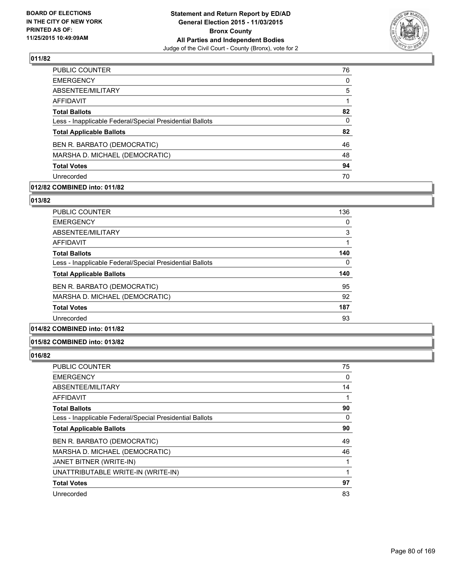

| 76       |
|----------|
| $\Omega$ |
| 5        |
|          |
| 82       |
| 0        |
| 82       |
| 46       |
| 48       |
| 94       |
| 70       |
|          |

## **012/82 COMBINED into: 011/82**

#### **013/82**

| <b>PUBLIC COUNTER</b>                                    | 136 |
|----------------------------------------------------------|-----|
| <b>EMERGENCY</b>                                         | 0   |
| ABSENTEE/MILITARY                                        | 3   |
| AFFIDAVIT                                                |     |
| <b>Total Ballots</b>                                     | 140 |
| Less - Inapplicable Federal/Special Presidential Ballots | 0   |
| <b>Total Applicable Ballots</b>                          | 140 |
| BEN R. BARBATO (DEMOCRATIC)                              | 95  |
| MARSHA D. MICHAEL (DEMOCRATIC)                           | 92  |
| <b>Total Votes</b>                                       | 187 |
| Unrecorded                                               | 93  |
|                                                          |     |

## **014/82 COMBINED into: 011/82**

#### **015/82 COMBINED into: 013/82**

| PUBLIC COUNTER                                           | 75 |
|----------------------------------------------------------|----|
| <b>EMERGENCY</b>                                         | 0  |
| ABSENTEE/MILITARY                                        | 14 |
| AFFIDAVIT                                                | 1  |
| <b>Total Ballots</b>                                     | 90 |
| Less - Inapplicable Federal/Special Presidential Ballots | 0  |
| <b>Total Applicable Ballots</b>                          | 90 |
| BEN R. BARBATO (DEMOCRATIC)                              | 49 |
| MARSHA D. MICHAEL (DEMOCRATIC)                           | 46 |
| JANET BITNER (WRITE-IN)                                  |    |
| UNATTRIBUTABLE WRITE-IN (WRITE-IN)                       | 1  |
| <b>Total Votes</b>                                       | 97 |
| Unrecorded                                               | 83 |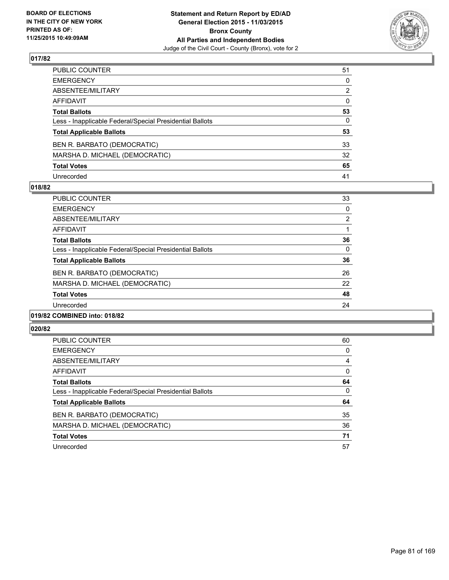

| PUBLIC COUNTER                                           | 51           |
|----------------------------------------------------------|--------------|
| EMERGENCY                                                | $\mathbf{0}$ |
| ABSENTEE/MILITARY                                        | 2            |
| AFFIDAVIT                                                | $\mathbf{0}$ |
| <b>Total Ballots</b>                                     | 53           |
| Less - Inapplicable Federal/Special Presidential Ballots | $\mathbf{0}$ |
| <b>Total Applicable Ballots</b>                          | 53           |
| BEN R. BARBATO (DEMOCRATIC)                              | 33           |
| MARSHA D. MICHAEL (DEMOCRATIC)                           | 32           |
| <b>Total Votes</b>                                       | 65           |
| Unrecorded                                               | 41           |

### **018/82**

| <b>PUBLIC COUNTER</b>                                    | 33 |
|----------------------------------------------------------|----|
| <b>EMERGENCY</b>                                         | 0  |
| ABSENTEE/MILITARY                                        | 2  |
| AFFIDAVIT                                                |    |
| <b>Total Ballots</b>                                     | 36 |
| Less - Inapplicable Federal/Special Presidential Ballots | 0  |
| <b>Total Applicable Ballots</b>                          | 36 |
| BEN R. BARBATO (DEMOCRATIC)                              | 26 |
| MARSHA D. MICHAEL (DEMOCRATIC)                           | 22 |
| <b>Total Votes</b>                                       | 48 |
| Unrecorded                                               | 24 |
|                                                          |    |

## **019/82 COMBINED into: 018/82**

| <b>PUBLIC COUNTER</b>                                    | 60 |
|----------------------------------------------------------|----|
| <b>EMERGENCY</b>                                         | 0  |
| ABSENTEE/MILITARY                                        | 4  |
| AFFIDAVIT                                                | 0  |
| <b>Total Ballots</b>                                     | 64 |
| Less - Inapplicable Federal/Special Presidential Ballots | 0  |
| <b>Total Applicable Ballots</b>                          | 64 |
| BEN R. BARBATO (DEMOCRATIC)                              | 35 |
| MARSHA D. MICHAEL (DEMOCRATIC)                           | 36 |
| <b>Total Votes</b>                                       | 71 |
| Unrecorded                                               | 57 |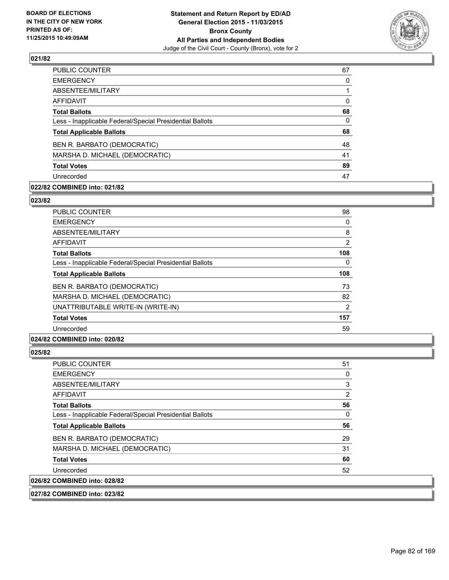

| PUBLIC COUNTER                                           | 67       |
|----------------------------------------------------------|----------|
| <b>EMERGENCY</b>                                         | 0        |
| ABSENTEE/MILITARY                                        |          |
| <b>AFFIDAVIT</b>                                         | 0        |
| <b>Total Ballots</b>                                     | 68       |
| Less - Inapplicable Federal/Special Presidential Ballots | $\Omega$ |
| <b>Total Applicable Ballots</b>                          | 68       |
| BEN R. BARBATO (DEMOCRATIC)                              | 48       |
| MARSHA D. MICHAEL (DEMOCRATIC)                           | 41       |
| <b>Total Votes</b>                                       | 89       |
| Unrecorded                                               | 47       |

## **022/82 COMBINED into: 021/82**

#### **023/82**

| <b>PUBLIC COUNTER</b>                                    | 98  |
|----------------------------------------------------------|-----|
| <b>EMERGENCY</b>                                         | 0   |
| ABSENTEE/MILITARY                                        | 8   |
| <b>AFFIDAVIT</b>                                         | 2   |
| <b>Total Ballots</b>                                     | 108 |
| Less - Inapplicable Federal/Special Presidential Ballots | 0   |
| <b>Total Applicable Ballots</b>                          | 108 |
| BEN R. BARBATO (DEMOCRATIC)                              | 73  |
| MARSHA D. MICHAEL (DEMOCRATIC)                           | 82  |
| UNATTRIBUTABLE WRITE-IN (WRITE-IN)                       | 2   |
| <b>Total Votes</b>                                       | 157 |
| Unrecorded                                               | 59  |

## **024/82 COMBINED into: 020/82**

#### **025/82**

| <b>PUBLIC COUNTER</b>                                    | 51 |
|----------------------------------------------------------|----|
| <b>EMERGENCY</b>                                         | 0  |
| ABSENTEE/MILITARY                                        | 3  |
| <b>AFFIDAVIT</b>                                         | 2  |
| <b>Total Ballots</b>                                     | 56 |
| Less - Inapplicable Federal/Special Presidential Ballots | 0  |
| <b>Total Applicable Ballots</b>                          | 56 |
| BEN R. BARBATO (DEMOCRATIC)                              | 29 |
| MARSHA D. MICHAEL (DEMOCRATIC)                           | 31 |
| <b>Total Votes</b>                                       | 60 |
| Unrecorded                                               | 52 |
| 026/82 COMBINED into: 028/82                             |    |

**027/82 COMBINED into: 023/82**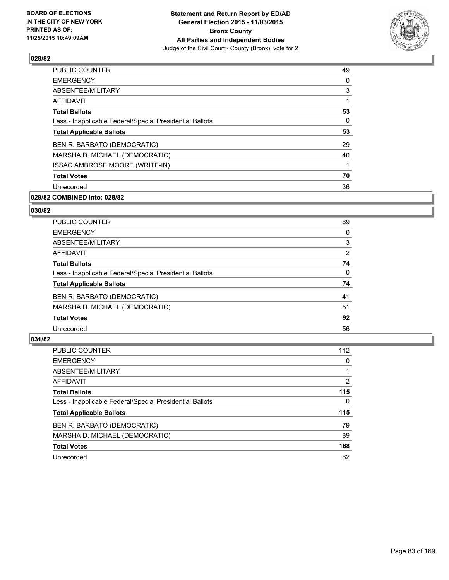

| PUBLIC COUNTER                                           | 49 |
|----------------------------------------------------------|----|
| <b>EMERGENCY</b>                                         | 0  |
| ABSENTEE/MILITARY                                        | 3  |
| AFFIDAVIT                                                | 1  |
| <b>Total Ballots</b>                                     | 53 |
| Less - Inapplicable Federal/Special Presidential Ballots | 0  |
| <b>Total Applicable Ballots</b>                          | 53 |
| BEN R. BARBATO (DEMOCRATIC)                              | 29 |
| MARSHA D. MICHAEL (DEMOCRATIC)                           | 40 |
| <b>ISSAC AMBROSE MOORE (WRITE-IN)</b>                    |    |
| <b>Total Votes</b>                                       | 70 |
| Unrecorded                                               | 36 |

## **029/82 COMBINED into: 028/82**

## **030/82**

| <b>PUBLIC COUNTER</b>                                    | 69 |
|----------------------------------------------------------|----|
| <b>EMERGENCY</b>                                         | 0  |
| ABSENTEE/MILITARY                                        | 3  |
| AFFIDAVIT                                                | 2  |
| <b>Total Ballots</b>                                     | 74 |
| Less - Inapplicable Federal/Special Presidential Ballots | 0  |
| <b>Total Applicable Ballots</b>                          | 74 |
| BEN R. BARBATO (DEMOCRATIC)                              | 41 |
| MARSHA D. MICHAEL (DEMOCRATIC)                           | 51 |
| <b>Total Votes</b>                                       | 92 |
| Unrecorded                                               | 56 |

| PUBLIC COUNTER                                           | 112            |
|----------------------------------------------------------|----------------|
| <b>EMERGENCY</b>                                         | 0              |
| ABSENTEE/MILITARY                                        |                |
| <b>AFFIDAVIT</b>                                         | $\overline{2}$ |
| <b>Total Ballots</b>                                     | 115            |
| Less - Inapplicable Federal/Special Presidential Ballots | $\Omega$       |
| <b>Total Applicable Ballots</b>                          | 115            |
| BEN R. BARBATO (DEMOCRATIC)                              | 79             |
| MARSHA D. MICHAEL (DEMOCRATIC)                           | 89             |
| <b>Total Votes</b>                                       | 168            |
| Unrecorded                                               | 62             |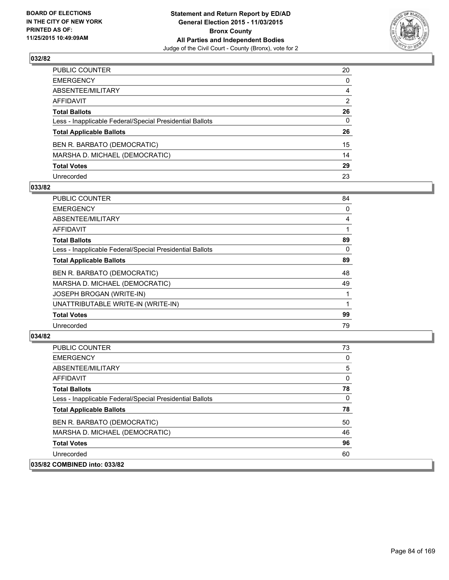

| PUBLIC COUNTER                                           | 20 |
|----------------------------------------------------------|----|
| EMERGENCY                                                | 0  |
| ABSENTEE/MILITARY                                        | 4  |
| AFFIDAVIT                                                | 2  |
| <b>Total Ballots</b>                                     | 26 |
| Less - Inapplicable Federal/Special Presidential Ballots | 0  |
| <b>Total Applicable Ballots</b>                          | 26 |
| BEN R. BARBATO (DEMOCRATIC)                              | 15 |
| MARSHA D. MICHAEL (DEMOCRATIC)                           | 14 |
| <b>Total Votes</b>                                       | 29 |
| Unrecorded                                               | 23 |

### **033/82**

| PUBLIC COUNTER                                           | 84 |
|----------------------------------------------------------|----|
| <b>EMERGENCY</b>                                         | 0  |
| ABSENTEE/MILITARY                                        | 4  |
| AFFIDAVIT                                                |    |
| <b>Total Ballots</b>                                     | 89 |
| Less - Inapplicable Federal/Special Presidential Ballots | 0  |
| <b>Total Applicable Ballots</b>                          | 89 |
| BEN R. BARBATO (DEMOCRATIC)                              | 48 |
| MARSHA D. MICHAEL (DEMOCRATIC)                           | 49 |
| JOSEPH BROGAN (WRITE-IN)                                 |    |
| UNATTRIBUTABLE WRITE-IN (WRITE-IN)                       |    |
| <b>Total Votes</b>                                       | 99 |
| Unrecorded                                               | 79 |
|                                                          |    |

| <b>PUBLIC COUNTER</b>                                    | 73 |
|----------------------------------------------------------|----|
| <b>EMERGENCY</b>                                         | 0  |
| ABSENTEE/MILITARY                                        | 5  |
| AFFIDAVIT                                                | 0  |
| <b>Total Ballots</b>                                     | 78 |
| Less - Inapplicable Federal/Special Presidential Ballots | 0  |
| <b>Total Applicable Ballots</b>                          | 78 |
| BEN R. BARBATO (DEMOCRATIC)                              | 50 |
| MARSHA D. MICHAEL (DEMOCRATIC)                           | 46 |
| <b>Total Votes</b>                                       | 96 |
| Unrecorded                                               | 60 |
| 035/82 COMBINED into: 033/82                             |    |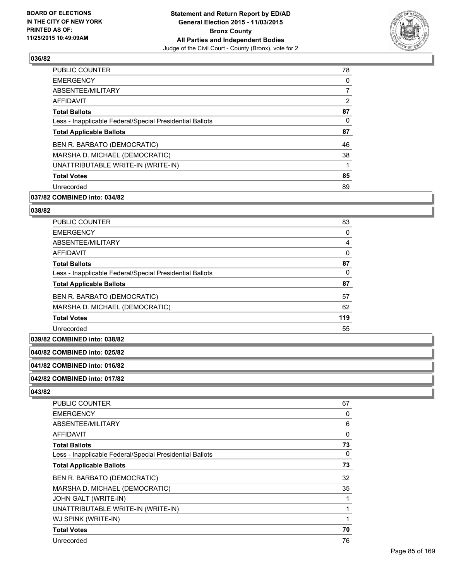

| PUBLIC COUNTER                                           | 78             |
|----------------------------------------------------------|----------------|
| <b>EMERGENCY</b>                                         | 0              |
| ABSENTEE/MILITARY                                        | $\overline{7}$ |
| <b>AFFIDAVIT</b>                                         | $\overline{2}$ |
| <b>Total Ballots</b>                                     | 87             |
| Less - Inapplicable Federal/Special Presidential Ballots | 0              |
| <b>Total Applicable Ballots</b>                          | 87             |
| BEN R. BARBATO (DEMOCRATIC)                              | 46             |
| MARSHA D. MICHAEL (DEMOCRATIC)                           | 38             |
| UNATTRIBUTABLE WRITE-IN (WRITE-IN)                       |                |
| <b>Total Votes</b>                                       | 85             |
| Unrecorded                                               | 89             |
|                                                          |                |

## **037/82 COMBINED into: 034/82**

#### **038/82**

| <b>PUBLIC COUNTER</b>                                    | 83  |
|----------------------------------------------------------|-----|
| <b>EMERGENCY</b>                                         | 0   |
| ABSENTEE/MILITARY                                        | 4   |
| <b>AFFIDAVIT</b>                                         | 0   |
| <b>Total Ballots</b>                                     | 87  |
| Less - Inapplicable Federal/Special Presidential Ballots | 0   |
| <b>Total Applicable Ballots</b>                          | 87  |
| BEN R. BARBATO (DEMOCRATIC)                              | 57  |
| MARSHA D. MICHAEL (DEMOCRATIC)                           | 62  |
| <b>Total Votes</b>                                       | 119 |
| Unrecorded                                               | 55  |

## **039/82 COMBINED into: 038/82**

### **040/82 COMBINED into: 025/82**

#### **041/82 COMBINED into: 016/82**

#### **042/82 COMBINED into: 017/82**

| <b>PUBLIC COUNTER</b>                                    | 67 |
|----------------------------------------------------------|----|
| <b>EMERGENCY</b>                                         | 0  |
| ABSENTEE/MILITARY                                        | 6  |
| AFFIDAVIT                                                | 0  |
| <b>Total Ballots</b>                                     | 73 |
| Less - Inapplicable Federal/Special Presidential Ballots | 0  |
| <b>Total Applicable Ballots</b>                          | 73 |
| BEN R. BARBATO (DEMOCRATIC)                              | 32 |
| MARSHA D. MICHAEL (DEMOCRATIC)                           | 35 |
| JOHN GALT (WRITE-IN)                                     |    |
| UNATTRIBUTABLE WRITE-IN (WRITE-IN)                       |    |
| WJ SPINK (WRITE-IN)                                      |    |
| <b>Total Votes</b>                                       | 70 |
| Unrecorded                                               | 76 |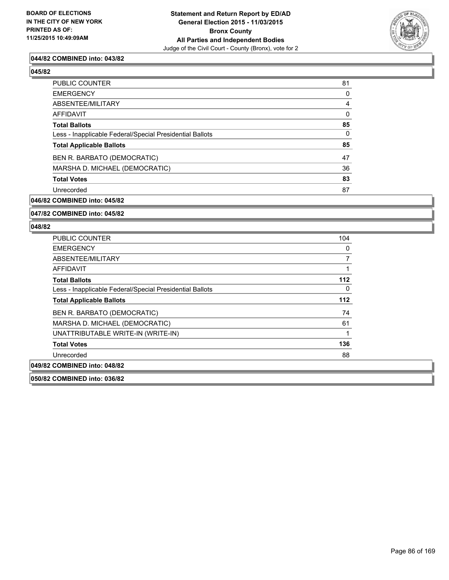

### **044/82 COMBINED into: 043/82**

**045/82** 

| PUBLIC COUNTER                                           | 81       |
|----------------------------------------------------------|----------|
| <b>EMERGENCY</b>                                         | 0        |
| ABSENTEE/MILITARY                                        | 4        |
| <b>AFFIDAVIT</b>                                         | 0        |
| <b>Total Ballots</b>                                     | 85       |
| Less - Inapplicable Federal/Special Presidential Ballots | $\Omega$ |
| <b>Total Applicable Ballots</b>                          | 85       |
| BEN R. BARBATO (DEMOCRATIC)                              | 47       |
| MARSHA D. MICHAEL (DEMOCRATIC)                           | 36       |
| <b>Total Votes</b>                                       | 83       |
| Unrecorded                                               | 87       |
|                                                          |          |

### **046/82 COMBINED into: 045/82**

## **047/82 COMBINED into: 045/82**

#### **048/82**

| <b>PUBLIC COUNTER</b>                                    | 104 |
|----------------------------------------------------------|-----|
| <b>EMERGENCY</b>                                         | 0   |
| ABSENTEE/MILITARY                                        | 7   |
| AFFIDAVIT                                                |     |
| <b>Total Ballots</b>                                     | 112 |
| Less - Inapplicable Federal/Special Presidential Ballots | 0   |
| <b>Total Applicable Ballots</b>                          | 112 |
| BEN R. BARBATO (DEMOCRATIC)                              | 74  |
| MARSHA D. MICHAEL (DEMOCRATIC)                           | 61  |
| UNATTRIBUTABLE WRITE-IN (WRITE-IN)                       |     |
| <b>Total Votes</b>                                       | 136 |
| Unrecorded                                               | 88  |
| 049/82 COMBINED into: 048/82                             |     |

**050/82 COMBINED into: 036/82**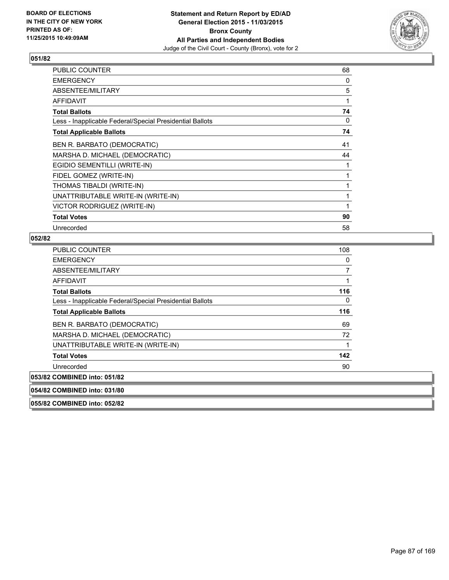

| PUBLIC COUNTER                                           | 68 |
|----------------------------------------------------------|----|
| <b>EMERGENCY</b>                                         | 0  |
| ABSENTEE/MILITARY                                        | 5  |
| <b>AFFIDAVIT</b>                                         | 1  |
| <b>Total Ballots</b>                                     | 74 |
| Less - Inapplicable Federal/Special Presidential Ballots | 0  |
| <b>Total Applicable Ballots</b>                          | 74 |
| BEN R. BARBATO (DEMOCRATIC)                              | 41 |
| MARSHA D. MICHAEL (DEMOCRATIC)                           | 44 |
| EGIDIO SEMENTILLI (WRITE-IN)                             | 1  |
| FIDEL GOMEZ (WRITE-IN)                                   | 1  |
| THOMAS TIBALDI (WRITE-IN)                                | 1  |
| UNATTRIBUTABLE WRITE-IN (WRITE-IN)                       | 1  |
| VICTOR RODRIGUEZ (WRITE-IN)                              | 1  |
| <b>Total Votes</b>                                       | 90 |
| Unrecorded                                               | 58 |

## **052/82**

| <b>PUBLIC COUNTER</b>                                    | 108 |
|----------------------------------------------------------|-----|
| <b>EMERGENCY</b>                                         | 0   |
| ABSENTEE/MILITARY                                        |     |
| <b>AFFIDAVIT</b>                                         |     |
| <b>Total Ballots</b>                                     | 116 |
| Less - Inapplicable Federal/Special Presidential Ballots | 0   |
| <b>Total Applicable Ballots</b>                          | 116 |
| BEN R. BARBATO (DEMOCRATIC)                              | 69  |
| MARSHA D. MICHAEL (DEMOCRATIC)                           | 72  |
| UNATTRIBUTABLE WRITE-IN (WRITE-IN)                       |     |
| <b>Total Votes</b>                                       | 142 |
| Unrecorded                                               | 90  |
| 053/82 COMBINED into: 051/82                             |     |
| 054/82 COMBINED into: 031/80                             |     |

**055/82 COMBINED into: 052/82**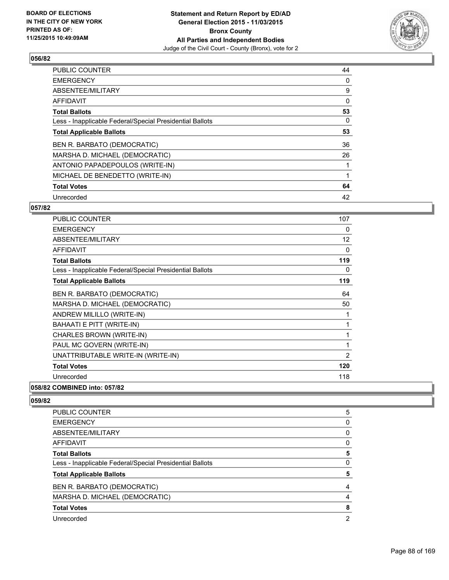

| <b>PUBLIC COUNTER</b>                                    | 44 |
|----------------------------------------------------------|----|
| <b>EMERGENCY</b>                                         | 0  |
| ABSENTEE/MILITARY                                        | 9  |
| <b>AFFIDAVIT</b>                                         | 0  |
| <b>Total Ballots</b>                                     | 53 |
| Less - Inapplicable Federal/Special Presidential Ballots | 0  |
| <b>Total Applicable Ballots</b>                          | 53 |
| BEN R. BARBATO (DEMOCRATIC)                              | 36 |
| MARSHA D. MICHAEL (DEMOCRATIC)                           | 26 |
| ANTONIO PAPADEPOULOS (WRITE-IN)                          |    |
| MICHAEL DE BENEDETTO (WRITE-IN)                          |    |
| <b>Total Votes</b>                                       | 64 |
| Unrecorded                                               | 42 |

## **057/82**

| <b>PUBLIC COUNTER</b>                                    | 107            |
|----------------------------------------------------------|----------------|
| <b>EMERGENCY</b>                                         | 0              |
| ABSENTEE/MILITARY                                        | 12             |
| <b>AFFIDAVIT</b>                                         | 0              |
| <b>Total Ballots</b>                                     | 119            |
| Less - Inapplicable Federal/Special Presidential Ballots | 0              |
| <b>Total Applicable Ballots</b>                          | 119            |
| BEN R. BARBATO (DEMOCRATIC)                              | 64             |
| MARSHA D. MICHAEL (DEMOCRATIC)                           | 50             |
| ANDREW MILILLO (WRITE-IN)                                | 1              |
| BAHAATI E PITT (WRITE-IN)                                | 1              |
| CHARLES BROWN (WRITE-IN)                                 | 1              |
| PAUL MC GOVERN (WRITE-IN)                                | 1              |
| UNATTRIBUTABLE WRITE-IN (WRITE-IN)                       | $\overline{2}$ |
| <b>Total Votes</b>                                       | 120            |
| Unrecorded                                               | 118            |

**058/82 COMBINED into: 057/82**

| <b>PUBLIC COUNTER</b>                                    | 5 |
|----------------------------------------------------------|---|
| <b>EMERGENCY</b>                                         | 0 |
| ABSENTEE/MILITARY                                        | 0 |
| AFFIDAVIT                                                | 0 |
| <b>Total Ballots</b>                                     | 5 |
| Less - Inapplicable Federal/Special Presidential Ballots | 0 |
| <b>Total Applicable Ballots</b>                          | 5 |
| BEN R. BARBATO (DEMOCRATIC)                              | 4 |
| MARSHA D. MICHAEL (DEMOCRATIC)                           | 4 |
| <b>Total Votes</b>                                       | 8 |
| Unrecorded                                               | 2 |
|                                                          |   |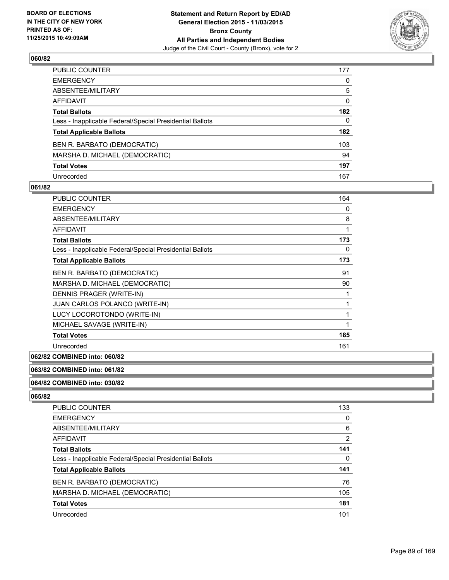

| PUBLIC COUNTER                                           | 177          |
|----------------------------------------------------------|--------------|
| EMERGENCY                                                | $\mathbf{0}$ |
| ABSENTEE/MILITARY                                        | 5            |
| AFFIDAVIT                                                | 0            |
| <b>Total Ballots</b>                                     | 182          |
| Less - Inapplicable Federal/Special Presidential Ballots | $\Omega$     |
| <b>Total Applicable Ballots</b>                          | 182          |
| BEN R. BARBATO (DEMOCRATIC)                              | 103          |
| MARSHA D. MICHAEL (DEMOCRATIC)                           | 94           |
| <b>Total Votes</b>                                       | 197          |
| Unrecorded                                               | 167          |

### **061/82**

| PUBLIC COUNTER                                           | 164 |
|----------------------------------------------------------|-----|
| <b>EMERGENCY</b>                                         | 0   |
| ABSENTEE/MILITARY                                        | 8   |
| <b>AFFIDAVIT</b>                                         | 1   |
| <b>Total Ballots</b>                                     | 173 |
| Less - Inapplicable Federal/Special Presidential Ballots | 0   |
| <b>Total Applicable Ballots</b>                          | 173 |
| BEN R. BARBATO (DEMOCRATIC)                              | 91  |
| MARSHA D. MICHAEL (DEMOCRATIC)                           | 90  |
| DENNIS PRAGER (WRITE-IN)                                 |     |
| JUAN CARLOS POLANCO (WRITE-IN)                           | 1   |
| LUCY LOCOROTONDO (WRITE-IN)                              | 1   |
| MICHAEL SAVAGE (WRITE-IN)                                | 1   |
| <b>Total Votes</b>                                       | 185 |
| Unrecorded                                               | 161 |

### **062/82 COMBINED into: 060/82**

## **063/82 COMBINED into: 061/82**

#### **064/82 COMBINED into: 030/82**

| 133            |
|----------------|
| 0              |
| 6              |
| $\overline{2}$ |
| 141            |
| 0              |
| 141            |
| 76             |
| 105            |
| 181            |
| 101            |
|                |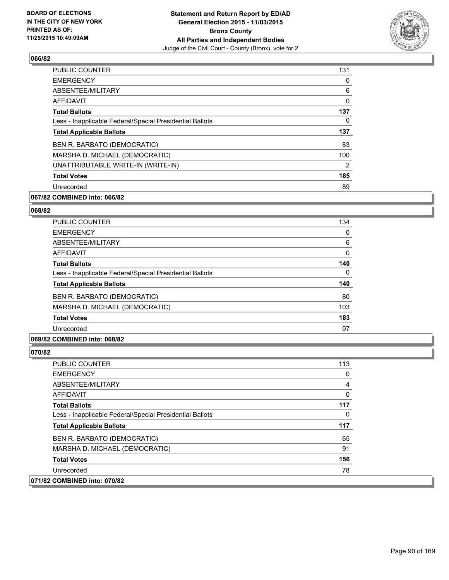

| <b>PUBLIC COUNTER</b>                                    | 131            |
|----------------------------------------------------------|----------------|
| <b>EMERGENCY</b>                                         | 0              |
| ABSENTEE/MILITARY                                        | 6              |
| <b>AFFIDAVIT</b>                                         | 0              |
| <b>Total Ballots</b>                                     | 137            |
| Less - Inapplicable Federal/Special Presidential Ballots | 0              |
| <b>Total Applicable Ballots</b>                          | 137            |
| BEN R. BARBATO (DEMOCRATIC)                              | 83             |
| MARSHA D. MICHAEL (DEMOCRATIC)                           | 100            |
| UNATTRIBUTABLE WRITE-IN (WRITE-IN)                       | $\overline{2}$ |
| <b>Total Votes</b>                                       | 185            |
| Unrecorded                                               | 89             |

## **067/82 COMBINED into: 066/82**

#### **068/82**

| 134      |
|----------|
| 0        |
| 6        |
| $\Omega$ |
| 140      |
| 0        |
| 140      |
| 80       |
| 103      |
| 183      |
| 97       |
|          |

## **069/82 COMBINED into: 068/82**

| 113 |
|-----|
| 0   |
| 4   |
| 0   |
| 117 |
| 0   |
| 117 |
| 65  |
| 91  |
| 156 |
| 78  |
|     |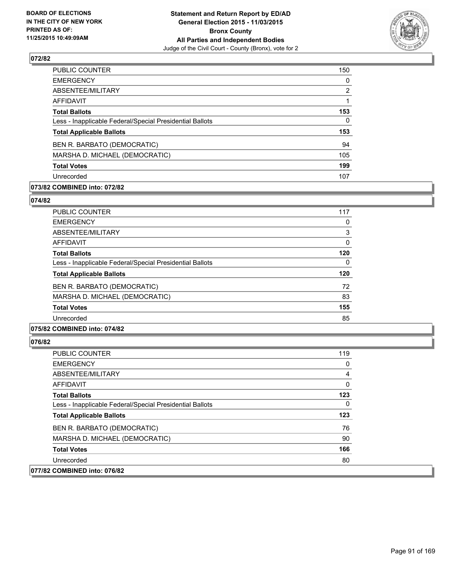

| <b>PUBLIC COUNTER</b>                                    | 150 |
|----------------------------------------------------------|-----|
| <b>EMERGENCY</b>                                         | 0   |
| ABSENTEE/MILITARY                                        | 2   |
| AFFIDAVIT                                                |     |
| <b>Total Ballots</b>                                     | 153 |
| Less - Inapplicable Federal/Special Presidential Ballots | 0   |
| <b>Total Applicable Ballots</b>                          | 153 |
| BEN R. BARBATO (DEMOCRATIC)                              | 94  |
| MARSHA D. MICHAEL (DEMOCRATIC)                           | 105 |
| <b>Total Votes</b>                                       | 199 |
| Unrecorded                                               | 107 |

## **073/82 COMBINED into: 072/82**

#### **074/82**

| <b>PUBLIC COUNTER</b>                                    | 117 |
|----------------------------------------------------------|-----|
| <b>EMERGENCY</b>                                         | 0   |
| ABSENTEE/MILITARY                                        | 3   |
| AFFIDAVIT                                                | 0   |
| <b>Total Ballots</b>                                     | 120 |
| Less - Inapplicable Federal/Special Presidential Ballots | 0   |
| <b>Total Applicable Ballots</b>                          | 120 |
| BEN R. BARBATO (DEMOCRATIC)                              | 72  |
| MARSHA D. MICHAEL (DEMOCRATIC)                           | 83  |
| <b>Total Votes</b>                                       | 155 |
| Unrecorded                                               | 85  |
|                                                          |     |

## **075/82 COMBINED into: 074/82**

| PUBLIC COUNTER                                           | 119 |
|----------------------------------------------------------|-----|
| <b>EMERGENCY</b>                                         | 0   |
| ABSENTEE/MILITARY                                        | 4   |
| <b>AFFIDAVIT</b>                                         | 0   |
| <b>Total Ballots</b>                                     | 123 |
| Less - Inapplicable Federal/Special Presidential Ballots | 0   |
| <b>Total Applicable Ballots</b>                          | 123 |
| BEN R. BARBATO (DEMOCRATIC)                              | 76  |
| MARSHA D. MICHAEL (DEMOCRATIC)                           | 90  |
| <b>Total Votes</b>                                       | 166 |
| Unrecorded                                               | 80  |
| 077/82 COMBINED into: 076/82                             |     |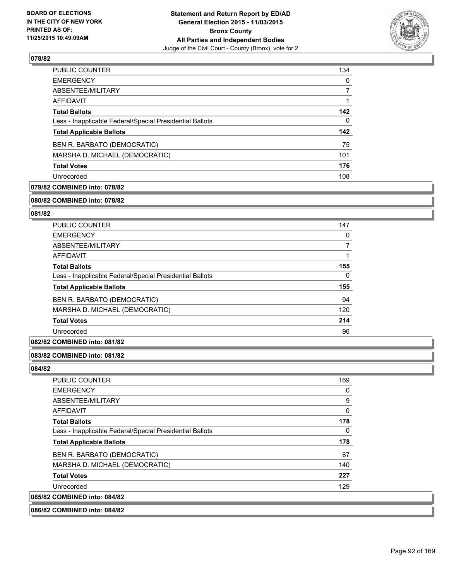

| <b>PUBLIC COUNTER</b>                                    | 134 |
|----------------------------------------------------------|-----|
| <b>EMERGENCY</b>                                         | 0   |
| ABSENTEE/MILITARY                                        | 7   |
| AFFIDAVIT                                                |     |
| <b>Total Ballots</b>                                     | 142 |
| Less - Inapplicable Federal/Special Presidential Ballots | 0   |
| <b>Total Applicable Ballots</b>                          | 142 |
| BEN R. BARBATO (DEMOCRATIC)                              | 75  |
| MARSHA D. MICHAEL (DEMOCRATIC)                           | 101 |
| <b>Total Votes</b>                                       | 176 |
| Unrecorded                                               | 108 |

## **079/82 COMBINED into: 078/82**

#### **080/82 COMBINED into: 078/82**

## **081/82**

| <b>PUBLIC COUNTER</b>                                    | 147 |
|----------------------------------------------------------|-----|
| <b>EMERGENCY</b>                                         | 0   |
| ABSENTEE/MILITARY                                        |     |
| <b>AFFIDAVIT</b>                                         |     |
| <b>Total Ballots</b>                                     | 155 |
| Less - Inapplicable Federal/Special Presidential Ballots | 0   |
| <b>Total Applicable Ballots</b>                          | 155 |
| BEN R. BARBATO (DEMOCRATIC)                              | 94  |
| MARSHA D. MICHAEL (DEMOCRATIC)                           | 120 |
| <b>Total Votes</b>                                       | 214 |
| Unrecorded                                               | 96  |

#### **082/82 COMBINED into: 081/82**

#### **083/82 COMBINED into: 081/82**

#### **084/82**

| 0<br>9 |
|--------|
|        |
|        |
| 0      |
| 178    |
| 0      |
| 178    |
| 87     |
| 140    |
| 227    |
| 129    |
|        |
|        |

## **086/82 COMBINED into: 084/82**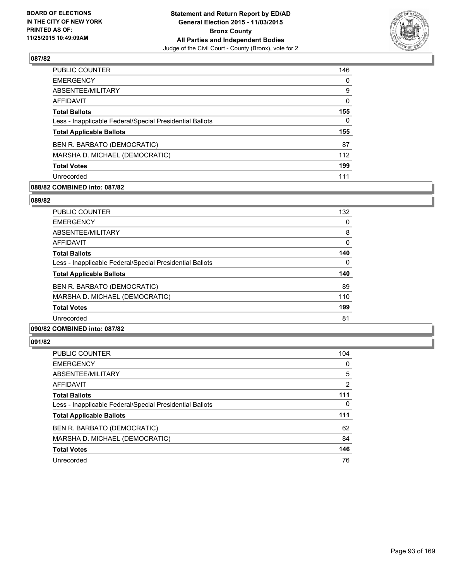

| <b>PUBLIC COUNTER</b>                                    | 146          |
|----------------------------------------------------------|--------------|
| <b>EMERGENCY</b>                                         | $\Omega$     |
| ABSENTEE/MILITARY                                        | 9            |
| AFFIDAVIT                                                | $\mathbf{0}$ |
| <b>Total Ballots</b>                                     | 155          |
| Less - Inapplicable Federal/Special Presidential Ballots | $\Omega$     |
| <b>Total Applicable Ballots</b>                          | 155          |
| BEN R. BARBATO (DEMOCRATIC)                              | 87           |
| MARSHA D. MICHAEL (DEMOCRATIC)                           | 112          |
| <b>Total Votes</b>                                       | 199          |
| Unrecorded                                               | 111          |

## **088/82 COMBINED into: 087/82**

#### **089/82**

| <b>PUBLIC COUNTER</b>                                    | 132 |
|----------------------------------------------------------|-----|
| <b>EMERGENCY</b>                                         | 0   |
| ABSENTEE/MILITARY                                        | 8   |
| AFFIDAVIT                                                | 0   |
| <b>Total Ballots</b>                                     | 140 |
| Less - Inapplicable Federal/Special Presidential Ballots | 0   |
| <b>Total Applicable Ballots</b>                          | 140 |
| BEN R. BARBATO (DEMOCRATIC)                              | 89  |
| MARSHA D. MICHAEL (DEMOCRATIC)                           | 110 |
| <b>Total Votes</b>                                       | 199 |
| Unrecorded                                               | 81  |
|                                                          |     |

### **090/82 COMBINED into: 087/82**

| <b>PUBLIC COUNTER</b>                                    | 104 |
|----------------------------------------------------------|-----|
| <b>EMERGENCY</b>                                         | 0   |
| ABSENTEE/MILITARY                                        | 5   |
| AFFIDAVIT                                                | 2   |
| <b>Total Ballots</b>                                     | 111 |
| Less - Inapplicable Federal/Special Presidential Ballots | 0   |
| <b>Total Applicable Ballots</b>                          | 111 |
| BEN R. BARBATO (DEMOCRATIC)                              | 62  |
| MARSHA D. MICHAEL (DEMOCRATIC)                           | 84  |
| <b>Total Votes</b>                                       | 146 |
| Unrecorded                                               | 76  |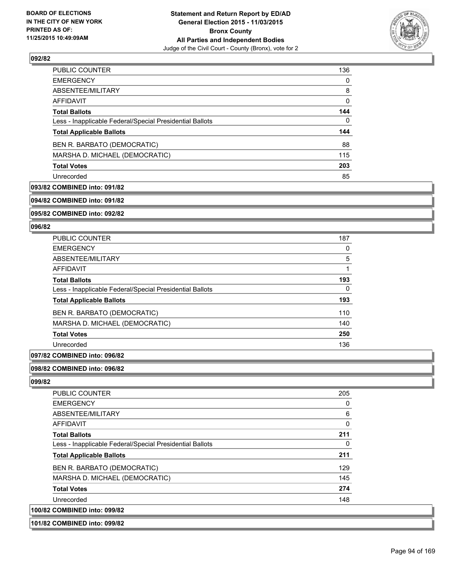

| <b>PUBLIC COUNTER</b>                                    | 136 |
|----------------------------------------------------------|-----|
| <b>EMERGENCY</b>                                         | 0   |
| ABSENTEE/MILITARY                                        | 8   |
| AFFIDAVIT                                                | 0   |
| <b>Total Ballots</b>                                     | 144 |
| Less - Inapplicable Federal/Special Presidential Ballots | 0   |
| <b>Total Applicable Ballots</b>                          | 144 |
| BEN R. BARBATO (DEMOCRATIC)                              | 88  |
| MARSHA D. MICHAEL (DEMOCRATIC)                           | 115 |
| <b>Total Votes</b>                                       | 203 |
| Unrecorded                                               | 85  |

## **093/82 COMBINED into: 091/82**

**094/82 COMBINED into: 091/82**

**095/82 COMBINED into: 092/82**

#### **096/82**

| <b>PUBLIC COUNTER</b>                                    | 187 |
|----------------------------------------------------------|-----|
| <b>EMERGENCY</b>                                         | 0   |
| ABSENTEE/MILITARY                                        | 5   |
| <b>AFFIDAVIT</b>                                         | 1   |
| <b>Total Ballots</b>                                     | 193 |
| Less - Inapplicable Federal/Special Presidential Ballots | 0   |
| <b>Total Applicable Ballots</b>                          | 193 |
| BEN R. BARBATO (DEMOCRATIC)                              | 110 |
| MARSHA D. MICHAEL (DEMOCRATIC)                           | 140 |
| <b>Total Votes</b>                                       | 250 |
| Unrecorded                                               | 136 |

## **097/82 COMBINED into: 096/82**

### **098/82 COMBINED into: 096/82**

| <b>PUBLIC COUNTER</b>                                    | 205 |
|----------------------------------------------------------|-----|
| <b>EMERGENCY</b>                                         | 0   |
| ABSENTEE/MILITARY                                        | 6   |
| <b>AFFIDAVIT</b>                                         | 0   |
| <b>Total Ballots</b>                                     | 211 |
| Less - Inapplicable Federal/Special Presidential Ballots | 0   |
| <b>Total Applicable Ballots</b>                          | 211 |
| BEN R. BARBATO (DEMOCRATIC)                              | 129 |
| MARSHA D. MICHAEL (DEMOCRATIC)                           | 145 |
| <b>Total Votes</b>                                       | 274 |
| Unrecorded                                               | 148 |
| 100/82 COMBINED into: 099/82                             |     |
| 101/82 COMBINED into: 099/82                             |     |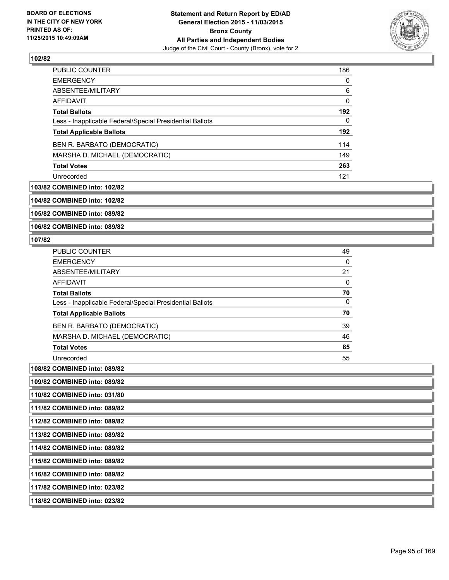

| <b>PUBLIC COUNTER</b>                                    | 186 |
|----------------------------------------------------------|-----|
| <b>EMERGENCY</b>                                         | 0   |
| ABSENTEE/MILITARY                                        | 6   |
| AFFIDAVIT                                                | 0   |
| <b>Total Ballots</b>                                     | 192 |
| Less - Inapplicable Federal/Special Presidential Ballots | 0   |
| <b>Total Applicable Ballots</b>                          | 192 |
| BEN R. BARBATO (DEMOCRATIC)                              | 114 |
| MARSHA D. MICHAEL (DEMOCRATIC)                           | 149 |
| <b>Total Votes</b>                                       | 263 |
| Unrecorded                                               | 121 |

### **103/82 COMBINED into: 102/82**

**104/82 COMBINED into: 102/82**

**105/82 COMBINED into: 089/82**

**106/82 COMBINED into: 089/82**

### **107/82**

| <b>PUBLIC COUNTER</b>                                    | 49 |
|----------------------------------------------------------|----|
| <b>EMERGENCY</b>                                         | 0  |
| ABSENTEE/MILITARY                                        | 21 |
| <b>AFFIDAVIT</b>                                         | 0  |
| <b>Total Ballots</b>                                     | 70 |
| Less - Inapplicable Federal/Special Presidential Ballots | 0  |
| <b>Total Applicable Ballots</b>                          | 70 |
| BEN R. BARBATO (DEMOCRATIC)                              | 39 |
| MARSHA D. MICHAEL (DEMOCRATIC)                           | 46 |
| <b>Total Votes</b>                                       | 85 |
| Unrecorded                                               | 55 |

**108/82 COMBINED into: 089/82**

**109/82 COMBINED into: 089/82**

**110/82 COMBINED into: 031/80**

**111/82 COMBINED into: 089/82**

**112/82 COMBINED into: 089/82**

**113/82 COMBINED into: 089/82**

**114/82 COMBINED into: 089/82**

**115/82 COMBINED into: 089/82**

**116/82 COMBINED into: 089/82**

**117/82 COMBINED into: 023/82**

**118/82 COMBINED into: 023/82**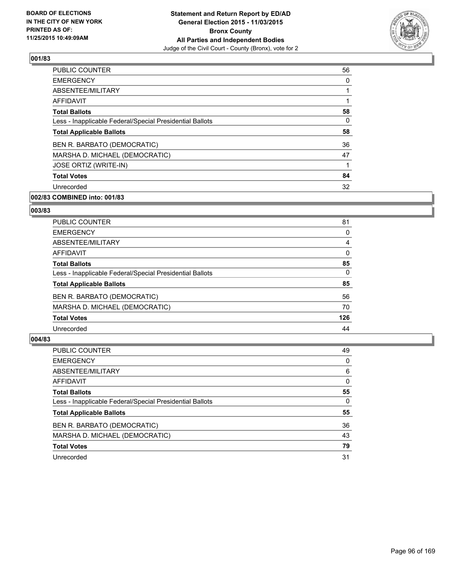

| <b>PUBLIC COUNTER</b>                                    | 56 |
|----------------------------------------------------------|----|
| <b>EMERGENCY</b>                                         | 0  |
| ABSENTEE/MILITARY                                        |    |
| AFFIDAVIT                                                |    |
| <b>Total Ballots</b>                                     | 58 |
| Less - Inapplicable Federal/Special Presidential Ballots | 0  |
| <b>Total Applicable Ballots</b>                          | 58 |
| BEN R. BARBATO (DEMOCRATIC)                              | 36 |
| MARSHA D. MICHAEL (DEMOCRATIC)                           | 47 |
| JOSE ORTIZ (WRITE-IN)                                    |    |
| <b>Total Votes</b>                                       | 84 |
| Unrecorded                                               | 32 |

## **002/83 COMBINED into: 001/83**

#### **003/83**

| <b>PUBLIC COUNTER</b>                                    | 81  |
|----------------------------------------------------------|-----|
| <b>EMERGENCY</b>                                         | 0   |
| ABSENTEE/MILITARY                                        | 4   |
| AFFIDAVIT                                                | 0   |
| <b>Total Ballots</b>                                     | 85  |
| Less - Inapplicable Federal/Special Presidential Ballots | 0   |
| <b>Total Applicable Ballots</b>                          | 85  |
| BEN R. BARBATO (DEMOCRATIC)                              | 56  |
| MARSHA D. MICHAEL (DEMOCRATIC)                           | 70  |
| <b>Total Votes</b>                                       | 126 |
| Unrecorded                                               | 44  |

| <b>PUBLIC COUNTER</b>                                    | 49       |
|----------------------------------------------------------|----------|
| <b>EMERGENCY</b>                                         | 0        |
| ABSENTEE/MILITARY                                        | 6        |
| <b>AFFIDAVIT</b>                                         | 0        |
| <b>Total Ballots</b>                                     | 55       |
| Less - Inapplicable Federal/Special Presidential Ballots | $\Omega$ |
| <b>Total Applicable Ballots</b>                          | 55       |
| BEN R. BARBATO (DEMOCRATIC)                              | 36       |
| MARSHA D. MICHAEL (DEMOCRATIC)                           | 43       |
| <b>Total Votes</b>                                       | 79       |
| Unrecorded                                               | 31       |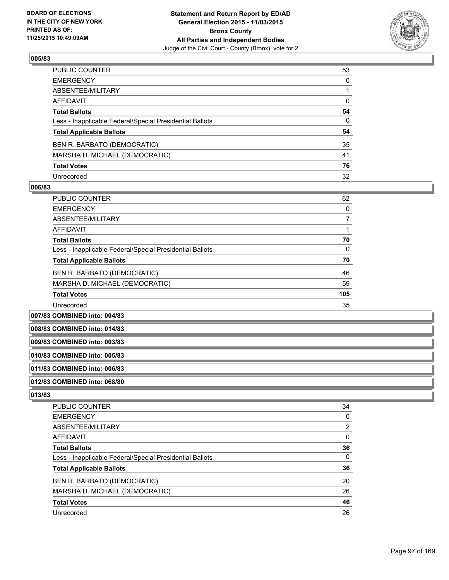

| PUBLIC COUNTER                                           | 53           |
|----------------------------------------------------------|--------------|
| EMERGENCY                                                | 0            |
| ABSENTEE/MILITARY                                        |              |
| AFFIDAVIT                                                | 0            |
| Total Ballots                                            | 54           |
| Less - Inapplicable Federal/Special Presidential Ballots | $\mathbf{0}$ |
| <b>Total Applicable Ballots</b>                          | 54           |
| BEN R. BARBATO (DEMOCRATIC)                              | 35           |
| MARSHA D. MICHAEL (DEMOCRATIC)                           | 41           |
| Total Votes                                              | 76           |
| Unrecorded                                               | 32           |

#### **006/83**

| PUBLIC COUNTER                                           | 62  |
|----------------------------------------------------------|-----|
| <b>EMERGENCY</b>                                         | 0   |
| ABSENTEE/MILITARY                                        |     |
| <b>AFFIDAVIT</b>                                         |     |
| <b>Total Ballots</b>                                     | 70  |
| Less - Inapplicable Federal/Special Presidential Ballots | 0   |
| <b>Total Applicable Ballots</b>                          | 70  |
| BEN R. BARBATO (DEMOCRATIC)                              | 46  |
| MARSHA D. MICHAEL (DEMOCRATIC)                           | 59  |
| <b>Total Votes</b>                                       | 105 |
| Unrecorded                                               | 35  |

**007/83 COMBINED into: 004/83**

**008/83 COMBINED into: 014/83**

### **009/83 COMBINED into: 003/83**

**010/83 COMBINED into: 005/83**

## **011/83 COMBINED into: 006/83**

## **012/83 COMBINED into: 068/80**

| <b>PUBLIC COUNTER</b>                                    | 34             |
|----------------------------------------------------------|----------------|
| <b>EMERGENCY</b>                                         | 0              |
| ABSENTEE/MILITARY                                        | $\overline{2}$ |
| AFFIDAVIT                                                | 0              |
| <b>Total Ballots</b>                                     | 36             |
| Less - Inapplicable Federal/Special Presidential Ballots | $\Omega$       |
| <b>Total Applicable Ballots</b>                          | 36             |
| BEN R. BARBATO (DEMOCRATIC)                              | 20             |
| MARSHA D. MICHAEL (DEMOCRATIC)                           | 26             |
| <b>Total Votes</b>                                       | 46             |
| Unrecorded                                               | 26             |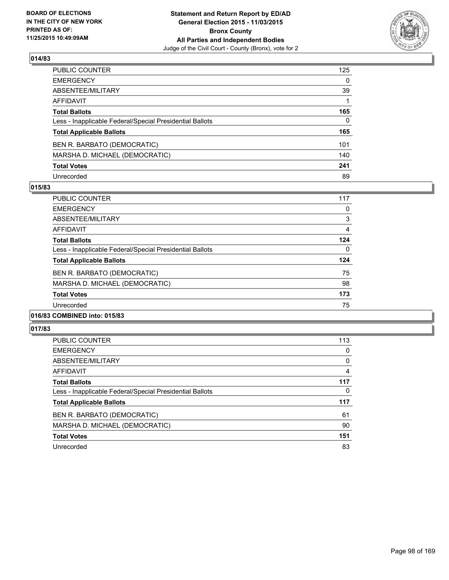

| PUBLIC COUNTER                                           | 125          |
|----------------------------------------------------------|--------------|
| EMERGENCY                                                | $\mathbf{0}$ |
| ABSENTEE/MILITARY                                        | 39           |
| AFFIDAVIT                                                |              |
| Total Ballots                                            | 165          |
| Less - Inapplicable Federal/Special Presidential Ballots | 0            |
| <b>Total Applicable Ballots</b>                          | 165          |
| BEN R. BARBATO (DEMOCRATIC)                              | 101          |
| MARSHA D. MICHAEL (DEMOCRATIC)                           | 140          |
| <b>Total Votes</b>                                       | 241          |
| Unrecorded                                               | 89           |

#### **015/83**

| <b>PUBLIC COUNTER</b>                                    | 117 |
|----------------------------------------------------------|-----|
| <b>EMERGENCY</b>                                         | 0   |
| ABSENTEE/MILITARY                                        | 3   |
| AFFIDAVIT                                                | 4   |
| <b>Total Ballots</b>                                     | 124 |
| Less - Inapplicable Federal/Special Presidential Ballots | 0   |
| <b>Total Applicable Ballots</b>                          | 124 |
| BEN R. BARBATO (DEMOCRATIC)                              | 75  |
| MARSHA D. MICHAEL (DEMOCRATIC)                           | 98  |
| <b>Total Votes</b>                                       | 173 |
| Unrecorded                                               | 75  |
|                                                          |     |

## **016/83 COMBINED into: 015/83**

| <b>PUBLIC COUNTER</b>                                    | 113 |
|----------------------------------------------------------|-----|
| <b>EMERGENCY</b>                                         | 0   |
| ABSENTEE/MILITARY                                        | 0   |
| <b>AFFIDAVIT</b>                                         | 4   |
| <b>Total Ballots</b>                                     | 117 |
| Less - Inapplicable Federal/Special Presidential Ballots | 0   |
| <b>Total Applicable Ballots</b>                          | 117 |
| BEN R. BARBATO (DEMOCRATIC)                              | 61  |
| MARSHA D. MICHAEL (DEMOCRATIC)                           | 90  |
| <b>Total Votes</b>                                       | 151 |
| Unrecorded                                               | 83  |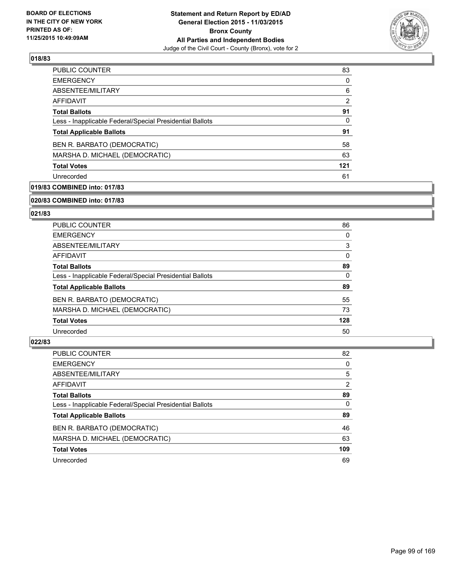

| <b>PUBLIC COUNTER</b>                                    | 83  |
|----------------------------------------------------------|-----|
| <b>EMERGENCY</b>                                         | 0   |
| ABSENTEE/MILITARY                                        | 6   |
| AFFIDAVIT                                                | 2   |
| <b>Total Ballots</b>                                     | 91  |
| Less - Inapplicable Federal/Special Presidential Ballots | 0   |
| <b>Total Applicable Ballots</b>                          | 91  |
| BEN R. BARBATO (DEMOCRATIC)                              | 58  |
| MARSHA D. MICHAEL (DEMOCRATIC)                           | 63  |
| <b>Total Votes</b>                                       | 121 |
| Unrecorded                                               | 61  |

## **019/83 COMBINED into: 017/83**

#### **020/83 COMBINED into: 017/83**

## **021/83**

| <b>PUBLIC COUNTER</b>                                    | 86  |
|----------------------------------------------------------|-----|
| <b>EMERGENCY</b>                                         | 0   |
| ABSENTEE/MILITARY                                        | 3   |
| AFFIDAVIT                                                | 0   |
| <b>Total Ballots</b>                                     | 89  |
| Less - Inapplicable Federal/Special Presidential Ballots | 0   |
| <b>Total Applicable Ballots</b>                          | 89  |
| BEN R. BARBATO (DEMOCRATIC)                              | 55  |
| MARSHA D. MICHAEL (DEMOCRATIC)                           | 73  |
| <b>Total Votes</b>                                       | 128 |
| Unrecorded                                               | 50  |

| <b>PUBLIC COUNTER</b>                                    | 82       |
|----------------------------------------------------------|----------|
| <b>EMERGENCY</b>                                         | 0        |
| ABSENTEE/MILITARY                                        | 5        |
| AFFIDAVIT                                                | 2        |
| <b>Total Ballots</b>                                     | 89       |
| Less - Inapplicable Federal/Special Presidential Ballots | $\Omega$ |
| <b>Total Applicable Ballots</b>                          | 89       |
| BEN R. BARBATO (DEMOCRATIC)                              | 46       |
| MARSHA D. MICHAEL (DEMOCRATIC)                           | 63       |
| <b>Total Votes</b>                                       | 109      |
| Unrecorded                                               | 69       |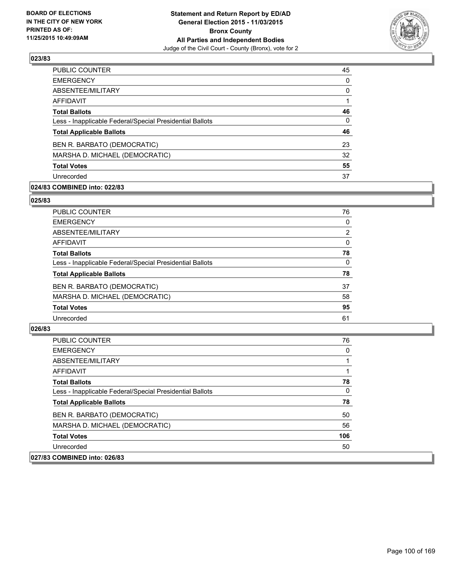

| 45       |
|----------|
| $\Omega$ |
| 0        |
|          |
| 46       |
| 0        |
| 46       |
| 23       |
| 32       |
| 55       |
| 37       |
|          |

### **024/83 COMBINED into: 022/83**

#### **025/83**

| <b>PUBLIC COUNTER</b>                                    | 76       |
|----------------------------------------------------------|----------|
| <b>EMERGENCY</b>                                         | 0        |
| ABSENTEE/MILITARY                                        | 2        |
| <b>AFFIDAVIT</b>                                         | $\Omega$ |
| <b>Total Ballots</b>                                     | 78       |
| Less - Inapplicable Federal/Special Presidential Ballots | 0        |
| <b>Total Applicable Ballots</b>                          | 78       |
| BEN R. BARBATO (DEMOCRATIC)                              | 37       |
| MARSHA D. MICHAEL (DEMOCRATIC)                           | 58       |
| <b>Total Votes</b>                                       | 95       |
| Unrecorded                                               | 61       |
|                                                          |          |

| <b>PUBLIC COUNTER</b>                                    | 76  |
|----------------------------------------------------------|-----|
| <b>EMERGENCY</b>                                         | 0   |
| ABSENTEE/MILITARY                                        |     |
| <b>AFFIDAVIT</b>                                         |     |
| <b>Total Ballots</b>                                     | 78  |
| Less - Inapplicable Federal/Special Presidential Ballots | 0   |
| <b>Total Applicable Ballots</b>                          | 78  |
| BEN R. BARBATO (DEMOCRATIC)                              | 50  |
| MARSHA D. MICHAEL (DEMOCRATIC)                           | 56  |
| <b>Total Votes</b>                                       | 106 |
| Unrecorded                                               | 50  |
| 027/83 COMBINED into: 026/83                             |     |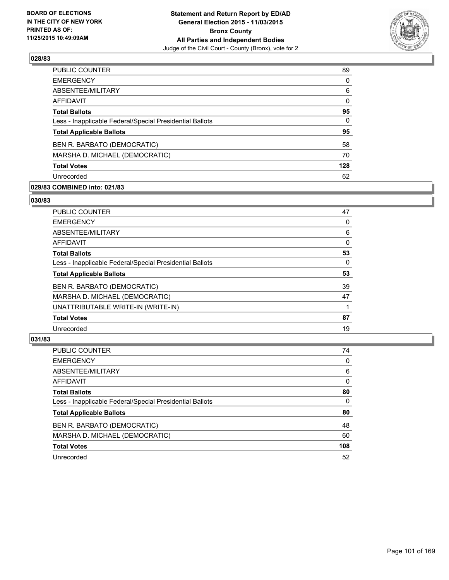

| <b>EMERGENCY</b><br>ABSENTEE/MILITARY<br><b>AFFIDAVIT</b><br><b>Total Ballots</b><br>Less - Inapplicable Federal/Special Presidential Ballots<br><b>Total Applicable Ballots</b><br>BEN R. BARBATO (DEMOCRATIC)<br>MARSHA D. MICHAEL (DEMOCRATIC)<br><b>Total Votes</b><br>Unrecorded | <b>PUBLIC COUNTER</b> | 89           |
|---------------------------------------------------------------------------------------------------------------------------------------------------------------------------------------------------------------------------------------------------------------------------------------|-----------------------|--------------|
|                                                                                                                                                                                                                                                                                       |                       | $\Omega$     |
|                                                                                                                                                                                                                                                                                       |                       | 6            |
|                                                                                                                                                                                                                                                                                       |                       | $\mathbf{0}$ |
|                                                                                                                                                                                                                                                                                       |                       | 95           |
|                                                                                                                                                                                                                                                                                       |                       | $\mathbf{0}$ |
|                                                                                                                                                                                                                                                                                       |                       | 95           |
|                                                                                                                                                                                                                                                                                       |                       | 58           |
|                                                                                                                                                                                                                                                                                       |                       | 70           |
|                                                                                                                                                                                                                                                                                       |                       | 128          |
|                                                                                                                                                                                                                                                                                       |                       | 62           |

## **029/83 COMBINED into: 021/83**

#### **030/83**

| <b>PUBLIC COUNTER</b>                                    | 47 |
|----------------------------------------------------------|----|
| <b>EMERGENCY</b>                                         | 0  |
| ABSENTEE/MILITARY                                        | 6  |
| AFFIDAVIT                                                | 0  |
| <b>Total Ballots</b>                                     | 53 |
| Less - Inapplicable Federal/Special Presidential Ballots | 0  |
| <b>Total Applicable Ballots</b>                          | 53 |
| BEN R. BARBATO (DEMOCRATIC)                              | 39 |
| MARSHA D. MICHAEL (DEMOCRATIC)                           | 47 |
| UNATTRIBUTABLE WRITE-IN (WRITE-IN)                       |    |
| <b>Total Votes</b>                                       | 87 |
| Unrecorded                                               | 19 |
|                                                          |    |

| <b>PUBLIC COUNTER</b>                                    | 74       |
|----------------------------------------------------------|----------|
| <b>EMERGENCY</b>                                         | 0        |
| ABSENTEE/MILITARY                                        | 6        |
| <b>AFFIDAVIT</b>                                         | 0        |
| <b>Total Ballots</b>                                     | 80       |
| Less - Inapplicable Federal/Special Presidential Ballots | $\Omega$ |
| <b>Total Applicable Ballots</b>                          | 80       |
| BEN R. BARBATO (DEMOCRATIC)                              | 48       |
| MARSHA D. MICHAEL (DEMOCRATIC)                           | 60       |
| <b>Total Votes</b>                                       | 108      |
| Unrecorded                                               | 52       |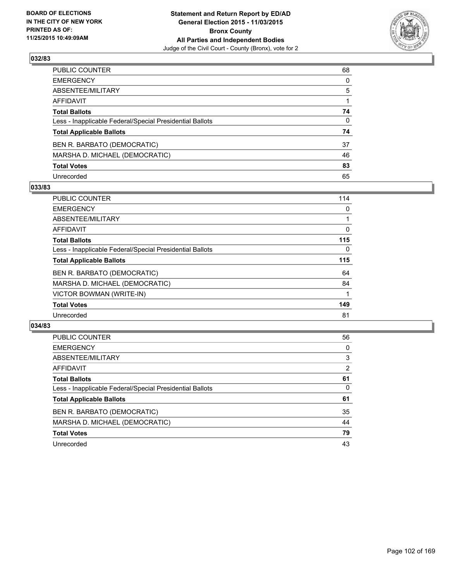

| PUBLIC COUNTER                                           | 68           |
|----------------------------------------------------------|--------------|
| EMERGENCY                                                | $\mathbf{0}$ |
| ABSENTEE/MILITARY                                        | 5            |
| AFFIDAVIT                                                |              |
| <b>Total Ballots</b>                                     | 74           |
| Less - Inapplicable Federal/Special Presidential Ballots | 0            |
| <b>Total Applicable Ballots</b>                          | 74           |
| BEN R. BARBATO (DEMOCRATIC)                              | 37           |
| MARSHA D. MICHAEL (DEMOCRATIC)                           | 46           |
| <b>Total Votes</b>                                       | 83           |
| Unrecorded                                               | 65           |

#### **033/83**

| <b>PUBLIC COUNTER</b>                                    | 114 |
|----------------------------------------------------------|-----|
| <b>EMERGENCY</b>                                         | 0   |
| ABSENTEE/MILITARY                                        |     |
| AFFIDAVIT                                                | 0   |
| <b>Total Ballots</b>                                     | 115 |
| Less - Inapplicable Federal/Special Presidential Ballots | 0   |
| <b>Total Applicable Ballots</b>                          | 115 |
| BEN R. BARBATO (DEMOCRATIC)                              | 64  |
| MARSHA D. MICHAEL (DEMOCRATIC)                           | 84  |
| VICTOR BOWMAN (WRITE-IN)                                 |     |
| <b>Total Votes</b>                                       | 149 |
| Unrecorded                                               | 81  |
|                                                          |     |

| <b>PUBLIC COUNTER</b>                                    | 56             |
|----------------------------------------------------------|----------------|
| <b>EMERGENCY</b>                                         | 0              |
| ABSENTEE/MILITARY                                        | 3              |
| <b>AFFIDAVIT</b>                                         | $\overline{2}$ |
| <b>Total Ballots</b>                                     | 61             |
| Less - Inapplicable Federal/Special Presidential Ballots | 0              |
| <b>Total Applicable Ballots</b>                          | 61             |
| BEN R. BARBATO (DEMOCRATIC)                              | 35             |
| MARSHA D. MICHAEL (DEMOCRATIC)                           | 44             |
| <b>Total Votes</b>                                       | 79             |
| Unrecorded                                               | 43             |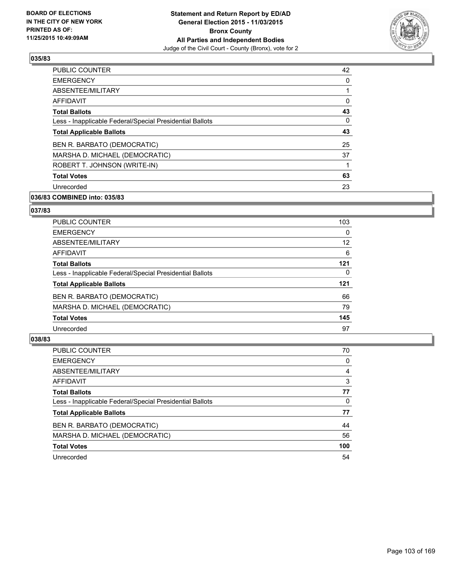

| <b>PUBLIC COUNTER</b>                                    | 42 |
|----------------------------------------------------------|----|
| <b>EMERGENCY</b>                                         | 0  |
| ABSENTEE/MILITARY                                        |    |
| AFFIDAVIT                                                | 0  |
| <b>Total Ballots</b>                                     | 43 |
| Less - Inapplicable Federal/Special Presidential Ballots | 0  |
| <b>Total Applicable Ballots</b>                          | 43 |
| BEN R. BARBATO (DEMOCRATIC)                              | 25 |
| MARSHA D. MICHAEL (DEMOCRATIC)                           | 37 |
| ROBERT T. JOHNSON (WRITE-IN)                             |    |
| <b>Total Votes</b>                                       | 63 |
| Unrecorded                                               | 23 |

## **036/83 COMBINED into: 035/83**

## **037/83**

| <b>PUBLIC COUNTER</b>                                    | 103 |
|----------------------------------------------------------|-----|
| <b>EMERGENCY</b>                                         | 0   |
| ABSENTEE/MILITARY                                        | 12  |
| <b>AFFIDAVIT</b>                                         | 6   |
| <b>Total Ballots</b>                                     | 121 |
| Less - Inapplicable Federal/Special Presidential Ballots | 0   |
| <b>Total Applicable Ballots</b>                          | 121 |
| BEN R. BARBATO (DEMOCRATIC)                              | 66  |
| MARSHA D. MICHAEL (DEMOCRATIC)                           | 79  |
| <b>Total Votes</b>                                       | 145 |
| Unrecorded                                               | 97  |

| <b>PUBLIC COUNTER</b>                                    | 70  |
|----------------------------------------------------------|-----|
| <b>EMERGENCY</b>                                         | 0   |
| ABSENTEE/MILITARY                                        | 4   |
| <b>AFFIDAVIT</b>                                         | 3   |
| <b>Total Ballots</b>                                     | 77  |
| Less - Inapplicable Federal/Special Presidential Ballots | 0   |
| <b>Total Applicable Ballots</b>                          | 77  |
| BEN R. BARBATO (DEMOCRATIC)                              | 44  |
| MARSHA D. MICHAEL (DEMOCRATIC)                           | 56  |
| <b>Total Votes</b>                                       | 100 |
| Unrecorded                                               | 54  |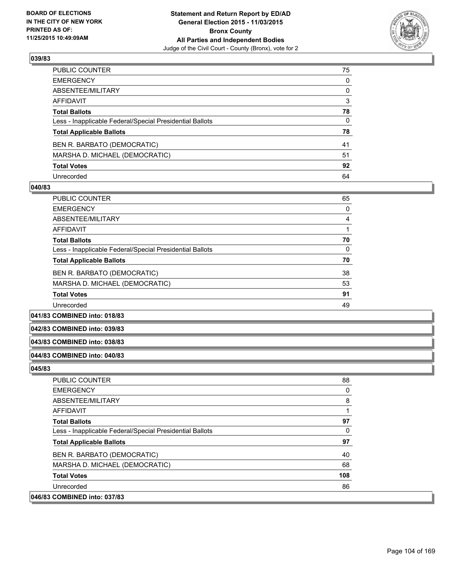

| PUBLIC COUNTER                                           | 75 |
|----------------------------------------------------------|----|
| EMERGENCY                                                | 0  |
| ABSENTEE/MILITARY                                        | 0  |
| AFFIDAVIT                                                | 3  |
| <b>Total Ballots</b>                                     | 78 |
| Less - Inapplicable Federal/Special Presidential Ballots | 0  |
| <b>Total Applicable Ballots</b>                          | 78 |
| BEN R. BARBATO (DEMOCRATIC)                              | 41 |
| MARSHA D. MICHAEL (DEMOCRATIC)                           | 51 |
| <b>Total Votes</b>                                       | 92 |
| Unrecorded                                               | 64 |

#### **040/83**

| <b>PUBLIC COUNTER</b>                                    | 65 |
|----------------------------------------------------------|----|
| <b>EMERGENCY</b>                                         | 0  |
| ABSENTEE/MILITARY                                        | 4  |
| AFFIDAVIT                                                |    |
| <b>Total Ballots</b>                                     | 70 |
| Less - Inapplicable Federal/Special Presidential Ballots | 0  |
| <b>Total Applicable Ballots</b>                          | 70 |
| BEN R. BARBATO (DEMOCRATIC)                              | 38 |
| MARSHA D. MICHAEL (DEMOCRATIC)                           | 53 |
| <b>Total Votes</b>                                       | 91 |
| Unrecorded                                               | 49 |
|                                                          |    |

**041/83 COMBINED into: 018/83**

**042/83 COMBINED into: 039/83**

#### **043/83 COMBINED into: 038/83**

#### **044/83 COMBINED into: 040/83**

| <b>PUBLIC COUNTER</b>                                    | 88  |
|----------------------------------------------------------|-----|
| <b>EMERGENCY</b>                                         | 0   |
| ABSENTEE/MILITARY                                        | 8   |
| <b>AFFIDAVIT</b>                                         |     |
| <b>Total Ballots</b>                                     | 97  |
| Less - Inapplicable Federal/Special Presidential Ballots | 0   |
| <b>Total Applicable Ballots</b>                          | 97  |
| BEN R. BARBATO (DEMOCRATIC)                              | 40  |
| MARSHA D. MICHAEL (DEMOCRATIC)                           | 68  |
| <b>Total Votes</b>                                       | 108 |
| Unrecorded                                               | 86  |
| 046/83 COMBINED into: 037/83                             |     |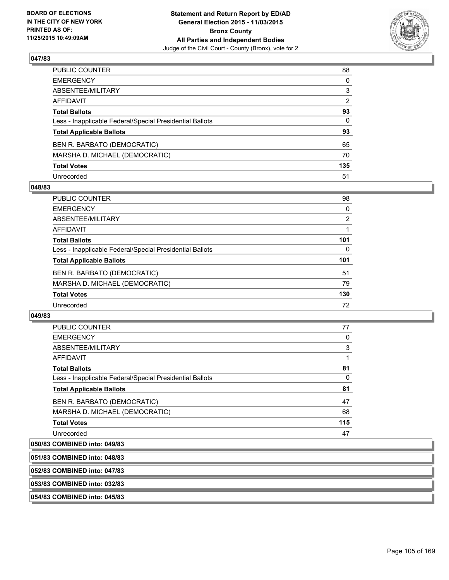

| PUBLIC COUNTER                                           | 88           |
|----------------------------------------------------------|--------------|
| EMERGENCY                                                | $\mathbf{0}$ |
| ABSENTEE/MILITARY                                        | 3            |
| AFFIDAVIT                                                | 2            |
| <b>Total Ballots</b>                                     | 93           |
| Less - Inapplicable Federal/Special Presidential Ballots | $\mathbf{0}$ |
| <b>Total Applicable Ballots</b>                          | 93           |
| BEN R. BARBATO (DEMOCRATIC)                              | 65           |
| MARSHA D. MICHAEL (DEMOCRATIC)                           | 70           |
| <b>Total Votes</b>                                       | 135          |
| Unrecorded                                               | 51           |

#### **048/83**

| <b>PUBLIC COUNTER</b>                                    | 98             |
|----------------------------------------------------------|----------------|
| <b>EMERGENCY</b>                                         | 0              |
| ABSENTEE/MILITARY                                        | $\overline{2}$ |
| AFFIDAVIT                                                |                |
| <b>Total Ballots</b>                                     | 101            |
| Less - Inapplicable Federal/Special Presidential Ballots | 0              |
| <b>Total Applicable Ballots</b>                          | 101            |
| BEN R. BARBATO (DEMOCRATIC)                              | 51             |
| MARSHA D. MICHAEL (DEMOCRATIC)                           | 79             |
| <b>Total Votes</b>                                       | 130            |
| Unrecorded                                               | 72             |

### **049/83**

| <b>PUBLIC COUNTER</b>                                    | 77  |
|----------------------------------------------------------|-----|
| <b>EMERGENCY</b>                                         | 0   |
| ABSENTEE/MILITARY                                        | 3   |
| <b>AFFIDAVIT</b>                                         |     |
| <b>Total Ballots</b>                                     | 81  |
| Less - Inapplicable Federal/Special Presidential Ballots | 0   |
| <b>Total Applicable Ballots</b>                          | 81  |
| BEN R. BARBATO (DEMOCRATIC)                              | 47  |
| MARSHA D. MICHAEL (DEMOCRATIC)                           | 68  |
| <b>Total Votes</b>                                       | 115 |
| Unrecorded                                               | 47  |
|                                                          |     |

# **050/83 COMBINED into: 049/83**

| 051/83 COMBINED into: 048/83 |  |
|------------------------------|--|
| 052/83 COMBINED into: 047/83 |  |
| 053/83 COMBINED into: 032/83 |  |
| 054/83 COMBINED into: 045/83 |  |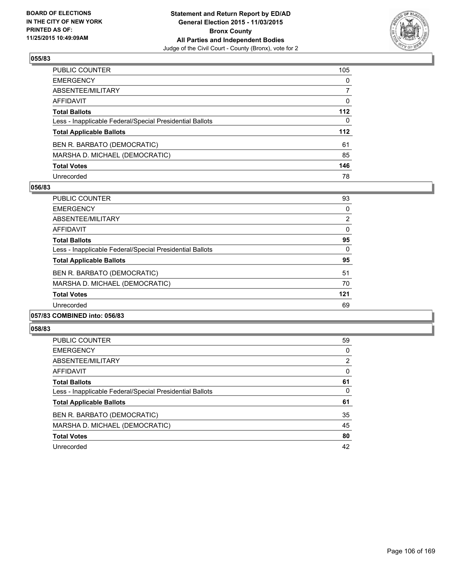

| PUBLIC COUNTER                                           | 105          |
|----------------------------------------------------------|--------------|
| EMERGENCY                                                | $\mathbf{0}$ |
| ABSENTEE/MILITARY                                        | 7            |
| AFFIDAVIT                                                | 0            |
| Total Ballots                                            | 112          |
| Less - Inapplicable Federal/Special Presidential Ballots | $\mathbf{0}$ |
| <b>Total Applicable Ballots</b>                          | 112          |
| BEN R. BARBATO (DEMOCRATIC)                              | 61           |
| MARSHA D. MICHAEL (DEMOCRATIC)                           | 85           |
| <b>Total Votes</b>                                       | 146          |
| Unrecorded                                               | 78           |

#### **056/83**

| <b>PUBLIC COUNTER</b>                                    | 93  |
|----------------------------------------------------------|-----|
| <b>EMERGENCY</b>                                         | 0   |
| ABSENTEE/MILITARY                                        | 2   |
| AFFIDAVIT                                                | 0   |
| <b>Total Ballots</b>                                     | 95  |
| Less - Inapplicable Federal/Special Presidential Ballots | 0   |
| <b>Total Applicable Ballots</b>                          | 95  |
| BEN R. BARBATO (DEMOCRATIC)                              | 51  |
| MARSHA D. MICHAEL (DEMOCRATIC)                           | 70  |
| <b>Total Votes</b>                                       | 121 |
| Unrecorded                                               | 69  |
|                                                          |     |

## **057/83 COMBINED into: 056/83**

| <b>PUBLIC COUNTER</b>                                    | 59 |
|----------------------------------------------------------|----|
| <b>EMERGENCY</b>                                         | 0  |
| ABSENTEE/MILITARY                                        | 2  |
| AFFIDAVIT                                                | 0  |
| <b>Total Ballots</b>                                     | 61 |
| Less - Inapplicable Federal/Special Presidential Ballots | 0  |
| <b>Total Applicable Ballots</b>                          | 61 |
| BEN R. BARBATO (DEMOCRATIC)                              | 35 |
| MARSHA D. MICHAEL (DEMOCRATIC)                           | 45 |
| <b>Total Votes</b>                                       | 80 |
| Unrecorded                                               | 42 |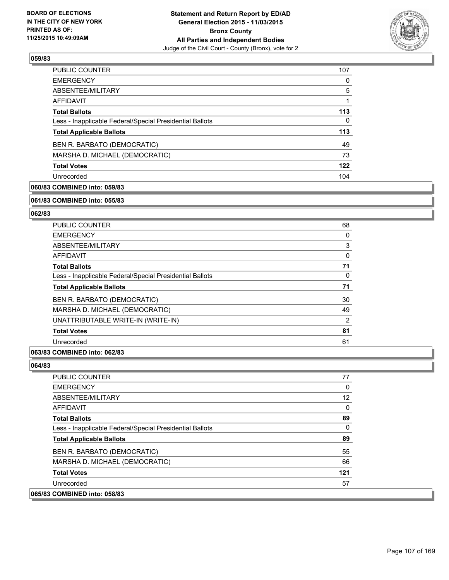

| <b>PUBLIC COUNTER</b>                                    | 107 |
|----------------------------------------------------------|-----|
| <b>EMERGENCY</b>                                         | 0   |
| ABSENTEE/MILITARY                                        | 5   |
| AFFIDAVIT                                                | 1   |
| <b>Total Ballots</b>                                     | 113 |
| Less - Inapplicable Federal/Special Presidential Ballots | 0   |
| <b>Total Applicable Ballots</b>                          | 113 |
| BEN R. BARBATO (DEMOCRATIC)                              | 49  |
| MARSHA D. MICHAEL (DEMOCRATIC)                           | 73  |
| <b>Total Votes</b>                                       | 122 |
| Unrecorded                                               | 104 |

## **060/83 COMBINED into: 059/83**

#### **061/83 COMBINED into: 055/83**

## **062/83**

| PUBLIC COUNTER                                           | 68       |
|----------------------------------------------------------|----------|
| <b>EMERGENCY</b>                                         | 0        |
| <b>ABSENTEE/MILITARY</b>                                 | 3        |
| <b>AFFIDAVIT</b>                                         | $\Omega$ |
| <b>Total Ballots</b>                                     | 71       |
| Less - Inapplicable Federal/Special Presidential Ballots | 0        |
| <b>Total Applicable Ballots</b>                          | 71       |
| BEN R. BARBATO (DEMOCRATIC)                              | 30       |
| MARSHA D. MICHAEL (DEMOCRATIC)                           | 49       |
| UNATTRIBUTABLE WRITE-IN (WRITE-IN)                       | 2        |
| <b>Total Votes</b>                                       | 81       |
| Unrecorded                                               | 61       |

## **063/83 COMBINED into: 062/83**

#### **064/83**

 $|065/83$ 

| <b>PUBLIC COUNTER</b>                                    | 77              |
|----------------------------------------------------------|-----------------|
| <b>EMERGENCY</b>                                         | 0               |
| ABSENTEE/MILITARY                                        | 12 <sup>°</sup> |
| AFFIDAVIT                                                | 0               |
| <b>Total Ballots</b>                                     | 89              |
| Less - Inapplicable Federal/Special Presidential Ballots | 0               |
| <b>Total Applicable Ballots</b>                          | 89              |
| BEN R. BARBATO (DEMOCRATIC)                              | 55              |
| MARSHA D. MICHAEL (DEMOCRATIC)                           | 66              |
| <b>Total Votes</b>                                       | 121             |
| Unrecorded                                               | 57              |
| COMBINED into: 058/83                                    |                 |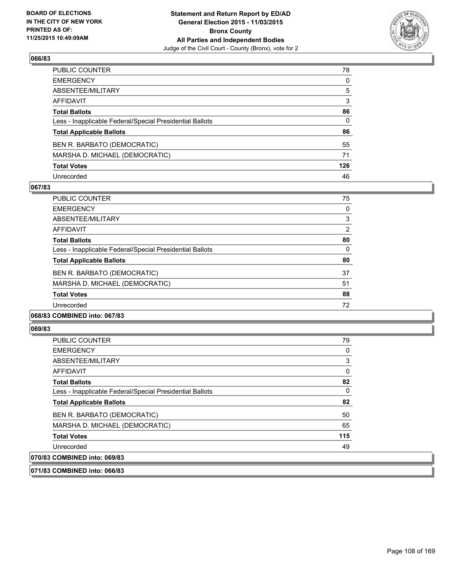

| PUBLIC COUNTER                                           | 78  |
|----------------------------------------------------------|-----|
| EMERGENCY                                                | 0   |
| ABSENTEE/MILITARY                                        | 5   |
| AFFIDAVIT                                                | 3   |
| Total Ballots                                            | 86  |
| Less - Inapplicable Federal/Special Presidential Ballots | 0   |
| <b>Total Applicable Ballots</b>                          | 86  |
| BEN R. BARBATO (DEMOCRATIC)                              | 55  |
| MARSHA D. MICHAEL (DEMOCRATIC)                           | 71  |
| Total Votes                                              | 126 |
| Unrecorded                                               | 46  |

### **067/83**

| <b>PUBLIC COUNTER</b>                                    | 75             |
|----------------------------------------------------------|----------------|
| <b>EMERGENCY</b>                                         | 0              |
| ABSENTEE/MILITARY                                        | 3              |
| <b>AFFIDAVIT</b>                                         | $\overline{2}$ |
| <b>Total Ballots</b>                                     | 80             |
| Less - Inapplicable Federal/Special Presidential Ballots | 0              |
| <b>Total Applicable Ballots</b>                          | 80             |
| BEN R. BARBATO (DEMOCRATIC)                              | 37             |
| MARSHA D. MICHAEL (DEMOCRATIC)                           | 51             |
| <b>Total Votes</b>                                       | 88             |
| Unrecorded                                               | 72             |
|                                                          |                |

### **068/83 COMBINED into: 067/83**

#### **069/83**

| PUBLIC COUNTER                                           | 79  |
|----------------------------------------------------------|-----|
| <b>EMERGENCY</b>                                         | 0   |
| ABSENTEE/MILITARY                                        | 3   |
| AFFIDAVIT                                                | 0   |
| <b>Total Ballots</b>                                     | 82  |
| Less - Inapplicable Federal/Special Presidential Ballots | 0   |
| <b>Total Applicable Ballots</b>                          | 82  |
| BEN R. BARBATO (DEMOCRATIC)                              | 50  |
| MARSHA D. MICHAEL (DEMOCRATIC)                           | 65  |
| <b>Total Votes</b>                                       | 115 |
| Unrecorded                                               | 49  |
| 070/83 COMBINED into: 069/83                             |     |

**071/83 COMBINED into: 066/83**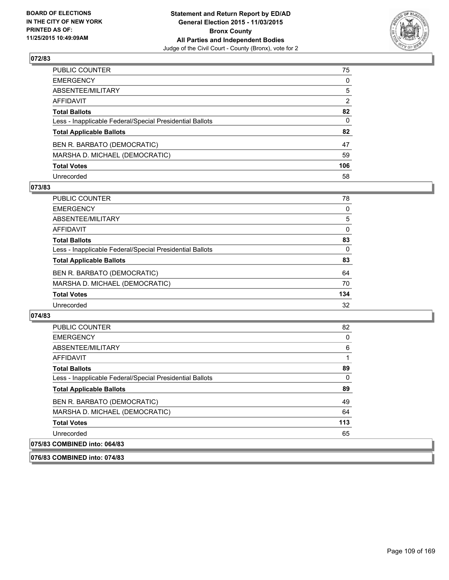

| PUBLIC COUNTER                                           | 75             |
|----------------------------------------------------------|----------------|
| EMERGENCY                                                | 0              |
| ABSENTEE/MILITARY                                        | 5              |
| AFFIDAVIT                                                | $\overline{2}$ |
| Total Ballots                                            | 82             |
| Less - Inapplicable Federal/Special Presidential Ballots | $\mathbf{0}$   |
| <b>Total Applicable Ballots</b>                          | 82             |
| BEN R. BARBATO (DEMOCRATIC)                              | 47             |
| MARSHA D. MICHAEL (DEMOCRATIC)                           | 59             |
| <b>Total Votes</b>                                       | 106            |
| Unrecorded                                               | 58             |

#### **073/83**

| PUBLIC COUNTER                                           | 78       |
|----------------------------------------------------------|----------|
| <b>EMERGENCY</b>                                         | 0        |
| ABSENTEE/MILITARY                                        | 5        |
| AFFIDAVIT                                                | $\Omega$ |
| <b>Total Ballots</b>                                     | 83       |
| Less - Inapplicable Federal/Special Presidential Ballots | $\Omega$ |
| <b>Total Applicable Ballots</b>                          | 83       |
| BEN R. BARBATO (DEMOCRATIC)                              | 64       |
| MARSHA D. MICHAEL (DEMOCRATIC)                           | 70       |
| <b>Total Votes</b>                                       | 134      |
| Unrecorded                                               | 32       |

#### **074/83**

**076/83 COMBINED into: 074/83**

| <b>PUBLIC COUNTER</b>                                    | 82  |
|----------------------------------------------------------|-----|
| <b>EMERGENCY</b>                                         | 0   |
| ABSENTEE/MILITARY                                        | 6   |
| <b>AFFIDAVIT</b>                                         |     |
| <b>Total Ballots</b>                                     | 89  |
| Less - Inapplicable Federal/Special Presidential Ballots | 0   |
| <b>Total Applicable Ballots</b>                          | 89  |
| BEN R. BARBATO (DEMOCRATIC)                              | 49  |
| MARSHA D. MICHAEL (DEMOCRATIC)                           | 64  |
| <b>Total Votes</b>                                       | 113 |
| Unrecorded                                               | 65  |
| 075/83 COMBINED into: 064/83                             |     |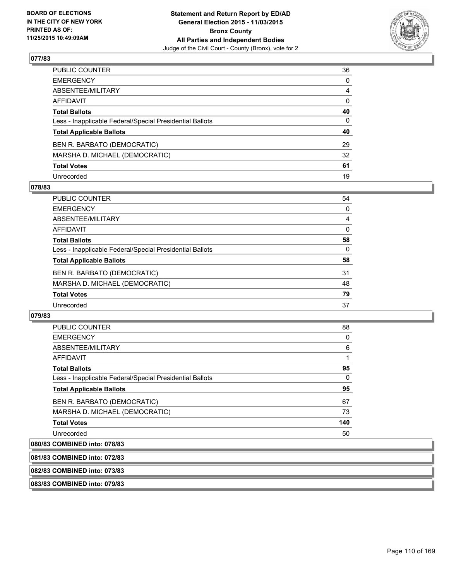

| PUBLIC COUNTER                                           | 36           |
|----------------------------------------------------------|--------------|
| EMERGENCY                                                | $\mathbf{0}$ |
| ABSENTEE/MILITARY                                        | 4            |
| AFFIDAVIT                                                | $\mathbf{0}$ |
| <b>Total Ballots</b>                                     | 40           |
| Less - Inapplicable Federal/Special Presidential Ballots | $\mathbf{0}$ |
| <b>Total Applicable Ballots</b>                          | 40           |
| BEN R. BARBATO (DEMOCRATIC)                              | 29           |
| MARSHA D. MICHAEL (DEMOCRATIC)                           | 32           |
| <b>Total Votes</b>                                       | 61           |
| Unrecorded                                               | 19           |

#### **078/83**

| PUBLIC COUNTER                                           | 54       |
|----------------------------------------------------------|----------|
| <b>EMERGENCY</b>                                         | 0        |
| ABSENTEE/MILITARY                                        | 4        |
| AFFIDAVIT                                                | $\Omega$ |
| <b>Total Ballots</b>                                     | 58       |
| Less - Inapplicable Federal/Special Presidential Ballots | 0        |
| <b>Total Applicable Ballots</b>                          | 58       |
| BEN R. BARBATO (DEMOCRATIC)                              | 31       |
| MARSHA D. MICHAEL (DEMOCRATIC)                           | 48       |
| <b>Total Votes</b>                                       | 79       |
| Unrecorded                                               | 37       |

#### **079/83**

| PUBLIC COUNTER                                           | 88  |
|----------------------------------------------------------|-----|
| <b>EMERGENCY</b>                                         | 0   |
| ABSENTEE/MILITARY                                        | 6   |
| <b>AFFIDAVIT</b>                                         |     |
| <b>Total Ballots</b>                                     | 95  |
| Less - Inapplicable Federal/Special Presidential Ballots | 0   |
| <b>Total Applicable Ballots</b>                          | 95  |
| BEN R. BARBATO (DEMOCRATIC)                              | 67  |
| MARSHA D. MICHAEL (DEMOCRATIC)                           | 73  |
| <b>Total Votes</b>                                       | 140 |
| Unrecorded                                               | 50  |
|                                                          |     |

# **080/83 COMBINED into: 078/83**

| 081/83 COMBINED into: 072/83 |  |
|------------------------------|--|
|                              |  |

# **082/83 COMBINED into: 073/83**

**083/83 COMBINED into: 079/83**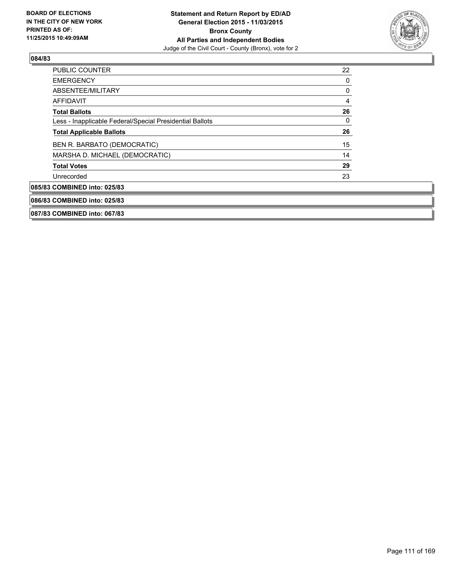

| <b>PUBLIC COUNTER</b>                                    | 22 |
|----------------------------------------------------------|----|
| <b>EMERGENCY</b>                                         | 0  |
| ABSENTEE/MILITARY                                        | 0  |
| AFFIDAVIT                                                | 4  |
| <b>Total Ballots</b>                                     | 26 |
| Less - Inapplicable Federal/Special Presidential Ballots | 0  |
| <b>Total Applicable Ballots</b>                          | 26 |
| BEN R. BARBATO (DEMOCRATIC)                              | 15 |
| MARSHA D. MICHAEL (DEMOCRATIC)                           | 14 |
| <b>Total Votes</b>                                       | 29 |
| Unrecorded                                               | 23 |
| 085/83 COMBINED into: 025/83                             |    |
| 086/83 COMBINED into: 025/83                             |    |
| 087/83 COMBINED into: 067/83                             |    |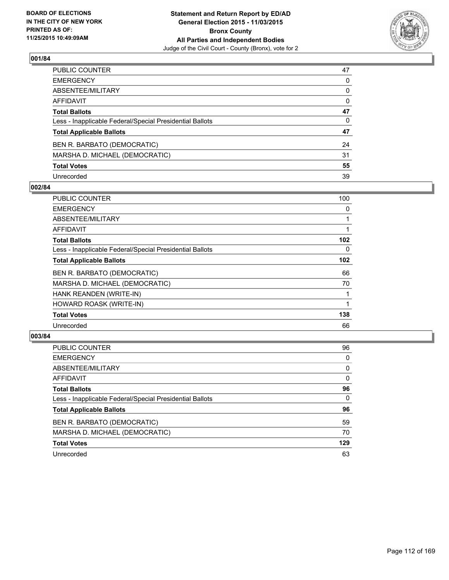

| PUBLIC COUNTER                                           | 47 |
|----------------------------------------------------------|----|
| EMERGENCY                                                | 0  |
| ABSENTEE/MILITARY                                        | 0  |
| AFFIDAVIT                                                | 0  |
| <b>Total Ballots</b>                                     | 47 |
| Less - Inapplicable Federal/Special Presidential Ballots | 0  |
| <b>Total Applicable Ballots</b>                          | 47 |
| BEN R. BARBATO (DEMOCRATIC)                              | 24 |
| MARSHA D. MICHAEL (DEMOCRATIC)                           | 31 |
| <b>Total Votes</b>                                       | 55 |
| Unrecorded                                               | 39 |

### **002/84**

| <b>PUBLIC COUNTER</b>                                    | 100 |
|----------------------------------------------------------|-----|
| <b>EMERGENCY</b>                                         | 0   |
| ABSENTEE/MILITARY                                        |     |
| AFFIDAVIT                                                |     |
| <b>Total Ballots</b>                                     | 102 |
| Less - Inapplicable Federal/Special Presidential Ballots | 0   |
| <b>Total Applicable Ballots</b>                          | 102 |
| BEN R. BARBATO (DEMOCRATIC)                              | 66  |
| MARSHA D. MICHAEL (DEMOCRATIC)                           | 70  |
| HANK REANDEN (WRITE-IN)                                  | 1   |
| HOWARD ROASK (WRITE-IN)                                  |     |
| <b>Total Votes</b>                                       | 138 |
| Unrecorded                                               | 66  |

| <b>PUBLIC COUNTER</b>                                    | 96  |
|----------------------------------------------------------|-----|
| <b>EMERGENCY</b>                                         | 0   |
| ABSENTEE/MILITARY                                        | 0   |
| AFFIDAVIT                                                | 0   |
| <b>Total Ballots</b>                                     | 96  |
| Less - Inapplicable Federal/Special Presidential Ballots | 0   |
| <b>Total Applicable Ballots</b>                          | 96  |
| BEN R. BARBATO (DEMOCRATIC)                              | 59  |
| MARSHA D. MICHAEL (DEMOCRATIC)                           | 70  |
| <b>Total Votes</b>                                       | 129 |
| Unrecorded                                               | 63  |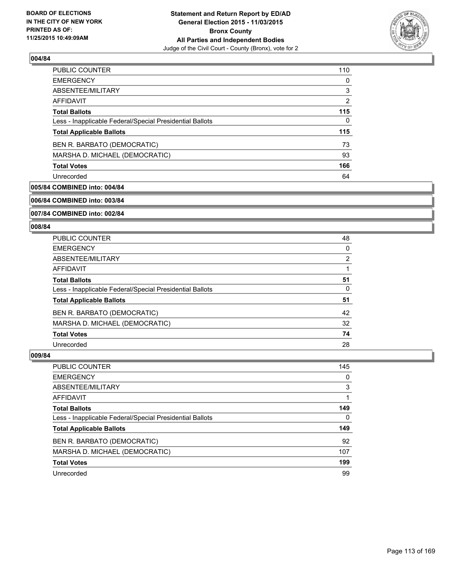

| <b>PUBLIC COUNTER</b>                                    | 110 |
|----------------------------------------------------------|-----|
| <b>EMERGENCY</b>                                         | 0   |
| ABSENTEE/MILITARY                                        | 3   |
| AFFIDAVIT                                                | 2   |
| <b>Total Ballots</b>                                     | 115 |
| Less - Inapplicable Federal/Special Presidential Ballots | 0   |
| <b>Total Applicable Ballots</b>                          | 115 |
| BEN R. BARBATO (DEMOCRATIC)                              | 73  |
| MARSHA D. MICHAEL (DEMOCRATIC)                           | 93  |
| <b>Total Votes</b>                                       | 166 |
| Unrecorded                                               | 64  |

# **005/84 COMBINED into: 004/84**

**006/84 COMBINED into: 003/84**

**007/84 COMBINED into: 002/84**

#### **008/84**

| <b>PUBLIC COUNTER</b>                                    | 48             |
|----------------------------------------------------------|----------------|
| <b>EMERGENCY</b>                                         | 0              |
| ABSENTEE/MILITARY                                        | $\overline{2}$ |
| AFFIDAVIT                                                |                |
| <b>Total Ballots</b>                                     | 51             |
| Less - Inapplicable Federal/Special Presidential Ballots | 0              |
| <b>Total Applicable Ballots</b>                          | 51             |
| BEN R. BARBATO (DEMOCRATIC)                              | 42             |
| MARSHA D. MICHAEL (DEMOCRATIC)                           | 32             |
| <b>Total Votes</b>                                       | 74             |
| Unrecorded                                               | 28             |

| <b>PUBLIC COUNTER</b>                                    | 145 |
|----------------------------------------------------------|-----|
| <b>EMERGENCY</b>                                         | 0   |
| ABSENTEE/MILITARY                                        | 3   |
| AFFIDAVIT                                                |     |
| <b>Total Ballots</b>                                     | 149 |
| Less - Inapplicable Federal/Special Presidential Ballots | 0   |
| <b>Total Applicable Ballots</b>                          | 149 |
| BEN R. BARBATO (DEMOCRATIC)                              | 92  |
| MARSHA D. MICHAEL (DEMOCRATIC)                           | 107 |
| <b>Total Votes</b>                                       | 199 |
| Unrecorded                                               | 99  |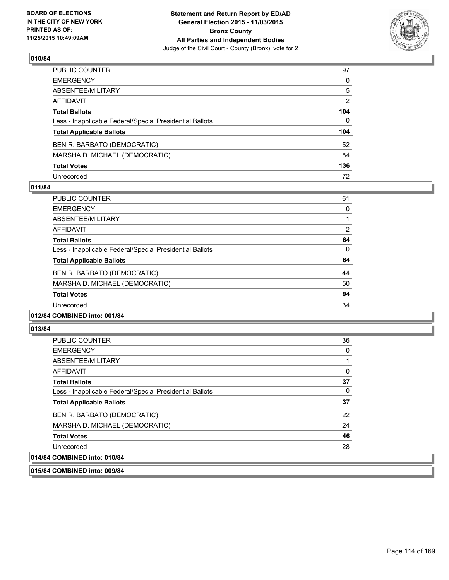

| PUBLIC COUNTER                                           | 97             |
|----------------------------------------------------------|----------------|
| EMERGENCY                                                | 0              |
| ABSENTEE/MILITARY                                        | 5              |
| AFFIDAVIT                                                | $\overline{2}$ |
| Total Ballots                                            | 104            |
| Less - Inapplicable Federal/Special Presidential Ballots | $\Omega$       |
| <b>Total Applicable Ballots</b>                          | 104            |
| BEN R. BARBATO (DEMOCRATIC)                              | 52             |
| MARSHA D. MICHAEL (DEMOCRATIC)                           | 84             |
| <b>Total Votes</b>                                       | 136            |
| Unrecorded                                               | 72             |

### **011/84**

| <b>PUBLIC COUNTER</b>                                    | 61                    |
|----------------------------------------------------------|-----------------------|
| <b>EMERGENCY</b>                                         | 0                     |
| ABSENTEE/MILITARY                                        |                       |
| AFFIDAVIT                                                | $\mathbf{2}^{\prime}$ |
| <b>Total Ballots</b>                                     | 64                    |
| Less - Inapplicable Federal/Special Presidential Ballots | 0                     |
| <b>Total Applicable Ballots</b>                          | 64                    |
| BEN R. BARBATO (DEMOCRATIC)                              | 44                    |
| MARSHA D. MICHAEL (DEMOCRATIC)                           | 50                    |
| <b>Total Votes</b>                                       | 94                    |
| Unrecorded                                               | 34                    |
|                                                          |                       |

# **012/84 COMBINED into: 001/84**

#### **013/84**

| <b>PUBLIC COUNTER</b>                                    | 36 |
|----------------------------------------------------------|----|
| <b>EMERGENCY</b>                                         | 0  |
| ABSENTEE/MILITARY                                        |    |
| AFFIDAVIT                                                | 0  |
| <b>Total Ballots</b>                                     | 37 |
| Less - Inapplicable Federal/Special Presidential Ballots | 0  |
| <b>Total Applicable Ballots</b>                          | 37 |
| BEN R. BARBATO (DEMOCRATIC)                              | 22 |
| MARSHA D. MICHAEL (DEMOCRATIC)                           | 24 |
| <b>Total Votes</b>                                       | 46 |
| Unrecorded                                               | 28 |
| 014/84 COMBINED into: 010/84                             |    |

**015/84 COMBINED into: 009/84**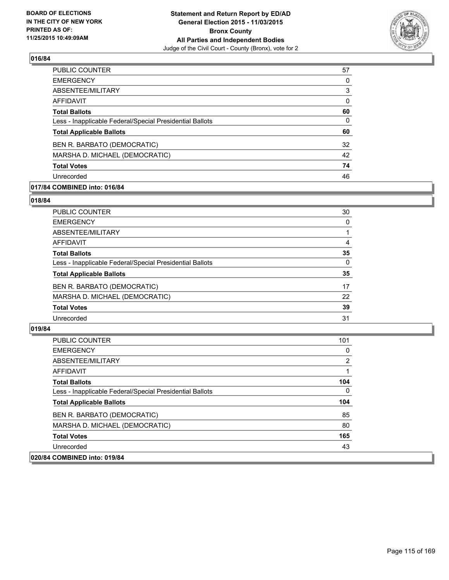

| PUBLIC COUNTER                                           | 57 |
|----------------------------------------------------------|----|
| <b>EMERGENCY</b>                                         | 0  |
| ABSENTEE/MILITARY                                        | 3  |
| <b>AFFIDAVIT</b>                                         | 0  |
| <b>Total Ballots</b>                                     | 60 |
| Less - Inapplicable Federal/Special Presidential Ballots | 0  |
| <b>Total Applicable Ballots</b>                          | 60 |
| BEN R. BARBATO (DEMOCRATIC)                              | 32 |
| MARSHA D. MICHAEL (DEMOCRATIC)                           | 42 |
| <b>Total Votes</b>                                       | 74 |
| Unrecorded                                               | 46 |

# **017/84 COMBINED into: 016/84**

#### **018/84**

| <b>PUBLIC COUNTER</b>                                    | 30       |
|----------------------------------------------------------|----------|
| <b>EMERGENCY</b>                                         | 0        |
| ABSENTEE/MILITARY                                        |          |
| <b>AFFIDAVIT</b>                                         | 4        |
| <b>Total Ballots</b>                                     | 35       |
| Less - Inapplicable Federal/Special Presidential Ballots | $\Omega$ |
| <b>Total Applicable Ballots</b>                          | 35       |
| BEN R. BARBATO (DEMOCRATIC)                              | 17       |
| MARSHA D. MICHAEL (DEMOCRATIC)                           | 22       |
| <b>Total Votes</b>                                       | 39       |
| Unrecorded                                               | 31       |
|                                                          |          |

| <b>PUBLIC COUNTER</b>                                    | 101 |
|----------------------------------------------------------|-----|
| <b>EMERGENCY</b>                                         | 0   |
| ABSENTEE/MILITARY                                        | 2   |
| AFFIDAVIT                                                |     |
| <b>Total Ballots</b>                                     | 104 |
| Less - Inapplicable Federal/Special Presidential Ballots | 0   |
| <b>Total Applicable Ballots</b>                          | 104 |
| BEN R. BARBATO (DEMOCRATIC)                              | 85  |
| MARSHA D. MICHAEL (DEMOCRATIC)                           | 80  |
| <b>Total Votes</b>                                       | 165 |
| Unrecorded                                               | 43  |
| 020/84 COMBINED into: 019/84                             |     |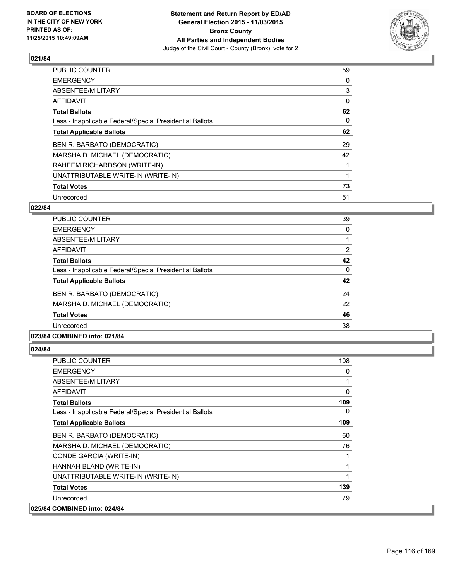

| <b>PUBLIC COUNTER</b>                                    | 59 |
|----------------------------------------------------------|----|
| <b>EMERGENCY</b>                                         | 0  |
| ABSENTEE/MILITARY                                        | 3  |
| AFFIDAVIT                                                | 0  |
| <b>Total Ballots</b>                                     | 62 |
| Less - Inapplicable Federal/Special Presidential Ballots | 0  |
| <b>Total Applicable Ballots</b>                          | 62 |
| BEN R. BARBATO (DEMOCRATIC)                              | 29 |
| MARSHA D. MICHAEL (DEMOCRATIC)                           | 42 |
| RAHEEM RICHARDSON (WRITE-IN)                             |    |
| UNATTRIBUTABLE WRITE-IN (WRITE-IN)                       |    |
| <b>Total Votes</b>                                       | 73 |
| Unrecorded                                               | 51 |

# **022/84**

| <b>PUBLIC COUNTER</b>                                    | 39 |
|----------------------------------------------------------|----|
| <b>EMERGENCY</b>                                         | 0  |
| ABSENTEE/MILITARY                                        |    |
| AFFIDAVIT                                                | 2  |
| <b>Total Ballots</b>                                     | 42 |
| Less - Inapplicable Federal/Special Presidential Ballots | 0  |
| <b>Total Applicable Ballots</b>                          | 42 |
| BEN R. BARBATO (DEMOCRATIC)                              | 24 |
| MARSHA D. MICHAEL (DEMOCRATIC)                           | 22 |
| <b>Total Votes</b>                                       | 46 |
| Unrecorded                                               | 38 |
| 023/84 COMBINED into: 021/84                             |    |

| <b>PUBLIC COUNTER</b>                                    | 108 |
|----------------------------------------------------------|-----|
| <b>EMERGENCY</b>                                         | 0   |
| ABSENTEE/MILITARY                                        | 1   |
| <b>AFFIDAVIT</b>                                         | 0   |
| <b>Total Ballots</b>                                     | 109 |
| Less - Inapplicable Federal/Special Presidential Ballots | 0   |
| <b>Total Applicable Ballots</b>                          | 109 |
| BEN R. BARBATO (DEMOCRATIC)                              | 60  |
| MARSHA D. MICHAEL (DEMOCRATIC)                           | 76  |
| CONDE GARCIA (WRITE-IN)                                  | 1   |
| HANNAH BLAND (WRITE-IN)                                  | 1   |
| UNATTRIBUTABLE WRITE-IN (WRITE-IN)                       | 1   |
| <b>Total Votes</b>                                       | 139 |
| Unrecorded                                               | 79  |
| 025/84 COMBINED into: 024/84                             |     |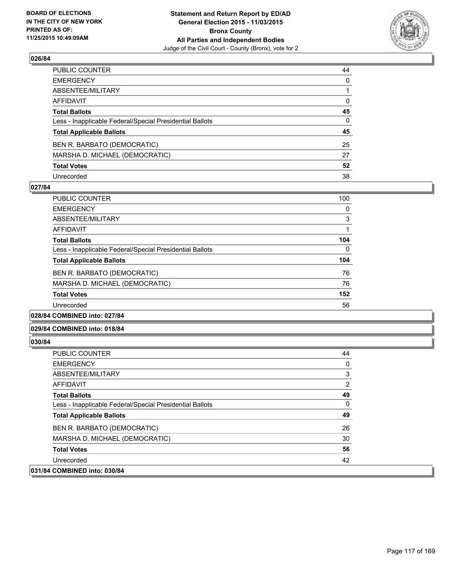

| PUBLIC COUNTER                                           | 44           |
|----------------------------------------------------------|--------------|
| EMERGENCY                                                | $\mathbf{0}$ |
| ABSENTEE/MILITARY                                        |              |
| AFFIDAVIT                                                | 0            |
| <b>Total Ballots</b>                                     | 45           |
| Less - Inapplicable Federal/Special Presidential Ballots | $\Omega$     |
| <b>Total Applicable Ballots</b>                          | 45           |
| BEN R. BARBATO (DEMOCRATIC)                              | 25           |
| MARSHA D. MICHAEL (DEMOCRATIC)                           | 27           |
| <b>Total Votes</b>                                       | 52           |
| Unrecorded                                               | 38           |

### **027/84**

| <b>PUBLIC COUNTER</b>                                    | 100 |
|----------------------------------------------------------|-----|
| <b>EMERGENCY</b>                                         | 0   |
| ABSENTEE/MILITARY                                        | 3   |
| <b>AFFIDAVIT</b>                                         |     |
| <b>Total Ballots</b>                                     | 104 |
| Less - Inapplicable Federal/Special Presidential Ballots | 0   |
| <b>Total Applicable Ballots</b>                          | 104 |
| BEN R. BARBATO (DEMOCRATIC)                              | 76  |
| MARSHA D. MICHAEL (DEMOCRATIC)                           | 76  |
| <b>Total Votes</b>                                       | 152 |
| Unrecorded                                               | 56  |
|                                                          |     |

#### **028/84 COMBINED into: 027/84**

#### **029/84 COMBINED into: 018/84**

| <b>PUBLIC COUNTER</b>                                    | 44 |
|----------------------------------------------------------|----|
| <b>EMERGENCY</b>                                         | 0  |
| ABSENTEE/MILITARY                                        | 3  |
| AFFIDAVIT                                                | 2  |
| <b>Total Ballots</b>                                     | 49 |
| Less - Inapplicable Federal/Special Presidential Ballots | 0  |
| <b>Total Applicable Ballots</b>                          | 49 |
| BEN R. BARBATO (DEMOCRATIC)                              | 26 |
| MARSHA D. MICHAEL (DEMOCRATIC)                           | 30 |
| <b>Total Votes</b>                                       | 56 |
| Unrecorded                                               | 42 |
| 031/84 COMBINED into: 030/84                             |    |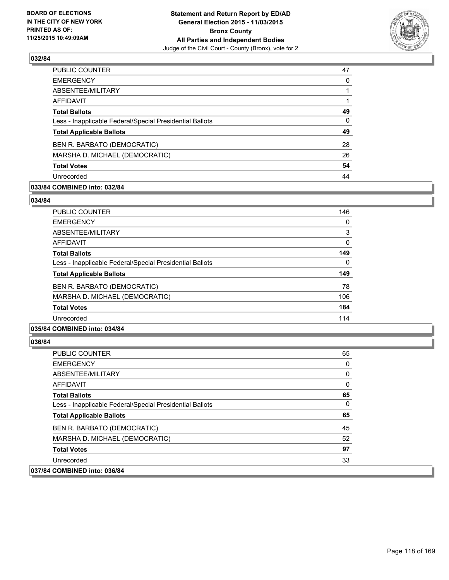

| PUBLIC COUNTER                                           | 47       |
|----------------------------------------------------------|----------|
| <b>EMERGENCY</b>                                         | 0        |
| ABSENTEE/MILITARY                                        |          |
| AFFIDAVIT                                                |          |
| <b>Total Ballots</b>                                     | 49       |
| Less - Inapplicable Federal/Special Presidential Ballots | $\Omega$ |
| <b>Total Applicable Ballots</b>                          | 49       |
| BEN R. BARBATO (DEMOCRATIC)                              | 28       |
| MARSHA D. MICHAEL (DEMOCRATIC)                           | 26       |
| <b>Total Votes</b>                                       | 54       |
| Unrecorded                                               | 44       |

# **033/84 COMBINED into: 032/84**

#### **034/84**

| <b>PUBLIC COUNTER</b>                                    | 146 |
|----------------------------------------------------------|-----|
| <b>EMERGENCY</b>                                         | 0   |
| ABSENTEE/MILITARY                                        | 3   |
| AFFIDAVIT                                                | 0   |
| <b>Total Ballots</b>                                     | 149 |
| Less - Inapplicable Federal/Special Presidential Ballots | 0   |
| <b>Total Applicable Ballots</b>                          | 149 |
| BEN R. BARBATO (DEMOCRATIC)                              | 78  |
| MARSHA D. MICHAEL (DEMOCRATIC)                           | 106 |
| <b>Total Votes</b>                                       | 184 |
| Unrecorded                                               | 114 |
|                                                          |     |

#### **035/84 COMBINED into: 034/84**

| <b>PUBLIC COUNTER</b>                                    | 65 |
|----------------------------------------------------------|----|
| <b>EMERGENCY</b>                                         | 0  |
| ABSENTEE/MILITARY                                        | 0  |
| AFFIDAVIT                                                | 0  |
| <b>Total Ballots</b>                                     | 65 |
| Less - Inapplicable Federal/Special Presidential Ballots | 0  |
| <b>Total Applicable Ballots</b>                          | 65 |
| BEN R. BARBATO (DEMOCRATIC)                              | 45 |
| MARSHA D. MICHAEL (DEMOCRATIC)                           | 52 |
| <b>Total Votes</b>                                       | 97 |
| Unrecorded                                               | 33 |
| 037/84 COMBINED into: 036/84                             |    |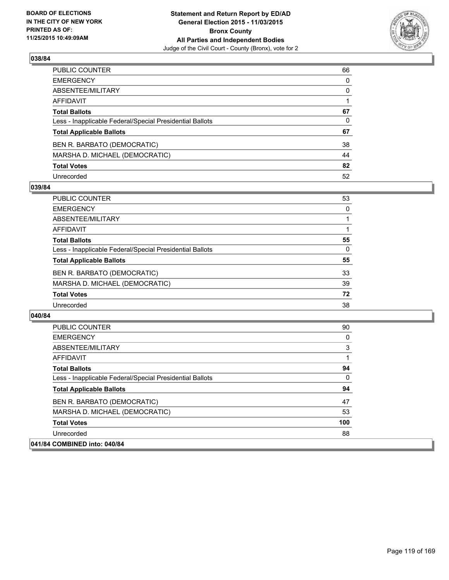

| PUBLIC COUNTER                                           | 66 |
|----------------------------------------------------------|----|
| EMERGENCY                                                | 0  |
| ABSENTEE/MILITARY                                        | 0  |
| AFFIDAVIT                                                |    |
| <b>Total Ballots</b>                                     | 67 |
| Less - Inapplicable Federal/Special Presidential Ballots | 0  |
| <b>Total Applicable Ballots</b>                          | 67 |
| BEN R. BARBATO (DEMOCRATIC)                              | 38 |
| MARSHA D. MICHAEL (DEMOCRATIC)                           | 44 |
| <b>Total Votes</b>                                       | 82 |
| Unrecorded                                               | 52 |

#### **039/84**

| PUBLIC COUNTER                                           | 53 |
|----------------------------------------------------------|----|
| <b>EMERGENCY</b>                                         | 0  |
| ABSENTEE/MILITARY                                        |    |
| AFFIDAVIT                                                |    |
| <b>Total Ballots</b>                                     | 55 |
| Less - Inapplicable Federal/Special Presidential Ballots | 0  |
| <b>Total Applicable Ballots</b>                          | 55 |
| BEN R. BARBATO (DEMOCRATIC)                              | 33 |
| MARSHA D. MICHAEL (DEMOCRATIC)                           | 39 |
| <b>Total Votes</b>                                       | 72 |
| Unrecorded                                               | 38 |

| <b>PUBLIC COUNTER</b>                                    | 90  |
|----------------------------------------------------------|-----|
| <b>EMERGENCY</b>                                         | 0   |
| ABSENTEE/MILITARY                                        | 3   |
| <b>AFFIDAVIT</b>                                         |     |
| <b>Total Ballots</b>                                     | 94  |
| Less - Inapplicable Federal/Special Presidential Ballots | 0   |
| <b>Total Applicable Ballots</b>                          | 94  |
| BEN R. BARBATO (DEMOCRATIC)                              | 47  |
| MARSHA D. MICHAEL (DEMOCRATIC)                           | 53  |
| <b>Total Votes</b>                                       | 100 |
| Unrecorded                                               | 88  |
| 041/84 COMBINED into: 040/84                             |     |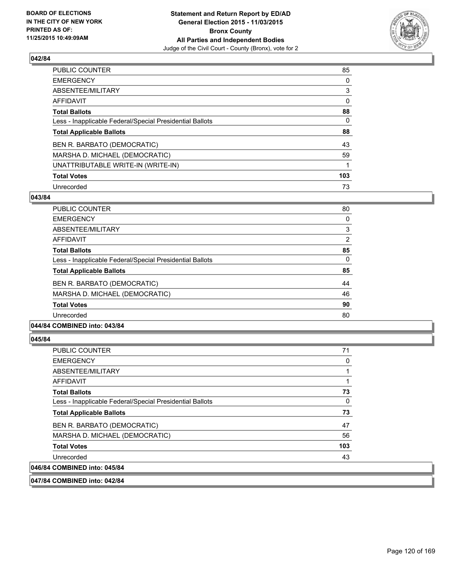

| PUBLIC COUNTER                                           | 85  |
|----------------------------------------------------------|-----|
| <b>EMERGENCY</b>                                         | 0   |
| ABSENTEE/MILITARY                                        | 3   |
| AFFIDAVIT                                                | 0   |
| <b>Total Ballots</b>                                     | 88  |
| Less - Inapplicable Federal/Special Presidential Ballots | 0   |
| <b>Total Applicable Ballots</b>                          | 88  |
| BEN R. BARBATO (DEMOCRATIC)                              | 43  |
| MARSHA D. MICHAEL (DEMOCRATIC)                           | 59  |
| UNATTRIBUTABLE WRITE-IN (WRITE-IN)                       |     |
| <b>Total Votes</b>                                       | 103 |
| Unrecorded                                               | 73  |

#### **043/84**

| PUBLIC COUNTER                                           | 80             |
|----------------------------------------------------------|----------------|
| <b>EMERGENCY</b>                                         | 0              |
| ABSENTEE/MILITARY                                        | 3              |
| AFFIDAVIT                                                | $\overline{2}$ |
| <b>Total Ballots</b>                                     | 85             |
| Less - Inapplicable Federal/Special Presidential Ballots | 0              |
| <b>Total Applicable Ballots</b>                          | 85             |
| BEN R. BARBATO (DEMOCRATIC)                              | 44             |
| MARSHA D. MICHAEL (DEMOCRATIC)                           | 46             |
| <b>Total Votes</b>                                       | 90             |
| Unrecorded                                               | 80             |
|                                                          |                |

# **044/84 COMBINED into: 043/84**

### **045/84**

| <b>PUBLIC COUNTER</b>                                    | 71  |
|----------------------------------------------------------|-----|
| <b>EMERGENCY</b>                                         | 0   |
| ABSENTEE/MILITARY                                        |     |
| AFFIDAVIT                                                |     |
| <b>Total Ballots</b>                                     | 73  |
| Less - Inapplicable Federal/Special Presidential Ballots | 0   |
| <b>Total Applicable Ballots</b>                          | 73  |
| BEN R. BARBATO (DEMOCRATIC)                              | 47  |
| MARSHA D. MICHAEL (DEMOCRATIC)                           | 56  |
| <b>Total Votes</b>                                       | 103 |
| Unrecorded                                               | 43  |
| 046/84 COMBINED into: 045/84                             |     |

**047/84 COMBINED into: 042/84**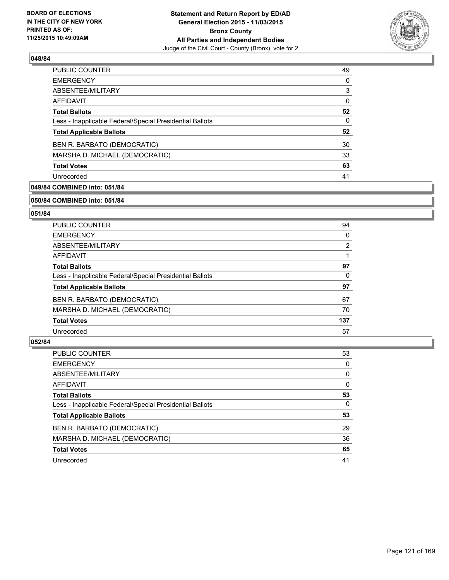

| <b>PUBLIC COUNTER</b>                                    | 49 |
|----------------------------------------------------------|----|
| <b>EMERGENCY</b>                                         | 0  |
| ABSENTEE/MILITARY                                        | 3  |
| AFFIDAVIT                                                | 0  |
| <b>Total Ballots</b>                                     | 52 |
| Less - Inapplicable Federal/Special Presidential Ballots | 0  |
| <b>Total Applicable Ballots</b>                          | 52 |
| BEN R. BARBATO (DEMOCRATIC)                              | 30 |
| MARSHA D. MICHAEL (DEMOCRATIC)                           | 33 |
| <b>Total Votes</b>                                       | 63 |
| Unrecorded                                               | 41 |

# **049/84 COMBINED into: 051/84**

#### **050/84 COMBINED into: 051/84**

# **051/84**

| <b>PUBLIC COUNTER</b>                                    | 94  |
|----------------------------------------------------------|-----|
| <b>EMERGENCY</b>                                         | 0   |
| ABSENTEE/MILITARY                                        | 2   |
| AFFIDAVIT                                                |     |
| <b>Total Ballots</b>                                     | 97  |
| Less - Inapplicable Federal/Special Presidential Ballots | 0   |
| <b>Total Applicable Ballots</b>                          | 97  |
| BEN R. BARBATO (DEMOCRATIC)                              | 67  |
| MARSHA D. MICHAEL (DEMOCRATIC)                           | 70  |
| <b>Total Votes</b>                                       | 137 |
| Unrecorded                                               | 57  |

| <b>PUBLIC COUNTER</b>                                    | 53       |
|----------------------------------------------------------|----------|
| <b>EMERGENCY</b>                                         | 0        |
| ABSENTEE/MILITARY                                        | 0        |
| AFFIDAVIT                                                | 0        |
| <b>Total Ballots</b>                                     | 53       |
| Less - Inapplicable Federal/Special Presidential Ballots | $\Omega$ |
| <b>Total Applicable Ballots</b>                          | 53       |
| BEN R. BARBATO (DEMOCRATIC)                              | 29       |
| MARSHA D. MICHAEL (DEMOCRATIC)                           | 36       |
| <b>Total Votes</b>                                       | 65       |
| Unrecorded                                               | 41       |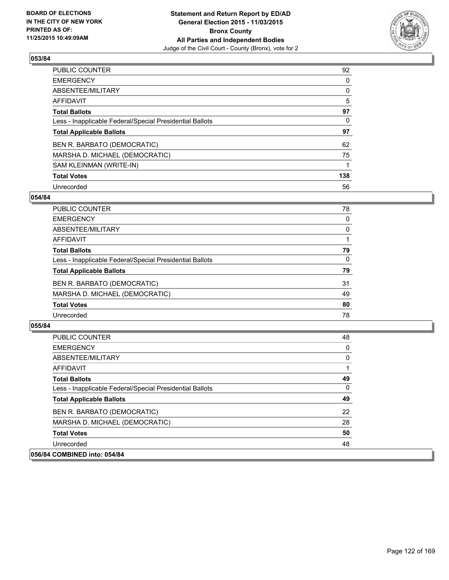

| PUBLIC COUNTER                                           | 92  |
|----------------------------------------------------------|-----|
| <b>EMERGENCY</b>                                         | 0   |
| ABSENTEE/MILITARY                                        | 0   |
| <b>AFFIDAVIT</b>                                         | 5   |
| <b>Total Ballots</b>                                     | 97  |
| Less - Inapplicable Federal/Special Presidential Ballots | 0   |
| <b>Total Applicable Ballots</b>                          | 97  |
| BEN R. BARBATO (DEMOCRATIC)                              | 62  |
| MARSHA D. MICHAEL (DEMOCRATIC)                           | 75  |
| SAM KLEINMAN (WRITE-IN)                                  |     |
| <b>Total Votes</b>                                       | 138 |
| Unrecorded                                               | 56  |

### **054/84**

| <b>PUBLIC COUNTER</b>                                    | 78 |
|----------------------------------------------------------|----|
| <b>EMERGENCY</b>                                         | 0  |
| ABSENTEE/MILITARY                                        | 0  |
| AFFIDAVIT                                                |    |
| <b>Total Ballots</b>                                     | 79 |
| Less - Inapplicable Federal/Special Presidential Ballots | 0  |
| <b>Total Applicable Ballots</b>                          | 79 |
| BEN R. BARBATO (DEMOCRATIC)                              | 31 |
| MARSHA D. MICHAEL (DEMOCRATIC)                           | 49 |
| <b>Total Votes</b>                                       | 80 |
| Unrecorded                                               | 78 |
|                                                          |    |

| <b>PUBLIC COUNTER</b>                                    | 48 |
|----------------------------------------------------------|----|
| <b>EMERGENCY</b>                                         | 0  |
| ABSENTEE/MILITARY                                        | 0  |
| AFFIDAVIT                                                |    |
| <b>Total Ballots</b>                                     | 49 |
| Less - Inapplicable Federal/Special Presidential Ballots | 0  |
| <b>Total Applicable Ballots</b>                          | 49 |
| BEN R. BARBATO (DEMOCRATIC)                              | 22 |
| MARSHA D. MICHAEL (DEMOCRATIC)                           | 28 |
| <b>Total Votes</b>                                       | 50 |
| Unrecorded                                               | 48 |
| 056/84 COMBINED into: 054/84                             |    |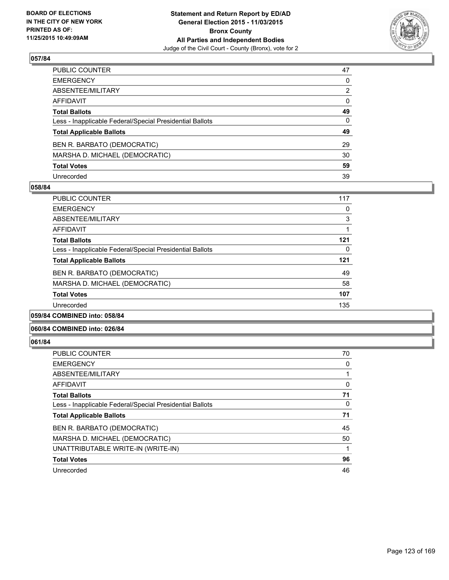

| PUBLIC COUNTER                                           | 47           |
|----------------------------------------------------------|--------------|
| EMERGENCY                                                | $\mathbf{0}$ |
| ABSENTEE/MILITARY                                        | 2            |
| AFFIDAVIT                                                | $\mathbf{0}$ |
| <b>Total Ballots</b>                                     | 49           |
| Less - Inapplicable Federal/Special Presidential Ballots | $\Omega$     |
| <b>Total Applicable Ballots</b>                          | 49           |
| BEN R. BARBATO (DEMOCRATIC)                              | 29           |
| MARSHA D. MICHAEL (DEMOCRATIC)                           | 30           |
| <b>Total Votes</b>                                       | 59           |
| Unrecorded                                               | 39           |

### **058/84**

| <b>PUBLIC COUNTER</b>                                    | 117 |
|----------------------------------------------------------|-----|
| <b>EMERGENCY</b>                                         | 0   |
| ABSENTEE/MILITARY                                        | 3   |
| <b>AFFIDAVIT</b>                                         |     |
| <b>Total Ballots</b>                                     | 121 |
| Less - Inapplicable Federal/Special Presidential Ballots | 0   |
| <b>Total Applicable Ballots</b>                          | 121 |
| BEN R. BARBATO (DEMOCRATIC)                              | 49  |
| MARSHA D. MICHAEL (DEMOCRATIC)                           | 58  |
| <b>Total Votes</b>                                       | 107 |
| Unrecorded                                               | 135 |
|                                                          |     |

#### **059/84 COMBINED into: 058/84**

#### **060/84 COMBINED into: 026/84**

| <b>PUBLIC COUNTER</b>                                    | 70 |
|----------------------------------------------------------|----|
| <b>EMERGENCY</b>                                         | 0  |
| ABSENTEE/MILITARY                                        |    |
| AFFIDAVIT                                                | 0  |
| <b>Total Ballots</b>                                     | 71 |
| Less - Inapplicable Federal/Special Presidential Ballots | 0  |
|                                                          |    |
| <b>Total Applicable Ballots</b>                          | 71 |
| BEN R. BARBATO (DEMOCRATIC)                              | 45 |
| MARSHA D. MICHAEL (DEMOCRATIC)                           | 50 |
| UNATTRIBUTABLE WRITE-IN (WRITE-IN)                       | 1  |
| <b>Total Votes</b>                                       | 96 |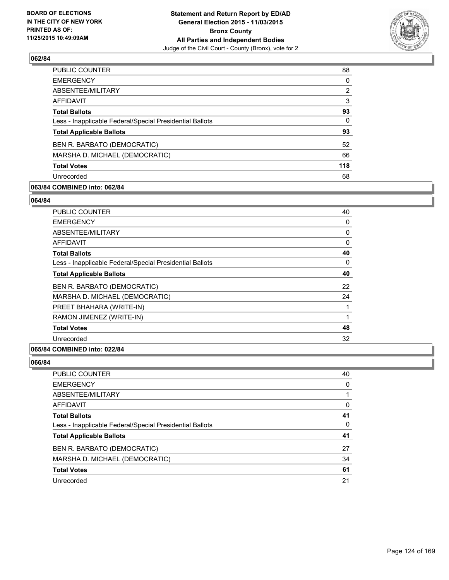

| <b>PUBLIC COUNTER</b>                                    | 88             |
|----------------------------------------------------------|----------------|
| <b>EMERGENCY</b>                                         | $\Omega$       |
| ABSENTEE/MILITARY                                        | $\overline{2}$ |
| AFFIDAVIT                                                | 3              |
| <b>Total Ballots</b>                                     | 93             |
| Less - Inapplicable Federal/Special Presidential Ballots | $\Omega$       |
| <b>Total Applicable Ballots</b>                          | 93             |
| BEN R. BARBATO (DEMOCRATIC)                              | 52             |
| MARSHA D. MICHAEL (DEMOCRATIC)                           | 66             |
| <b>Total Votes</b>                                       | 118            |
| Unrecorded                                               | 68             |
|                                                          |                |

# **063/84 COMBINED into: 062/84**

#### **064/84**

| <b>PUBLIC COUNTER</b>                                    | 40 |
|----------------------------------------------------------|----|
| <b>EMERGENCY</b>                                         | 0  |
| ABSENTEE/MILITARY                                        | 0  |
| AFFIDAVIT                                                | 0  |
| <b>Total Ballots</b>                                     | 40 |
| Less - Inapplicable Federal/Special Presidential Ballots | 0  |
| <b>Total Applicable Ballots</b>                          | 40 |
| BEN R. BARBATO (DEMOCRATIC)                              | 22 |
| MARSHA D. MICHAEL (DEMOCRATIC)                           | 24 |
| PREET BHAHARA (WRITE-IN)                                 |    |
| RAMON JIMENEZ (WRITE-IN)                                 | 1  |
| <b>Total Votes</b>                                       | 48 |
| Unrecorded                                               | 32 |
|                                                          |    |

#### **065/84 COMBINED into: 022/84**

| <b>PUBLIC COUNTER</b>                                    | 40 |
|----------------------------------------------------------|----|
| <b>EMERGENCY</b>                                         | 0  |
| ABSENTEE/MILITARY                                        |    |
| <b>AFFIDAVIT</b>                                         | 0  |
| <b>Total Ballots</b>                                     | 41 |
| Less - Inapplicable Federal/Special Presidential Ballots | 0  |
| <b>Total Applicable Ballots</b>                          | 41 |
| BEN R. BARBATO (DEMOCRATIC)                              | 27 |
| MARSHA D. MICHAEL (DEMOCRATIC)                           | 34 |
| <b>Total Votes</b>                                       | 61 |
| Unrecorded                                               | 21 |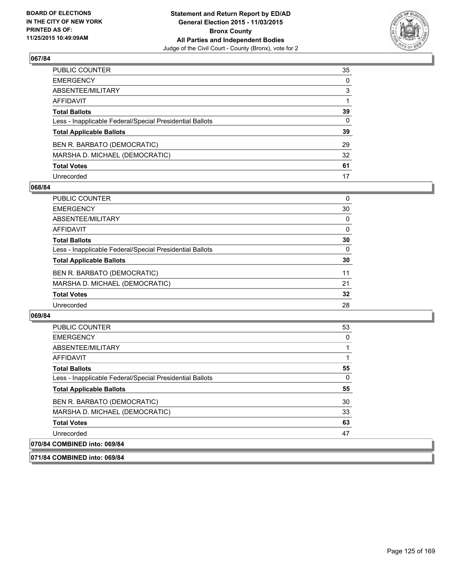

| PUBLIC COUNTER                                           | 35           |
|----------------------------------------------------------|--------------|
| EMERGENCY                                                | $\mathbf{0}$ |
| ABSENTEE/MILITARY                                        | 3            |
| AFFIDAVIT                                                |              |
| <b>Total Ballots</b>                                     | 39           |
| Less - Inapplicable Federal/Special Presidential Ballots | 0            |
| <b>Total Applicable Ballots</b>                          | 39           |
| BEN R. BARBATO (DEMOCRATIC)                              | 29           |
| MARSHA D. MICHAEL (DEMOCRATIC)                           | 32           |
| <b>Total Votes</b>                                       | 61           |
| Unrecorded                                               | 17           |

#### **068/84**

| <b>PUBLIC COUNTER</b>                                    | 0        |
|----------------------------------------------------------|----------|
| <b>EMERGENCY</b>                                         | 30       |
| ABSENTEE/MILITARY                                        | 0        |
| AFFIDAVIT                                                | 0        |
| <b>Total Ballots</b>                                     | 30       |
| Less - Inapplicable Federal/Special Presidential Ballots | $\Omega$ |
| <b>Total Applicable Ballots</b>                          | 30       |
| BEN R. BARBATO (DEMOCRATIC)                              | 11       |
| MARSHA D. MICHAEL (DEMOCRATIC)                           | 21       |
| <b>Total Votes</b>                                       | 32       |
| Unrecorded                                               | 28       |

#### **069/84**

**071/84 COMBINED into: 069/84**

| <b>PUBLIC COUNTER</b>                                    | 53 |
|----------------------------------------------------------|----|
| <b>EMERGENCY</b>                                         | 0  |
| ABSENTEE/MILITARY                                        |    |
| <b>AFFIDAVIT</b>                                         |    |
| <b>Total Ballots</b>                                     | 55 |
| Less - Inapplicable Federal/Special Presidential Ballots | 0  |
| <b>Total Applicable Ballots</b>                          | 55 |
| BEN R. BARBATO (DEMOCRATIC)                              | 30 |
| MARSHA D. MICHAEL (DEMOCRATIC)                           | 33 |
| <b>Total Votes</b>                                       | 63 |
| Unrecorded                                               | 47 |
| 070/84 COMBINED into: 069/84                             |    |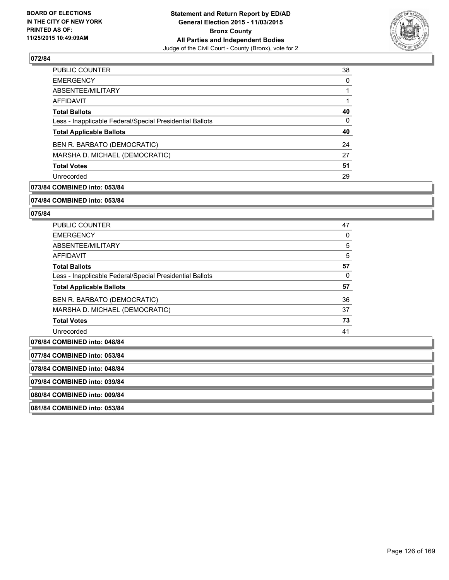

| <b>PUBLIC COUNTER</b>                                    | 38 |
|----------------------------------------------------------|----|
| <b>EMERGENCY</b>                                         | 0  |
| ABSENTEE/MILITARY                                        |    |
| AFFIDAVIT                                                |    |
| <b>Total Ballots</b>                                     | 40 |
| Less - Inapplicable Federal/Special Presidential Ballots | 0  |
| <b>Total Applicable Ballots</b>                          | 40 |
| BEN R. BARBATO (DEMOCRATIC)                              | 24 |
| MARSHA D. MICHAEL (DEMOCRATIC)                           | 27 |
| <b>Total Votes</b>                                       | 51 |
| Unrecorded                                               | 29 |

# **073/84 COMBINED into: 053/84**

#### **074/84 COMBINED into: 053/84**

#### **075/84**

| <b>PUBLIC COUNTER</b>                                    | 47 |
|----------------------------------------------------------|----|
| <b>EMERGENCY</b>                                         | 0  |
| ABSENTEE/MILITARY                                        | 5  |
| <b>AFFIDAVIT</b>                                         | 5  |
| <b>Total Ballots</b>                                     | 57 |
| Less - Inapplicable Federal/Special Presidential Ballots | 0  |
| <b>Total Applicable Ballots</b>                          | 57 |
| BEN R. BARBATO (DEMOCRATIC)                              | 36 |
| MARSHA D. MICHAEL (DEMOCRATIC)                           | 37 |
| <b>Total Votes</b>                                       | 73 |
| Unrecorded                                               | 41 |
|                                                          |    |

# **076/84 COMBINED into: 048/84 077/84 COMBINED into: 053/84 078/84 COMBINED into: 048/84 079/84 COMBINED into: 039/84 080/84 COMBINED into: 009/84 081/84 COMBINED into: 053/84**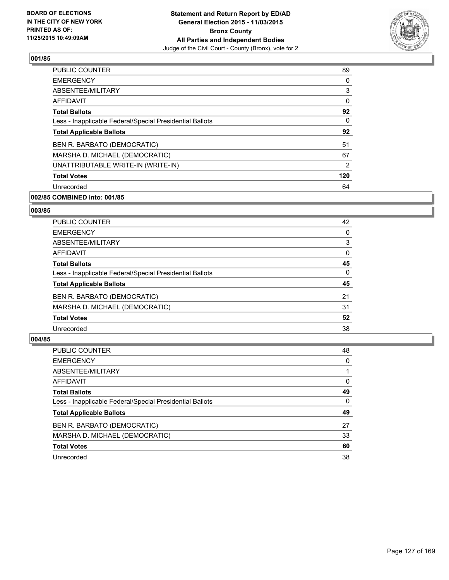

| PUBLIC COUNTER                                           | 89             |
|----------------------------------------------------------|----------------|
| <b>EMERGENCY</b>                                         | 0              |
| ABSENTEE/MILITARY                                        | 3              |
| AFFIDAVIT                                                | 0              |
| <b>Total Ballots</b>                                     | 92             |
| Less - Inapplicable Federal/Special Presidential Ballots | 0              |
| <b>Total Applicable Ballots</b>                          | 92             |
| BEN R. BARBATO (DEMOCRATIC)                              | 51             |
| MARSHA D. MICHAEL (DEMOCRATIC)                           | 67             |
| UNATTRIBUTABLE WRITE-IN (WRITE-IN)                       | $\overline{2}$ |
| <b>Total Votes</b>                                       | 120            |
| Unrecorded                                               | 64             |

# **002/85 COMBINED into: 001/85**

#### **003/85**

| <b>PUBLIC COUNTER</b>                                    | 42 |
|----------------------------------------------------------|----|
| <b>EMERGENCY</b>                                         | 0  |
| ABSENTEE/MILITARY                                        | 3  |
| <b>AFFIDAVIT</b>                                         | 0  |
| <b>Total Ballots</b>                                     | 45 |
| Less - Inapplicable Federal/Special Presidential Ballots | 0  |
| <b>Total Applicable Ballots</b>                          | 45 |
| BEN R. BARBATO (DEMOCRATIC)                              | 21 |
| MARSHA D. MICHAEL (DEMOCRATIC)                           | 31 |
| <b>Total Votes</b>                                       | 52 |
| Unrecorded                                               | 38 |

| PUBLIC COUNTER                                           | 48       |
|----------------------------------------------------------|----------|
| <b>EMERGENCY</b>                                         | 0        |
| ABSENTEE/MILITARY                                        |          |
| <b>AFFIDAVIT</b>                                         | 0        |
| <b>Total Ballots</b>                                     | 49       |
| Less - Inapplicable Federal/Special Presidential Ballots | $\Omega$ |
| <b>Total Applicable Ballots</b>                          | 49       |
| BEN R. BARBATO (DEMOCRATIC)                              | 27       |
| MARSHA D. MICHAEL (DEMOCRATIC)                           | 33       |
| <b>Total Votes</b>                                       | 60       |
| Unrecorded                                               | 38       |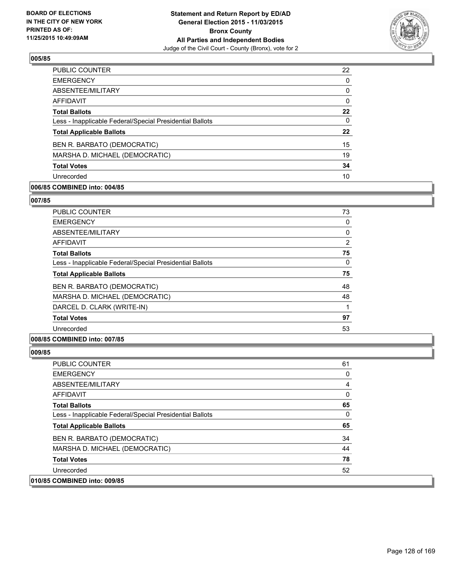

| <b>PUBLIC COUNTER</b>                                    | 22 |
|----------------------------------------------------------|----|
| <b>EMERGENCY</b>                                         | 0  |
| ABSENTEE/MILITARY                                        | 0  |
| AFFIDAVIT                                                | 0  |
| <b>Total Ballots</b>                                     | 22 |
| Less - Inapplicable Federal/Special Presidential Ballots | 0  |
| <b>Total Applicable Ballots</b>                          | 22 |
| BEN R. BARBATO (DEMOCRATIC)                              | 15 |
| MARSHA D. MICHAEL (DEMOCRATIC)                           | 19 |
| <b>Total Votes</b>                                       | 34 |
| Unrecorded                                               | 10 |

# **006/85 COMBINED into: 004/85**

#### **007/85**

| <b>PUBLIC COUNTER</b>                                    | 73 |
|----------------------------------------------------------|----|
| <b>EMERGENCY</b>                                         | 0  |
| ABSENTEE/MILITARY                                        | 0  |
| AFFIDAVIT                                                | 2  |
| <b>Total Ballots</b>                                     | 75 |
| Less - Inapplicable Federal/Special Presidential Ballots | 0  |
| <b>Total Applicable Ballots</b>                          | 75 |
| BEN R. BARBATO (DEMOCRATIC)                              | 48 |
| MARSHA D. MICHAEL (DEMOCRATIC)                           | 48 |
| DARCEL D. CLARK (WRITE-IN)                               | 1  |
| <b>Total Votes</b>                                       | 97 |
| Unrecorded                                               | 53 |
|                                                          |    |

# **008/85 COMBINED into: 007/85**

| <b>PUBLIC COUNTER</b>                                    | 61 |
|----------------------------------------------------------|----|
| <b>EMERGENCY</b>                                         | 0  |
| ABSENTEE/MILITARY                                        | 4  |
| AFFIDAVIT                                                | 0  |
| <b>Total Ballots</b>                                     | 65 |
| Less - Inapplicable Federal/Special Presidential Ballots | 0  |
| <b>Total Applicable Ballots</b>                          | 65 |
| BEN R. BARBATO (DEMOCRATIC)                              | 34 |
| MARSHA D. MICHAEL (DEMOCRATIC)                           | 44 |
| <b>Total Votes</b>                                       | 78 |
| Unrecorded                                               | 52 |
| 010/85 COMBINED into: 009/85                             |    |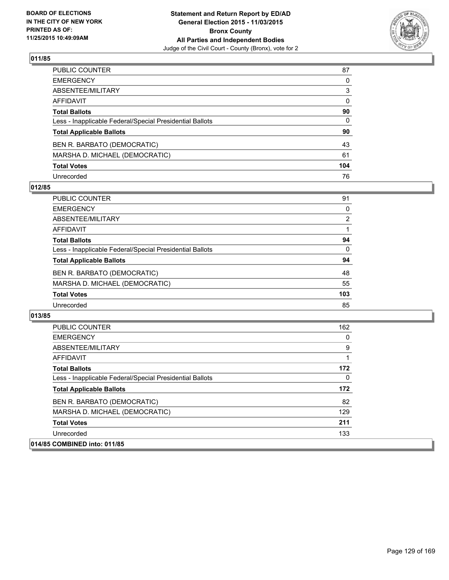

| PUBLIC COUNTER                                           | 87           |
|----------------------------------------------------------|--------------|
| EMERGENCY                                                | $\mathbf{0}$ |
| ABSENTEE/MILITARY                                        | 3            |
| AFFIDAVIT                                                | $\mathbf{0}$ |
| <b>Total Ballots</b>                                     | 90           |
| Less - Inapplicable Federal/Special Presidential Ballots | $\mathbf{0}$ |
| <b>Total Applicable Ballots</b>                          | 90           |
| BEN R. BARBATO (DEMOCRATIC)                              | 43           |
| MARSHA D. MICHAEL (DEMOCRATIC)                           | 61           |
| <b>Total Votes</b>                                       | 104          |
| Unrecorded                                               | 76           |

### **012/85**

| <b>PUBLIC COUNTER</b>                                    | 91             |
|----------------------------------------------------------|----------------|
| <b>EMERGENCY</b>                                         | 0              |
| ABSENTEE/MILITARY                                        | $\overline{2}$ |
| AFFIDAVIT                                                |                |
| <b>Total Ballots</b>                                     | 94             |
| Less - Inapplicable Federal/Special Presidential Ballots | $\Omega$       |
| <b>Total Applicable Ballots</b>                          | 94             |
| BEN R. BARBATO (DEMOCRATIC)                              | 48             |
| MARSHA D. MICHAEL (DEMOCRATIC)                           | 55             |
| <b>Total Votes</b>                                       | 103            |
| Unrecorded                                               | 85             |

| <b>PUBLIC COUNTER</b>                                    | 162 |
|----------------------------------------------------------|-----|
| <b>EMERGENCY</b>                                         | 0   |
| ABSENTEE/MILITARY                                        | 9   |
| AFFIDAVIT                                                |     |
| <b>Total Ballots</b>                                     | 172 |
| Less - Inapplicable Federal/Special Presidential Ballots | 0   |
| <b>Total Applicable Ballots</b>                          | 172 |
| BEN R. BARBATO (DEMOCRATIC)                              | 82  |
| MARSHA D. MICHAEL (DEMOCRATIC)                           | 129 |
| <b>Total Votes</b>                                       | 211 |
| Unrecorded                                               | 133 |
| 014/85 COMBINED into: 011/85                             |     |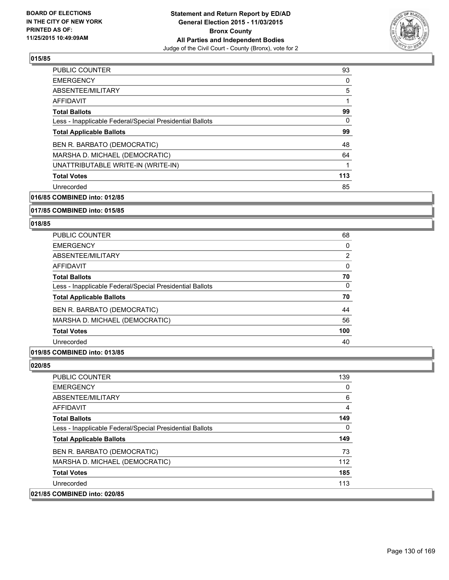

| <b>PUBLIC COUNTER</b>                                    | 93  |
|----------------------------------------------------------|-----|
| <b>EMERGENCY</b>                                         | 0   |
| ABSENTEE/MILITARY                                        | 5   |
| <b>AFFIDAVIT</b>                                         | 1   |
| <b>Total Ballots</b>                                     | 99  |
| Less - Inapplicable Federal/Special Presidential Ballots | 0   |
| <b>Total Applicable Ballots</b>                          | 99  |
| BEN R. BARBATO (DEMOCRATIC)                              | 48  |
| MARSHA D. MICHAEL (DEMOCRATIC)                           | 64  |
| UNATTRIBUTABLE WRITE-IN (WRITE-IN)                       | 1   |
| <b>Total Votes</b>                                       | 113 |
| Unrecorded                                               | 85  |
|                                                          |     |

**016/85 COMBINED into: 012/85**

#### **017/85 COMBINED into: 015/85**

#### **018/85**

| <b>PUBLIC COUNTER</b>                                    | 68             |
|----------------------------------------------------------|----------------|
| <b>EMERGENCY</b>                                         | 0              |
| ABSENTEE/MILITARY                                        | $\overline{2}$ |
| AFFIDAVIT                                                | 0              |
| <b>Total Ballots</b>                                     | 70             |
| Less - Inapplicable Federal/Special Presidential Ballots | 0              |
| <b>Total Applicable Ballots</b>                          | 70             |
| BEN R. BARBATO (DEMOCRATIC)                              | 44             |
| MARSHA D. MICHAEL (DEMOCRATIC)                           | 56             |
| <b>Total Votes</b>                                       | 100            |
| Unrecorded                                               | 40             |
|                                                          |                |

# **019/85 COMBINED into: 013/85**

**020/85** 

| <b>PUBLIC COUNTER</b>                                    | 139 |
|----------------------------------------------------------|-----|
| <b>EMERGENCY</b>                                         | 0   |
| ABSENTEE/MILITARY                                        | 6   |
| <b>AFFIDAVIT</b>                                         | 4   |
| <b>Total Ballots</b>                                     | 149 |
| Less - Inapplicable Federal/Special Presidential Ballots | 0   |
| <b>Total Applicable Ballots</b>                          | 149 |
| BEN R. BARBATO (DEMOCRATIC)                              | 73  |
| MARSHA D. MICHAEL (DEMOCRATIC)                           | 112 |
| <b>Total Votes</b>                                       | 185 |
| Unrecorded                                               | 113 |
| <b>COMBINED into: 020/85</b>                             |     |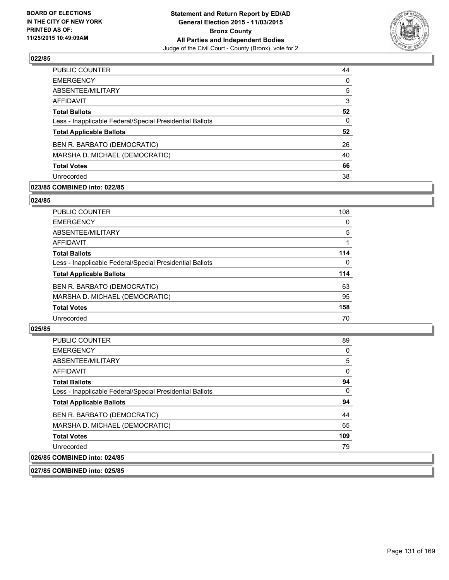

| 44       |
|----------|
| $\Omega$ |
| 5        |
| 3        |
| 52       |
| 0        |
| 52       |
| 26       |
| 40       |
| 66       |
| 38       |
|          |

# **023/85 COMBINED into: 022/85**

#### **024/85**

| <b>PUBLIC COUNTER</b>                                    | 108      |
|----------------------------------------------------------|----------|
| <b>EMERGENCY</b>                                         | 0        |
| ABSENTEE/MILITARY                                        | 5        |
| AFFIDAVIT                                                |          |
| <b>Total Ballots</b>                                     | 114      |
| Less - Inapplicable Federal/Special Presidential Ballots | $\Omega$ |
| <b>Total Applicable Ballots</b>                          | 114      |
| BEN R. BARBATO (DEMOCRATIC)                              | 63       |
| MARSHA D. MICHAEL (DEMOCRATIC)                           | 95       |
| <b>Total Votes</b>                                       | 158      |
| Unrecorded                                               | 70       |
|                                                          |          |

#### **025/85**

| <b>PUBLIC COUNTER</b>                                    | 89       |
|----------------------------------------------------------|----------|
| <b>EMERGENCY</b>                                         | 0        |
| ABSENTEE/MILITARY                                        | 5        |
| AFFIDAVIT                                                | $\Omega$ |
| <b>Total Ballots</b>                                     | 94       |
| Less - Inapplicable Federal/Special Presidential Ballots | 0        |
| <b>Total Applicable Ballots</b>                          | 94       |
| BEN R. BARBATO (DEMOCRATIC)                              | 44       |
| MARSHA D. MICHAEL (DEMOCRATIC)                           | 65       |
| <b>Total Votes</b>                                       | 109      |
| Unrecorded                                               | 79       |
| 026/85 COMBINED into: 024/85                             |          |

**027/85 COMBINED into: 025/85**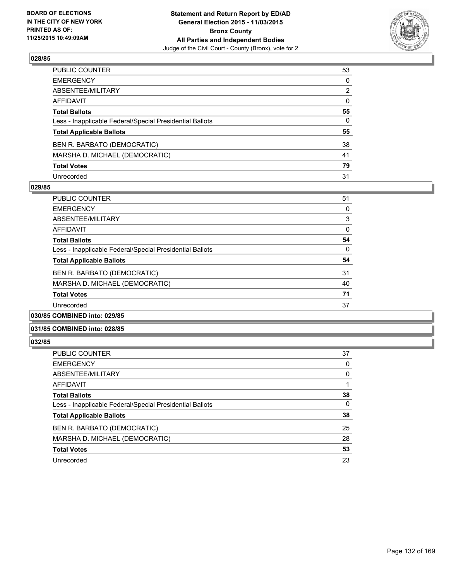

| PUBLIC COUNTER                                           | 53 |
|----------------------------------------------------------|----|
| EMERGENCY                                                | 0  |
| ABSENTEE/MILITARY                                        | 2  |
| AFFIDAVIT                                                | 0  |
| <b>Total Ballots</b>                                     | 55 |
| Less - Inapplicable Federal/Special Presidential Ballots | 0  |
| <b>Total Applicable Ballots</b>                          | 55 |
| BEN R. BARBATO (DEMOCRATIC)                              | 38 |
| MARSHA D. MICHAEL (DEMOCRATIC)                           | 41 |
| <b>Total Votes</b>                                       | 79 |
| Unrecorded                                               | 31 |

#### **029/85**

| <b>PUBLIC COUNTER</b>                                    | 51 |
|----------------------------------------------------------|----|
| <b>EMERGENCY</b>                                         | 0  |
| ABSENTEE/MILITARY                                        | 3  |
| AFFIDAVIT                                                | 0  |
| <b>Total Ballots</b>                                     | 54 |
| Less - Inapplicable Federal/Special Presidential Ballots | 0  |
| <b>Total Applicable Ballots</b>                          | 54 |
| BEN R. BARBATO (DEMOCRATIC)                              | 31 |
| MARSHA D. MICHAEL (DEMOCRATIC)                           | 40 |
| <b>Total Votes</b>                                       | 71 |
| Unrecorded                                               | 37 |
|                                                          |    |

# **030/85 COMBINED into: 029/85**

### **031/85 COMBINED into: 028/85**

| <b>PUBLIC COUNTER</b>                                    | 37 |
|----------------------------------------------------------|----|
| <b>EMERGENCY</b>                                         | 0  |
| ABSENTEE/MILITARY                                        | 0  |
| AFFIDAVIT                                                |    |
| <b>Total Ballots</b>                                     | 38 |
| Less - Inapplicable Federal/Special Presidential Ballots | 0  |
| <b>Total Applicable Ballots</b>                          | 38 |
| BEN R. BARBATO (DEMOCRATIC)                              | 25 |
| MARSHA D. MICHAEL (DEMOCRATIC)                           | 28 |
| <b>Total Votes</b>                                       | 53 |
| Unrecorded                                               | 23 |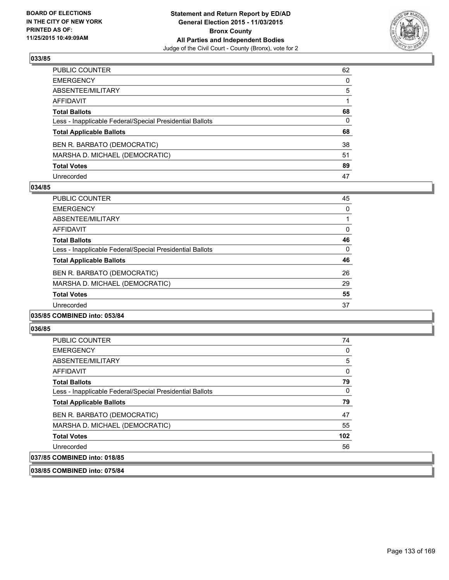

| PUBLIC COUNTER                                           | 62           |
|----------------------------------------------------------|--------------|
| EMERGENCY                                                | $\mathbf{0}$ |
| ABSENTEE/MILITARY                                        | 5            |
| AFFIDAVIT                                                |              |
| <b>Total Ballots</b>                                     | 68           |
| Less - Inapplicable Federal/Special Presidential Ballots | 0            |
| <b>Total Applicable Ballots</b>                          | 68           |
| BEN R. BARBATO (DEMOCRATIC)                              | 38           |
| MARSHA D. MICHAEL (DEMOCRATIC)                           | 51           |
| <b>Total Votes</b>                                       | 89           |
| Unrecorded                                               | 47           |

### **034/85**

| PUBLIC COUNTER                                           | 45 |
|----------------------------------------------------------|----|
| <b>EMERGENCY</b>                                         | 0  |
| ABSENTEE/MILITARY                                        |    |
| <b>AFFIDAVIT</b>                                         | 0  |
| <b>Total Ballots</b>                                     | 46 |
| Less - Inapplicable Federal/Special Presidential Ballots | 0  |
| <b>Total Applicable Ballots</b>                          | 46 |
| BEN R. BARBATO (DEMOCRATIC)                              | 26 |
| MARSHA D. MICHAEL (DEMOCRATIC)                           | 29 |
| <b>Total Votes</b>                                       | 55 |
| Unrecorded                                               | 37 |
|                                                          |    |

#### **035/85 COMBINED into: 053/84**

#### **036/85**

| <b>PUBLIC COUNTER</b>                                    | 74  |
|----------------------------------------------------------|-----|
| <b>EMERGENCY</b>                                         | 0   |
| ABSENTEE/MILITARY                                        | 5   |
| AFFIDAVIT                                                | 0   |
| <b>Total Ballots</b>                                     | 79  |
| Less - Inapplicable Federal/Special Presidential Ballots | 0   |
| <b>Total Applicable Ballots</b>                          | 79  |
| BEN R. BARBATO (DEMOCRATIC)                              | 47  |
| MARSHA D. MICHAEL (DEMOCRATIC)                           | 55  |
| <b>Total Votes</b>                                       | 102 |
| Unrecorded                                               | 56  |
| 037/85 COMBINED into: 018/85                             |     |

**038/85 COMBINED into: 075/84**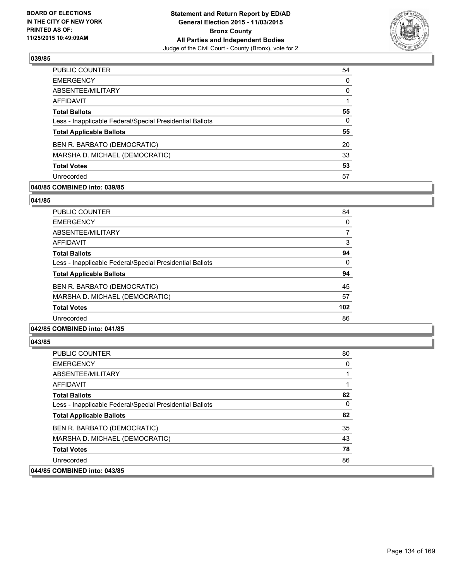

| <b>PUBLIC COUNTER</b>                                    | 54 |
|----------------------------------------------------------|----|
| <b>EMERGENCY</b>                                         | 0  |
| ABSENTEE/MILITARY                                        | 0  |
| AFFIDAVIT                                                |    |
| <b>Total Ballots</b>                                     | 55 |
| Less - Inapplicable Federal/Special Presidential Ballots | 0  |
| <b>Total Applicable Ballots</b>                          | 55 |
| BEN R. BARBATO (DEMOCRATIC)                              | 20 |
| MARSHA D. MICHAEL (DEMOCRATIC)                           | 33 |
| <b>Total Votes</b>                                       | 53 |
| Unrecorded                                               | 57 |

# **040/85 COMBINED into: 039/85**

**041/85** 

| <b>PUBLIC COUNTER</b>                                    | 84  |
|----------------------------------------------------------|-----|
| <b>EMERGENCY</b>                                         | 0   |
| ABSENTEE/MILITARY                                        | 7   |
| AFFIDAVIT                                                | 3   |
| <b>Total Ballots</b>                                     | 94  |
| Less - Inapplicable Federal/Special Presidential Ballots | 0   |
| <b>Total Applicable Ballots</b>                          | 94  |
| BEN R. BARBATO (DEMOCRATIC)                              | 45  |
| MARSHA D. MICHAEL (DEMOCRATIC)                           | 57  |
| <b>Total Votes</b>                                       | 102 |
| Unrecorded                                               | 86  |
|                                                          |     |

### **042/85 COMBINED into: 041/85**

| <b>PUBLIC COUNTER</b>                                    | 80 |
|----------------------------------------------------------|----|
| <b>EMERGENCY</b>                                         | 0  |
| ABSENTEE/MILITARY                                        |    |
| AFFIDAVIT                                                |    |
| <b>Total Ballots</b>                                     | 82 |
| Less - Inapplicable Federal/Special Presidential Ballots | 0  |
| <b>Total Applicable Ballots</b>                          | 82 |
| BEN R. BARBATO (DEMOCRATIC)                              | 35 |
| MARSHA D. MICHAEL (DEMOCRATIC)                           | 43 |
| <b>Total Votes</b>                                       | 78 |
| Unrecorded                                               | 86 |
| 044/85 COMBINED into: 043/85                             |    |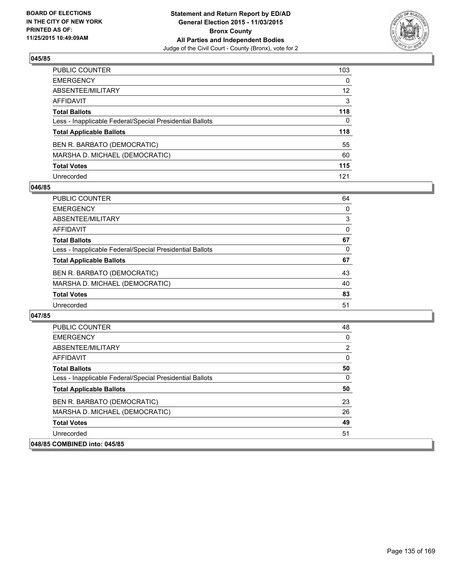

| PUBLIC COUNTER                                           | 103             |
|----------------------------------------------------------|-----------------|
| EMERGENCY                                                | $\mathbf{0}$    |
| ABSENTEE/MILITARY                                        | 12 <sup>2</sup> |
| AFFIDAVIT                                                | 3               |
| <b>Total Ballots</b>                                     | 118             |
| Less - Inapplicable Federal/Special Presidential Ballots | $\Omega$        |
| <b>Total Applicable Ballots</b>                          | 118             |
| BEN R. BARBATO (DEMOCRATIC)                              | 55              |
| MARSHA D. MICHAEL (DEMOCRATIC)                           | 60              |
| <b>Total Votes</b>                                       | 115             |
| Unrecorded                                               | 121             |

#### **046/85**

| <b>PUBLIC COUNTER</b>                                    | 64 |
|----------------------------------------------------------|----|
| <b>EMERGENCY</b>                                         | 0  |
| ABSENTEE/MILITARY                                        | 3  |
| AFFIDAVIT                                                | 0  |
| <b>Total Ballots</b>                                     | 67 |
| Less - Inapplicable Federal/Special Presidential Ballots | 0  |
| <b>Total Applicable Ballots</b>                          | 67 |
| BEN R. BARBATO (DEMOCRATIC)                              | 43 |
| MARSHA D. MICHAEL (DEMOCRATIC)                           | 40 |
| <b>Total Votes</b>                                       | 83 |
| Unrecorded                                               | 51 |

| <b>PUBLIC COUNTER</b>                                    | 48             |
|----------------------------------------------------------|----------------|
| <b>EMERGENCY</b>                                         | 0              |
| ABSENTEE/MILITARY                                        | $\overline{2}$ |
| <b>AFFIDAVIT</b>                                         | 0              |
| <b>Total Ballots</b>                                     | 50             |
| Less - Inapplicable Federal/Special Presidential Ballots | 0              |
| <b>Total Applicable Ballots</b>                          | 50             |
| BEN R. BARBATO (DEMOCRATIC)                              | 23             |
| MARSHA D. MICHAEL (DEMOCRATIC)                           | 26             |
| <b>Total Votes</b>                                       | 49             |
| Unrecorded                                               | 51             |
| 048/85 COMBINED into: 045/85                             |                |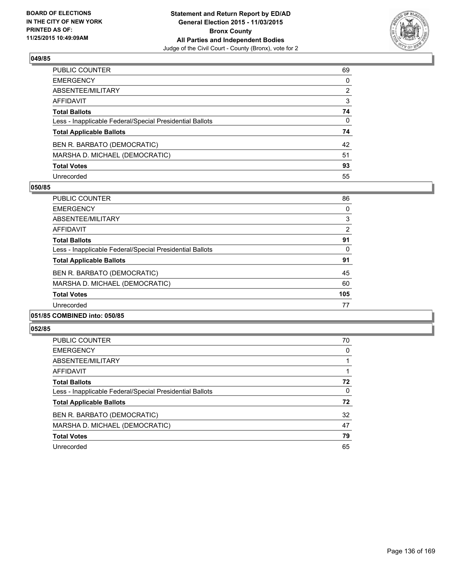

| PUBLIC COUNTER                                           | 69 |
|----------------------------------------------------------|----|
| EMERGENCY                                                | 0  |
| ABSENTEE/MILITARY                                        | 2  |
| AFFIDAVIT                                                | 3  |
| <b>Total Ballots</b>                                     | 74 |
| Less - Inapplicable Federal/Special Presidential Ballots | 0  |
| <b>Total Applicable Ballots</b>                          | 74 |
| BEN R. BARBATO (DEMOCRATIC)                              | 42 |
| MARSHA D. MICHAEL (DEMOCRATIC)                           | 51 |
| <b>Total Votes</b>                                       | 93 |
| Unrecorded                                               | 55 |

#### **050/85**

| <b>PUBLIC COUNTER</b>                                    | 86             |
|----------------------------------------------------------|----------------|
| <b>EMERGENCY</b>                                         | 0              |
| ABSENTEE/MILITARY                                        | 3              |
| AFFIDAVIT                                                | $\overline{2}$ |
| <b>Total Ballots</b>                                     | 91             |
| Less - Inapplicable Federal/Special Presidential Ballots | 0              |
| <b>Total Applicable Ballots</b>                          | 91             |
| BEN R. BARBATO (DEMOCRATIC)                              | 45             |
| MARSHA D. MICHAEL (DEMOCRATIC)                           | 60             |
| <b>Total Votes</b>                                       | 105            |
| Unrecorded                                               | 77             |
|                                                          |                |

# **051/85 COMBINED into: 050/85**

| <b>PUBLIC COUNTER</b>                                    | 70 |
|----------------------------------------------------------|----|
| <b>EMERGENCY</b>                                         | 0  |
| ABSENTEE/MILITARY                                        |    |
| AFFIDAVIT                                                |    |
| <b>Total Ballots</b>                                     | 72 |
| Less - Inapplicable Federal/Special Presidential Ballots | 0  |
| <b>Total Applicable Ballots</b>                          | 72 |
| BEN R. BARBATO (DEMOCRATIC)                              | 32 |
| MARSHA D. MICHAEL (DEMOCRATIC)                           | 47 |
| <b>Total Votes</b>                                       | 79 |
| Unrecorded                                               | 65 |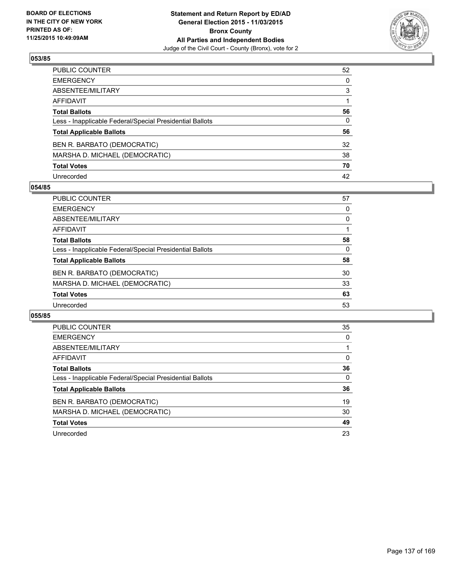

| PUBLIC COUNTER                                           | 52           |
|----------------------------------------------------------|--------------|
| EMERGENCY                                                | $\mathbf{0}$ |
| ABSENTEE/MILITARY                                        | 3            |
| AFFIDAVIT                                                |              |
| <b>Total Ballots</b>                                     | 56           |
| Less - Inapplicable Federal/Special Presidential Ballots | 0            |
| <b>Total Applicable Ballots</b>                          | 56           |
| BEN R. BARBATO (DEMOCRATIC)                              | 32           |
| MARSHA D. MICHAEL (DEMOCRATIC)                           | 38           |
| <b>Total Votes</b>                                       | 70           |
| Unrecorded                                               | 42           |

#### **054/85**

| <b>PUBLIC COUNTER</b>                                    | 57 |
|----------------------------------------------------------|----|
| <b>EMERGENCY</b>                                         | 0  |
| ABSENTEE/MILITARY                                        | 0  |
| AFFIDAVIT                                                |    |
| <b>Total Ballots</b>                                     | 58 |
| Less - Inapplicable Federal/Special Presidential Ballots | 0  |
| <b>Total Applicable Ballots</b>                          | 58 |
| BEN R. BARBATO (DEMOCRATIC)                              | 30 |
| MARSHA D. MICHAEL (DEMOCRATIC)                           | 33 |
| <b>Total Votes</b>                                       | 63 |
| Unrecorded                                               | 53 |

| <b>PUBLIC COUNTER</b>                                    | 35 |
|----------------------------------------------------------|----|
| <b>EMERGENCY</b>                                         | 0  |
| ABSENTEE/MILITARY                                        |    |
| AFFIDAVIT                                                | 0  |
| <b>Total Ballots</b>                                     | 36 |
| Less - Inapplicable Federal/Special Presidential Ballots | 0  |
| <b>Total Applicable Ballots</b>                          | 36 |
| BEN R. BARBATO (DEMOCRATIC)                              | 19 |
| MARSHA D. MICHAEL (DEMOCRATIC)                           | 30 |
| <b>Total Votes</b>                                       | 49 |
| Unrecorded                                               | 23 |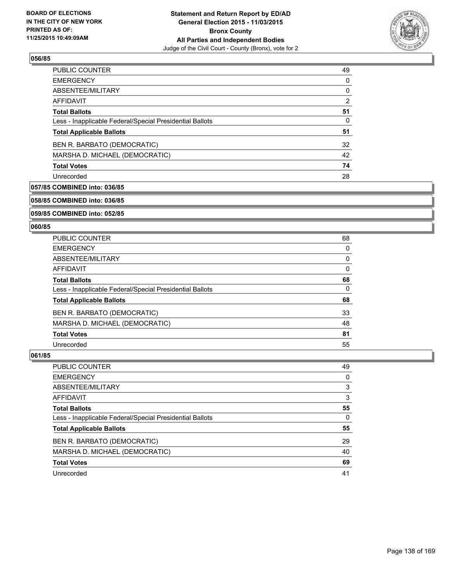

| 49 |
|----|
| 0  |
| 0  |
| 2  |
| 51 |
| 0  |
| 51 |
| 32 |
| 42 |
| 74 |
| 28 |
|    |

# **057/85 COMBINED into: 036/85**

**058/85 COMBINED into: 036/85**

# **059/85 COMBINED into: 052/85**

#### **060/85**

| PUBLIC COUNTER                                           | 68 |
|----------------------------------------------------------|----|
| <b>EMERGENCY</b>                                         | 0  |
| ABSENTEE/MILITARY                                        | 0  |
| <b>AFFIDAVIT</b>                                         | 0  |
| <b>Total Ballots</b>                                     | 68 |
| Less - Inapplicable Federal/Special Presidential Ballots | 0  |
| <b>Total Applicable Ballots</b>                          | 68 |
| BEN R. BARBATO (DEMOCRATIC)                              | 33 |
| MARSHA D. MICHAEL (DEMOCRATIC)                           | 48 |
| <b>Total Votes</b>                                       | 81 |
| Unrecorded                                               | 55 |

| <b>PUBLIC COUNTER</b>                                    | 49 |
|----------------------------------------------------------|----|
| <b>EMERGENCY</b>                                         | 0  |
| ABSENTEE/MILITARY                                        | 3  |
| AFFIDAVIT                                                | 3  |
| <b>Total Ballots</b>                                     | 55 |
| Less - Inapplicable Federal/Special Presidential Ballots | 0  |
| <b>Total Applicable Ballots</b>                          | 55 |
| BEN R. BARBATO (DEMOCRATIC)                              | 29 |
| MARSHA D. MICHAEL (DEMOCRATIC)                           | 40 |
| <b>Total Votes</b>                                       | 69 |
| Unrecorded                                               | 41 |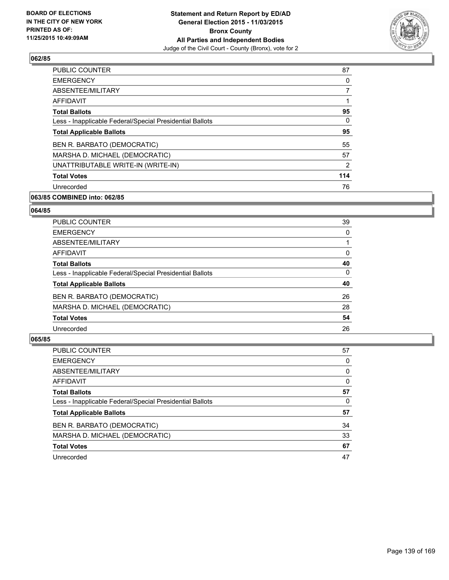

| <b>PUBLIC COUNTER</b>                                    | 87  |
|----------------------------------------------------------|-----|
| <b>EMERGENCY</b>                                         | 0   |
| ABSENTEE/MILITARY                                        | 7   |
| AFFIDAVIT                                                | 1   |
| <b>Total Ballots</b>                                     | 95  |
| Less - Inapplicable Federal/Special Presidential Ballots | 0   |
| <b>Total Applicable Ballots</b>                          | 95  |
| BEN R. BARBATO (DEMOCRATIC)                              | 55  |
| MARSHA D. MICHAEL (DEMOCRATIC)                           | 57  |
| UNATTRIBUTABLE WRITE-IN (WRITE-IN)                       | 2   |
| <b>Total Votes</b>                                       | 114 |
| Unrecorded                                               | 76  |

# **063/85 COMBINED into: 062/85**

#### **064/85**

| <b>PUBLIC COUNTER</b>                                    | 39 |
|----------------------------------------------------------|----|
| <b>EMERGENCY</b>                                         | 0  |
| ABSENTEE/MILITARY                                        |    |
| <b>AFFIDAVIT</b>                                         | 0  |
| <b>Total Ballots</b>                                     | 40 |
| Less - Inapplicable Federal/Special Presidential Ballots | 0  |
| <b>Total Applicable Ballots</b>                          | 40 |
| BEN R. BARBATO (DEMOCRATIC)                              | 26 |
| MARSHA D. MICHAEL (DEMOCRATIC)                           | 28 |
| <b>Total Votes</b>                                       | 54 |
| Unrecorded                                               | 26 |

| PUBLIC COUNTER                                           | 57 |
|----------------------------------------------------------|----|
| <b>EMERGENCY</b>                                         | 0  |
| ABSENTEE/MILITARY                                        | 0  |
| <b>AFFIDAVIT</b>                                         | 0  |
| <b>Total Ballots</b>                                     | 57 |
| Less - Inapplicable Federal/Special Presidential Ballots | 0  |
| <b>Total Applicable Ballots</b>                          | 57 |
| BEN R. BARBATO (DEMOCRATIC)                              | 34 |
| MARSHA D. MICHAEL (DEMOCRATIC)                           | 33 |
| <b>Total Votes</b>                                       | 67 |
| Unrecorded                                               | 47 |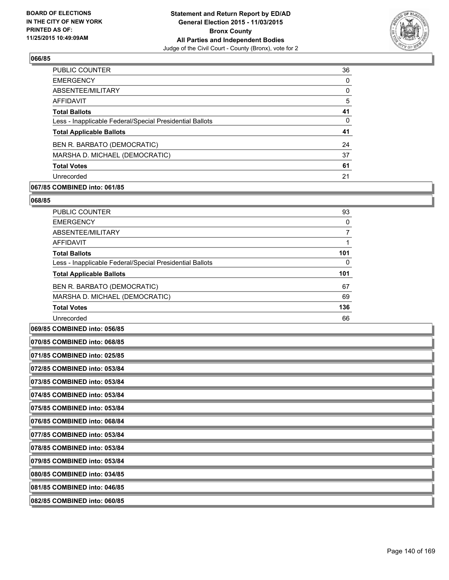

| <b>PUBLIC COUNTER</b>                                    | 36 |
|----------------------------------------------------------|----|
| <b>EMERGENCY</b>                                         | 0  |
| ABSENTEE/MILITARY                                        | 0  |
| AFFIDAVIT                                                | 5  |
| <b>Total Ballots</b>                                     | 41 |
| Less - Inapplicable Federal/Special Presidential Ballots | 0  |
| <b>Total Applicable Ballots</b>                          | 41 |
| BEN R. BARBATO (DEMOCRATIC)                              | 24 |
| MARSHA D. MICHAEL (DEMOCRATIC)                           | 37 |
| <b>Total Votes</b>                                       | 61 |
| Unrecorded                                               | 21 |

# **067/85 COMBINED into: 061/85**

#### **068/85**

| <b>PUBLIC COUNTER</b>                                    | 93  |
|----------------------------------------------------------|-----|
| <b>EMERGENCY</b>                                         | 0   |
| ABSENTEE/MILITARY                                        |     |
| <b>AFFIDAVIT</b>                                         |     |
| <b>Total Ballots</b>                                     | 101 |
| Less - Inapplicable Federal/Special Presidential Ballots | 0   |
| <b>Total Applicable Ballots</b>                          | 101 |
| BEN R. BARBATO (DEMOCRATIC)                              | 67  |
| MARSHA D. MICHAEL (DEMOCRATIC)                           | 69  |
| <b>Total Votes</b>                                       | 136 |
| Unrecorded                                               | 66  |

# **069/85 COMBINED into: 056/85**

| 070/85 COMBINED into: 068/85 |
|------------------------------|
| 071/85 COMBINED into: 025/85 |
| 072/85 COMBINED into: 053/84 |
| 073/85 COMBINED into: 053/84 |
| 074/85 COMBINED into: 053/84 |
| 075/85 COMBINED into: 053/84 |
| 076/85 COMBINED into: 068/84 |
| 077/85 COMBINED into: 053/84 |
| 078/85 COMBINED into: 053/84 |
| 079/85 COMBINED into: 053/84 |
| 080/85 COMBINED into: 034/85 |
| 081/85 COMBINED into: 046/85 |
| 082/85 COMBINED into: 060/85 |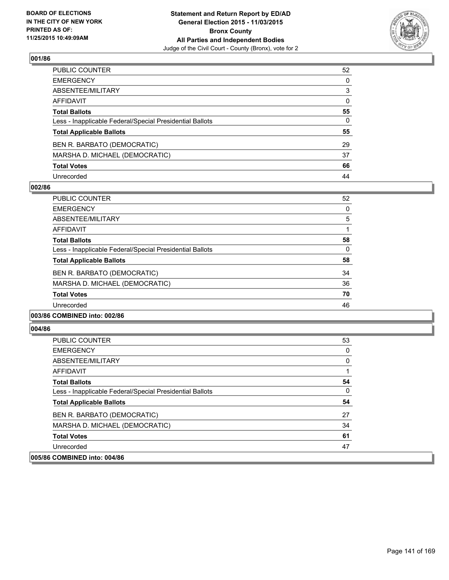

| PUBLIC COUNTER                                           | 52           |
|----------------------------------------------------------|--------------|
| EMERGENCY                                                | $\mathbf{0}$ |
| ABSENTEE/MILITARY                                        | 3            |
| AFFIDAVIT                                                | 0            |
| Total Ballots                                            | 55           |
| Less - Inapplicable Federal/Special Presidential Ballots | $\mathbf{0}$ |
| <b>Total Applicable Ballots</b>                          | 55           |
| BEN R. BARBATO (DEMOCRATIC)                              | 29           |
| MARSHA D. MICHAEL (DEMOCRATIC)                           | 37           |
| <b>Total Votes</b>                                       | 66           |
| Unrecorded                                               | 44           |

#### **002/86**

| <b>PUBLIC COUNTER</b>                                    | 52 |
|----------------------------------------------------------|----|
| <b>EMERGENCY</b>                                         | 0  |
| ABSENTEE/MILITARY                                        | 5  |
| AFFIDAVIT                                                |    |
| <b>Total Ballots</b>                                     | 58 |
| Less - Inapplicable Federal/Special Presidential Ballots | 0  |
| <b>Total Applicable Ballots</b>                          | 58 |
| BEN R. BARBATO (DEMOCRATIC)                              | 34 |
| MARSHA D. MICHAEL (DEMOCRATIC)                           | 36 |
| <b>Total Votes</b>                                       | 70 |
| Unrecorded                                               | 46 |
|                                                          |    |

#### **003/86 COMBINED into: 002/86**

| <b>PUBLIC COUNTER</b>                                    | 53 |
|----------------------------------------------------------|----|
| <b>EMERGENCY</b>                                         | 0  |
| ABSENTEE/MILITARY                                        | 0  |
| <b>AFFIDAVIT</b>                                         |    |
| <b>Total Ballots</b>                                     | 54 |
| Less - Inapplicable Federal/Special Presidential Ballots | 0  |
| <b>Total Applicable Ballots</b>                          | 54 |
| BEN R. BARBATO (DEMOCRATIC)                              | 27 |
| MARSHA D. MICHAEL (DEMOCRATIC)                           | 34 |
| <b>Total Votes</b>                                       | 61 |
| Unrecorded                                               | 47 |
| 005/86 COMBINED into: 004/86                             |    |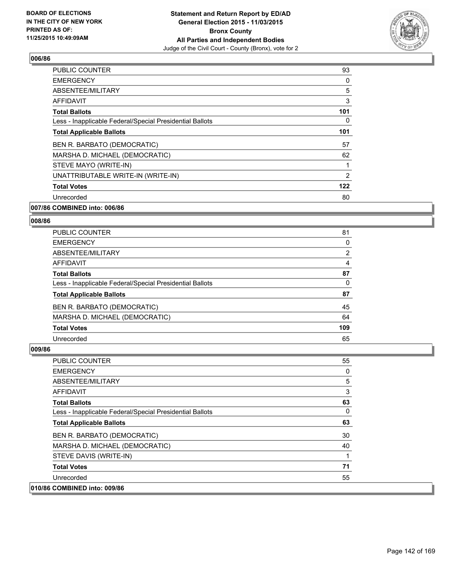

| <b>PUBLIC COUNTER</b>                                    | 93  |
|----------------------------------------------------------|-----|
| <b>EMERGENCY</b>                                         | 0   |
| ABSENTEE/MILITARY                                        | 5   |
| <b>AFFIDAVIT</b>                                         | 3   |
| <b>Total Ballots</b>                                     | 101 |
| Less - Inapplicable Federal/Special Presidential Ballots | 0   |
| <b>Total Applicable Ballots</b>                          | 101 |
| BEN R. BARBATO (DEMOCRATIC)                              | 57  |
| MARSHA D. MICHAEL (DEMOCRATIC)                           | 62  |
| STEVE MAYO (WRITE-IN)                                    |     |
| UNATTRIBUTABLE WRITE-IN (WRITE-IN)                       | 2   |
| <b>Total Votes</b>                                       | 122 |
| Unrecorded                                               | 80  |
|                                                          |     |

### **007/86 COMBINED into: 006/86**

# **008/86**

| <b>PUBLIC COUNTER</b>                                    | 81  |
|----------------------------------------------------------|-----|
| <b>EMERGENCY</b>                                         | 0   |
| ABSENTEE/MILITARY                                        | 2   |
| AFFIDAVIT                                                | 4   |
| <b>Total Ballots</b>                                     | 87  |
| Less - Inapplicable Federal/Special Presidential Ballots | 0   |
| <b>Total Applicable Ballots</b>                          | 87  |
| BEN R. BARBATO (DEMOCRATIC)                              | 45  |
| MARSHA D. MICHAEL (DEMOCRATIC)                           | 64  |
| <b>Total Votes</b>                                       | 109 |
| Unrecorded                                               | 65  |

| <b>PUBLIC COUNTER</b>                                    | 55 |
|----------------------------------------------------------|----|
| <b>EMERGENCY</b>                                         | 0  |
| ABSENTEE/MILITARY                                        | 5  |
| <b>AFFIDAVIT</b>                                         | 3  |
| <b>Total Ballots</b>                                     | 63 |
| Less - Inapplicable Federal/Special Presidential Ballots | 0  |
| <b>Total Applicable Ballots</b>                          | 63 |
| BEN R. BARBATO (DEMOCRATIC)                              | 30 |
| MARSHA D. MICHAEL (DEMOCRATIC)                           | 40 |
| STEVE DAVIS (WRITE-IN)                                   | 1  |
| <b>Total Votes</b>                                       | 71 |
| Unrecorded                                               | 55 |
| 010/86 COMBINED into: 009/86                             |    |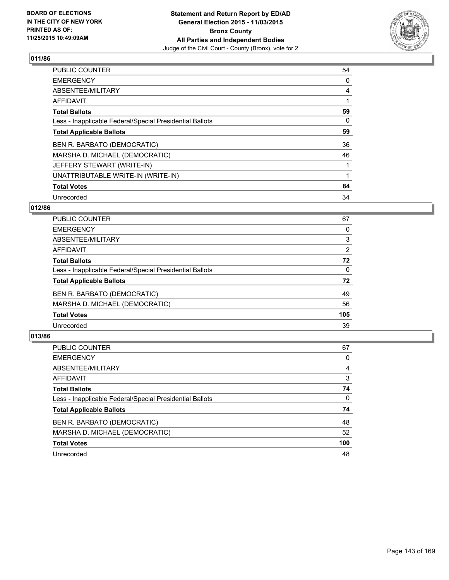

| <b>PUBLIC COUNTER</b>                                    | 54 |
|----------------------------------------------------------|----|
| <b>EMERGENCY</b>                                         | 0  |
| ABSENTEE/MILITARY                                        | 4  |
| <b>AFFIDAVIT</b>                                         |    |
| <b>Total Ballots</b>                                     | 59 |
| Less - Inapplicable Federal/Special Presidential Ballots | 0  |
| <b>Total Applicable Ballots</b>                          | 59 |
| BEN R. BARBATO (DEMOCRATIC)                              | 36 |
| MARSHA D. MICHAEL (DEMOCRATIC)                           | 46 |
| JEFFERY STEWART (WRITE-IN)                               |    |
| UNATTRIBUTABLE WRITE-IN (WRITE-IN)                       |    |
| <b>Total Votes</b>                                       | 84 |
| Unrecorded                                               | 34 |

# **012/86**

| PUBLIC COUNTER                                           | 67             |
|----------------------------------------------------------|----------------|
| <b>EMERGENCY</b>                                         | 0              |
| ABSENTEE/MILITARY                                        | 3              |
| AFFIDAVIT                                                | $\overline{2}$ |
| <b>Total Ballots</b>                                     | 72             |
| Less - Inapplicable Federal/Special Presidential Ballots | 0              |
| <b>Total Applicable Ballots</b>                          | 72             |
| BEN R. BARBATO (DEMOCRATIC)                              | 49             |
| MARSHA D. MICHAEL (DEMOCRATIC)                           | 56             |
| <b>Total Votes</b>                                       | 105            |
| Unrecorded                                               | 39             |
|                                                          |                |

| <b>PUBLIC COUNTER</b>                                    | 67  |
|----------------------------------------------------------|-----|
| <b>EMERGENCY</b>                                         | 0   |
| ABSENTEE/MILITARY                                        | 4   |
| AFFIDAVIT                                                | 3   |
| <b>Total Ballots</b>                                     | 74  |
| Less - Inapplicable Federal/Special Presidential Ballots | 0   |
| <b>Total Applicable Ballots</b>                          | 74  |
| BEN R. BARBATO (DEMOCRATIC)                              | 48  |
| MARSHA D. MICHAEL (DEMOCRATIC)                           | 52  |
| <b>Total Votes</b>                                       | 100 |
| Unrecorded                                               | 48  |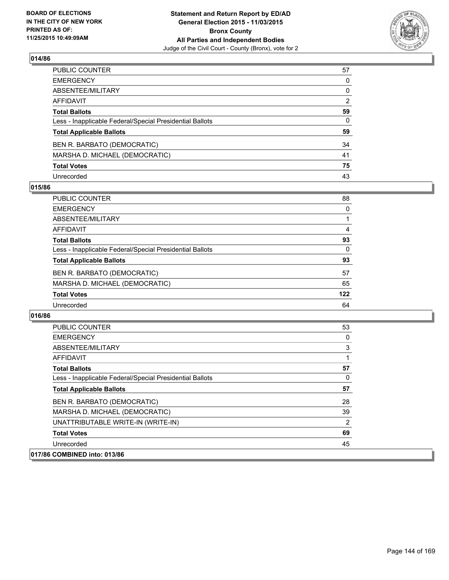

| PUBLIC COUNTER                                           | 57 |
|----------------------------------------------------------|----|
| EMERGENCY                                                | 0  |
| ABSENTEE/MILITARY                                        | 0  |
| AFFIDAVIT                                                | 2  |
| <b>Total Ballots</b>                                     | 59 |
| Less - Inapplicable Federal/Special Presidential Ballots | 0  |
| <b>Total Applicable Ballots</b>                          | 59 |
| BEN R. BARBATO (DEMOCRATIC)                              | 34 |
| MARSHA D. MICHAEL (DEMOCRATIC)                           | 41 |
| <b>Total Votes</b>                                       | 75 |
| Unrecorded                                               | 43 |

### **015/86**

| <b>PUBLIC COUNTER</b>                                    | 88       |
|----------------------------------------------------------|----------|
| <b>EMERGENCY</b>                                         | 0        |
| ABSENTEE/MILITARY                                        |          |
| <b>AFFIDAVIT</b>                                         | 4        |
| <b>Total Ballots</b>                                     | 93       |
| Less - Inapplicable Federal/Special Presidential Ballots | $\Omega$ |
| <b>Total Applicable Ballots</b>                          | 93       |
| BEN R. BARBATO (DEMOCRATIC)                              | 57       |
| MARSHA D. MICHAEL (DEMOCRATIC)                           | 65       |
| <b>Total Votes</b>                                       | 122      |
| Unrecorded                                               | 64       |

| <b>PUBLIC COUNTER</b>                                    | 53 |
|----------------------------------------------------------|----|
| <b>EMERGENCY</b>                                         | 0  |
| ABSENTEE/MILITARY                                        | 3  |
| AFFIDAVIT                                                |    |
| <b>Total Ballots</b>                                     | 57 |
| Less - Inapplicable Federal/Special Presidential Ballots | 0  |
| <b>Total Applicable Ballots</b>                          | 57 |
| BEN R. BARBATO (DEMOCRATIC)                              | 28 |
| MARSHA D. MICHAEL (DEMOCRATIC)                           | 39 |
| UNATTRIBUTABLE WRITE-IN (WRITE-IN)                       | 2  |
| <b>Total Votes</b>                                       | 69 |
| Unrecorded                                               | 45 |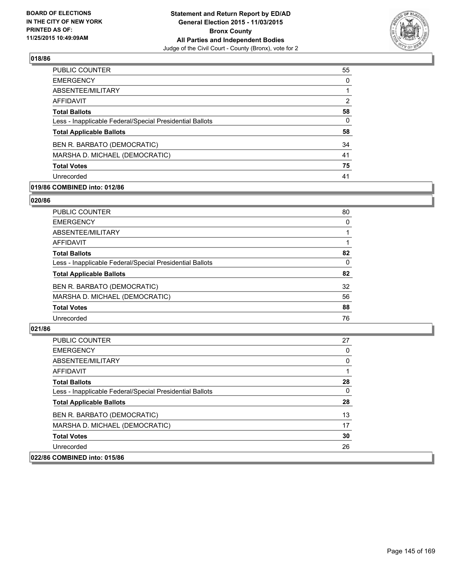

| PUBLIC COUNTER                                           | 55 |
|----------------------------------------------------------|----|
| <b>EMERGENCY</b>                                         | 0  |
| ABSENTEE/MILITARY                                        |    |
| <b>AFFIDAVIT</b>                                         | 2  |
| <b>Total Ballots</b>                                     | 58 |
| Less - Inapplicable Federal/Special Presidential Ballots | 0  |
| <b>Total Applicable Ballots</b>                          | 58 |
| BEN R. BARBATO (DEMOCRATIC)                              | 34 |
| MARSHA D. MICHAEL (DEMOCRATIC)                           | 41 |
| <b>Total Votes</b>                                       | 75 |
| Unrecorded                                               | 41 |

# **019/86 COMBINED into: 012/86**

#### **020/86**

| <b>PUBLIC COUNTER</b>                                    | 80       |
|----------------------------------------------------------|----------|
| <b>EMERGENCY</b>                                         | 0        |
| ABSENTEE/MILITARY                                        |          |
| <b>AFFIDAVIT</b>                                         |          |
| <b>Total Ballots</b>                                     | 82       |
| Less - Inapplicable Federal/Special Presidential Ballots | $\Omega$ |
| <b>Total Applicable Ballots</b>                          | 82       |
| BEN R. BARBATO (DEMOCRATIC)                              | 32       |
| MARSHA D. MICHAEL (DEMOCRATIC)                           | 56       |
| <b>Total Votes</b>                                       | 88       |
| Unrecorded                                               | 76       |
|                                                          |          |

| <b>PUBLIC COUNTER</b>                                    | 27 |
|----------------------------------------------------------|----|
| <b>EMERGENCY</b>                                         | 0  |
| ABSENTEE/MILITARY                                        | 0  |
| AFFIDAVIT                                                |    |
| <b>Total Ballots</b>                                     | 28 |
| Less - Inapplicable Federal/Special Presidential Ballots | 0  |
| <b>Total Applicable Ballots</b>                          | 28 |
| BEN R. BARBATO (DEMOCRATIC)                              | 13 |
| MARSHA D. MICHAEL (DEMOCRATIC)                           | 17 |
| <b>Total Votes</b>                                       | 30 |
| Unrecorded                                               | 26 |
| 022/86 COMBINED into: 015/86                             |    |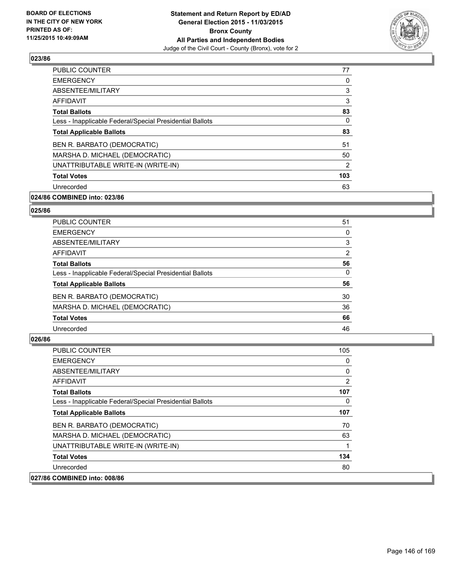

| <b>PUBLIC COUNTER</b>                                    | 77  |
|----------------------------------------------------------|-----|
| <b>EMERGENCY</b>                                         | 0   |
| ABSENTEE/MILITARY                                        | 3   |
| <b>AFFIDAVIT</b>                                         | 3   |
| <b>Total Ballots</b>                                     | 83  |
| Less - Inapplicable Federal/Special Presidential Ballots | 0   |
| <b>Total Applicable Ballots</b>                          | 83  |
| BEN R. BARBATO (DEMOCRATIC)                              | 51  |
| MARSHA D. MICHAEL (DEMOCRATIC)                           | 50  |
| UNATTRIBUTABLE WRITE-IN (WRITE-IN)                       | 2   |
| <b>Total Votes</b>                                       | 103 |
| Unrecorded                                               | 63  |

# **024/86 COMBINED into: 023/86**

#### **025/86**

| PUBLIC COUNTER                                           | 51 |
|----------------------------------------------------------|----|
| <b>EMERGENCY</b>                                         | 0  |
| ABSENTEE/MILITARY                                        | 3  |
| <b>AFFIDAVIT</b>                                         | 2  |
| <b>Total Ballots</b>                                     | 56 |
| Less - Inapplicable Federal/Special Presidential Ballots | 0  |
| <b>Total Applicable Ballots</b>                          | 56 |
| BEN R. BARBATO (DEMOCRATIC)                              | 30 |
| MARSHA D. MICHAEL (DEMOCRATIC)                           | 36 |
| <b>Total Votes</b>                                       | 66 |
| Unrecorded                                               | 46 |

| <b>PUBLIC COUNTER</b>                                    | 105 |
|----------------------------------------------------------|-----|
| <b>EMERGENCY</b>                                         | 0   |
| ABSENTEE/MILITARY                                        | 0   |
| AFFIDAVIT                                                | 2   |
| <b>Total Ballots</b>                                     | 107 |
| Less - Inapplicable Federal/Special Presidential Ballots | 0   |
| <b>Total Applicable Ballots</b>                          | 107 |
| BEN R. BARBATO (DEMOCRATIC)                              | 70  |
| MARSHA D. MICHAEL (DEMOCRATIC)                           | 63  |
| UNATTRIBUTABLE WRITE-IN (WRITE-IN)                       |     |
| <b>Total Votes</b>                                       | 134 |
| Unrecorded                                               | 80  |
| 027/86 COMBINED into: 008/86                             |     |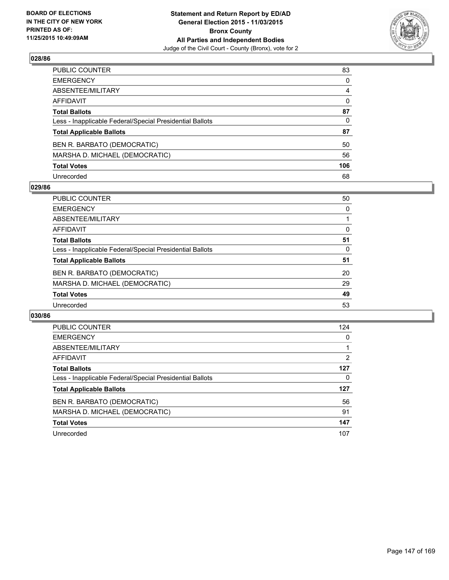

| PUBLIC COUNTER                                           | 83             |
|----------------------------------------------------------|----------------|
| EMERGENCY                                                | 0              |
| ABSENTEE/MILITARY                                        | $\overline{4}$ |
| AFFIDAVIT                                                | 0              |
| <b>Total Ballots</b>                                     | 87             |
| Less - Inapplicable Federal/Special Presidential Ballots | 0              |
| <b>Total Applicable Ballots</b>                          | 87             |
| BEN R. BARBATO (DEMOCRATIC)                              | 50             |
| MARSHA D. MICHAEL (DEMOCRATIC)                           | 56             |
| <b>Total Votes</b>                                       | 106            |
| Unrecorded                                               | 68             |

#### **029/86**

| <b>PUBLIC COUNTER</b>                                    | 50 |
|----------------------------------------------------------|----|
| <b>EMERGENCY</b>                                         | 0  |
| ABSENTEE/MILITARY                                        |    |
| AFFIDAVIT                                                | 0  |
| <b>Total Ballots</b>                                     | 51 |
| Less - Inapplicable Federal/Special Presidential Ballots | 0  |
| <b>Total Applicable Ballots</b>                          | 51 |
| BEN R. BARBATO (DEMOCRATIC)                              | 20 |
| MARSHA D. MICHAEL (DEMOCRATIC)                           | 29 |
| <b>Total Votes</b>                                       | 49 |
| Unrecorded                                               | 53 |

| <b>PUBLIC COUNTER</b>                                    | 124 |
|----------------------------------------------------------|-----|
| <b>EMERGENCY</b>                                         | 0   |
| ABSENTEE/MILITARY                                        |     |
| AFFIDAVIT                                                | 2   |
| <b>Total Ballots</b>                                     | 127 |
| Less - Inapplicable Federal/Special Presidential Ballots | 0   |
| <b>Total Applicable Ballots</b>                          | 127 |
| BEN R. BARBATO (DEMOCRATIC)                              | 56  |
| MARSHA D. MICHAEL (DEMOCRATIC)                           | 91  |
| <b>Total Votes</b>                                       | 147 |
| Unrecorded                                               | 107 |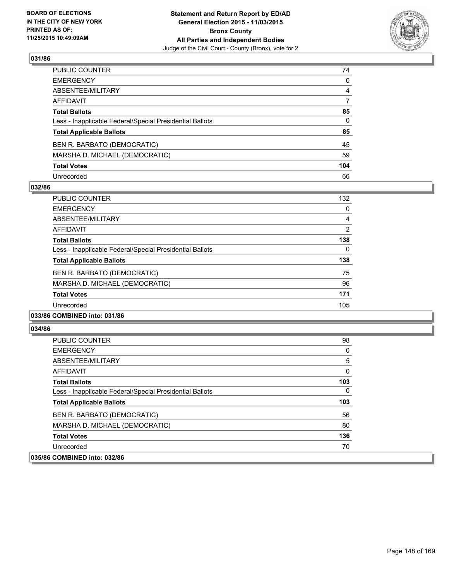

| PUBLIC COUNTER                                           | 74             |
|----------------------------------------------------------|----------------|
| EMERGENCY                                                | 0              |
| ABSENTEE/MILITARY                                        | $\overline{4}$ |
| AFFIDAVIT                                                | 7              |
| <b>Total Ballots</b>                                     | 85             |
| Less - Inapplicable Federal/Special Presidential Ballots | 0              |
| <b>Total Applicable Ballots</b>                          | 85             |
| BEN R. BARBATO (DEMOCRATIC)                              | 45             |
| MARSHA D. MICHAEL (DEMOCRATIC)                           | 59             |
| <b>Total Votes</b>                                       | 104            |
| Unrecorded                                               | 66             |

#### **032/86**

| <b>PUBLIC COUNTER</b>                                    | 132 |
|----------------------------------------------------------|-----|
| <b>EMERGENCY</b>                                         | 0   |
| ABSENTEE/MILITARY                                        | 4   |
| <b>AFFIDAVIT</b>                                         | 2   |
| <b>Total Ballots</b>                                     | 138 |
| Less - Inapplicable Federal/Special Presidential Ballots | 0   |
| <b>Total Applicable Ballots</b>                          | 138 |
| BEN R. BARBATO (DEMOCRATIC)                              | 75  |
| MARSHA D. MICHAEL (DEMOCRATIC)                           | 96  |
| <b>Total Votes</b>                                       | 171 |
| Unrecorded                                               | 105 |
|                                                          |     |

#### **033/86 COMBINED into: 031/86**

| <b>PUBLIC COUNTER</b>                                    | 98  |
|----------------------------------------------------------|-----|
| <b>EMERGENCY</b>                                         | 0   |
| ABSENTEE/MILITARY                                        | 5   |
| <b>AFFIDAVIT</b>                                         | 0   |
| <b>Total Ballots</b>                                     | 103 |
| Less - Inapplicable Federal/Special Presidential Ballots | 0   |
| <b>Total Applicable Ballots</b>                          | 103 |
| BEN R. BARBATO (DEMOCRATIC)                              | 56  |
| MARSHA D. MICHAEL (DEMOCRATIC)                           | 80  |
| <b>Total Votes</b>                                       | 136 |
| Unrecorded                                               | 70  |
| 035/86 COMBINED into: 032/86                             |     |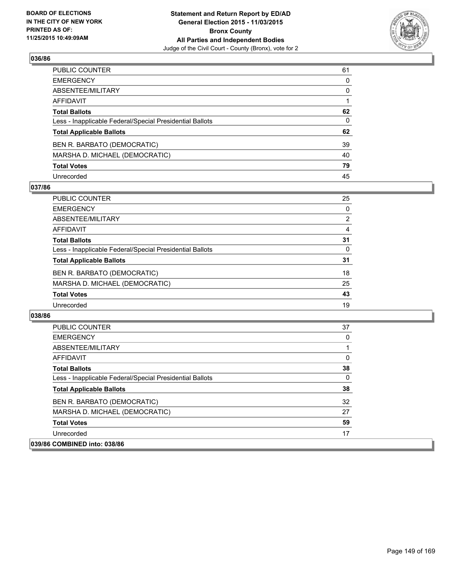

| PUBLIC COUNTER                                           | 61 |
|----------------------------------------------------------|----|
| EMERGENCY                                                | 0  |
| ABSENTEE/MILITARY                                        | 0  |
| AFFIDAVIT                                                |    |
| <b>Total Ballots</b>                                     | 62 |
| Less - Inapplicable Federal/Special Presidential Ballots | 0  |
| <b>Total Applicable Ballots</b>                          | 62 |
| BEN R. BARBATO (DEMOCRATIC)                              | 39 |
| MARSHA D. MICHAEL (DEMOCRATIC)                           | 40 |
| <b>Total Votes</b>                                       | 79 |
| Unrecorded                                               | 45 |

#### **037/86**

| PUBLIC COUNTER                                           | 25             |
|----------------------------------------------------------|----------------|
| <b>EMERGENCY</b>                                         | 0              |
| ABSENTEE/MILITARY                                        | $\overline{2}$ |
| AFFIDAVIT                                                | 4              |
| <b>Total Ballots</b>                                     | 31             |
| Less - Inapplicable Federal/Special Presidential Ballots | 0              |
| <b>Total Applicable Ballots</b>                          | 31             |
| BEN R. BARBATO (DEMOCRATIC)                              | 18             |
| MARSHA D. MICHAEL (DEMOCRATIC)                           | 25             |
| <b>Total Votes</b>                                       | 43             |
| Unrecorded                                               | 19             |

| <b>PUBLIC COUNTER</b>                                    | 37 |
|----------------------------------------------------------|----|
| <b>EMERGENCY</b>                                         | 0  |
| ABSENTEE/MILITARY                                        |    |
| <b>AFFIDAVIT</b>                                         | 0  |
| <b>Total Ballots</b>                                     | 38 |
| Less - Inapplicable Federal/Special Presidential Ballots | 0  |
| <b>Total Applicable Ballots</b>                          | 38 |
| BEN R. BARBATO (DEMOCRATIC)                              | 32 |
| MARSHA D. MICHAEL (DEMOCRATIC)                           | 27 |
| <b>Total Votes</b>                                       | 59 |
| Unrecorded                                               | 17 |
| 039/86 COMBINED into: 038/86                             |    |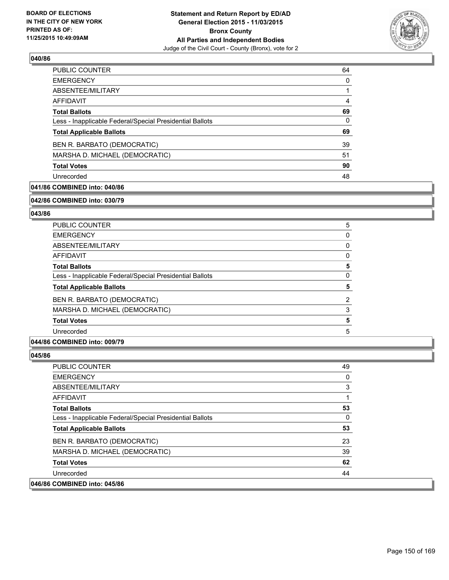

| <b>PUBLIC COUNTER</b>                                    | 64 |
|----------------------------------------------------------|----|
| <b>EMERGENCY</b>                                         | 0  |
| ABSENTEE/MILITARY                                        |    |
| AFFIDAVIT                                                | 4  |
| <b>Total Ballots</b>                                     | 69 |
| Less - Inapplicable Federal/Special Presidential Ballots | 0  |
| <b>Total Applicable Ballots</b>                          | 69 |
| BEN R. BARBATO (DEMOCRATIC)                              | 39 |
| MARSHA D. MICHAEL (DEMOCRATIC)                           | 51 |
| <b>Total Votes</b>                                       | 90 |
| Unrecorded                                               | 48 |

# **041/86 COMBINED into: 040/86**

**042/86 COMBINED into: 030/79**

# **043/86**

| <b>PUBLIC COUNTER</b>                                    | 5 |
|----------------------------------------------------------|---|
| <b>EMERGENCY</b>                                         | 0 |
| ABSENTEE/MILITARY                                        | 0 |
| <b>AFFIDAVIT</b>                                         | 0 |
| <b>Total Ballots</b>                                     | 5 |
| Less - Inapplicable Federal/Special Presidential Ballots | 0 |
| <b>Total Applicable Ballots</b>                          | 5 |
| BEN R. BARBATO (DEMOCRATIC)                              | 2 |
| MARSHA D. MICHAEL (DEMOCRATIC)                           | 3 |
| <b>Total Votes</b>                                       | 5 |
| Unrecorded                                               | 5 |
|                                                          |   |

# **044/86 COMBINED into: 009/79**

| <b>PUBLIC COUNTER</b>                                    | 49 |
|----------------------------------------------------------|----|
| <b>EMERGENCY</b>                                         | 0  |
| ABSENTEE/MILITARY                                        | 3  |
| AFFIDAVIT                                                |    |
| <b>Total Ballots</b>                                     | 53 |
| Less - Inapplicable Federal/Special Presidential Ballots | 0  |
| <b>Total Applicable Ballots</b>                          | 53 |
| BEN R. BARBATO (DEMOCRATIC)                              | 23 |
| MARSHA D. MICHAEL (DEMOCRATIC)                           | 39 |
| <b>Total Votes</b>                                       | 62 |
| Unrecorded                                               | 44 |
| 046/86 COMBINED into: 045/86                             |    |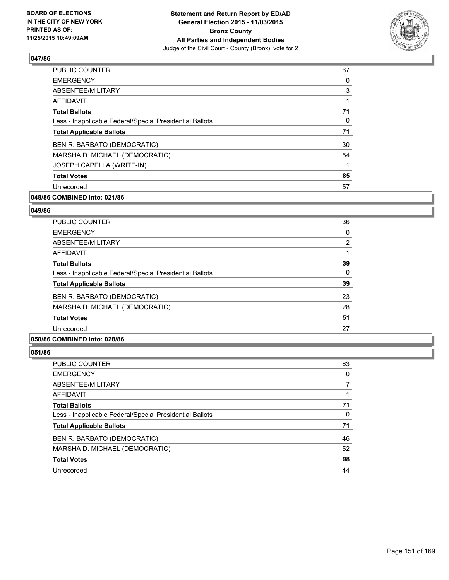

| <b>PUBLIC COUNTER</b>                                    | 67 |
|----------------------------------------------------------|----|
| <b>EMERGENCY</b>                                         | 0  |
| ABSENTEE/MILITARY                                        | 3  |
| AFFIDAVIT                                                | 1  |
| <b>Total Ballots</b>                                     | 71 |
| Less - Inapplicable Federal/Special Presidential Ballots | 0  |
| <b>Total Applicable Ballots</b>                          | 71 |
| BEN R. BARBATO (DEMOCRATIC)                              | 30 |
| MARSHA D. MICHAEL (DEMOCRATIC)                           | 54 |
| JOSEPH CAPELLA (WRITE-IN)                                | 1  |
| <b>Total Votes</b>                                       | 85 |
| Unrecorded                                               | 57 |

# **048/86 COMBINED into: 021/86**

#### **049/86**

| <b>PUBLIC COUNTER</b>                                    | 36 |
|----------------------------------------------------------|----|
| <b>EMERGENCY</b>                                         | 0  |
| ABSENTEE/MILITARY                                        | 2  |
| <b>AFFIDAVIT</b>                                         |    |
| <b>Total Ballots</b>                                     | 39 |
| Less - Inapplicable Federal/Special Presidential Ballots | 0  |
| <b>Total Applicable Ballots</b>                          | 39 |
| BEN R. BARBATO (DEMOCRATIC)                              | 23 |
| MARSHA D. MICHAEL (DEMOCRATIC)                           | 28 |
| <b>Total Votes</b>                                       | 51 |
| Unrecorded                                               | 27 |
|                                                          |    |

# **050/86 COMBINED into: 028/86**

| <b>PUBLIC COUNTER</b>                                    | 63 |
|----------------------------------------------------------|----|
| <b>EMERGENCY</b>                                         | 0  |
| ABSENTEE/MILITARY                                        |    |
| AFFIDAVIT                                                |    |
| <b>Total Ballots</b>                                     | 71 |
| Less - Inapplicable Federal/Special Presidential Ballots | 0  |
| <b>Total Applicable Ballots</b>                          | 71 |
| BEN R. BARBATO (DEMOCRATIC)                              | 46 |
| MARSHA D. MICHAEL (DEMOCRATIC)                           | 52 |
| <b>Total Votes</b>                                       | 98 |
| Unrecorded                                               | 44 |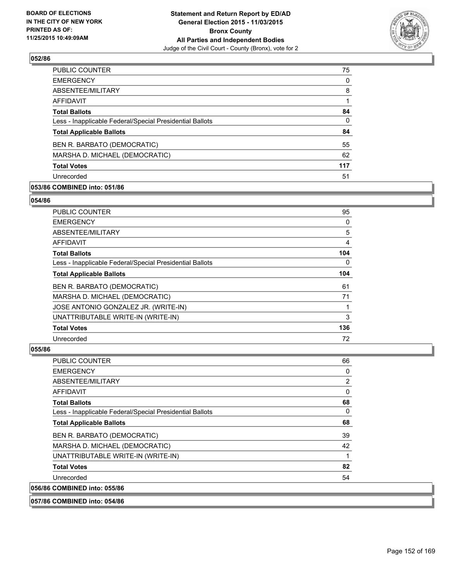

| PUBLIC COUNTER                                           | 75  |
|----------------------------------------------------------|-----|
| <b>EMERGENCY</b>                                         | 0   |
| ABSENTEE/MILITARY                                        | 8   |
| AFFIDAVIT                                                |     |
| <b>Total Ballots</b>                                     | 84  |
| Less - Inapplicable Federal/Special Presidential Ballots | 0   |
| <b>Total Applicable Ballots</b>                          | 84  |
| BEN R. BARBATO (DEMOCRATIC)                              | 55  |
| MARSHA D. MICHAEL (DEMOCRATIC)                           | 62  |
| <b>Total Votes</b>                                       | 117 |
| Unrecorded                                               | 51  |

# **053/86 COMBINED into: 051/86**

#### **054/86**

| PUBLIC COUNTER                                           | 95  |
|----------------------------------------------------------|-----|
| <b>EMERGENCY</b>                                         | 0   |
| ABSENTEE/MILITARY                                        | 5   |
| AFFIDAVIT                                                | 4   |
| <b>Total Ballots</b>                                     | 104 |
| Less - Inapplicable Federal/Special Presidential Ballots | 0   |
| <b>Total Applicable Ballots</b>                          | 104 |
| BEN R. BARBATO (DEMOCRATIC)                              | 61  |
| MARSHA D. MICHAEL (DEMOCRATIC)                           | 71  |
| JOSE ANTONIO GONZALEZ JR. (WRITE-IN)                     |     |
| UNATTRIBUTABLE WRITE-IN (WRITE-IN)                       | 3   |
| <b>Total Votes</b>                                       | 136 |
| Unrecorded                                               | 72  |

| <b>PUBLIC COUNTER</b>                                    | 66 |
|----------------------------------------------------------|----|
| <b>EMERGENCY</b>                                         | 0  |
| ABSENTEE/MILITARY                                        | 2  |
| AFFIDAVIT                                                | 0  |
| <b>Total Ballots</b>                                     | 68 |
| Less - Inapplicable Federal/Special Presidential Ballots | 0  |
| <b>Total Applicable Ballots</b>                          | 68 |
| BEN R. BARBATO (DEMOCRATIC)                              | 39 |
| MARSHA D. MICHAEL (DEMOCRATIC)                           | 42 |
| UNATTRIBUTABLE WRITE-IN (WRITE-IN)                       | 1  |
| <b>Total Votes</b>                                       | 82 |
| Unrecorded                                               | 54 |
| 056/86 COMBINED into: 055/86                             |    |
| 057/86 COMBINED into: 054/86                             |    |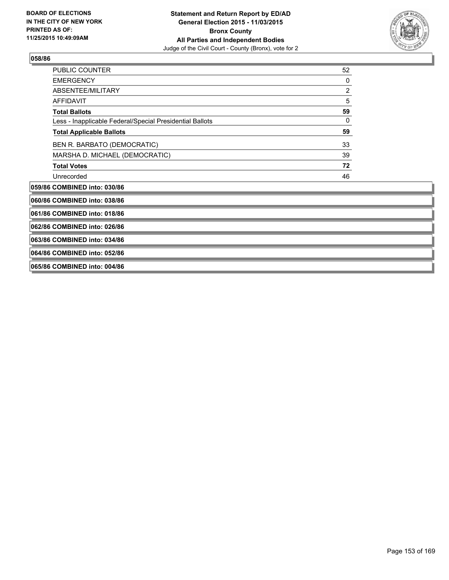

| <b>PUBLIC COUNTER</b>                                    | 52 |
|----------------------------------------------------------|----|
| <b>EMERGENCY</b>                                         | 0  |
| ABSENTEE/MILITARY                                        | 2  |
| <b>AFFIDAVIT</b>                                         | 5  |
| <b>Total Ballots</b>                                     | 59 |
| Less - Inapplicable Federal/Special Presidential Ballots | 0  |
| <b>Total Applicable Ballots</b>                          | 59 |
| BEN R. BARBATO (DEMOCRATIC)                              | 33 |
| MARSHA D. MICHAEL (DEMOCRATIC)                           | 39 |
| <b>Total Votes</b>                                       | 72 |
| Unrecorded                                               | 46 |
| 059/86 COMBINED into: 030/86                             |    |
| 060/86 COMBINED into: 038/86                             |    |
| 061/86 COMBINED into: 018/86                             |    |
| 062/86 COMBINED into: 026/86                             |    |
| 063/86 COMBINED into: 034/86                             |    |
| 064/86 COMBINED into: 052/86                             |    |
| 065/86 COMBINED into: 004/86                             |    |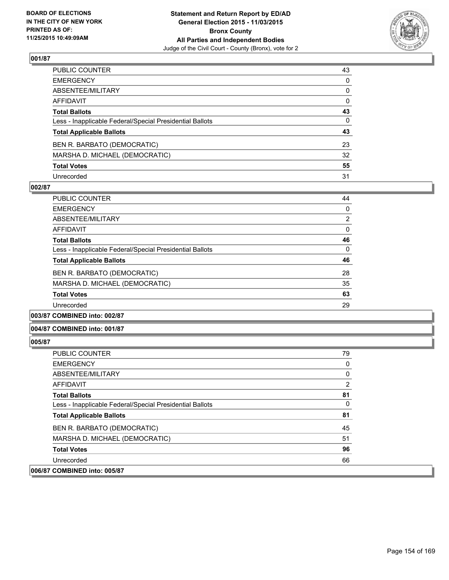

| PUBLIC COUNTER                                           | 43           |
|----------------------------------------------------------|--------------|
| EMERGENCY                                                | 0            |
| ABSENTEE/MILITARY                                        | 0            |
| AFFIDAVIT                                                | 0            |
| Total Ballots                                            | 43           |
| Less - Inapplicable Federal/Special Presidential Ballots | $\mathbf{0}$ |
| <b>Total Applicable Ballots</b>                          | 43           |
| BEN R. BARBATO (DEMOCRATIC)                              | 23           |
| MARSHA D. MICHAEL (DEMOCRATIC)                           | 32           |
| Total Votes                                              | 55           |
| Unrecorded                                               | 31           |

#### **002/87**

| <b>PUBLIC COUNTER</b>                                    | 44 |
|----------------------------------------------------------|----|
| <b>EMERGENCY</b>                                         | 0  |
| ABSENTEE/MILITARY                                        | 2  |
| AFFIDAVIT                                                | 0  |
| <b>Total Ballots</b>                                     | 46 |
| Less - Inapplicable Federal/Special Presidential Ballots | 0  |
| <b>Total Applicable Ballots</b>                          | 46 |
| BEN R. BARBATO (DEMOCRATIC)                              | 28 |
| MARSHA D. MICHAEL (DEMOCRATIC)                           | 35 |
| <b>Total Votes</b>                                       | 63 |
| Unrecorded                                               | 29 |
|                                                          |    |

**003/87 COMBINED into: 002/87**

#### **004/87 COMBINED into: 001/87**

| <b>PUBLIC COUNTER</b>                                    | 79             |
|----------------------------------------------------------|----------------|
| <b>EMERGENCY</b>                                         | 0              |
| ABSENTEE/MILITARY                                        | 0              |
| AFFIDAVIT                                                | $\overline{2}$ |
| <b>Total Ballots</b>                                     | 81             |
| Less - Inapplicable Federal/Special Presidential Ballots | 0              |
| <b>Total Applicable Ballots</b>                          | 81             |
| BEN R. BARBATO (DEMOCRATIC)                              | 45             |
| MARSHA D. MICHAEL (DEMOCRATIC)                           | 51             |
| <b>Total Votes</b>                                       | 96             |
| Unrecorded                                               | 66             |
| 006/87 COMBINED into: 005/87                             |                |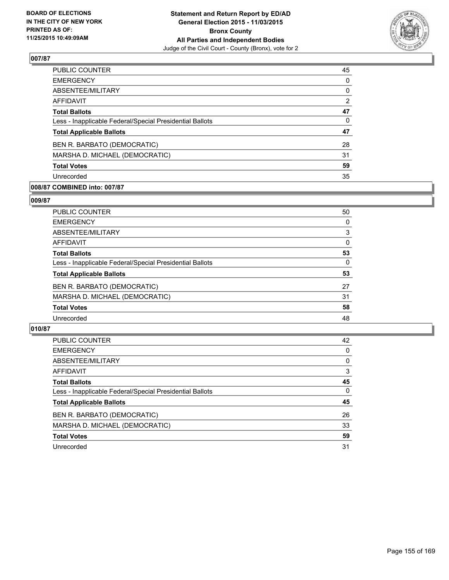

| 45       |
|----------|
| $\Omega$ |
| 0        |
| 2        |
| 47       |
| 0        |
| 47       |
| 28       |
| 31       |
| 59       |
| 35       |
|          |

# **008/87 COMBINED into: 007/87**

#### **009/87**

| PUBLIC COUNTER                                           | 50           |
|----------------------------------------------------------|--------------|
| <b>EMERGENCY</b>                                         | 0            |
| ABSENTEE/MILITARY                                        | 3            |
| <b>AFFIDAVIT</b>                                         | $\mathbf{0}$ |
| <b>Total Ballots</b>                                     | 53           |
| Less - Inapplicable Federal/Special Presidential Ballots | 0            |
| <b>Total Applicable Ballots</b>                          | 53           |
| BEN R. BARBATO (DEMOCRATIC)                              | 27           |
| MARSHA D. MICHAEL (DEMOCRATIC)                           | 31           |
| <b>Total Votes</b>                                       | 58           |
| Unrecorded                                               | 48           |
|                                                          |              |

| <b>PUBLIC COUNTER</b>                                    | 42       |
|----------------------------------------------------------|----------|
| <b>EMERGENCY</b>                                         | 0        |
| ABSENTEE/MILITARY                                        | 0        |
| AFFIDAVIT                                                | 3        |
| <b>Total Ballots</b>                                     | 45       |
| Less - Inapplicable Federal/Special Presidential Ballots | $\Omega$ |
| <b>Total Applicable Ballots</b>                          | 45       |
| BEN R. BARBATO (DEMOCRATIC)                              | 26       |
| MARSHA D. MICHAEL (DEMOCRATIC)                           | 33       |
| <b>Total Votes</b>                                       | 59       |
| Unrecorded                                               | 31       |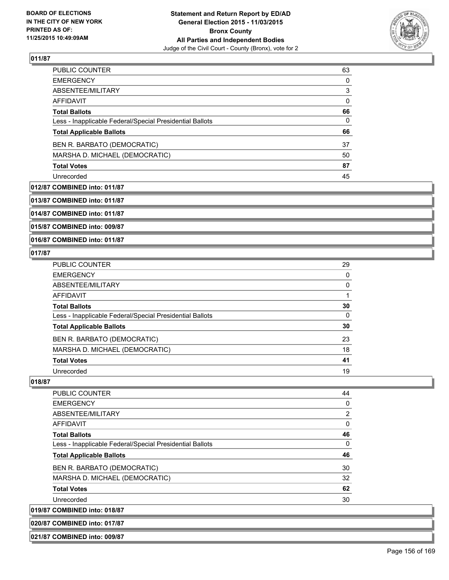

| <b>PUBLIC COUNTER</b>                                    | 63 |
|----------------------------------------------------------|----|
| <b>EMERGENCY</b>                                         | 0  |
| ABSENTEE/MILITARY                                        | 3  |
| AFFIDAVIT                                                | 0  |
| <b>Total Ballots</b>                                     | 66 |
| Less - Inapplicable Federal/Special Presidential Ballots | 0  |
| <b>Total Applicable Ballots</b>                          | 66 |
| BEN R. BARBATO (DEMOCRATIC)                              | 37 |
| MARSHA D. MICHAEL (DEMOCRATIC)                           | 50 |
|                                                          |    |
| <b>Total Votes</b>                                       | 87 |

#### **012/87 COMBINED into: 011/87**

**013/87 COMBINED into: 011/87**

**014/87 COMBINED into: 011/87**

**015/87 COMBINED into: 009/87**

**016/87 COMBINED into: 011/87**

**021/87 COMBINED into: 009/87**

#### **017/87**

| PUBLIC COUNTER                                           | 29       |
|----------------------------------------------------------|----------|
| <b>EMERGENCY</b>                                         | $\Omega$ |
| ABSENTEE/MILITARY                                        | 0        |
| AFFIDAVIT                                                |          |
| <b>Total Ballots</b>                                     | 30       |
| Less - Inapplicable Federal/Special Presidential Ballots | 0        |
| <b>Total Applicable Ballots</b>                          | 30       |
| BEN R. BARBATO (DEMOCRATIC)                              | 23       |
| MARSHA D. MICHAEL (DEMOCRATIC)                           | 18       |
| <b>Total Votes</b>                                       | 41       |
| Unrecorded                                               | 19       |

| <b>PUBLIC COUNTER</b>                                    | 44 |
|----------------------------------------------------------|----|
| <b>EMERGENCY</b>                                         | 0  |
| ABSENTEE/MILITARY                                        | 2  |
| <b>AFFIDAVIT</b>                                         | 0  |
| <b>Total Ballots</b>                                     | 46 |
| Less - Inapplicable Federal/Special Presidential Ballots | 0  |
| <b>Total Applicable Ballots</b>                          | 46 |
| BEN R. BARBATO (DEMOCRATIC)                              | 30 |
| MARSHA D. MICHAEL (DEMOCRATIC)                           | 32 |
| <b>Total Votes</b>                                       | 62 |
| Unrecorded                                               | 30 |
| 019/87 COMBINED into: 018/87                             |    |
| 020/87 COMBINED into: 017/87                             |    |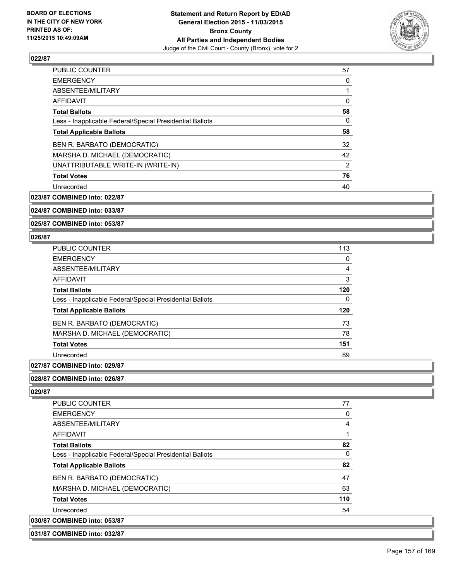

| PUBLIC COUNTER                                           | 57 |
|----------------------------------------------------------|----|
| <b>EMERGENCY</b>                                         | 0  |
| ABSENTEE/MILITARY                                        | 1  |
| AFFIDAVIT                                                | 0  |
| <b>Total Ballots</b>                                     | 58 |
| Less - Inapplicable Federal/Special Presidential Ballots | 0  |
| <b>Total Applicable Ballots</b>                          | 58 |
| BEN R. BARBATO (DEMOCRATIC)                              | 32 |
| MARSHA D. MICHAEL (DEMOCRATIC)                           | 42 |
| UNATTRIBUTABLE WRITE-IN (WRITE-IN)                       | 2  |
| <b>Total Votes</b>                                       | 76 |
| Unrecorded                                               | 40 |

**023/87 COMBINED into: 022/87**

# **024/87 COMBINED into: 033/87**

**025/87 COMBINED into: 053/87**

#### **026/87**

| PUBLIC COUNTER                                           | 113 |
|----------------------------------------------------------|-----|
| <b>EMERGENCY</b>                                         | 0   |
| ABSENTEE/MILITARY                                        | 4   |
| AFFIDAVIT                                                | 3   |
| <b>Total Ballots</b>                                     | 120 |
| Less - Inapplicable Federal/Special Presidential Ballots | 0   |
| <b>Total Applicable Ballots</b>                          | 120 |
| BEN R. BARBATO (DEMOCRATIC)                              | 73  |
| MARSHA D. MICHAEL (DEMOCRATIC)                           | 78  |
| <b>Total Votes</b>                                       | 151 |
| Unrecorded                                               | 89  |

#### **027/87 COMBINED into: 029/87**

# **028/87 COMBINED into: 026/87**

**029/87** 

| <b>PUBLIC COUNTER</b>                                    | 77  |
|----------------------------------------------------------|-----|
| <b>EMERGENCY</b>                                         | 0   |
| ABSENTEE/MILITARY                                        | 4   |
| <b>AFFIDAVIT</b>                                         |     |
| <b>Total Ballots</b>                                     | 82  |
| Less - Inapplicable Federal/Special Presidential Ballots | 0   |
| <b>Total Applicable Ballots</b>                          | 82  |
| BEN R. BARBATO (DEMOCRATIC)                              | 47  |
| MARSHA D. MICHAEL (DEMOCRATIC)                           | 63  |
| <b>Total Votes</b>                                       | 110 |
| Unrecorded                                               | 54  |
| 030/87 COMBINED into: 053/87                             |     |
|                                                          |     |

#### **031/87 COMBINED into: 032/87**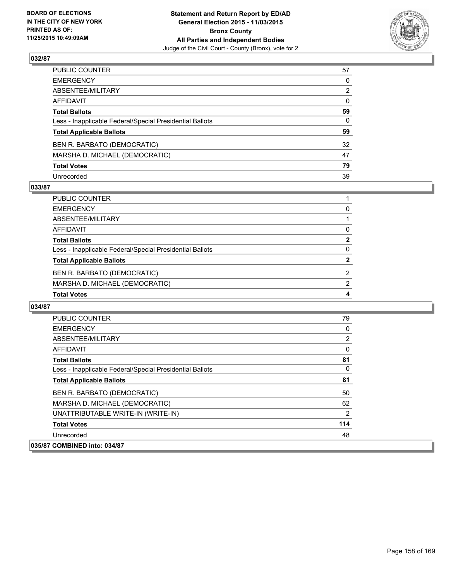

| PUBLIC COUNTER                                           | 57 |
|----------------------------------------------------------|----|
| EMERGENCY                                                | 0  |
| ABSENTEE/MILITARY                                        | 2  |
| AFFIDAVIT                                                | 0  |
| <b>Total Ballots</b>                                     | 59 |
| Less - Inapplicable Federal/Special Presidential Ballots | 0  |
| <b>Total Applicable Ballots</b>                          | 59 |
| BEN R. BARBATO (DEMOCRATIC)                              | 32 |
| MARSHA D. MICHAEL (DEMOCRATIC)                           | 47 |
| <b>Total Votes</b>                                       | 79 |
| Unrecorded                                               | 39 |

#### **033/87**

| PUBLIC COUNTER                                           |              |
|----------------------------------------------------------|--------------|
| <b>EMERGENCY</b>                                         | 0            |
| ABSENTEE/MILITARY                                        |              |
| AFFIDAVIT                                                | $\Omega$     |
| <b>Total Ballots</b>                                     | $\mathbf{2}$ |
| Less - Inapplicable Federal/Special Presidential Ballots | 0            |
| <b>Total Applicable Ballots</b>                          | 2            |
| BEN R. BARBATO (DEMOCRATIC)                              | 2            |
| MARSHA D. MICHAEL (DEMOCRATIC)                           | 2            |
| <b>Total Votes</b>                                       | 4            |

| <b>PUBLIC COUNTER</b>                                    | 79       |
|----------------------------------------------------------|----------|
| <b>EMERGENCY</b>                                         | 0        |
| ABSENTEE/MILITARY                                        | 2        |
| AFFIDAVIT                                                | 0        |
| <b>Total Ballots</b>                                     | 81       |
| Less - Inapplicable Federal/Special Presidential Ballots | $\Omega$ |
| <b>Total Applicable Ballots</b>                          | 81       |
| BEN R. BARBATO (DEMOCRATIC)                              | 50       |
| MARSHA D. MICHAEL (DEMOCRATIC)                           | 62       |
| UNATTRIBUTABLE WRITE-IN (WRITE-IN)                       | 2        |
| <b>Total Votes</b>                                       | 114      |
| Unrecorded                                               | 48       |
| 035/87 COMBINED into: 034/87                             |          |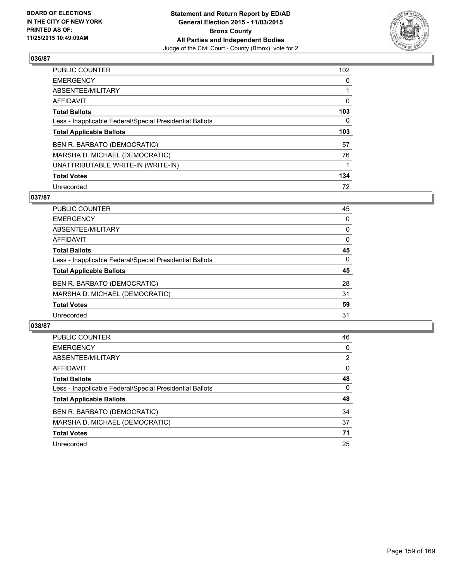

| PUBLIC COUNTER                                           | 102 |
|----------------------------------------------------------|-----|
| <b>EMERGENCY</b>                                         | 0   |
| ABSENTEE/MILITARY                                        |     |
| <b>AFFIDAVIT</b>                                         | 0   |
| <b>Total Ballots</b>                                     | 103 |
| Less - Inapplicable Federal/Special Presidential Ballots | 0   |
| <b>Total Applicable Ballots</b>                          | 103 |
| BEN R. BARBATO (DEMOCRATIC)                              | 57  |
| MARSHA D. MICHAEL (DEMOCRATIC)                           | 76  |
| UNATTRIBUTABLE WRITE-IN (WRITE-IN)                       |     |
| <b>Total Votes</b>                                       | 134 |
| Unrecorded                                               | 72  |

#### **037/87**

| PUBLIC COUNTER                                           | 45       |
|----------------------------------------------------------|----------|
| <b>EMERGENCY</b>                                         | 0        |
| ABSENTEE/MILITARY                                        | 0        |
| <b>AFFIDAVIT</b>                                         | 0        |
| <b>Total Ballots</b>                                     | 45       |
| Less - Inapplicable Federal/Special Presidential Ballots | $\Omega$ |
| <b>Total Applicable Ballots</b>                          | 45       |
| BEN R. BARBATO (DEMOCRATIC)                              | 28       |
| MARSHA D. MICHAEL (DEMOCRATIC)                           | 31       |
| <b>Total Votes</b>                                       | 59       |
| Unrecorded                                               | 31       |
|                                                          |          |

| <b>PUBLIC COUNTER</b>                                    | 46             |
|----------------------------------------------------------|----------------|
| <b>EMERGENCY</b>                                         | 0              |
| ABSENTEE/MILITARY                                        | $\overline{2}$ |
| AFFIDAVIT                                                | 0              |
| <b>Total Ballots</b>                                     | 48             |
| Less - Inapplicable Federal/Special Presidential Ballots | 0              |
| <b>Total Applicable Ballots</b>                          | 48             |
| BEN R. BARBATO (DEMOCRATIC)                              | 34             |
| MARSHA D. MICHAEL (DEMOCRATIC)                           | 37             |
| <b>Total Votes</b>                                       | 71             |
| Unrecorded                                               | 25             |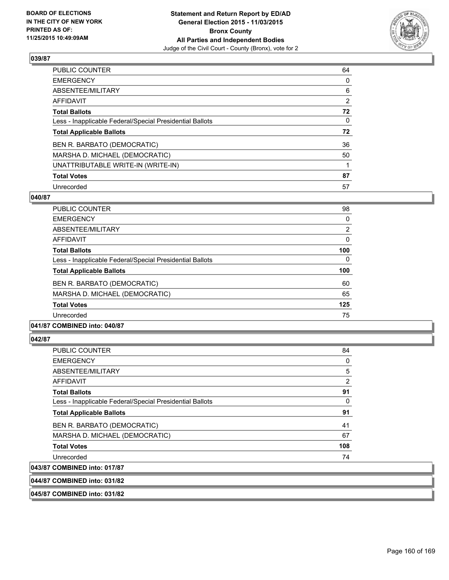

| PUBLIC COUNTER                                           | 64             |
|----------------------------------------------------------|----------------|
| <b>EMERGENCY</b>                                         | 0              |
| ABSENTEE/MILITARY                                        | 6              |
| AFFIDAVIT                                                | $\overline{2}$ |
| <b>Total Ballots</b>                                     | 72             |
| Less - Inapplicable Federal/Special Presidential Ballots | 0              |
| <b>Total Applicable Ballots</b>                          | 72             |
| BEN R. BARBATO (DEMOCRATIC)                              | 36             |
| MARSHA D. MICHAEL (DEMOCRATIC)                           | 50             |
| UNATTRIBUTABLE WRITE-IN (WRITE-IN)                       |                |
| <b>Total Votes</b>                                       | 87             |
| Unrecorded                                               | 57             |

#### **040/87**

| <b>PUBLIC COUNTER</b>                                    | 98             |
|----------------------------------------------------------|----------------|
| <b>EMERGENCY</b>                                         | 0              |
| ABSENTEE/MILITARY                                        | $\overline{2}$ |
| AFFIDAVIT                                                | $\Omega$       |
| <b>Total Ballots</b>                                     | 100            |
| Less - Inapplicable Federal/Special Presidential Ballots | $\Omega$       |
| <b>Total Applicable Ballots</b>                          | 100            |
| BEN R. BARBATO (DEMOCRATIC)                              | 60             |
| MARSHA D. MICHAEL (DEMOCRATIC)                           | 65             |
| <b>Total Votes</b>                                       | 125            |
| Unrecorded                                               | 75             |
|                                                          |                |

# **041/87 COMBINED into: 040/87**

#### **042/87**

| <b>PUBLIC COUNTER</b>                                    | 84  |
|----------------------------------------------------------|-----|
| <b>EMERGENCY</b>                                         | 0   |
| ABSENTEE/MILITARY                                        | 5   |
| <b>AFFIDAVIT</b>                                         | 2   |
| <b>Total Ballots</b>                                     | 91  |
| Less - Inapplicable Federal/Special Presidential Ballots | 0   |
| <b>Total Applicable Ballots</b>                          | 91  |
| BEN R. BARBATO (DEMOCRATIC)                              | 41  |
| MARSHA D. MICHAEL (DEMOCRATIC)                           | 67  |
| <b>Total Votes</b>                                       | 108 |
| Unrecorded                                               | 74  |
| 043/87 COMBINED into: 017/87                             |     |

# **044/87 COMBINED into: 031/82**

**045/87 COMBINED into: 031/82**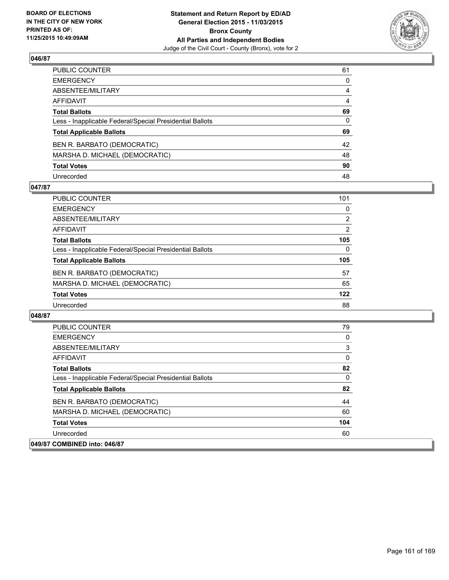

| PUBLIC COUNTER                                           | 61 |
|----------------------------------------------------------|----|
| EMERGENCY                                                | 0  |
| ABSENTEE/MILITARY                                        | 4  |
| AFFIDAVIT                                                | 4  |
| <b>Total Ballots</b>                                     | 69 |
| Less - Inapplicable Federal/Special Presidential Ballots | 0  |
| <b>Total Applicable Ballots</b>                          | 69 |
| BEN R. BARBATO (DEMOCRATIC)                              | 42 |
| MARSHA D. MICHAEL (DEMOCRATIC)                           | 48 |
| <b>Total Votes</b>                                       | 90 |
| Unrecorded                                               | 48 |

#### **047/87**

| PUBLIC COUNTER                                           | 101      |
|----------------------------------------------------------|----------|
| <b>EMERGENCY</b>                                         | $\Omega$ |
| ABSENTEE/MILITARY                                        | 2        |
| <b>AFFIDAVIT</b>                                         | 2        |
| <b>Total Ballots</b>                                     | 105      |
| Less - Inapplicable Federal/Special Presidential Ballots | $\Omega$ |
| <b>Total Applicable Ballots</b>                          | 105      |
| BEN R. BARBATO (DEMOCRATIC)                              | 57       |
| MARSHA D. MICHAEL (DEMOCRATIC)                           | 65       |
| <b>Total Votes</b>                                       | 122      |
| Unrecorded                                               | 88       |

| <b>PUBLIC COUNTER</b>                                    | 79  |
|----------------------------------------------------------|-----|
| <b>EMERGENCY</b>                                         | 0   |
| ABSENTEE/MILITARY                                        | 3   |
| <b>AFFIDAVIT</b>                                         | 0   |
| <b>Total Ballots</b>                                     | 82  |
| Less - Inapplicable Federal/Special Presidential Ballots | 0   |
| <b>Total Applicable Ballots</b>                          | 82  |
| BEN R. BARBATO (DEMOCRATIC)                              | 44  |
| MARSHA D. MICHAEL (DEMOCRATIC)                           | 60  |
| <b>Total Votes</b>                                       | 104 |
| Unrecorded                                               | 60  |
| 049/87 COMBINED into: 046/87                             |     |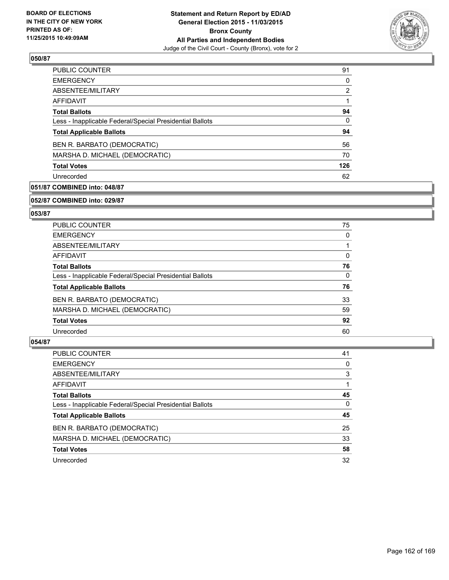

| PUBLIC COUNTER                                           | 91  |
|----------------------------------------------------------|-----|
| <b>EMERGENCY</b>                                         | 0   |
| ABSENTEE/MILITARY                                        | 2   |
| AFFIDAVIT                                                |     |
| <b>Total Ballots</b>                                     | 94  |
| Less - Inapplicable Federal/Special Presidential Ballots | 0   |
| <b>Total Applicable Ballots</b>                          | 94  |
| BEN R. BARBATO (DEMOCRATIC)                              | 56  |
| MARSHA D. MICHAEL (DEMOCRATIC)                           | 70  |
| <b>Total Votes</b>                                       | 126 |
| Unrecorded                                               | 62  |

# **051/87 COMBINED into: 048/87**

#### **052/87 COMBINED into: 029/87**

# **053/87**

| <b>PUBLIC COUNTER</b>                                    | 75 |
|----------------------------------------------------------|----|
| <b>EMERGENCY</b>                                         | 0  |
| ABSENTEE/MILITARY                                        |    |
| AFFIDAVIT                                                | 0  |
| <b>Total Ballots</b>                                     | 76 |
| Less - Inapplicable Federal/Special Presidential Ballots | 0  |
| <b>Total Applicable Ballots</b>                          | 76 |
| BEN R. BARBATO (DEMOCRATIC)                              | 33 |
| MARSHA D. MICHAEL (DEMOCRATIC)                           | 59 |
| <b>Total Votes</b>                                       | 92 |
| Unrecorded                                               | 60 |

| <b>PUBLIC COUNTER</b>                                    | 41       |
|----------------------------------------------------------|----------|
| <b>EMERGENCY</b>                                         | 0        |
| ABSENTEE/MILITARY                                        | 3        |
| AFFIDAVIT                                                |          |
| <b>Total Ballots</b>                                     | 45       |
| Less - Inapplicable Federal/Special Presidential Ballots | $\Omega$ |
| <b>Total Applicable Ballots</b>                          | 45       |
| BEN R. BARBATO (DEMOCRATIC)                              | 25       |
| MARSHA D. MICHAEL (DEMOCRATIC)                           | 33       |
| <b>Total Votes</b>                                       | 58       |
| Unrecorded                                               | 32       |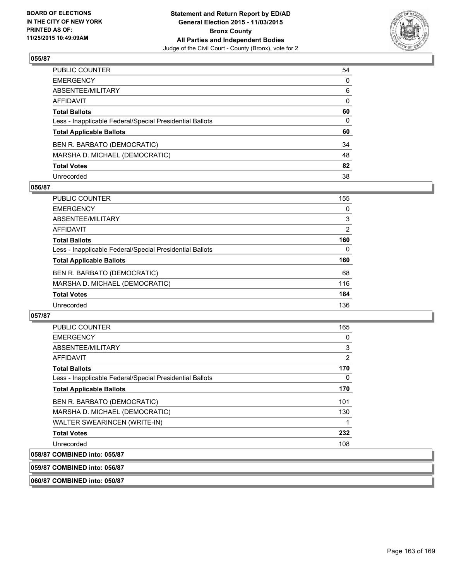

| PUBLIC COUNTER                                           | 54 |
|----------------------------------------------------------|----|
| EMERGENCY                                                | 0  |
| ABSENTEE/MILITARY                                        | 6  |
| AFFIDAVIT                                                | 0  |
| <b>Total Ballots</b>                                     | 60 |
| Less - Inapplicable Federal/Special Presidential Ballots | 0  |
| <b>Total Applicable Ballots</b>                          | 60 |
| BEN R. BARBATO (DEMOCRATIC)                              | 34 |
| MARSHA D. MICHAEL (DEMOCRATIC)                           | 48 |
| <b>Total Votes</b>                                       | 82 |
| Unrecorded                                               | 38 |

#### **056/87**

| <b>PUBLIC COUNTER</b>                                    | 155      |
|----------------------------------------------------------|----------|
| <b>EMERGENCY</b>                                         | 0        |
| ABSENTEE/MILITARY                                        | 3        |
| AFFIDAVIT                                                | 2        |
| <b>Total Ballots</b>                                     | 160      |
| Less - Inapplicable Federal/Special Presidential Ballots | $\Omega$ |
| <b>Total Applicable Ballots</b>                          | 160      |
| BEN R. BARBATO (DEMOCRATIC)                              | 68       |
| MARSHA D. MICHAEL (DEMOCRATIC)                           | 116      |
| <b>Total Votes</b>                                       | 184      |
| Unrecorded                                               | 136      |
|                                                          |          |

## **057/87**

| <b>PUBLIC COUNTER</b>                                    | 165 |
|----------------------------------------------------------|-----|
| <b>EMERGENCY</b>                                         | 0   |
| ABSENTEE/MILITARY                                        | 3   |
| <b>AFFIDAVIT</b>                                         | 2   |
| <b>Total Ballots</b>                                     | 170 |
| Less - Inapplicable Federal/Special Presidential Ballots | 0   |
| <b>Total Applicable Ballots</b>                          | 170 |
| BEN R. BARBATO (DEMOCRATIC)                              | 101 |
| MARSHA D. MICHAEL (DEMOCRATIC)                           | 130 |
| WALTER SWEARINCEN (WRITE-IN)                             | 1   |
| <b>Total Votes</b>                                       | 232 |
| Unrecorded                                               | 108 |
| 058/87 COMBINED into: 055/87                             |     |

# **059/87 COMBINED into: 056/87**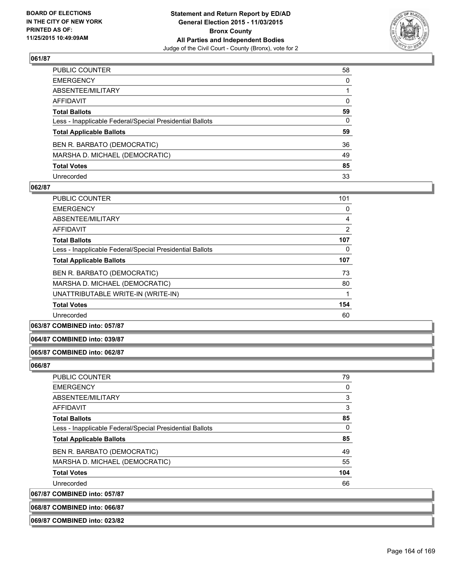

| PUBLIC COUNTER                                           | 58           |
|----------------------------------------------------------|--------------|
| EMERGENCY                                                | $\mathbf{0}$ |
| ABSENTEE/MILITARY                                        |              |
| AFFIDAVIT                                                | 0            |
| <b>Total Ballots</b>                                     | 59           |
| Less - Inapplicable Federal/Special Presidential Ballots | 0            |
| <b>Total Applicable Ballots</b>                          | 59           |
| BEN R. BARBATO (DEMOCRATIC)                              | 36           |
| MARSHA D. MICHAEL (DEMOCRATIC)                           | 49           |
| <b>Total Votes</b>                                       | 85           |
| Unrecorded                                               | 33           |

#### **062/87**

| <b>PUBLIC COUNTER</b>                                    | 101 |
|----------------------------------------------------------|-----|
| <b>EMERGENCY</b>                                         | 0   |
| ABSENTEE/MILITARY                                        | 4   |
| <b>AFFIDAVIT</b>                                         | 2   |
| <b>Total Ballots</b>                                     | 107 |
| Less - Inapplicable Federal/Special Presidential Ballots | 0   |
| <b>Total Applicable Ballots</b>                          | 107 |
| BEN R. BARBATO (DEMOCRATIC)                              | 73  |
| MARSHA D. MICHAEL (DEMOCRATIC)                           | 80  |
| UNATTRIBUTABLE WRITE-IN (WRITE-IN)                       |     |
| <b>Total Votes</b>                                       | 154 |
| Unrecorded                                               | 60  |
|                                                          |     |

# **063/87 COMBINED into: 057/87**

#### **064/87 COMBINED into: 039/87**

#### **065/87 COMBINED into: 062/87**

#### **066/87**

| <b>PUBLIC COUNTER</b>                                    | 79  |
|----------------------------------------------------------|-----|
| <b>EMERGENCY</b>                                         | 0   |
| ABSENTEE/MILITARY                                        | 3   |
| AFFIDAVIT                                                | 3   |
| <b>Total Ballots</b>                                     | 85  |
| Less - Inapplicable Federal/Special Presidential Ballots | 0   |
| <b>Total Applicable Ballots</b>                          | 85  |
| BEN R. BARBATO (DEMOCRATIC)                              | 49  |
| MARSHA D. MICHAEL (DEMOCRATIC)                           | 55  |
| <b>Total Votes</b>                                       | 104 |
| Unrecorded                                               | 66  |
| <b>COMBINED into: 057/87</b>                             |     |

# 067/87 **068/87 COMBINED into: 066/87 069/87 COMBINED into: 023/82**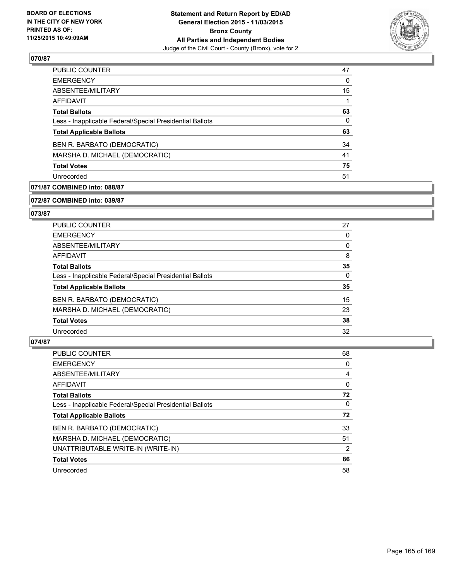

| 47 |
|----|
| 0  |
| 15 |
| 1  |
| 63 |
| 0  |
| 63 |
| 34 |
| 41 |
| 75 |
| 51 |
|    |

# **071/87 COMBINED into: 088/87**

**072/87 COMBINED into: 039/87**

# **073/87**

| <b>PUBLIC COUNTER</b>                                    | 27 |
|----------------------------------------------------------|----|
| <b>EMERGENCY</b>                                         | 0  |
| ABSENTEE/MILITARY                                        | 0  |
| AFFIDAVIT                                                | 8  |
| <b>Total Ballots</b>                                     | 35 |
| Less - Inapplicable Federal/Special Presidential Ballots | 0  |
| <b>Total Applicable Ballots</b>                          | 35 |
| BEN R. BARBATO (DEMOCRATIC)                              | 15 |
| MARSHA D. MICHAEL (DEMOCRATIC)                           | 23 |
| <b>Total Votes</b>                                       | 38 |
| Unrecorded                                               | 32 |

| <b>PUBLIC COUNTER</b>                                    | 68 |
|----------------------------------------------------------|----|
| <b>EMERGENCY</b>                                         | 0  |
| ABSENTEE/MILITARY                                        | 4  |
| AFFIDAVIT                                                | 0  |
| <b>Total Ballots</b>                                     | 72 |
| Less - Inapplicable Federal/Special Presidential Ballots | 0  |
| <b>Total Applicable Ballots</b>                          | 72 |
| BEN R. BARBATO (DEMOCRATIC)                              | 33 |
| MARSHA D. MICHAEL (DEMOCRATIC)                           | 51 |
| UNATTRIBUTABLE WRITE-IN (WRITE-IN)                       | 2  |
| <b>Total Votes</b>                                       | 86 |
| Unrecorded                                               | 58 |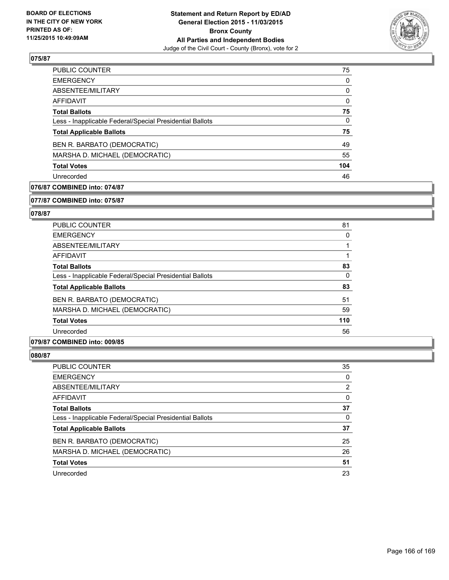

| 75  |
|-----|
| 0   |
| 0   |
| 0   |
| 75  |
| 0   |
| 75  |
| 49  |
| 55  |
| 104 |
| 46  |
|     |

# **076/87 COMBINED into: 074/87**

#### **077/87 COMBINED into: 075/87**

# **078/87**

| <b>PUBLIC COUNTER</b>                                    | 81  |
|----------------------------------------------------------|-----|
| <b>EMERGENCY</b>                                         | 0   |
| ABSENTEE/MILITARY                                        |     |
| <b>AFFIDAVIT</b>                                         |     |
| <b>Total Ballots</b>                                     | 83  |
| Less - Inapplicable Federal/Special Presidential Ballots | 0   |
| <b>Total Applicable Ballots</b>                          | 83  |
| BEN R. BARBATO (DEMOCRATIC)                              | 51  |
| MARSHA D. MICHAEL (DEMOCRATIC)                           | 59  |
| <b>Total Votes</b>                                       | 110 |
| Unrecorded                                               | 56  |

## **079/87 COMBINED into: 009/85**

| PUBLIC COUNTER                                           | 35 |
|----------------------------------------------------------|----|
| <b>EMERGENCY</b>                                         | 0  |
| ABSENTEE/MILITARY                                        | 2  |
| <b>AFFIDAVIT</b>                                         | 0  |
| <b>Total Ballots</b>                                     | 37 |
| Less - Inapplicable Federal/Special Presidential Ballots | 0  |
| <b>Total Applicable Ballots</b>                          | 37 |
| BEN R. BARBATO (DEMOCRATIC)                              | 25 |
| MARSHA D. MICHAEL (DEMOCRATIC)                           | 26 |
| <b>Total Votes</b>                                       | 51 |
| Unrecorded                                               | 23 |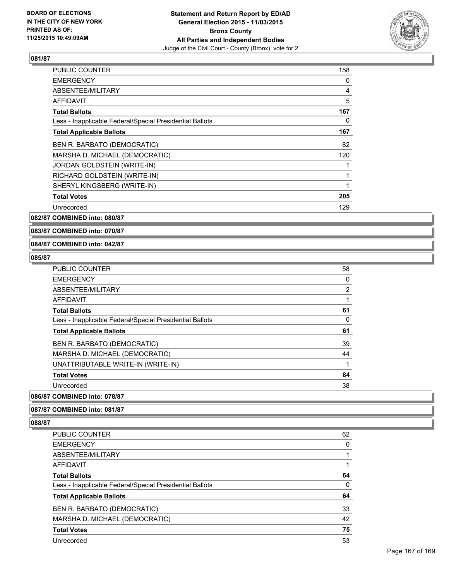

| <b>PUBLIC COUNTER</b>                                    | 158 |
|----------------------------------------------------------|-----|
| <b>EMERGENCY</b>                                         | 0   |
| ABSENTEE/MILITARY                                        | 4   |
| <b>AFFIDAVIT</b>                                         | 5   |
| <b>Total Ballots</b>                                     | 167 |
| Less - Inapplicable Federal/Special Presidential Ballots | 0   |
| <b>Total Applicable Ballots</b>                          | 167 |
| BEN R. BARBATO (DEMOCRATIC)                              | 82  |
| MARSHA D. MICHAEL (DEMOCRATIC)                           | 120 |
| JORDAN GOLDSTEIN (WRITE-IN)                              |     |
| RICHARD GOLDSTEIN (WRITE-IN)                             |     |
| SHERYL KINGSBERG (WRITE-IN)                              | 1   |
| <b>Total Votes</b>                                       | 205 |
| Unrecorded                                               | 129 |

**082/87 COMBINED into: 080/87**

**083/87 COMBINED into: 070/87**

#### **084/87 COMBINED into: 042/87**

#### **085/87**

| 58 |
|----|
| 0  |
| 2  |
|    |
| 61 |
| 0  |
| 61 |
| 39 |
| 44 |
|    |
| 84 |
| 38 |
|    |

#### **086/87 COMBINED into: 078/87**

#### **087/87 COMBINED into: 081/87**

| <b>PUBLIC COUNTER</b>                                    | 62 |
|----------------------------------------------------------|----|
| <b>EMERGENCY</b>                                         | 0  |
| ABSENTEE/MILITARY                                        |    |
| AFFIDAVIT                                                |    |
| <b>Total Ballots</b>                                     | 64 |
| Less - Inapplicable Federal/Special Presidential Ballots | 0  |
| <b>Total Applicable Ballots</b>                          | 64 |
| BEN R. BARBATO (DEMOCRATIC)                              | 33 |
| MARSHA D. MICHAEL (DEMOCRATIC)                           | 42 |
| <b>Total Votes</b>                                       | 75 |
| Unrecorded                                               | 53 |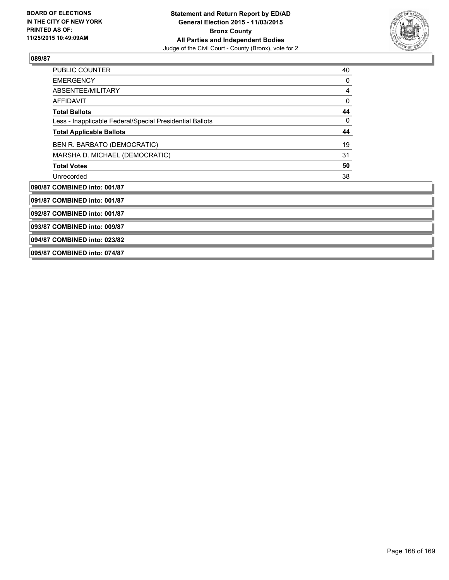

| <b>PUBLIC COUNTER</b>                                    | 40 |
|----------------------------------------------------------|----|
| <b>EMERGENCY</b>                                         | 0  |
| ABSENTEE/MILITARY                                        | 4  |
| <b>AFFIDAVIT</b>                                         | 0  |
| <b>Total Ballots</b>                                     | 44 |
| Less - Inapplicable Federal/Special Presidential Ballots | 0  |
| <b>Total Applicable Ballots</b>                          | 44 |
| BEN R. BARBATO (DEMOCRATIC)                              | 19 |
| MARSHA D. MICHAEL (DEMOCRATIC)                           | 31 |
| <b>Total Votes</b>                                       | 50 |
| Unrecorded                                               | 38 |
| 090/87 COMBINED into: 001/87                             |    |
| 091/87 COMBINED into: 001/87                             |    |
| 092/87 COMBINED into: 001/87                             |    |
| 093/87 COMBINED into: 009/87                             |    |
| 094/87 COMBINED into: 023/82                             |    |
| 095/87 COMBINED into: 074/87                             |    |